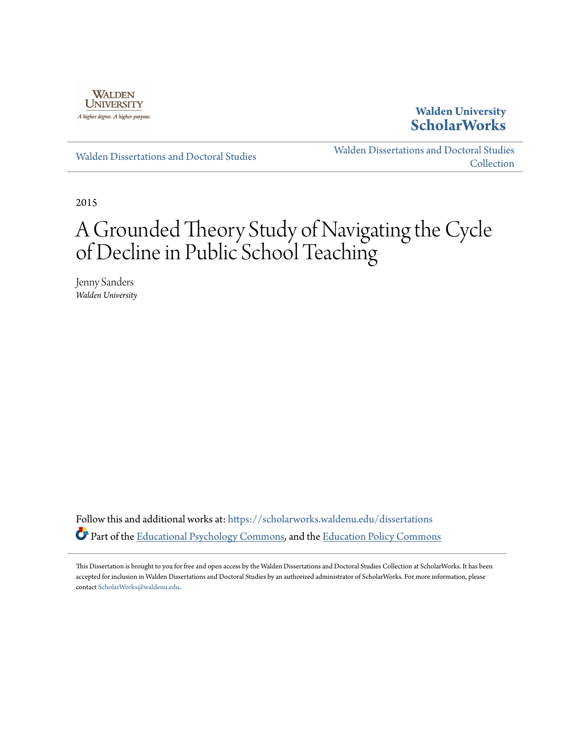

## **Walden University [ScholarWorks](https://scholarworks.waldenu.edu?utm_source=scholarworks.waldenu.edu%2Fdissertations%2F364&utm_medium=PDF&utm_campaign=PDFCoverPages)**

[Walden Dissertations and Doctoral Studies](https://scholarworks.waldenu.edu/dissertations?utm_source=scholarworks.waldenu.edu%2Fdissertations%2F364&utm_medium=PDF&utm_campaign=PDFCoverPages)

[Walden Dissertations and Doctoral Studies](https://scholarworks.waldenu.edu/dissanddoc?utm_source=scholarworks.waldenu.edu%2Fdissertations%2F364&utm_medium=PDF&utm_campaign=PDFCoverPages) **[Collection](https://scholarworks.waldenu.edu/dissanddoc?utm_source=scholarworks.waldenu.edu%2Fdissertations%2F364&utm_medium=PDF&utm_campaign=PDFCoverPages)** 

2015

# A Grounded Theory Study of Navigating the Cycle of Decline in Public School Teaching

Jenny Sanders *Walden University*

Follow this and additional works at: [https://scholarworks.waldenu.edu/dissertations](https://scholarworks.waldenu.edu/dissertations?utm_source=scholarworks.waldenu.edu%2Fdissertations%2F364&utm_medium=PDF&utm_campaign=PDFCoverPages) Part of the [Educational Psychology Commons,](http://network.bepress.com/hgg/discipline/798?utm_source=scholarworks.waldenu.edu%2Fdissertations%2F364&utm_medium=PDF&utm_campaign=PDFCoverPages) and the [Education Policy Commons](http://network.bepress.com/hgg/discipline/1026?utm_source=scholarworks.waldenu.edu%2Fdissertations%2F364&utm_medium=PDF&utm_campaign=PDFCoverPages)

This Dissertation is brought to you for free and open access by the Walden Dissertations and Doctoral Studies Collection at ScholarWorks. It has been accepted for inclusion in Walden Dissertations and Doctoral Studies by an authorized administrator of ScholarWorks. For more information, please contact [ScholarWorks@waldenu.edu](mailto:ScholarWorks@waldenu.edu).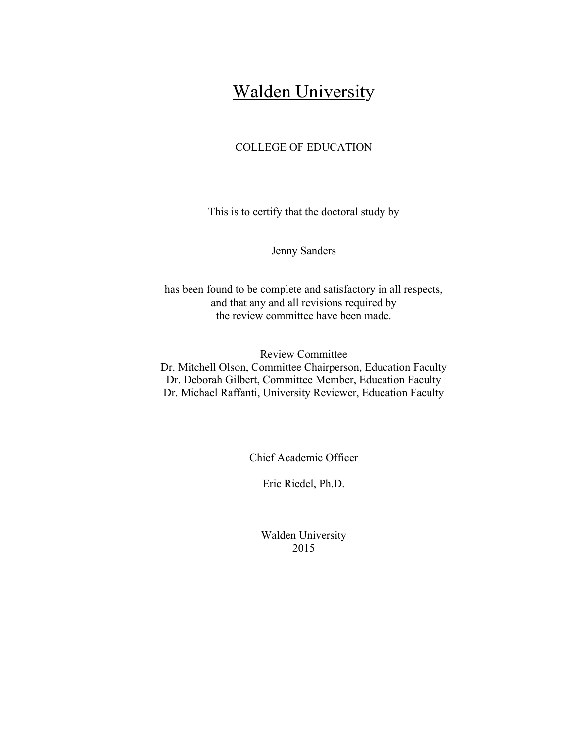## **Walden University**

### COLLEGE OF EDUCATION

This is to certify that the doctoral study by

Jenny Sanders

has been found to be complete and satisfactory in all respects, and that any and all revisions required by the review committee have been made.

Review Committee Dr. Mitchell Olson, Committee Chairperson, Education Faculty Dr. Deborah Gilbert, Committee Member, Education Faculty Dr. Michael Raffanti, University Reviewer, Education Faculty

Chief Academic Officer

Eric Riedel, Ph.D.

Walden University 2015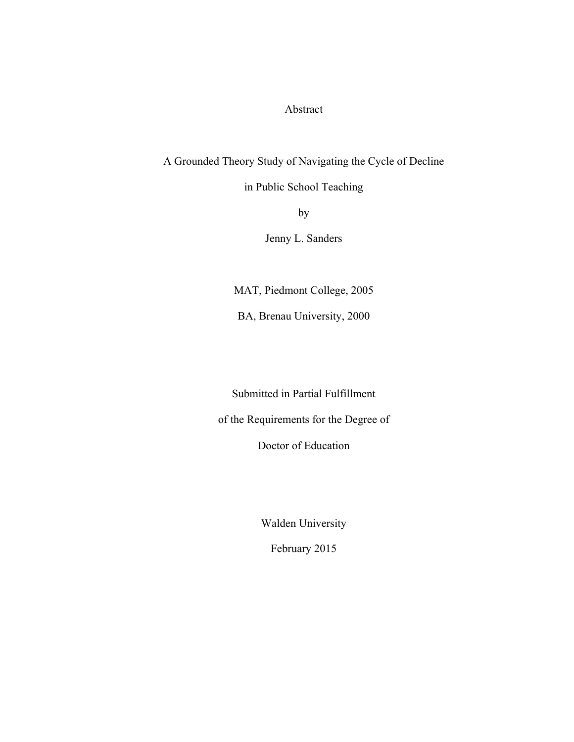Abstract

A Grounded Theory Study of Navigating the Cycle of Decline

in Public School Teaching

by

Jenny L. Sanders

MAT, Piedmont College, 2005

BA, Brenau University, 2000

Submitted in Partial Fulfillment

of the Requirements for the Degree of

Doctor of Education

Walden University

February 2015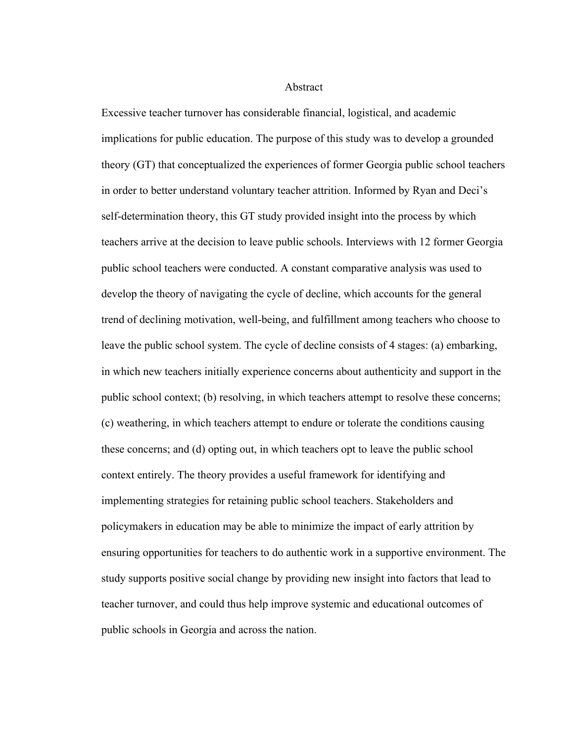Abstract

Excessive teacher turnover has considerable financial, logistical, and academic implications for public education. The purpose of this study was to develop a grounded theory (GT) that conceptualized the experiences of former Georgia public school teachers in order to better understand voluntary teacher attrition. Informed by Ryan and Deci's self-determination theory, this GT study provided insight into the process by which teachers arrive at the decision to leave public schools. Interviews with 12 former Georgia public school teachers were conducted. A constant comparative analysis was used to develop the theory of navigating the cycle of decline, which accounts for the general trend of declining motivation, well-being, and fulfillment among teachers who choose to leave the public school system. The cycle of decline consists of 4 stages: (a) embarking, in which new teachers initially experience concerns about authenticity and support in the public school context; (b) resolving, in which teachers attempt to resolve these concerns; (c) weathering, in which teachers attempt to endure or tolerate the conditions causing these concerns; and (d) opting out, in which teachers opt to leave the public school context entirely. The theory provides a useful framework for identifying and implementing strategies for retaining public school teachers. Stakeholders and policymakers in education may be able to minimize the impact of early attrition by ensuring opportunities for teachers to do authentic work in a supportive environment. The study supports positive social change by providing new insight into factors that lead to teacher turnover, and could thus help improve systemic and educational outcomes of public schools in Georgia and across the nation.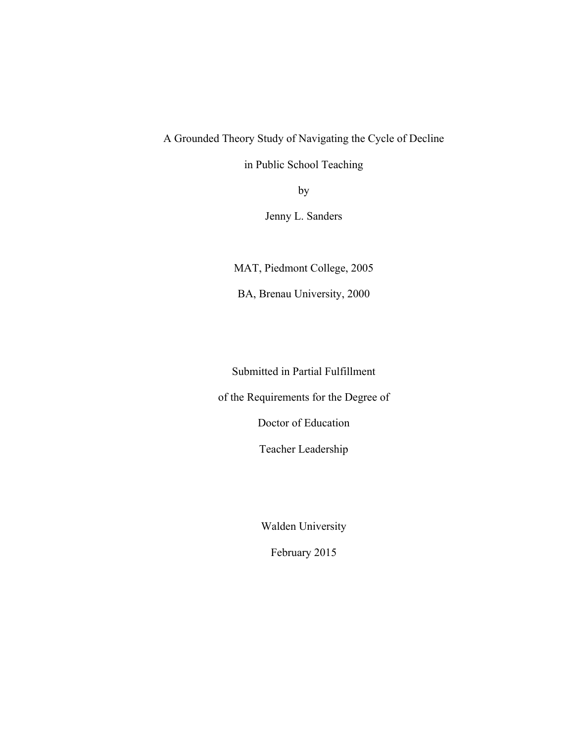### A Grounded Theory Study of Navigating the Cycle of Decline

in Public School Teaching

by

Jenny L. Sanders

MAT, Piedmont College, 2005

BA, Brenau University, 2000

Submitted in Partial Fulfillment

of the Requirements for the Degree of

Doctor of Education

Teacher Leadership

Walden University

February 2015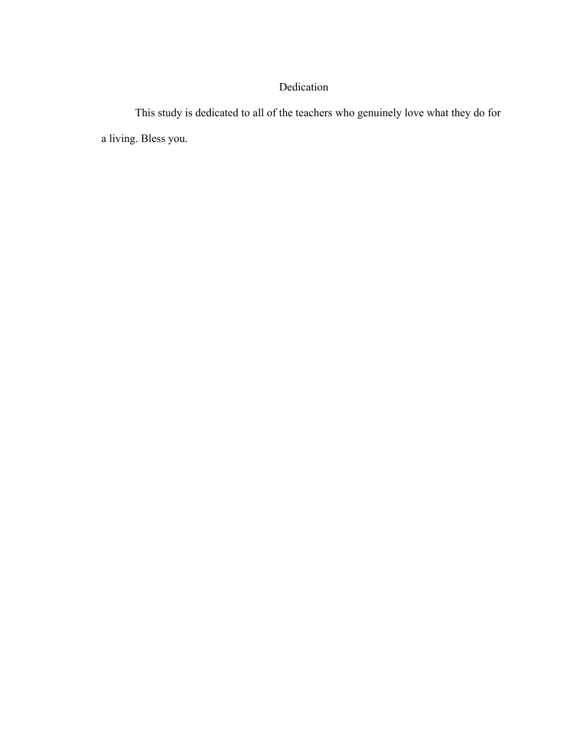## Dedication

This study is dedicated to all of the teachers who genuinely love what they do for a living. Bless you.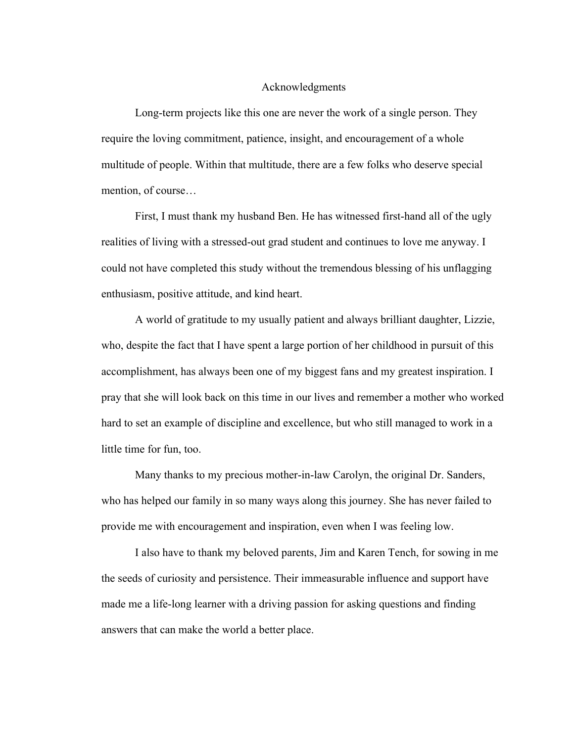#### Acknowledgments

Long-term projects like this one are never the work of a single person. They require the loving commitment, patience, insight, and encouragement of a whole multitude of people. Within that multitude, there are a few folks who deserve special mention, of course…

First, I must thank my husband Ben. He has witnessed first-hand all of the ugly realities of living with a stressed-out grad student and continues to love me anyway. I could not have completed this study without the tremendous blessing of his unflagging enthusiasm, positive attitude, and kind heart.

A world of gratitude to my usually patient and always brilliant daughter, Lizzie, who, despite the fact that I have spent a large portion of her childhood in pursuit of this accomplishment, has always been one of my biggest fans and my greatest inspiration. I pray that she will look back on this time in our lives and remember a mother who worked hard to set an example of discipline and excellence, but who still managed to work in a little time for fun, too.

Many thanks to my precious mother-in-law Carolyn, the original Dr. Sanders, who has helped our family in so many ways along this journey. She has never failed to provide me with encouragement and inspiration, even when I was feeling low.

I also have to thank my beloved parents, Jim and Karen Tench, for sowing in me the seeds of curiosity and persistence. Their immeasurable influence and support have made me a life-long learner with a driving passion for asking questions and finding answers that can make the world a better place.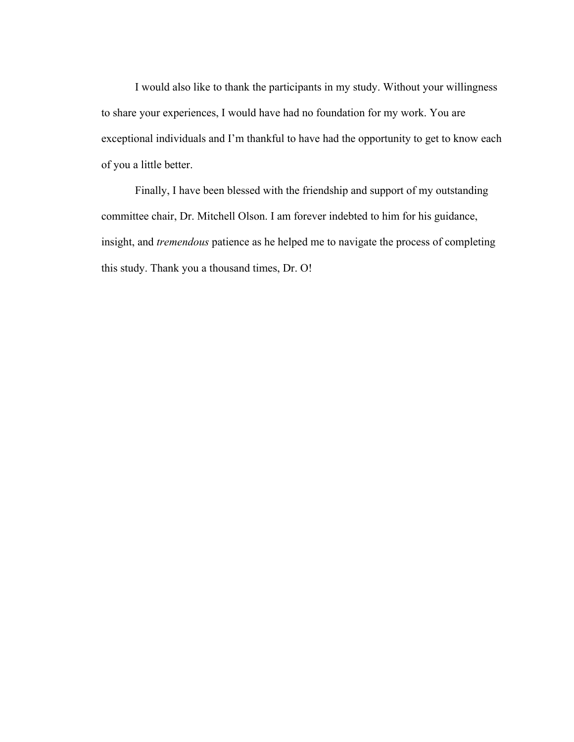I would also like to thank the participants in my study. Without your willingness to share your experiences, I would have had no foundation for my work. You are exceptional individuals and I'm thankful to have had the opportunity to get to know each of you a little better.

Finally, I have been blessed with the friendship and support of my outstanding committee chair, Dr. Mitchell Olson. I am forever indebted to him for his guidance, insight, and *tremendous* patience as he helped me to navigate the process of completing this study. Thank you a thousand times, Dr. O!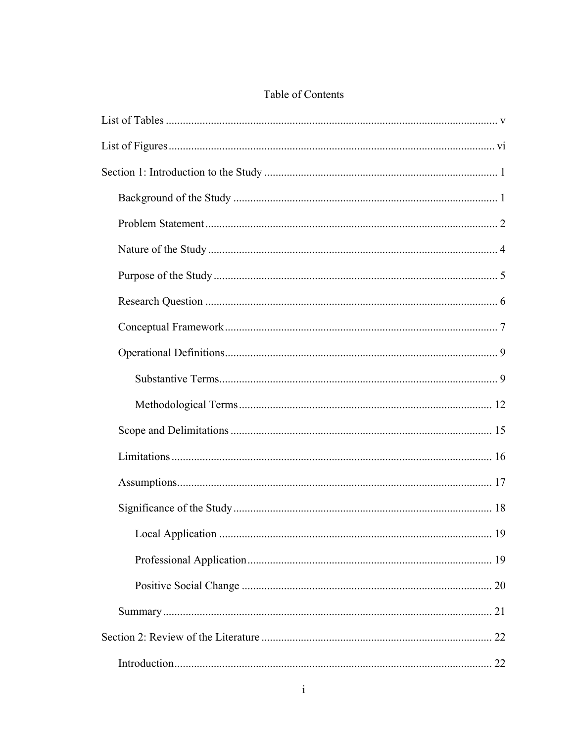## Table of Contents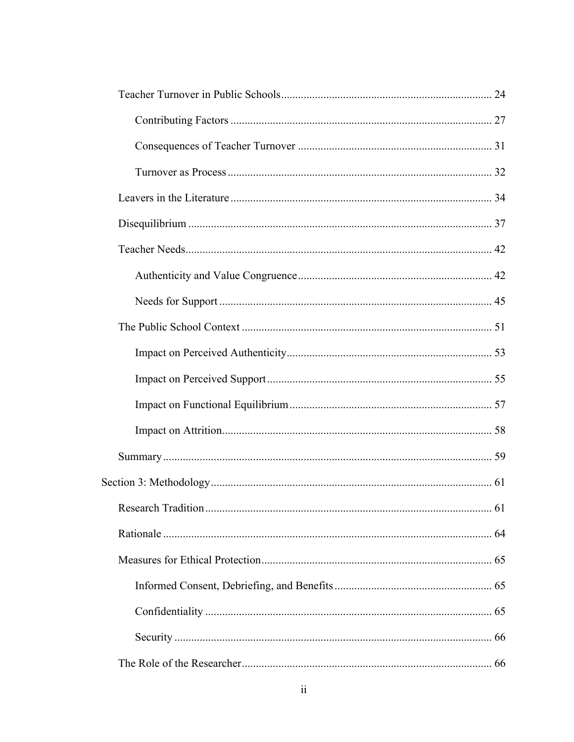| 61 |
|----|
|    |
|    |
|    |
|    |
|    |
|    |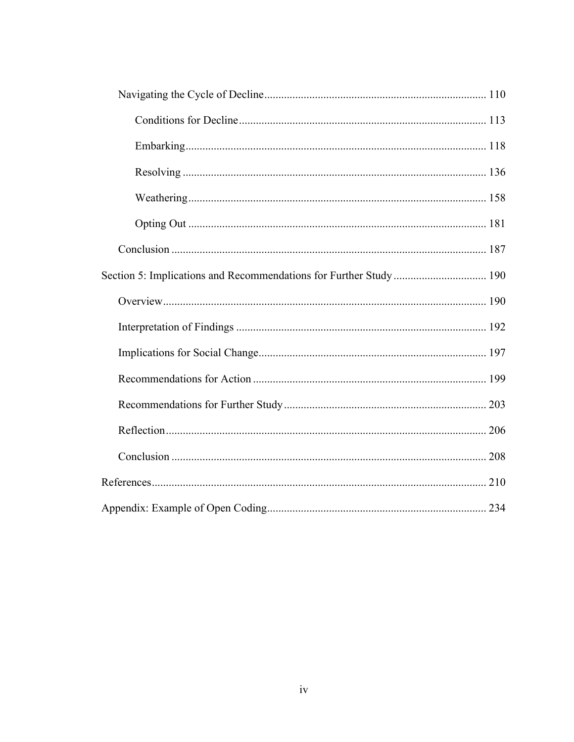| Section 5: Implications and Recommendations for Further Study 190 |  |
|-------------------------------------------------------------------|--|
|                                                                   |  |
|                                                                   |  |
|                                                                   |  |
|                                                                   |  |
|                                                                   |  |
|                                                                   |  |
|                                                                   |  |
|                                                                   |  |
|                                                                   |  |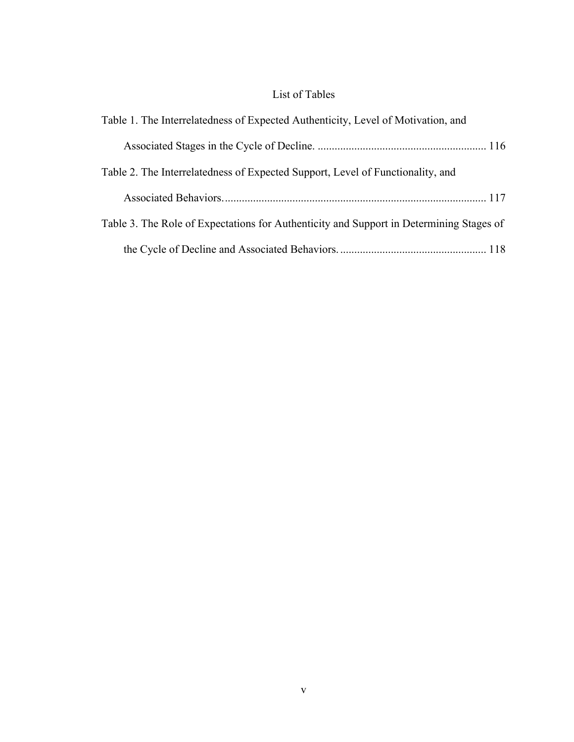## List of Tables

| Table 1. The Interrelatedness of Expected Authenticity, Level of Motivation, and        |
|-----------------------------------------------------------------------------------------|
|                                                                                         |
| Table 2. The Interrelatedness of Expected Support, Level of Functionality, and          |
|                                                                                         |
| Table 3. The Role of Expectations for Authenticity and Support in Determining Stages of |
|                                                                                         |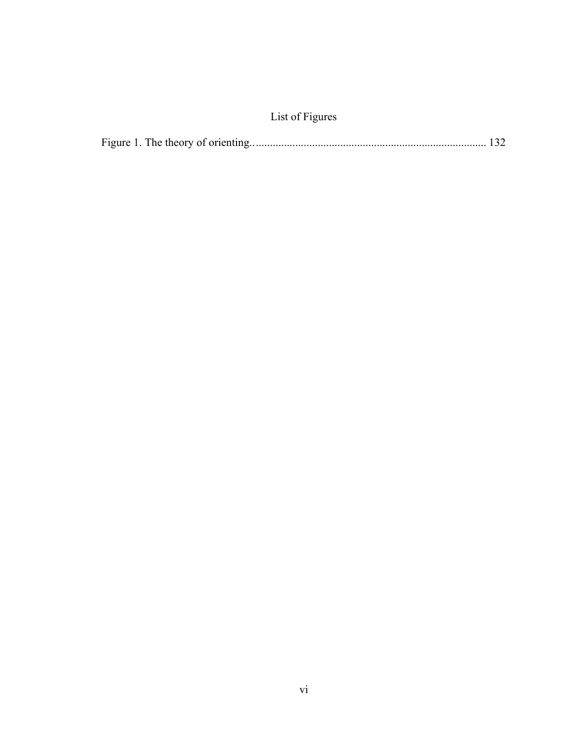## List of Figures

|--|--|--|--|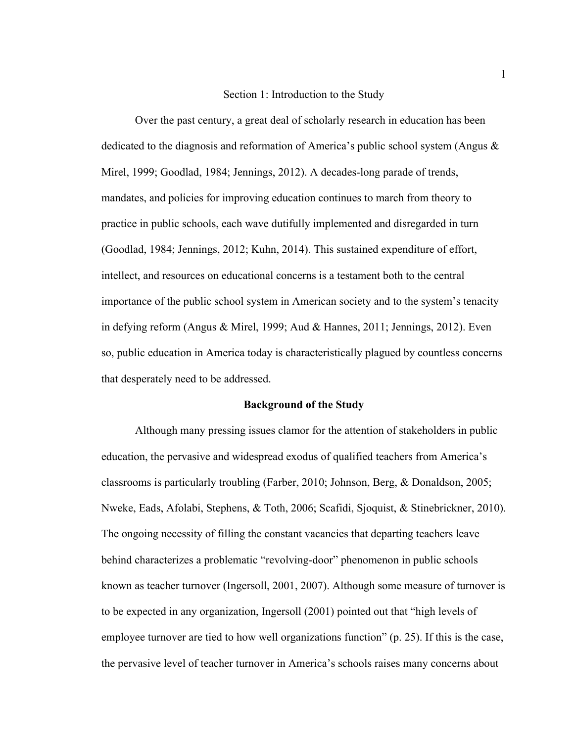#### Section 1: Introduction to the Study

Over the past century, a great deal of scholarly research in education has been dedicated to the diagnosis and reformation of America's public school system (Angus & Mirel, 1999; Goodlad, 1984; Jennings, 2012). A decades-long parade of trends, mandates, and policies for improving education continues to march from theory to practice in public schools, each wave dutifully implemented and disregarded in turn (Goodlad, 1984; Jennings, 2012; Kuhn, 2014). This sustained expenditure of effort, intellect, and resources on educational concerns is a testament both to the central importance of the public school system in American society and to the system's tenacity in defying reform (Angus & Mirel, 1999; Aud & Hannes, 2011; Jennings, 2012). Even so, public education in America today is characteristically plagued by countless concerns that desperately need to be addressed.

#### **Background of the Study**

Although many pressing issues clamor for the attention of stakeholders in public education, the pervasive and widespread exodus of qualified teachers from America's classrooms is particularly troubling (Farber, 2010; Johnson, Berg, & Donaldson, 2005; Nweke, Eads, Afolabi, Stephens, & Toth, 2006; Scafidi, Sjoquist, & Stinebrickner, 2010). The ongoing necessity of filling the constant vacancies that departing teachers leave behind characterizes a problematic "revolving-door" phenomenon in public schools known as teacher turnover (Ingersoll, 2001, 2007). Although some measure of turnover is to be expected in any organization, Ingersoll (2001) pointed out that "high levels of employee turnover are tied to how well organizations function" (p. 25). If this is the case, the pervasive level of teacher turnover in America's schools raises many concerns about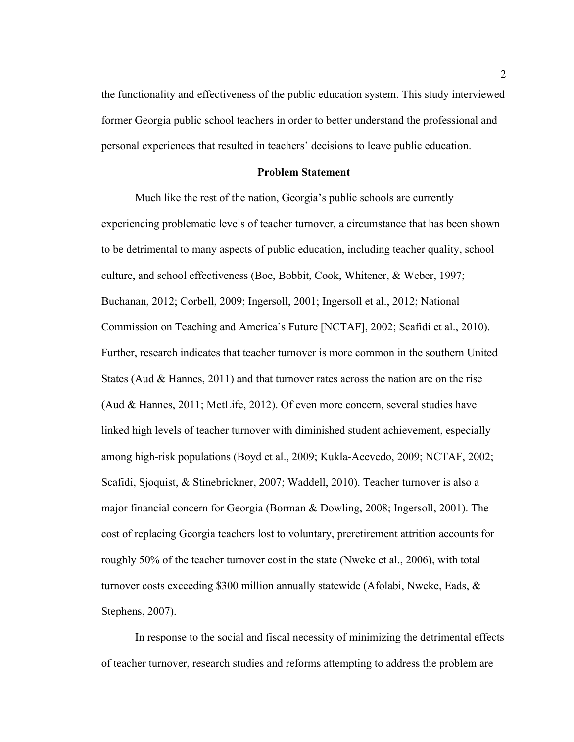the functionality and effectiveness of the public education system. This study interviewed former Georgia public school teachers in order to better understand the professional and personal experiences that resulted in teachers' decisions to leave public education.

#### **Problem Statement**

Much like the rest of the nation, Georgia's public schools are currently experiencing problematic levels of teacher turnover, a circumstance that has been shown to be detrimental to many aspects of public education, including teacher quality, school culture, and school effectiveness (Boe, Bobbit, Cook, Whitener, & Weber, 1997; Buchanan, 2012; Corbell, 2009; Ingersoll, 2001; Ingersoll et al., 2012; National Commission on Teaching and America's Future [NCTAF], 2002; Scafidi et al., 2010). Further, research indicates that teacher turnover is more common in the southern United States (Aud & Hannes, 2011) and that turnover rates across the nation are on the rise (Aud & Hannes, 2011; MetLife, 2012). Of even more concern, several studies have linked high levels of teacher turnover with diminished student achievement, especially among high-risk populations (Boyd et al., 2009; Kukla-Acevedo, 2009; NCTAF, 2002; Scafidi, Sjoquist, & Stinebrickner, 2007; Waddell, 2010). Teacher turnover is also a major financial concern for Georgia (Borman & Dowling, 2008; Ingersoll, 2001). The cost of replacing Georgia teachers lost to voluntary, preretirement attrition accounts for roughly 50% of the teacher turnover cost in the state (Nweke et al., 2006), with total turnover costs exceeding \$300 million annually statewide (Afolabi, Nweke, Eads,  $\&$ Stephens, 2007).

In response to the social and fiscal necessity of minimizing the detrimental effects of teacher turnover, research studies and reforms attempting to address the problem are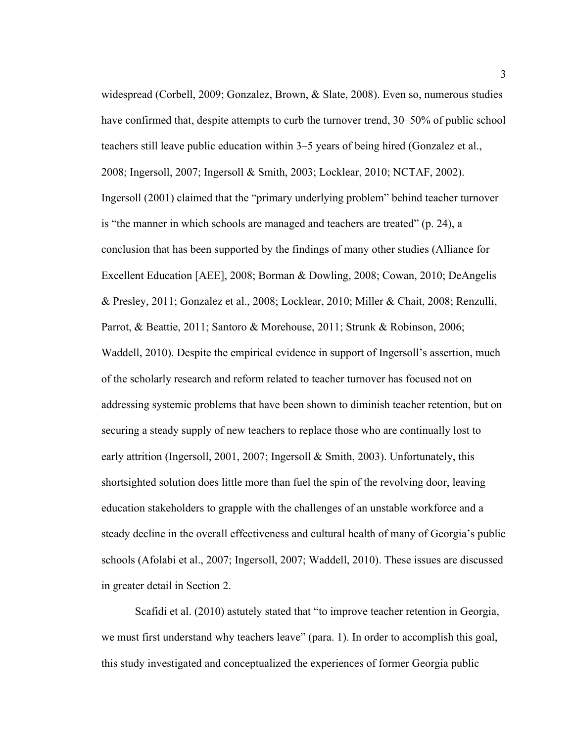widespread (Corbell, 2009; Gonzalez, Brown, & Slate, 2008). Even so, numerous studies have confirmed that, despite attempts to curb the turnover trend, 30–50% of public school teachers still leave public education within 3–5 years of being hired (Gonzalez et al., 2008; Ingersoll, 2007; Ingersoll & Smith, 2003; Locklear, 2010; NCTAF, 2002). Ingersoll (2001) claimed that the "primary underlying problem" behind teacher turnover is "the manner in which schools are managed and teachers are treated" (p. 24), a conclusion that has been supported by the findings of many other studies (Alliance for Excellent Education [AEE], 2008; Borman & Dowling, 2008; Cowan, 2010; DeAngelis & Presley, 2011; Gonzalez et al., 2008; Locklear, 2010; Miller & Chait, 2008; Renzulli, Parrot, & Beattie, 2011; Santoro & Morehouse, 2011; Strunk & Robinson, 2006; Waddell, 2010). Despite the empirical evidence in support of Ingersoll's assertion, much of the scholarly research and reform related to teacher turnover has focused not on addressing systemic problems that have been shown to diminish teacher retention, but on securing a steady supply of new teachers to replace those who are continually lost to early attrition (Ingersoll, 2001, 2007; Ingersoll & Smith, 2003). Unfortunately, this shortsighted solution does little more than fuel the spin of the revolving door, leaving education stakeholders to grapple with the challenges of an unstable workforce and a steady decline in the overall effectiveness and cultural health of many of Georgia's public schools (Afolabi et al., 2007; Ingersoll, 2007; Waddell, 2010). These issues are discussed in greater detail in Section 2.

Scafidi et al. (2010) astutely stated that "to improve teacher retention in Georgia, we must first understand why teachers leave" (para. 1). In order to accomplish this goal, this study investigated and conceptualized the experiences of former Georgia public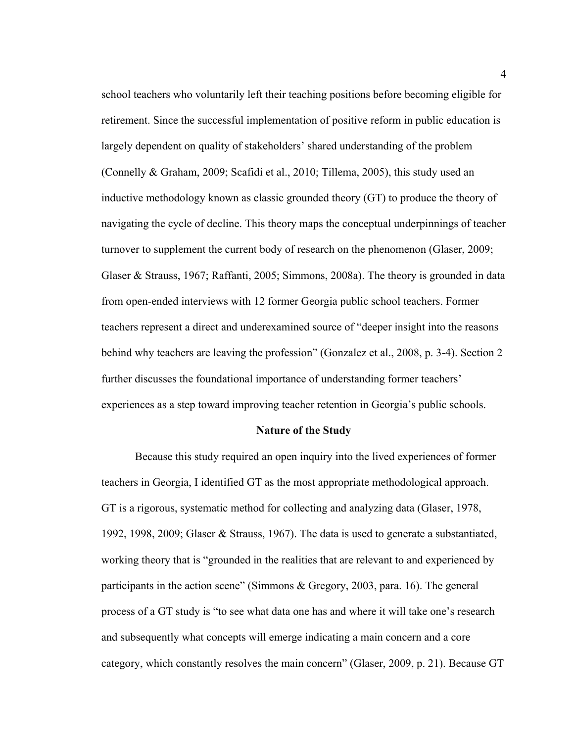school teachers who voluntarily left their teaching positions before becoming eligible for retirement. Since the successful implementation of positive reform in public education is largely dependent on quality of stakeholders' shared understanding of the problem (Connelly & Graham, 2009; Scafidi et al., 2010; Tillema, 2005), this study used an inductive methodology known as classic grounded theory (GT) to produce the theory of navigating the cycle of decline. This theory maps the conceptual underpinnings of teacher turnover to supplement the current body of research on the phenomenon (Glaser, 2009; Glaser & Strauss, 1967; Raffanti, 2005; Simmons, 2008a). The theory is grounded in data from open-ended interviews with 12 former Georgia public school teachers. Former teachers represent a direct and underexamined source of "deeper insight into the reasons behind why teachers are leaving the profession" (Gonzalez et al., 2008, p. 3-4). Section 2 further discusses the foundational importance of understanding former teachers' experiences as a step toward improving teacher retention in Georgia's public schools.

#### **Nature of the Study**

Because this study required an open inquiry into the lived experiences of former teachers in Georgia, I identified GT as the most appropriate methodological approach. GT is a rigorous, systematic method for collecting and analyzing data (Glaser, 1978, 1992, 1998, 2009; Glaser & Strauss, 1967). The data is used to generate a substantiated, working theory that is "grounded in the realities that are relevant to and experienced by participants in the action scene" (Simmons & Gregory, 2003, para. 16). The general process of a GT study is "to see what data one has and where it will take one's research and subsequently what concepts will emerge indicating a main concern and a core category, which constantly resolves the main concern" (Glaser, 2009, p. 21). Because GT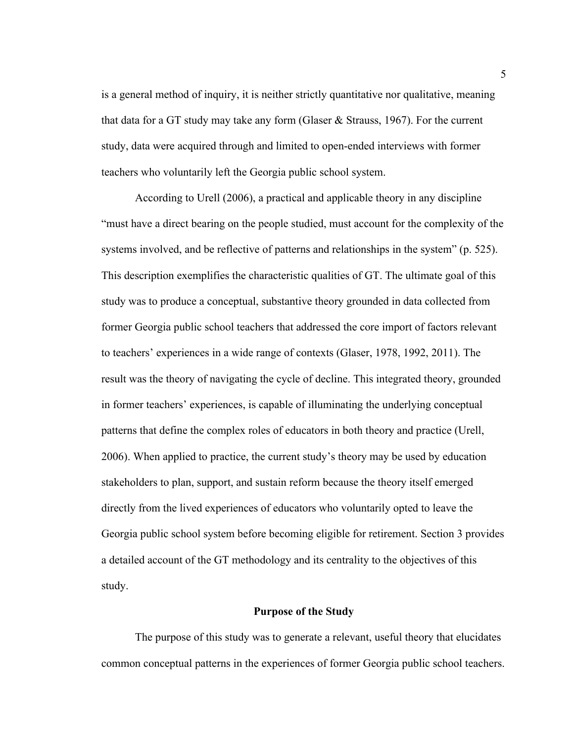is a general method of inquiry, it is neither strictly quantitative nor qualitative, meaning that data for a GT study may take any form (Glaser & Strauss, 1967). For the current study, data were acquired through and limited to open-ended interviews with former teachers who voluntarily left the Georgia public school system.

According to Urell (2006), a practical and applicable theory in any discipline "must have a direct bearing on the people studied, must account for the complexity of the systems involved, and be reflective of patterns and relationships in the system" (p. 525). This description exemplifies the characteristic qualities of GT. The ultimate goal of this study was to produce a conceptual, substantive theory grounded in data collected from former Georgia public school teachers that addressed the core import of factors relevant to teachers' experiences in a wide range of contexts (Glaser, 1978, 1992, 2011). The result was the theory of navigating the cycle of decline. This integrated theory, grounded in former teachers' experiences, is capable of illuminating the underlying conceptual patterns that define the complex roles of educators in both theory and practice (Urell, 2006). When applied to practice, the current study's theory may be used by education stakeholders to plan, support, and sustain reform because the theory itself emerged directly from the lived experiences of educators who voluntarily opted to leave the Georgia public school system before becoming eligible for retirement. Section 3 provides a detailed account of the GT methodology and its centrality to the objectives of this study.

#### **Purpose of the Study**

The purpose of this study was to generate a relevant, useful theory that elucidates common conceptual patterns in the experiences of former Georgia public school teachers.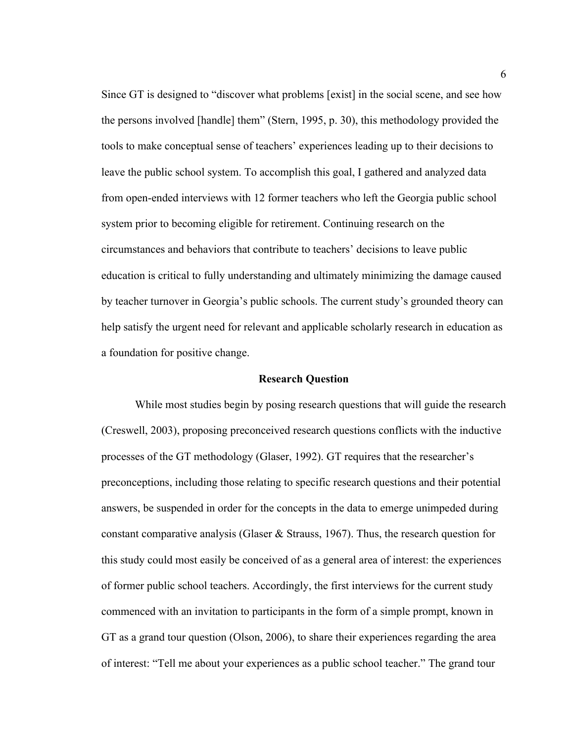Since GT is designed to "discover what problems [exist] in the social scene, and see how the persons involved [handle] them" (Stern, 1995, p. 30), this methodology provided the tools to make conceptual sense of teachers' experiences leading up to their decisions to leave the public school system. To accomplish this goal, I gathered and analyzed data from open-ended interviews with 12 former teachers who left the Georgia public school system prior to becoming eligible for retirement. Continuing research on the circumstances and behaviors that contribute to teachers' decisions to leave public education is critical to fully understanding and ultimately minimizing the damage caused by teacher turnover in Georgia's public schools. The current study's grounded theory can help satisfy the urgent need for relevant and applicable scholarly research in education as a foundation for positive change.

#### **Research Question**

While most studies begin by posing research questions that will guide the research (Creswell, 2003), proposing preconceived research questions conflicts with the inductive processes of the GT methodology (Glaser, 1992). GT requires that the researcher's preconceptions, including those relating to specific research questions and their potential answers, be suspended in order for the concepts in the data to emerge unimpeded during constant comparative analysis (Glaser & Strauss, 1967). Thus, the research question for this study could most easily be conceived of as a general area of interest: the experiences of former public school teachers. Accordingly, the first interviews for the current study commenced with an invitation to participants in the form of a simple prompt, known in GT as a grand tour question (Olson, 2006), to share their experiences regarding the area of interest: "Tell me about your experiences as a public school teacher." The grand tour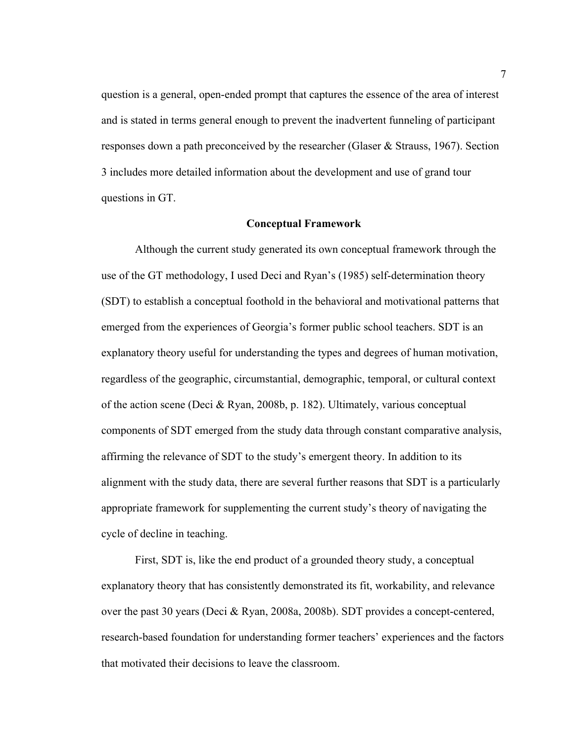question is a general, open-ended prompt that captures the essence of the area of interest and is stated in terms general enough to prevent the inadvertent funneling of participant responses down a path preconceived by the researcher (Glaser & Strauss, 1967). Section 3 includes more detailed information about the development and use of grand tour questions in GT.

#### **Conceptual Framework**

Although the current study generated its own conceptual framework through the use of the GT methodology, I used Deci and Ryan's (1985) self-determination theory (SDT) to establish a conceptual foothold in the behavioral and motivational patterns that emerged from the experiences of Georgia's former public school teachers. SDT is an explanatory theory useful for understanding the types and degrees of human motivation, regardless of the geographic, circumstantial, demographic, temporal, or cultural context of the action scene (Deci & Ryan, 2008b, p. 182). Ultimately, various conceptual components of SDT emerged from the study data through constant comparative analysis, affirming the relevance of SDT to the study's emergent theory. In addition to its alignment with the study data, there are several further reasons that SDT is a particularly appropriate framework for supplementing the current study's theory of navigating the cycle of decline in teaching.

First, SDT is, like the end product of a grounded theory study, a conceptual explanatory theory that has consistently demonstrated its fit, workability, and relevance over the past 30 years (Deci & Ryan, 2008a, 2008b). SDT provides a concept-centered, research-based foundation for understanding former teachers' experiences and the factors that motivated their decisions to leave the classroom.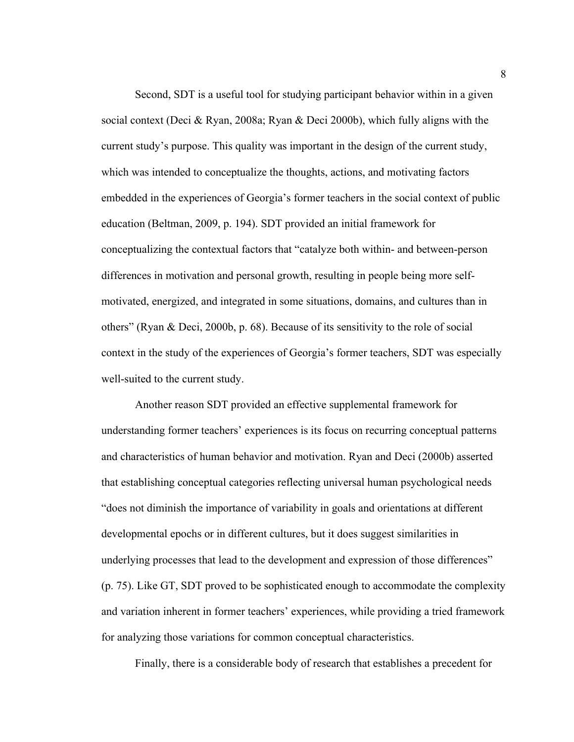Second, SDT is a useful tool for studying participant behavior within in a given social context (Deci & Ryan, 2008a; Ryan & Deci 2000b), which fully aligns with the current study's purpose. This quality was important in the design of the current study, which was intended to conceptualize the thoughts, actions, and motivating factors embedded in the experiences of Georgia's former teachers in the social context of public education (Beltman, 2009, p. 194). SDT provided an initial framework for conceptualizing the contextual factors that "catalyze both within- and between-person differences in motivation and personal growth, resulting in people being more selfmotivated, energized, and integrated in some situations, domains, and cultures than in others" (Ryan & Deci, 2000b, p. 68). Because of its sensitivity to the role of social context in the study of the experiences of Georgia's former teachers, SDT was especially well-suited to the current study.

Another reason SDT provided an effective supplemental framework for understanding former teachers' experiences is its focus on recurring conceptual patterns and characteristics of human behavior and motivation. Ryan and Deci (2000b) asserted that establishing conceptual categories reflecting universal human psychological needs "does not diminish the importance of variability in goals and orientations at different developmental epochs or in different cultures, but it does suggest similarities in underlying processes that lead to the development and expression of those differences" (p. 75). Like GT, SDT proved to be sophisticated enough to accommodate the complexity and variation inherent in former teachers' experiences, while providing a tried framework for analyzing those variations for common conceptual characteristics.

Finally, there is a considerable body of research that establishes a precedent for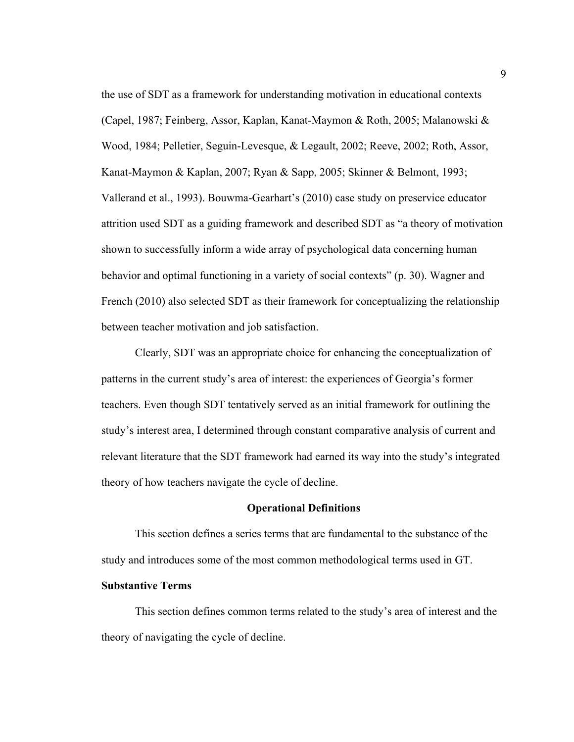the use of SDT as a framework for understanding motivation in educational contexts (Capel, 1987; Feinberg, Assor, Kaplan, Kanat-Maymon & Roth, 2005; Malanowski & Wood, 1984; Pelletier, Seguin-Levesque, & Legault, 2002; Reeve, 2002; Roth, Assor, Kanat-Maymon & Kaplan, 2007; Ryan & Sapp, 2005; Skinner & Belmont, 1993; Vallerand et al., 1993). Bouwma-Gearhart's (2010) case study on preservice educator attrition used SDT as a guiding framework and described SDT as "a theory of motivation shown to successfully inform a wide array of psychological data concerning human behavior and optimal functioning in a variety of social contexts" (p. 30). Wagner and French (2010) also selected SDT as their framework for conceptualizing the relationship between teacher motivation and job satisfaction.

Clearly, SDT was an appropriate choice for enhancing the conceptualization of patterns in the current study's area of interest: the experiences of Georgia's former teachers. Even though SDT tentatively served as an initial framework for outlining the study's interest area, I determined through constant comparative analysis of current and relevant literature that the SDT framework had earned its way into the study's integrated theory of how teachers navigate the cycle of decline.

#### **Operational Definitions**

This section defines a series terms that are fundamental to the substance of the study and introduces some of the most common methodological terms used in GT.

#### **Substantive Terms**

This section defines common terms related to the study's area of interest and the theory of navigating the cycle of decline.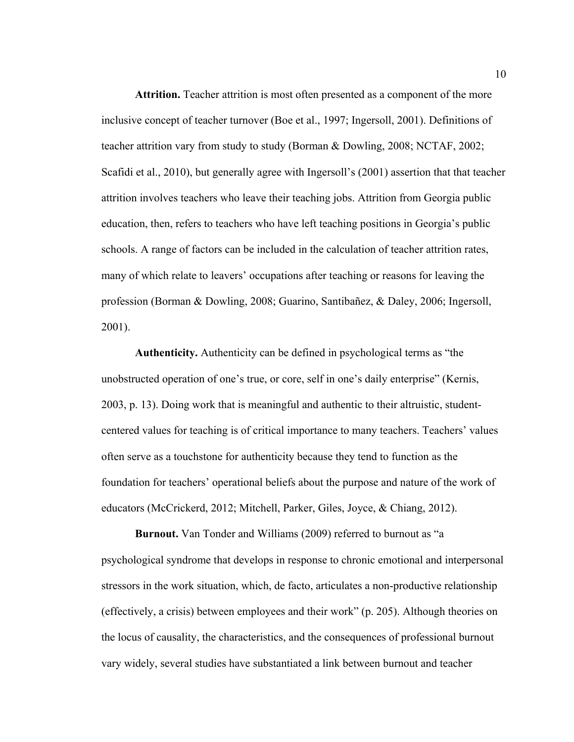**Attrition.** Teacher attrition is most often presented as a component of the more inclusive concept of teacher turnover (Boe et al., 1997; Ingersoll, 2001). Definitions of teacher attrition vary from study to study (Borman & Dowling, 2008; NCTAF, 2002; Scafidi et al., 2010), but generally agree with Ingersoll's (2001) assertion that that teacher attrition involves teachers who leave their teaching jobs. Attrition from Georgia public education, then, refers to teachers who have left teaching positions in Georgia's public schools. A range of factors can be included in the calculation of teacher attrition rates, many of which relate to leavers' occupations after teaching or reasons for leaving the profession (Borman & Dowling, 2008; Guarino, Santibañez, & Daley, 2006; Ingersoll, 2001).

**Authenticity.** Authenticity can be defined in psychological terms as "the unobstructed operation of one's true, or core, self in one's daily enterprise" (Kernis, 2003, p. 13). Doing work that is meaningful and authentic to their altruistic, studentcentered values for teaching is of critical importance to many teachers. Teachers' values often serve as a touchstone for authenticity because they tend to function as the foundation for teachers' operational beliefs about the purpose and nature of the work of educators (McCrickerd, 2012; Mitchell, Parker, Giles, Joyce, & Chiang, 2012).

**Burnout.** Van Tonder and Williams (2009) referred to burnout as "a psychological syndrome that develops in response to chronic emotional and interpersonal stressors in the work situation, which, de facto, articulates a non-productive relationship (effectively, a crisis) between employees and their work" (p. 205). Although theories on the locus of causality, the characteristics, and the consequences of professional burnout vary widely, several studies have substantiated a link between burnout and teacher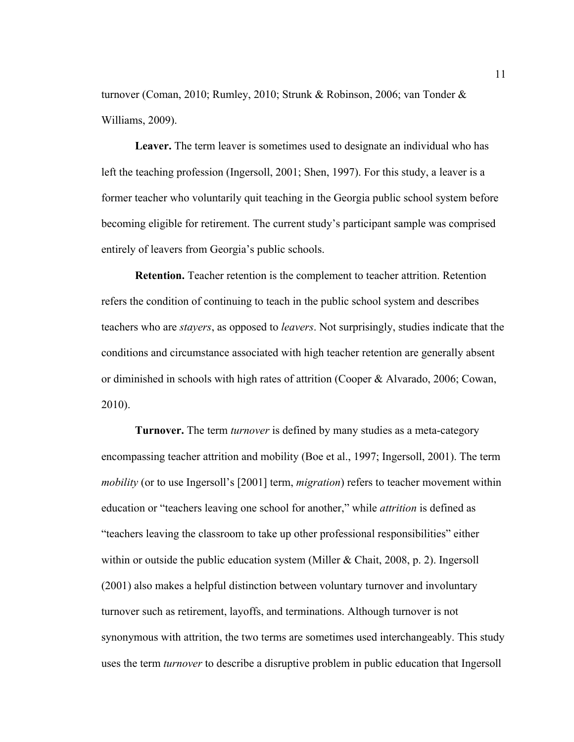turnover (Coman, 2010; Rumley, 2010; Strunk & Robinson, 2006; van Tonder & Williams, 2009).

**Leaver.** The term leaver is sometimes used to designate an individual who has left the teaching profession (Ingersoll, 2001; Shen, 1997). For this study, a leaver is a former teacher who voluntarily quit teaching in the Georgia public school system before becoming eligible for retirement. The current study's participant sample was comprised entirely of leavers from Georgia's public schools.

**Retention.** Teacher retention is the complement to teacher attrition. Retention refers the condition of continuing to teach in the public school system and describes teachers who are *stayers*, as opposed to *leavers*. Not surprisingly, studies indicate that the conditions and circumstance associated with high teacher retention are generally absent or diminished in schools with high rates of attrition (Cooper & Alvarado, 2006; Cowan, 2010).

**Turnover.** The term *turnover* is defined by many studies as a meta-category encompassing teacher attrition and mobility (Boe et al., 1997; Ingersoll, 2001). The term *mobility* (or to use Ingersoll's [2001] term, *migration*) refers to teacher movement within education or "teachers leaving one school for another," while *attrition* is defined as "teachers leaving the classroom to take up other professional responsibilities" either within or outside the public education system (Miller & Chait, 2008, p. 2). Ingersoll (2001) also makes a helpful distinction between voluntary turnover and involuntary turnover such as retirement, layoffs, and terminations. Although turnover is not synonymous with attrition, the two terms are sometimes used interchangeably. This study uses the term *turnover* to describe a disruptive problem in public education that Ingersoll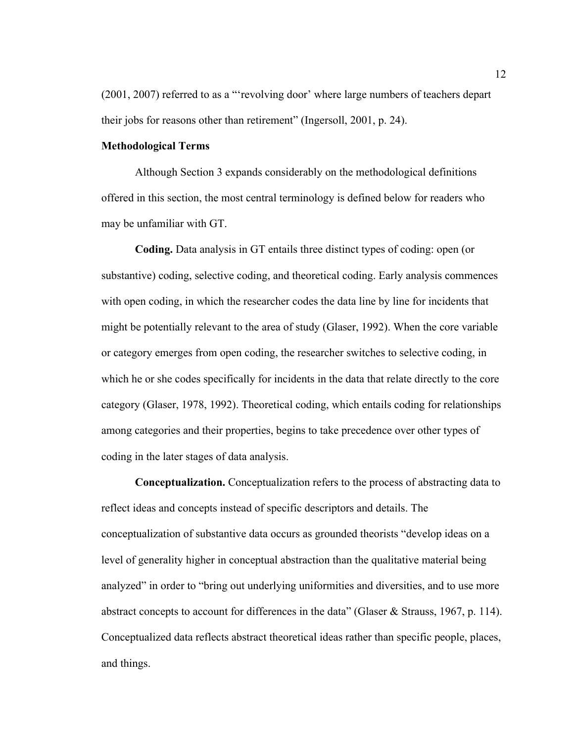(2001, 2007) referred to as a "'revolving door' where large numbers of teachers depart their jobs for reasons other than retirement" (Ingersoll, 2001, p. 24).

#### **Methodological Terms**

Although Section 3 expands considerably on the methodological definitions offered in this section, the most central terminology is defined below for readers who may be unfamiliar with GT.

**Coding.** Data analysis in GT entails three distinct types of coding: open (or substantive) coding, selective coding, and theoretical coding. Early analysis commences with open coding, in which the researcher codes the data line by line for incidents that might be potentially relevant to the area of study (Glaser, 1992). When the core variable or category emerges from open coding, the researcher switches to selective coding, in which he or she codes specifically for incidents in the data that relate directly to the core category (Glaser, 1978, 1992). Theoretical coding, which entails coding for relationships among categories and their properties, begins to take precedence over other types of coding in the later stages of data analysis.

**Conceptualization.** Conceptualization refers to the process of abstracting data to reflect ideas and concepts instead of specific descriptors and details. The conceptualization of substantive data occurs as grounded theorists "develop ideas on a level of generality higher in conceptual abstraction than the qualitative material being analyzed" in order to "bring out underlying uniformities and diversities, and to use more abstract concepts to account for differences in the data" (Glaser & Strauss, 1967, p. 114). Conceptualized data reflects abstract theoretical ideas rather than specific people, places, and things.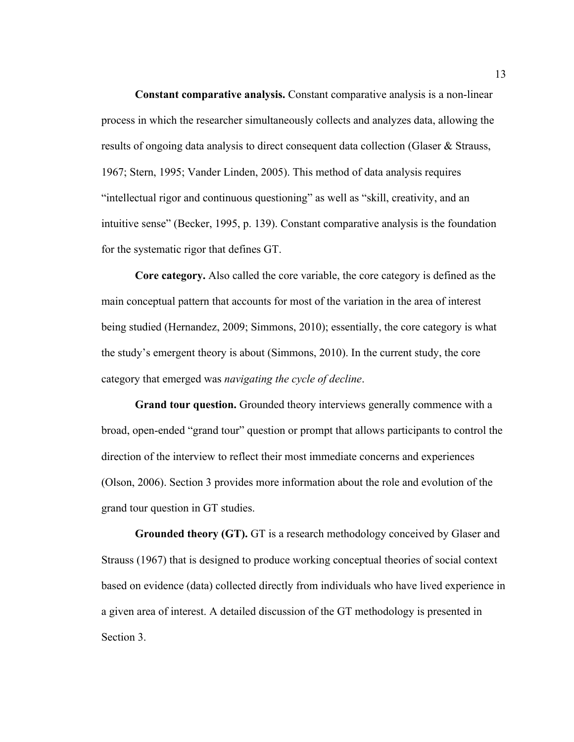**Constant comparative analysis.** Constant comparative analysis is a non-linear process in which the researcher simultaneously collects and analyzes data, allowing the results of ongoing data analysis to direct consequent data collection (Glaser & Strauss, 1967; Stern, 1995; Vander Linden, 2005). This method of data analysis requires "intellectual rigor and continuous questioning" as well as "skill, creativity, and an intuitive sense" (Becker, 1995, p. 139). Constant comparative analysis is the foundation for the systematic rigor that defines GT.

**Core category.** Also called the core variable, the core category is defined as the main conceptual pattern that accounts for most of the variation in the area of interest being studied (Hernandez, 2009; Simmons, 2010); essentially, the core category is what the study's emergent theory is about (Simmons, 2010). In the current study, the core category that emerged was *navigating the cycle of decline*.

**Grand tour question.** Grounded theory interviews generally commence with a broad, open-ended "grand tour" question or prompt that allows participants to control the direction of the interview to reflect their most immediate concerns and experiences (Olson, 2006). Section 3 provides more information about the role and evolution of the grand tour question in GT studies.

**Grounded theory (GT).** GT is a research methodology conceived by Glaser and Strauss (1967) that is designed to produce working conceptual theories of social context based on evidence (data) collected directly from individuals who have lived experience in a given area of interest. A detailed discussion of the GT methodology is presented in Section 3.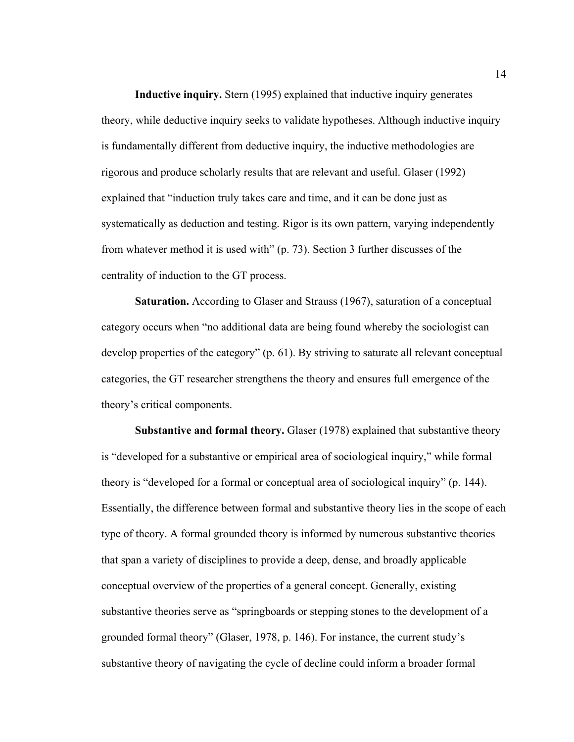**Inductive inquiry.** Stern (1995) explained that inductive inquiry generates theory, while deductive inquiry seeks to validate hypotheses. Although inductive inquiry is fundamentally different from deductive inquiry, the inductive methodologies are rigorous and produce scholarly results that are relevant and useful. Glaser (1992) explained that "induction truly takes care and time, and it can be done just as systematically as deduction and testing. Rigor is its own pattern, varying independently from whatever method it is used with" (p. 73). Section 3 further discusses of the centrality of induction to the GT process.

**Saturation.** According to Glaser and Strauss (1967), saturation of a conceptual category occurs when "no additional data are being found whereby the sociologist can develop properties of the category" (p. 61). By striving to saturate all relevant conceptual categories, the GT researcher strengthens the theory and ensures full emergence of the theory's critical components.

**Substantive and formal theory.** Glaser (1978) explained that substantive theory is "developed for a substantive or empirical area of sociological inquiry," while formal theory is "developed for a formal or conceptual area of sociological inquiry" (p. 144). Essentially, the difference between formal and substantive theory lies in the scope of each type of theory. A formal grounded theory is informed by numerous substantive theories that span a variety of disciplines to provide a deep, dense, and broadly applicable conceptual overview of the properties of a general concept. Generally, existing substantive theories serve as "springboards or stepping stones to the development of a grounded formal theory" (Glaser, 1978, p. 146). For instance, the current study's substantive theory of navigating the cycle of decline could inform a broader formal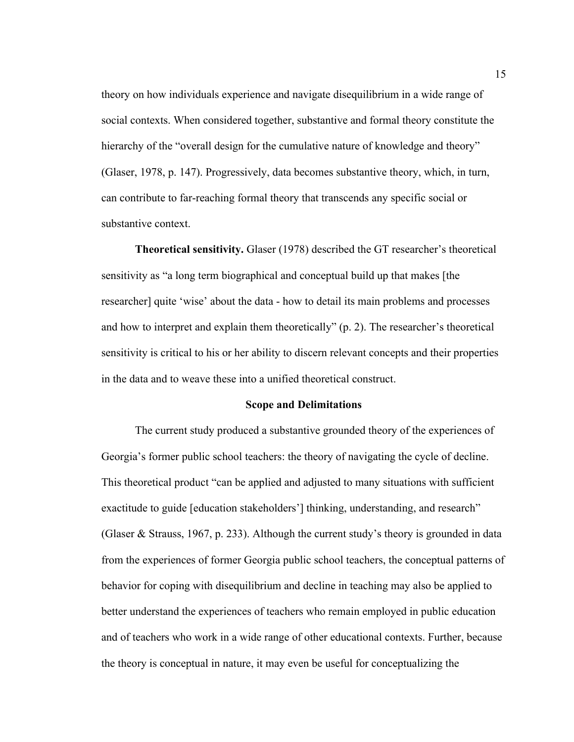theory on how individuals experience and navigate disequilibrium in a wide range of social contexts. When considered together, substantive and formal theory constitute the hierarchy of the "overall design for the cumulative nature of knowledge and theory" (Glaser, 1978, p. 147). Progressively, data becomes substantive theory, which, in turn, can contribute to far-reaching formal theory that transcends any specific social or substantive context.

**Theoretical sensitivity.** Glaser (1978) described the GT researcher's theoretical sensitivity as "a long term biographical and conceptual build up that makes [the researcher] quite 'wise' about the data - how to detail its main problems and processes and how to interpret and explain them theoretically" (p. 2). The researcher's theoretical sensitivity is critical to his or her ability to discern relevant concepts and their properties in the data and to weave these into a unified theoretical construct.

#### **Scope and Delimitations**

The current study produced a substantive grounded theory of the experiences of Georgia's former public school teachers: the theory of navigating the cycle of decline. This theoretical product "can be applied and adjusted to many situations with sufficient exactitude to guide [education stakeholders'] thinking, understanding, and research" (Glaser & Strauss, 1967, p. 233). Although the current study's theory is grounded in data from the experiences of former Georgia public school teachers, the conceptual patterns of behavior for coping with disequilibrium and decline in teaching may also be applied to better understand the experiences of teachers who remain employed in public education and of teachers who work in a wide range of other educational contexts. Further, because the theory is conceptual in nature, it may even be useful for conceptualizing the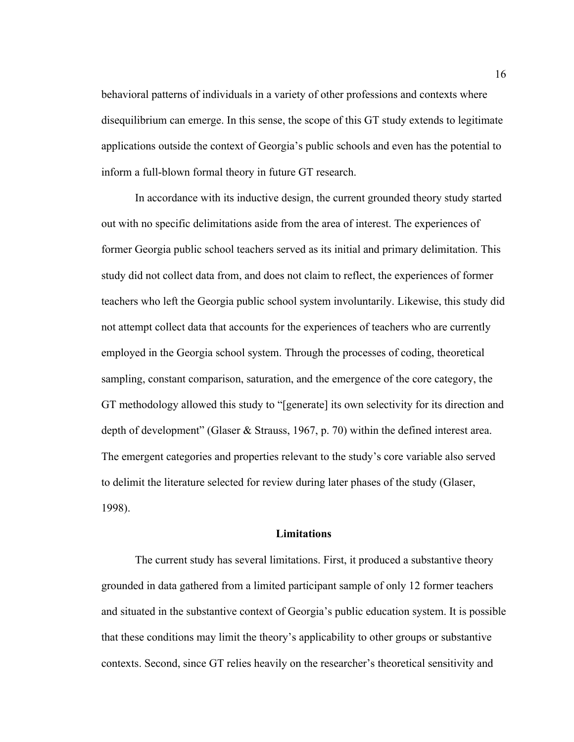behavioral patterns of individuals in a variety of other professions and contexts where disequilibrium can emerge. In this sense, the scope of this GT study extends to legitimate applications outside the context of Georgia's public schools and even has the potential to inform a full-blown formal theory in future GT research.

In accordance with its inductive design, the current grounded theory study started out with no specific delimitations aside from the area of interest. The experiences of former Georgia public school teachers served as its initial and primary delimitation. This study did not collect data from, and does not claim to reflect, the experiences of former teachers who left the Georgia public school system involuntarily. Likewise, this study did not attempt collect data that accounts for the experiences of teachers who are currently employed in the Georgia school system. Through the processes of coding, theoretical sampling, constant comparison, saturation, and the emergence of the core category, the GT methodology allowed this study to "[generate] its own selectivity for its direction and depth of development" (Glaser & Strauss, 1967, p. 70) within the defined interest area. The emergent categories and properties relevant to the study's core variable also served to delimit the literature selected for review during later phases of the study (Glaser, 1998).

#### **Limitations**

The current study has several limitations. First, it produced a substantive theory grounded in data gathered from a limited participant sample of only 12 former teachers and situated in the substantive context of Georgia's public education system. It is possible that these conditions may limit the theory's applicability to other groups or substantive contexts. Second, since GT relies heavily on the researcher's theoretical sensitivity and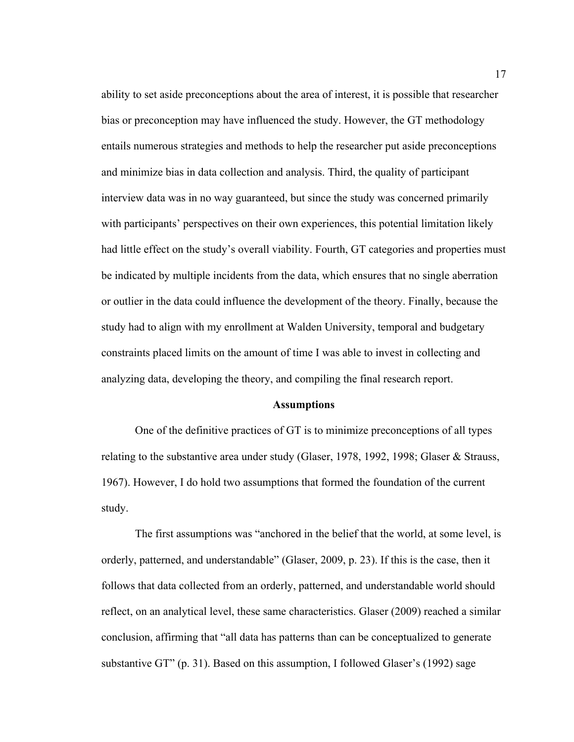ability to set aside preconceptions about the area of interest, it is possible that researcher bias or preconception may have influenced the study. However, the GT methodology entails numerous strategies and methods to help the researcher put aside preconceptions and minimize bias in data collection and analysis. Third, the quality of participant interview data was in no way guaranteed, but since the study was concerned primarily with participants' perspectives on their own experiences, this potential limitation likely had little effect on the study's overall viability. Fourth, GT categories and properties must be indicated by multiple incidents from the data, which ensures that no single aberration or outlier in the data could influence the development of the theory. Finally, because the study had to align with my enrollment at Walden University, temporal and budgetary constraints placed limits on the amount of time I was able to invest in collecting and analyzing data, developing the theory, and compiling the final research report.

#### **Assumptions**

One of the definitive practices of GT is to minimize preconceptions of all types relating to the substantive area under study (Glaser, 1978, 1992, 1998; Glaser & Strauss, 1967). However, I do hold two assumptions that formed the foundation of the current study.

The first assumptions was "anchored in the belief that the world, at some level, is orderly, patterned, and understandable" (Glaser, 2009, p. 23). If this is the case, then it follows that data collected from an orderly, patterned, and understandable world should reflect, on an analytical level, these same characteristics. Glaser (2009) reached a similar conclusion, affirming that "all data has patterns than can be conceptualized to generate substantive GT" (p. 31). Based on this assumption, I followed Glaser's (1992) sage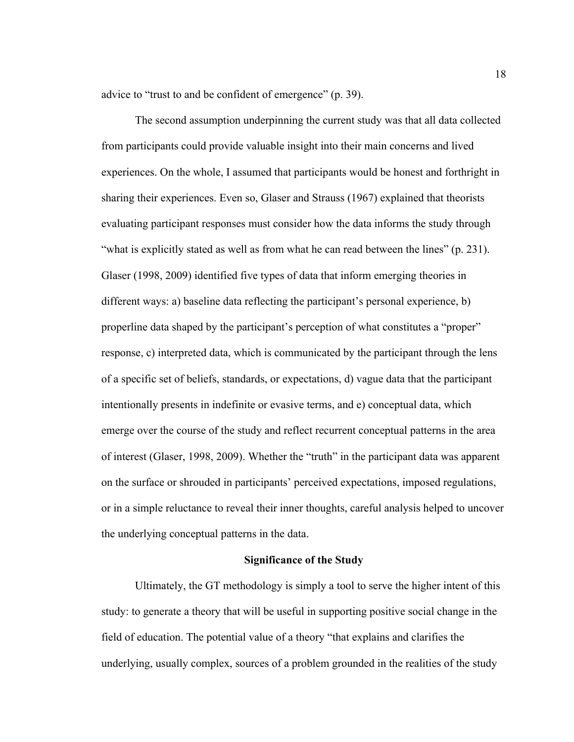advice to "trust to and be confident of emergence" (p. 39).

The second assumption underpinning the current study was that all data collected from participants could provide valuable insight into their main concerns and lived experiences. On the whole, I assumed that participants would be honest and forthright in sharing their experiences. Even so, Glaser and Strauss (1967) explained that theorists evaluating participant responses must consider how the data informs the study through "what is explicitly stated as well as from what he can read between the lines" (p. 231). Glaser (1998, 2009) identified five types of data that inform emerging theories in different ways: a) baseline data reflecting the participant's personal experience, b) properline data shaped by the participant's perception of what constitutes a "proper" response, c) interpreted data, which is communicated by the participant through the lens of a specific set of beliefs, standards, or expectations, d) vague data that the participant intentionally presents in indefinite or evasive terms, and e) conceptual data, which emerge over the course of the study and reflect recurrent conceptual patterns in the area of interest (Glaser, 1998, 2009). Whether the "truth" in the participant data was apparent on the surface or shrouded in participants' perceived expectations, imposed regulations, or in a simple reluctance to reveal their inner thoughts, careful analysis helped to uncover the underlying conceptual patterns in the data.

#### **Significance of the Study**

Ultimately, the GT methodology is simply a tool to serve the higher intent of this study: to generate a theory that will be useful in supporting positive social change in the field of education. The potential value of a theory "that explains and clarifies the underlying, usually complex, sources of a problem grounded in the realities of the study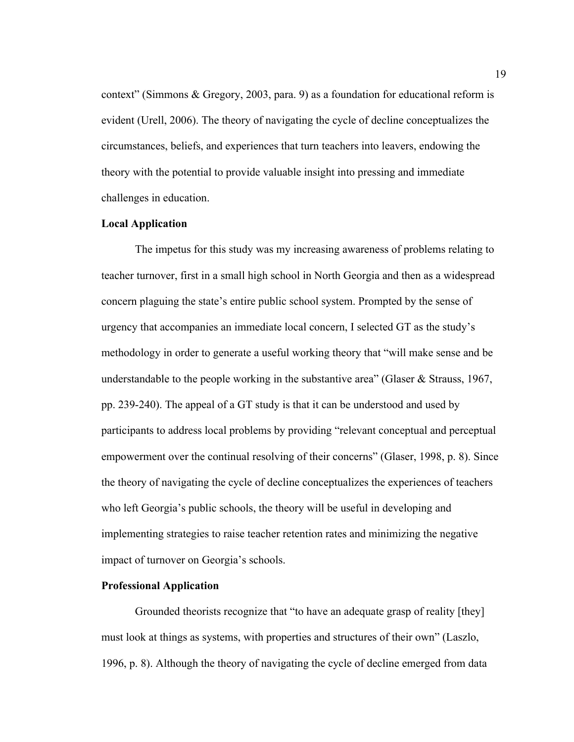context" (Simmons & Gregory, 2003, para. 9) as a foundation for educational reform is evident (Urell, 2006). The theory of navigating the cycle of decline conceptualizes the circumstances, beliefs, and experiences that turn teachers into leavers, endowing the theory with the potential to provide valuable insight into pressing and immediate challenges in education.

#### **Local Application**

The impetus for this study was my increasing awareness of problems relating to teacher turnover, first in a small high school in North Georgia and then as a widespread concern plaguing the state's entire public school system. Prompted by the sense of urgency that accompanies an immediate local concern, I selected GT as the study's methodology in order to generate a useful working theory that "will make sense and be understandable to the people working in the substantive area" (Glaser  $\&$  Strauss, 1967, pp. 239-240). The appeal of a GT study is that it can be understood and used by participants to address local problems by providing "relevant conceptual and perceptual empowerment over the continual resolving of their concerns" (Glaser, 1998, p. 8). Since the theory of navigating the cycle of decline conceptualizes the experiences of teachers who left Georgia's public schools, the theory will be useful in developing and implementing strategies to raise teacher retention rates and minimizing the negative impact of turnover on Georgia's schools.

#### **Professional Application**

Grounded theorists recognize that "to have an adequate grasp of reality [they] must look at things as systems, with properties and structures of their own" (Laszlo, 1996, p. 8). Although the theory of navigating the cycle of decline emerged from data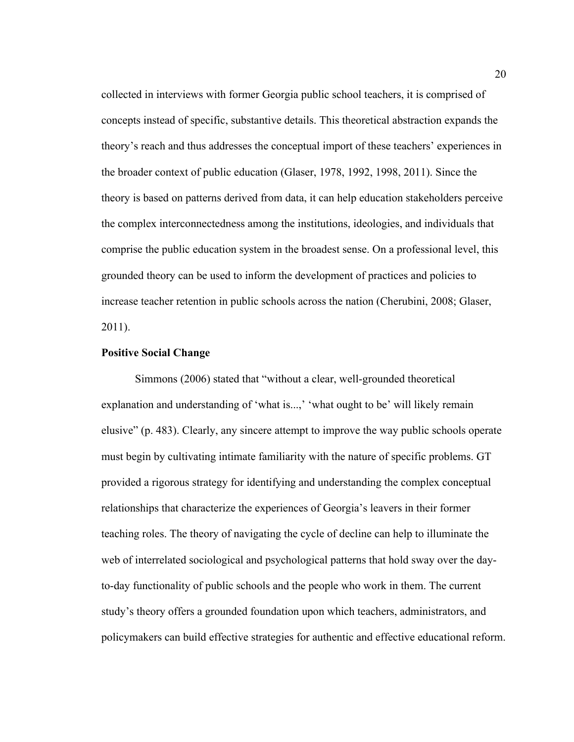collected in interviews with former Georgia public school teachers, it is comprised of concepts instead of specific, substantive details. This theoretical abstraction expands the theory's reach and thus addresses the conceptual import of these teachers' experiences in the broader context of public education (Glaser, 1978, 1992, 1998, 2011). Since the theory is based on patterns derived from data, it can help education stakeholders perceive the complex interconnectedness among the institutions, ideologies, and individuals that comprise the public education system in the broadest sense. On a professional level, this grounded theory can be used to inform the development of practices and policies to increase teacher retention in public schools across the nation (Cherubini, 2008; Glaser, 2011).

#### **Positive Social Change**

Simmons (2006) stated that "without a clear, well-grounded theoretical explanation and understanding of 'what is...,' 'what ought to be' will likely remain elusive" (p. 483). Clearly, any sincere attempt to improve the way public schools operate must begin by cultivating intimate familiarity with the nature of specific problems. GT provided a rigorous strategy for identifying and understanding the complex conceptual relationships that characterize the experiences of Georgia's leavers in their former teaching roles. The theory of navigating the cycle of decline can help to illuminate the web of interrelated sociological and psychological patterns that hold sway over the dayto-day functionality of public schools and the people who work in them. The current study's theory offers a grounded foundation upon which teachers, administrators, and policymakers can build effective strategies for authentic and effective educational reform.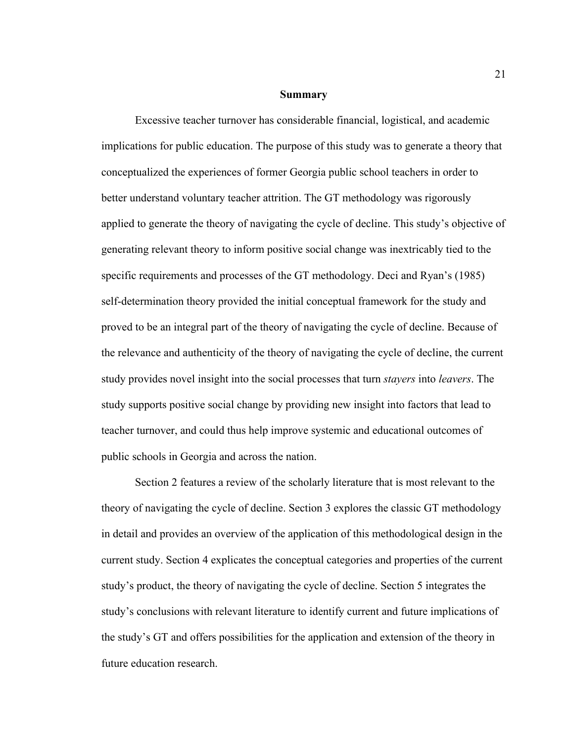#### **Summary**

Excessive teacher turnover has considerable financial, logistical, and academic implications for public education. The purpose of this study was to generate a theory that conceptualized the experiences of former Georgia public school teachers in order to better understand voluntary teacher attrition. The GT methodology was rigorously applied to generate the theory of navigating the cycle of decline. This study's objective of generating relevant theory to inform positive social change was inextricably tied to the specific requirements and processes of the GT methodology. Deci and Ryan's (1985) self-determination theory provided the initial conceptual framework for the study and proved to be an integral part of the theory of navigating the cycle of decline. Because of the relevance and authenticity of the theory of navigating the cycle of decline, the current study provides novel insight into the social processes that turn *stayers* into *leavers*. The study supports positive social change by providing new insight into factors that lead to teacher turnover, and could thus help improve systemic and educational outcomes of public schools in Georgia and across the nation.

Section 2 features a review of the scholarly literature that is most relevant to the theory of navigating the cycle of decline. Section 3 explores the classic GT methodology in detail and provides an overview of the application of this methodological design in the current study. Section 4 explicates the conceptual categories and properties of the current study's product, the theory of navigating the cycle of decline. Section 5 integrates the study's conclusions with relevant literature to identify current and future implications of the study's GT and offers possibilities for the application and extension of the theory in future education research.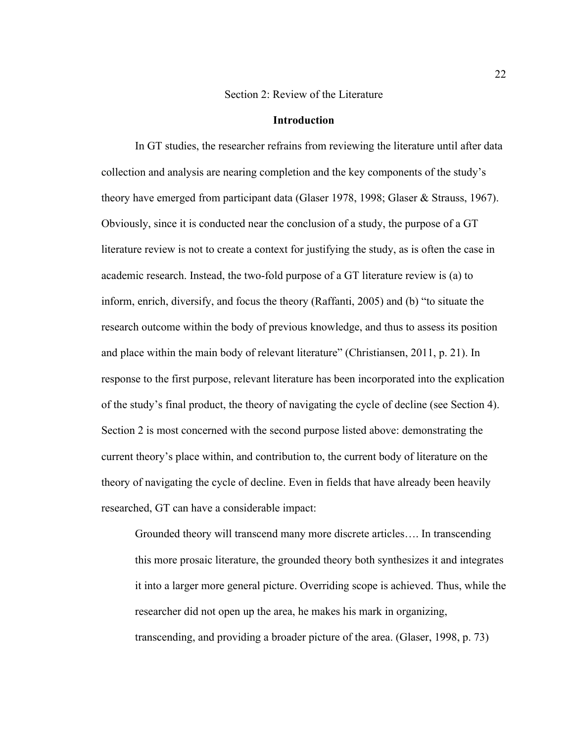#### Section 2: Review of the Literature

#### **Introduction**

In GT studies, the researcher refrains from reviewing the literature until after data collection and analysis are nearing completion and the key components of the study's theory have emerged from participant data (Glaser 1978, 1998; Glaser & Strauss, 1967). Obviously, since it is conducted near the conclusion of a study, the purpose of a GT literature review is not to create a context for justifying the study, as is often the case in academic research. Instead, the two-fold purpose of a GT literature review is (a) to inform, enrich, diversify, and focus the theory (Raffanti, 2005) and (b) "to situate the research outcome within the body of previous knowledge, and thus to assess its position and place within the main body of relevant literature" (Christiansen, 2011, p. 21). In response to the first purpose, relevant literature has been incorporated into the explication of the study's final product, the theory of navigating the cycle of decline (see Section 4). Section 2 is most concerned with the second purpose listed above: demonstrating the current theory's place within, and contribution to, the current body of literature on the theory of navigating the cycle of decline. Even in fields that have already been heavily researched, GT can have a considerable impact:

Grounded theory will transcend many more discrete articles…. In transcending this more prosaic literature, the grounded theory both synthesizes it and integrates it into a larger more general picture. Overriding scope is achieved. Thus, while the researcher did not open up the area, he makes his mark in organizing, transcending, and providing a broader picture of the area. (Glaser, 1998, p. 73)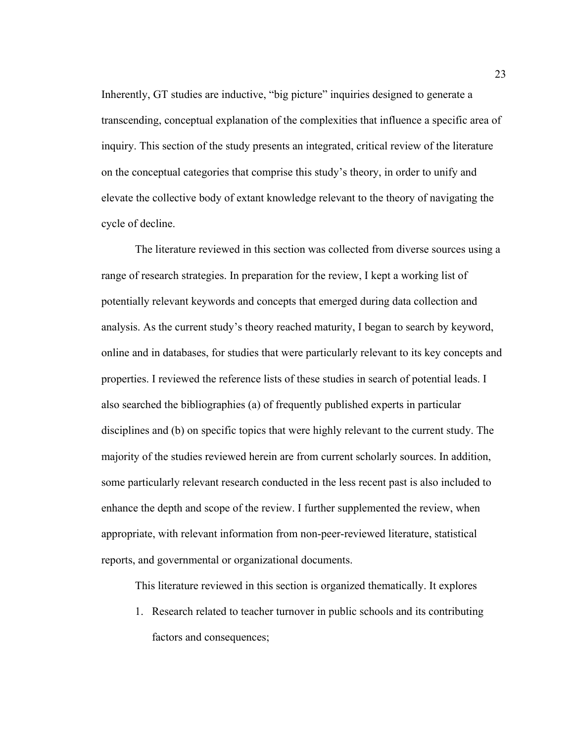Inherently, GT studies are inductive, "big picture" inquiries designed to generate a transcending, conceptual explanation of the complexities that influence a specific area of inquiry. This section of the study presents an integrated, critical review of the literature on the conceptual categories that comprise this study's theory, in order to unify and elevate the collective body of extant knowledge relevant to the theory of navigating the cycle of decline.

The literature reviewed in this section was collected from diverse sources using a range of research strategies. In preparation for the review, I kept a working list of potentially relevant keywords and concepts that emerged during data collection and analysis. As the current study's theory reached maturity, I began to search by keyword, online and in databases, for studies that were particularly relevant to its key concepts and properties. I reviewed the reference lists of these studies in search of potential leads. I also searched the bibliographies (a) of frequently published experts in particular disciplines and (b) on specific topics that were highly relevant to the current study. The majority of the studies reviewed herein are from current scholarly sources. In addition, some particularly relevant research conducted in the less recent past is also included to enhance the depth and scope of the review. I further supplemented the review, when appropriate, with relevant information from non-peer-reviewed literature, statistical reports, and governmental or organizational documents.

This literature reviewed in this section is organized thematically. It explores

1. Research related to teacher turnover in public schools and its contributing factors and consequences;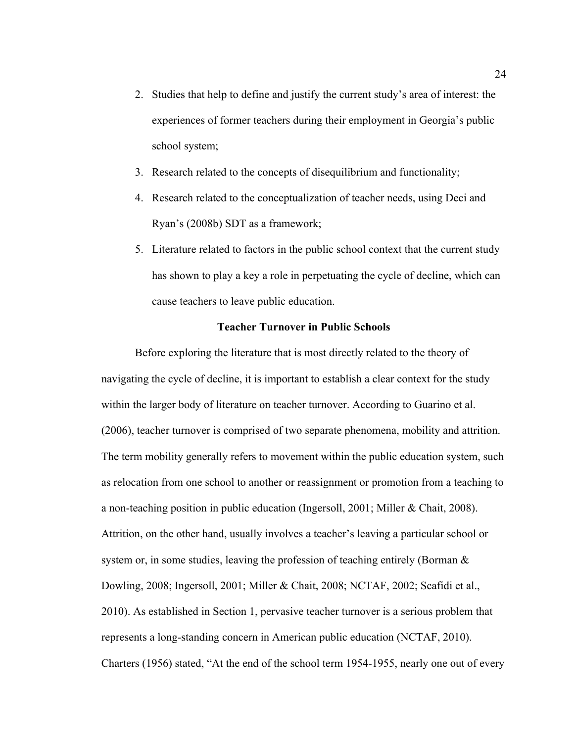- 2. Studies that help to define and justify the current study's area of interest: the experiences of former teachers during their employment in Georgia's public school system;
- 3. Research related to the concepts of disequilibrium and functionality;
- 4. Research related to the conceptualization of teacher needs, using Deci and Ryan's (2008b) SDT as a framework;
- 5. Literature related to factors in the public school context that the current study has shown to play a key a role in perpetuating the cycle of decline, which can cause teachers to leave public education.

## **Teacher Turnover in Public Schools**

Before exploring the literature that is most directly related to the theory of navigating the cycle of decline, it is important to establish a clear context for the study within the larger body of literature on teacher turnover. According to Guarino et al. (2006), teacher turnover is comprised of two separate phenomena, mobility and attrition. The term mobility generally refers to movement within the public education system, such as relocation from one school to another or reassignment or promotion from a teaching to a non-teaching position in public education (Ingersoll, 2001; Miller & Chait, 2008). Attrition, on the other hand, usually involves a teacher's leaving a particular school or system or, in some studies, leaving the profession of teaching entirely (Borman & Dowling, 2008; Ingersoll, 2001; Miller & Chait, 2008; NCTAF, 2002; Scafidi et al., 2010). As established in Section 1, pervasive teacher turnover is a serious problem that represents a long-standing concern in American public education (NCTAF, 2010). Charters (1956) stated, "At the end of the school term 1954-1955, nearly one out of every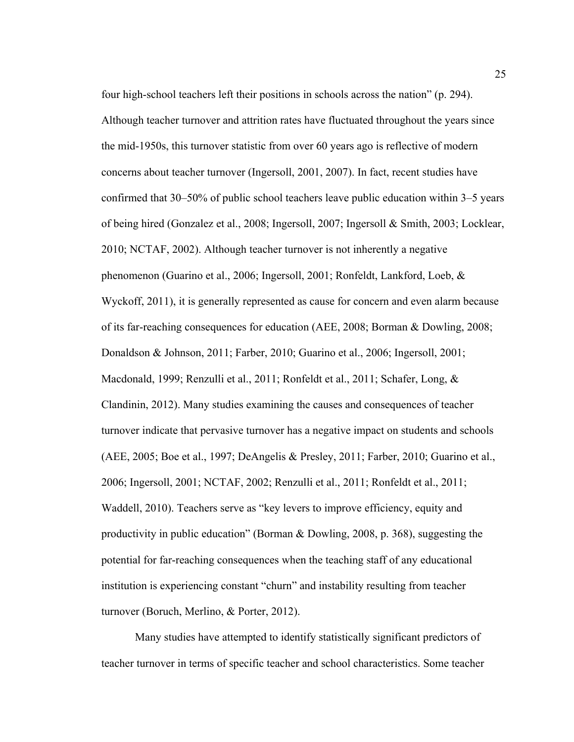four high-school teachers left their positions in schools across the nation" (p. 294). Although teacher turnover and attrition rates have fluctuated throughout the years since the mid-1950s, this turnover statistic from over 60 years ago is reflective of modern concerns about teacher turnover (Ingersoll, 2001, 2007). In fact, recent studies have confirmed that 30–50% of public school teachers leave public education within 3–5 years of being hired (Gonzalez et al., 2008; Ingersoll, 2007; Ingersoll & Smith, 2003; Locklear, 2010; NCTAF, 2002). Although teacher turnover is not inherently a negative phenomenon (Guarino et al., 2006; Ingersoll, 2001; Ronfeldt, Lankford, Loeb, & Wyckoff, 2011), it is generally represented as cause for concern and even alarm because of its far-reaching consequences for education (AEE, 2008; Borman & Dowling, 2008; Donaldson & Johnson, 2011; Farber, 2010; Guarino et al., 2006; Ingersoll, 2001; Macdonald, 1999; Renzulli et al., 2011; Ronfeldt et al., 2011; Schafer, Long, & Clandinin, 2012). Many studies examining the causes and consequences of teacher turnover indicate that pervasive turnover has a negative impact on students and schools (AEE, 2005; Boe et al., 1997; DeAngelis & Presley, 2011; Farber, 2010; Guarino et al., 2006; Ingersoll, 2001; NCTAF, 2002; Renzulli et al., 2011; Ronfeldt et al., 2011; Waddell, 2010). Teachers serve as "key levers to improve efficiency, equity and productivity in public education" (Borman & Dowling, 2008, p. 368), suggesting the potential for far-reaching consequences when the teaching staff of any educational institution is experiencing constant "churn" and instability resulting from teacher turnover (Boruch, Merlino, & Porter, 2012).

Many studies have attempted to identify statistically significant predictors of teacher turnover in terms of specific teacher and school characteristics. Some teacher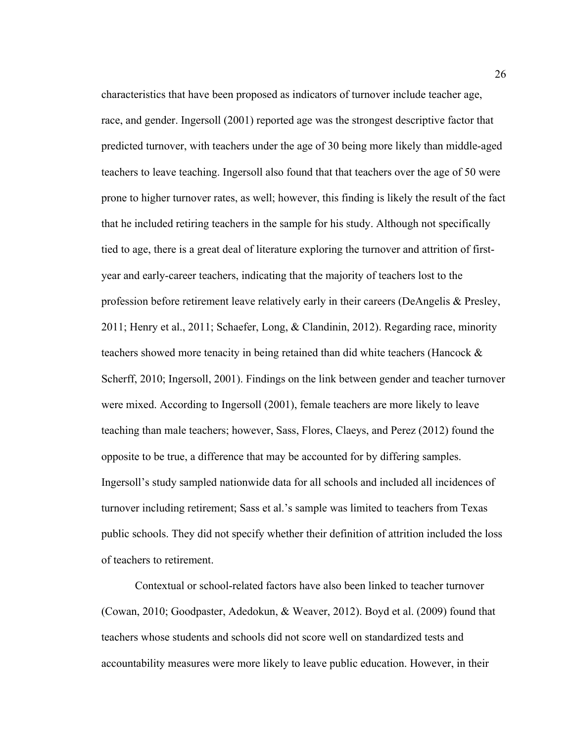characteristics that have been proposed as indicators of turnover include teacher age, race, and gender. Ingersoll (2001) reported age was the strongest descriptive factor that predicted turnover, with teachers under the age of 30 being more likely than middle-aged teachers to leave teaching. Ingersoll also found that that teachers over the age of 50 were prone to higher turnover rates, as well; however, this finding is likely the result of the fact that he included retiring teachers in the sample for his study. Although not specifically tied to age, there is a great deal of literature exploring the turnover and attrition of firstyear and early-career teachers, indicating that the majority of teachers lost to the profession before retirement leave relatively early in their careers (DeAngelis & Presley, 2011; Henry et al., 2011; Schaefer, Long, & Clandinin, 2012). Regarding race, minority teachers showed more tenacity in being retained than did white teachers (Hancock  $\&$ Scherff, 2010; Ingersoll, 2001). Findings on the link between gender and teacher turnover were mixed. According to Ingersoll (2001), female teachers are more likely to leave teaching than male teachers; however, Sass, Flores, Claeys, and Perez (2012) found the opposite to be true, a difference that may be accounted for by differing samples. Ingersoll's study sampled nationwide data for all schools and included all incidences of turnover including retirement; Sass et al.'s sample was limited to teachers from Texas public schools. They did not specify whether their definition of attrition included the loss of teachers to retirement.

Contextual or school-related factors have also been linked to teacher turnover (Cowan, 2010; Goodpaster, Adedokun, & Weaver, 2012). Boyd et al. (2009) found that teachers whose students and schools did not score well on standardized tests and accountability measures were more likely to leave public education. However, in their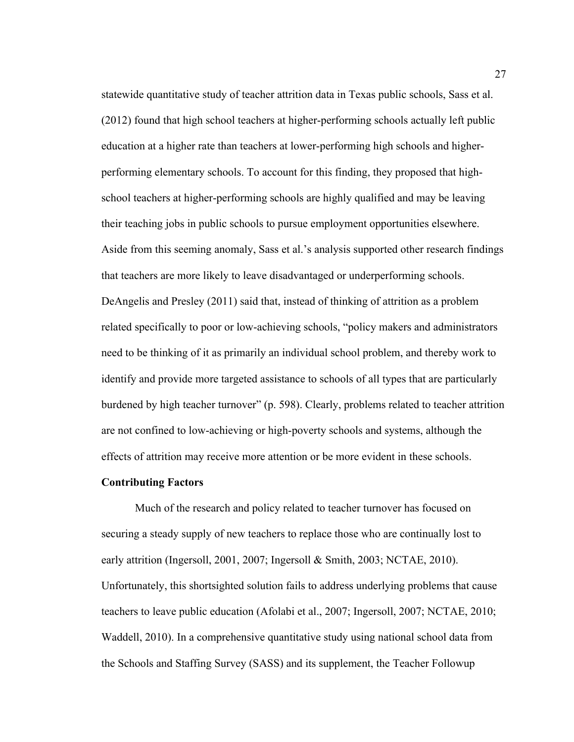statewide quantitative study of teacher attrition data in Texas public schools, Sass et al. (2012) found that high school teachers at higher-performing schools actually left public education at a higher rate than teachers at lower-performing high schools and higherperforming elementary schools. To account for this finding, they proposed that highschool teachers at higher-performing schools are highly qualified and may be leaving their teaching jobs in public schools to pursue employment opportunities elsewhere. Aside from this seeming anomaly, Sass et al.'s analysis supported other research findings that teachers are more likely to leave disadvantaged or underperforming schools. DeAngelis and Presley (2011) said that, instead of thinking of attrition as a problem related specifically to poor or low-achieving schools, "policy makers and administrators need to be thinking of it as primarily an individual school problem, and thereby work to identify and provide more targeted assistance to schools of all types that are particularly burdened by high teacher turnover" (p. 598). Clearly, problems related to teacher attrition are not confined to low-achieving or high-poverty schools and systems, although the effects of attrition may receive more attention or be more evident in these schools.

# **Contributing Factors**

Much of the research and policy related to teacher turnover has focused on securing a steady supply of new teachers to replace those who are continually lost to early attrition (Ingersoll, 2001, 2007; Ingersoll & Smith, 2003; NCTAE, 2010). Unfortunately, this shortsighted solution fails to address underlying problems that cause teachers to leave public education (Afolabi et al., 2007; Ingersoll, 2007; NCTAE, 2010; Waddell, 2010). In a comprehensive quantitative study using national school data from the Schools and Staffing Survey (SASS) and its supplement, the Teacher Followup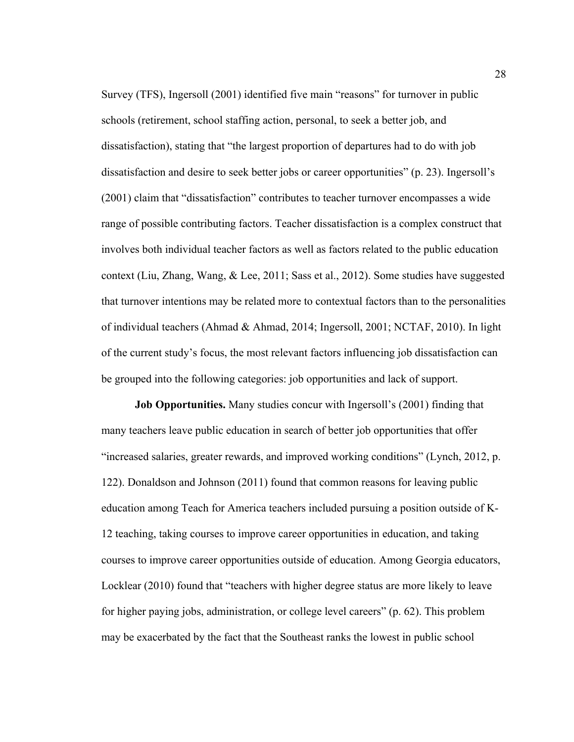Survey (TFS), Ingersoll (2001) identified five main "reasons" for turnover in public schools (retirement, school staffing action, personal, to seek a better job, and dissatisfaction), stating that "the largest proportion of departures had to do with job dissatisfaction and desire to seek better jobs or career opportunities" (p. 23). Ingersoll's (2001) claim that "dissatisfaction" contributes to teacher turnover encompasses a wide range of possible contributing factors. Teacher dissatisfaction is a complex construct that involves both individual teacher factors as well as factors related to the public education context (Liu, Zhang, Wang, & Lee, 2011; Sass et al., 2012). Some studies have suggested that turnover intentions may be related more to contextual factors than to the personalities of individual teachers (Ahmad & Ahmad, 2014; Ingersoll, 2001; NCTAF, 2010). In light of the current study's focus, the most relevant factors influencing job dissatisfaction can be grouped into the following categories: job opportunities and lack of support.

**Job Opportunities.** Many studies concur with Ingersoll's (2001) finding that many teachers leave public education in search of better job opportunities that offer "increased salaries, greater rewards, and improved working conditions" (Lynch, 2012, p. 122). Donaldson and Johnson (2011) found that common reasons for leaving public education among Teach for America teachers included pursuing a position outside of K-12 teaching, taking courses to improve career opportunities in education, and taking courses to improve career opportunities outside of education. Among Georgia educators, Locklear (2010) found that "teachers with higher degree status are more likely to leave for higher paying jobs, administration, or college level careers" (p. 62). This problem may be exacerbated by the fact that the Southeast ranks the lowest in public school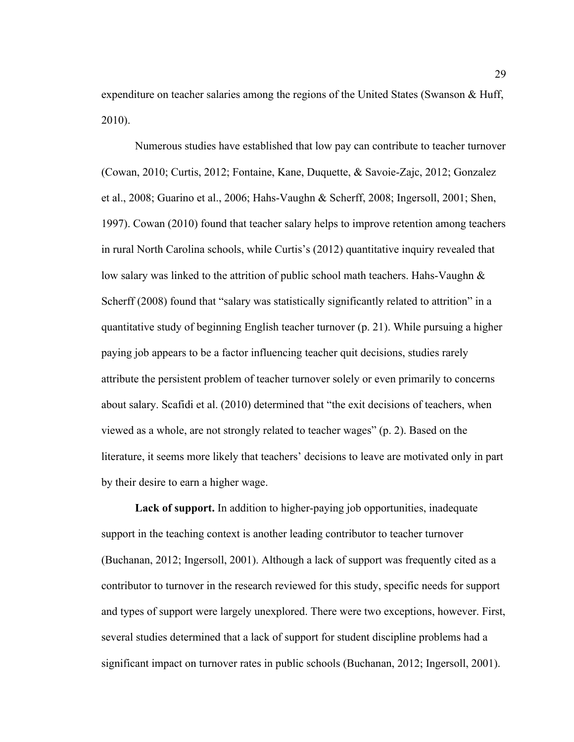expenditure on teacher salaries among the regions of the United States (Swanson & Huff, 2010).

Numerous studies have established that low pay can contribute to teacher turnover (Cowan, 2010; Curtis, 2012; Fontaine, Kane, Duquette, & Savoie-Zajc, 2012; Gonzalez et al., 2008; Guarino et al., 2006; Hahs-Vaughn & Scherff, 2008; Ingersoll, 2001; Shen, 1997). Cowan (2010) found that teacher salary helps to improve retention among teachers in rural North Carolina schools, while Curtis's (2012) quantitative inquiry revealed that low salary was linked to the attrition of public school math teachers. Hahs-Vaughn & Scherff (2008) found that "salary was statistically significantly related to attrition" in a quantitative study of beginning English teacher turnover (p. 21). While pursuing a higher paying job appears to be a factor influencing teacher quit decisions, studies rarely attribute the persistent problem of teacher turnover solely or even primarily to concerns about salary. Scafidi et al. (2010) determined that "the exit decisions of teachers, when viewed as a whole, are not strongly related to teacher wages" (p. 2). Based on the literature, it seems more likely that teachers' decisions to leave are motivated only in part by their desire to earn a higher wage.

**Lack of support.** In addition to higher-paying job opportunities, inadequate support in the teaching context is another leading contributor to teacher turnover (Buchanan, 2012; Ingersoll, 2001). Although a lack of support was frequently cited as a contributor to turnover in the research reviewed for this study, specific needs for support and types of support were largely unexplored. There were two exceptions, however. First, several studies determined that a lack of support for student discipline problems had a significant impact on turnover rates in public schools (Buchanan, 2012; Ingersoll, 2001).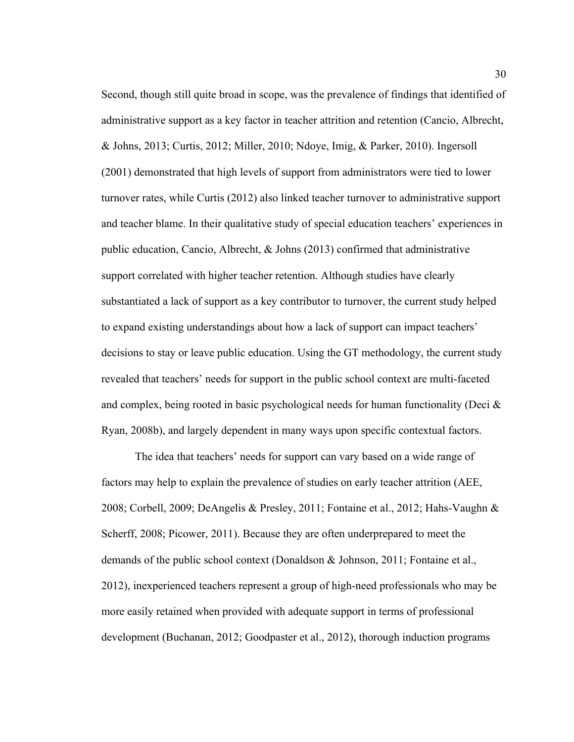Second, though still quite broad in scope, was the prevalence of findings that identified of administrative support as a key factor in teacher attrition and retention (Cancio, Albrecht, & Johns, 2013; Curtis, 2012; Miller, 2010; Ndoye, Imig, & Parker, 2010). Ingersoll (2001) demonstrated that high levels of support from administrators were tied to lower turnover rates, while Curtis (2012) also linked teacher turnover to administrative support and teacher blame. In their qualitative study of special education teachers' experiences in public education, Cancio, Albrecht, & Johns (2013) confirmed that administrative support correlated with higher teacher retention. Although studies have clearly substantiated a lack of support as a key contributor to turnover, the current study helped to expand existing understandings about how a lack of support can impact teachers' decisions to stay or leave public education. Using the GT methodology, the current study revealed that teachers' needs for support in the public school context are multi-faceted and complex, being rooted in basic psychological needs for human functionality (Deci & Ryan, 2008b), and largely dependent in many ways upon specific contextual factors.

The idea that teachers' needs for support can vary based on a wide range of factors may help to explain the prevalence of studies on early teacher attrition (AEE, 2008; Corbell, 2009; DeAngelis & Presley, 2011; Fontaine et al., 2012; Hahs-Vaughn & Scherff, 2008; Picower, 2011). Because they are often underprepared to meet the demands of the public school context (Donaldson & Johnson, 2011; Fontaine et al., 2012), inexperienced teachers represent a group of high-need professionals who may be more easily retained when provided with adequate support in terms of professional development (Buchanan, 2012; Goodpaster et al., 2012), thorough induction programs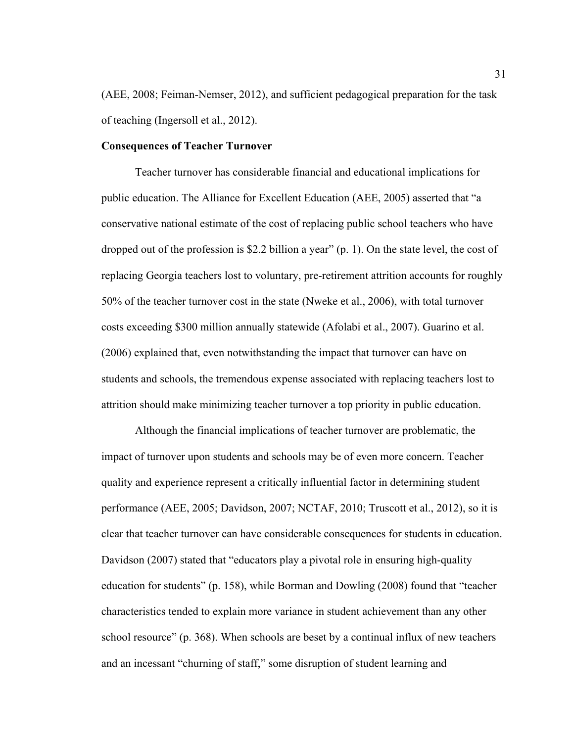(AEE, 2008; Feiman-Nemser, 2012), and sufficient pedagogical preparation for the task of teaching (Ingersoll et al., 2012).

## **Consequences of Teacher Turnover**

Teacher turnover has considerable financial and educational implications for public education. The Alliance for Excellent Education (AEE, 2005) asserted that "a conservative national estimate of the cost of replacing public school teachers who have dropped out of the profession is \$2.2 billion a year" (p. 1). On the state level, the cost of replacing Georgia teachers lost to voluntary, pre-retirement attrition accounts for roughly 50% of the teacher turnover cost in the state (Nweke et al., 2006), with total turnover costs exceeding \$300 million annually statewide (Afolabi et al., 2007). Guarino et al. (2006) explained that, even notwithstanding the impact that turnover can have on students and schools, the tremendous expense associated with replacing teachers lost to attrition should make minimizing teacher turnover a top priority in public education.

Although the financial implications of teacher turnover are problematic, the impact of turnover upon students and schools may be of even more concern. Teacher quality and experience represent a critically influential factor in determining student performance (AEE, 2005; Davidson, 2007; NCTAF, 2010; Truscott et al., 2012), so it is clear that teacher turnover can have considerable consequences for students in education. Davidson (2007) stated that "educators play a pivotal role in ensuring high-quality education for students" (p. 158), while Borman and Dowling (2008) found that "teacher characteristics tended to explain more variance in student achievement than any other school resource" (p. 368). When schools are beset by a continual influx of new teachers and an incessant "churning of staff," some disruption of student learning and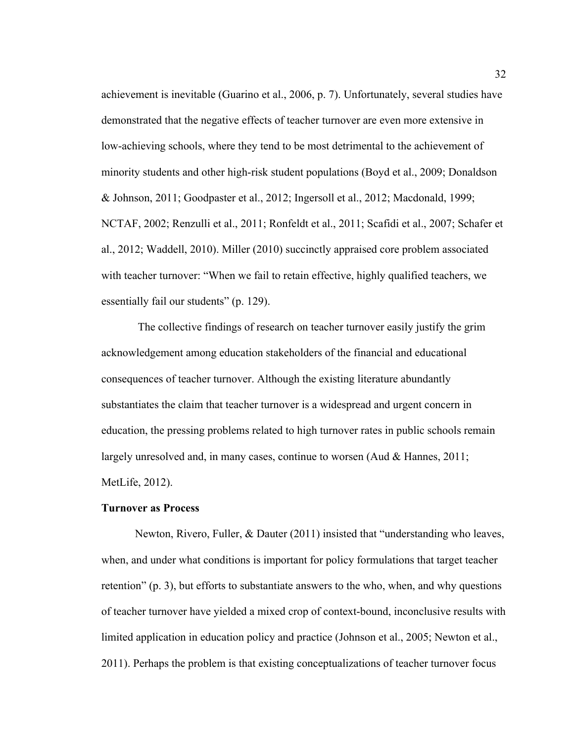achievement is inevitable (Guarino et al., 2006, p. 7). Unfortunately, several studies have demonstrated that the negative effects of teacher turnover are even more extensive in low-achieving schools, where they tend to be most detrimental to the achievement of minority students and other high-risk student populations (Boyd et al., 2009; Donaldson & Johnson, 2011; Goodpaster et al., 2012; Ingersoll et al., 2012; Macdonald, 1999; NCTAF, 2002; Renzulli et al., 2011; Ronfeldt et al., 2011; Scafidi et al., 2007; Schafer et al., 2012; Waddell, 2010). Miller (2010) succinctly appraised core problem associated with teacher turnover: "When we fail to retain effective, highly qualified teachers, we essentially fail our students" (p. 129).

 The collective findings of research on teacher turnover easily justify the grim acknowledgement among education stakeholders of the financial and educational consequences of teacher turnover. Although the existing literature abundantly substantiates the claim that teacher turnover is a widespread and urgent concern in education, the pressing problems related to high turnover rates in public schools remain largely unresolved and, in many cases, continue to worsen (Aud & Hannes, 2011; MetLife, 2012).

## **Turnover as Process**

Newton, Rivero, Fuller, & Dauter (2011) insisted that "understanding who leaves, when, and under what conditions is important for policy formulations that target teacher retention" (p. 3), but efforts to substantiate answers to the who, when, and why questions of teacher turnover have yielded a mixed crop of context-bound, inconclusive results with limited application in education policy and practice (Johnson et al., 2005; Newton et al., 2011). Perhaps the problem is that existing conceptualizations of teacher turnover focus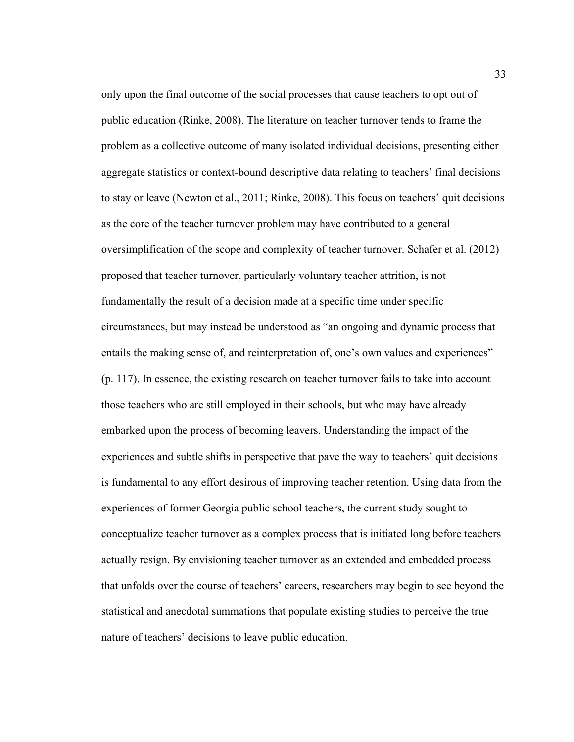only upon the final outcome of the social processes that cause teachers to opt out of public education (Rinke, 2008). The literature on teacher turnover tends to frame the problem as a collective outcome of many isolated individual decisions, presenting either aggregate statistics or context-bound descriptive data relating to teachers' final decisions to stay or leave (Newton et al., 2011; Rinke, 2008). This focus on teachers' quit decisions as the core of the teacher turnover problem may have contributed to a general oversimplification of the scope and complexity of teacher turnover. Schafer et al. (2012) proposed that teacher turnover, particularly voluntary teacher attrition, is not fundamentally the result of a decision made at a specific time under specific circumstances, but may instead be understood as "an ongoing and dynamic process that entails the making sense of, and reinterpretation of, one's own values and experiences" (p. 117). In essence, the existing research on teacher turnover fails to take into account those teachers who are still employed in their schools, but who may have already embarked upon the process of becoming leavers. Understanding the impact of the experiences and subtle shifts in perspective that pave the way to teachers' quit decisions is fundamental to any effort desirous of improving teacher retention. Using data from the experiences of former Georgia public school teachers, the current study sought to conceptualize teacher turnover as a complex process that is initiated long before teachers actually resign. By envisioning teacher turnover as an extended and embedded process that unfolds over the course of teachers' careers, researchers may begin to see beyond the statistical and anecdotal summations that populate existing studies to perceive the true nature of teachers' decisions to leave public education.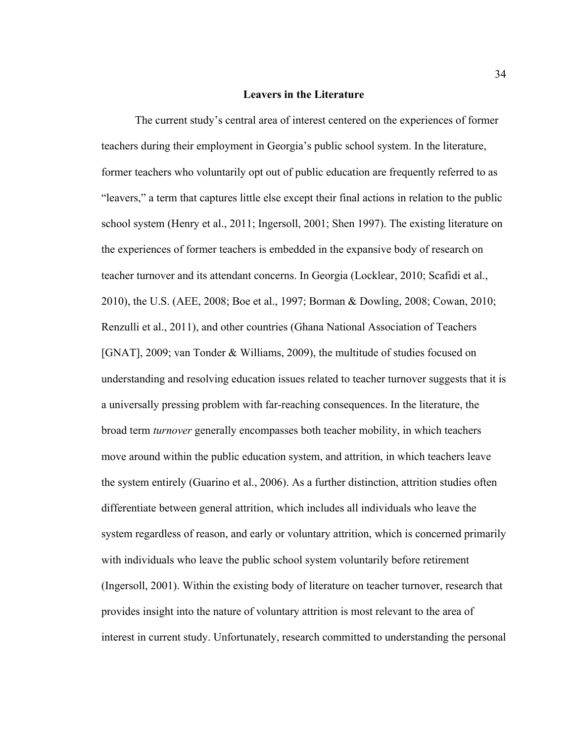#### **Leavers in the Literature**

The current study's central area of interest centered on the experiences of former teachers during their employment in Georgia's public school system. In the literature, former teachers who voluntarily opt out of public education are frequently referred to as "leavers," a term that captures little else except their final actions in relation to the public school system (Henry et al., 2011; Ingersoll, 2001; Shen 1997). The existing literature on the experiences of former teachers is embedded in the expansive body of research on teacher turnover and its attendant concerns. In Georgia (Locklear, 2010; Scafidi et al., 2010), the U.S. (AEE, 2008; Boe et al., 1997; Borman & Dowling, 2008; Cowan, 2010; Renzulli et al., 2011), and other countries (Ghana National Association of Teachers [GNAT], 2009; van Tonder & Williams, 2009), the multitude of studies focused on understanding and resolving education issues related to teacher turnover suggests that it is a universally pressing problem with far-reaching consequences. In the literature, the broad term *turnover* generally encompasses both teacher mobility, in which teachers move around within the public education system, and attrition, in which teachers leave the system entirely (Guarino et al., 2006). As a further distinction, attrition studies often differentiate between general attrition, which includes all individuals who leave the system regardless of reason, and early or voluntary attrition, which is concerned primarily with individuals who leave the public school system voluntarily before retirement (Ingersoll, 2001). Within the existing body of literature on teacher turnover, research that provides insight into the nature of voluntary attrition is most relevant to the area of interest in current study. Unfortunately, research committed to understanding the personal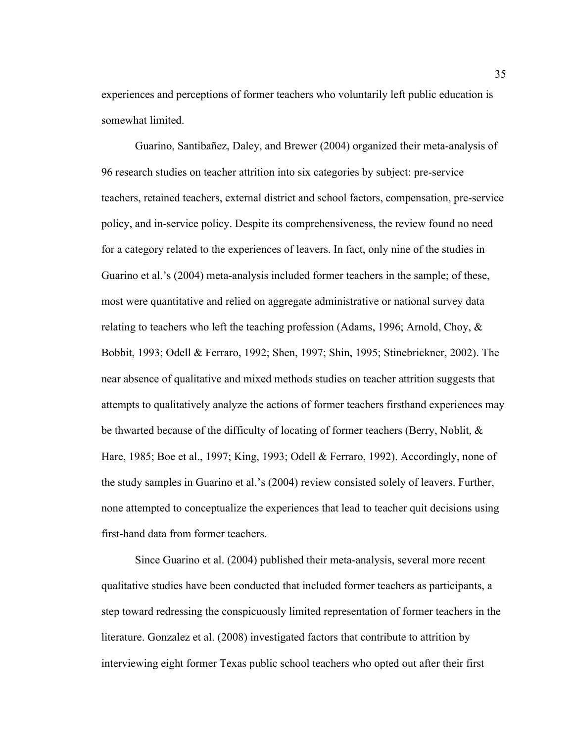experiences and perceptions of former teachers who voluntarily left public education is somewhat limited.

Guarino, Santibañez, Daley, and Brewer (2004) organized their meta-analysis of 96 research studies on teacher attrition into six categories by subject: pre-service teachers, retained teachers, external district and school factors, compensation, pre-service policy, and in-service policy. Despite its comprehensiveness, the review found no need for a category related to the experiences of leavers. In fact, only nine of the studies in Guarino et al.'s (2004) meta-analysis included former teachers in the sample; of these, most were quantitative and relied on aggregate administrative or national survey data relating to teachers who left the teaching profession (Adams, 1996; Arnold, Choy, & Bobbit, 1993; Odell & Ferraro, 1992; Shen, 1997; Shin, 1995; Stinebrickner, 2002). The near absence of qualitative and mixed methods studies on teacher attrition suggests that attempts to qualitatively analyze the actions of former teachers firsthand experiences may be thwarted because of the difficulty of locating of former teachers (Berry, Noblit, & Hare, 1985; Boe et al., 1997; King, 1993; Odell & Ferraro, 1992). Accordingly, none of the study samples in Guarino et al.'s (2004) review consisted solely of leavers. Further, none attempted to conceptualize the experiences that lead to teacher quit decisions using first-hand data from former teachers.

Since Guarino et al. (2004) published their meta-analysis, several more recent qualitative studies have been conducted that included former teachers as participants, a step toward redressing the conspicuously limited representation of former teachers in the literature. Gonzalez et al. (2008) investigated factors that contribute to attrition by interviewing eight former Texas public school teachers who opted out after their first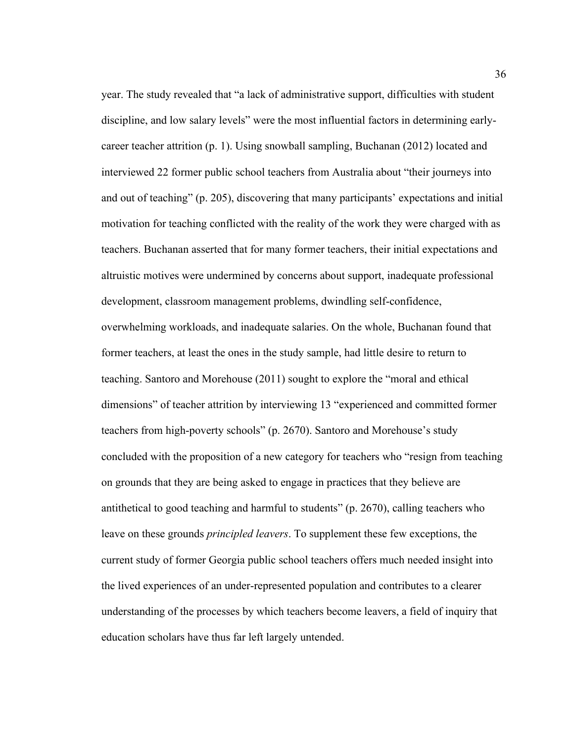year. The study revealed that "a lack of administrative support, difficulties with student discipline, and low salary levels" were the most influential factors in determining earlycareer teacher attrition (p. 1). Using snowball sampling, Buchanan (2012) located and interviewed 22 former public school teachers from Australia about "their journeys into and out of teaching" (p. 205), discovering that many participants' expectations and initial motivation for teaching conflicted with the reality of the work they were charged with as teachers. Buchanan asserted that for many former teachers, their initial expectations and altruistic motives were undermined by concerns about support, inadequate professional development, classroom management problems, dwindling self-confidence, overwhelming workloads, and inadequate salaries. On the whole, Buchanan found that former teachers, at least the ones in the study sample, had little desire to return to teaching. Santoro and Morehouse (2011) sought to explore the "moral and ethical dimensions" of teacher attrition by interviewing 13 "experienced and committed former teachers from high-poverty schools" (p. 2670). Santoro and Morehouse's study concluded with the proposition of a new category for teachers who "resign from teaching on grounds that they are being asked to engage in practices that they believe are antithetical to good teaching and harmful to students" (p. 2670), calling teachers who leave on these grounds *principled leavers*. To supplement these few exceptions, the current study of former Georgia public school teachers offers much needed insight into the lived experiences of an under-represented population and contributes to a clearer understanding of the processes by which teachers become leavers, a field of inquiry that education scholars have thus far left largely untended.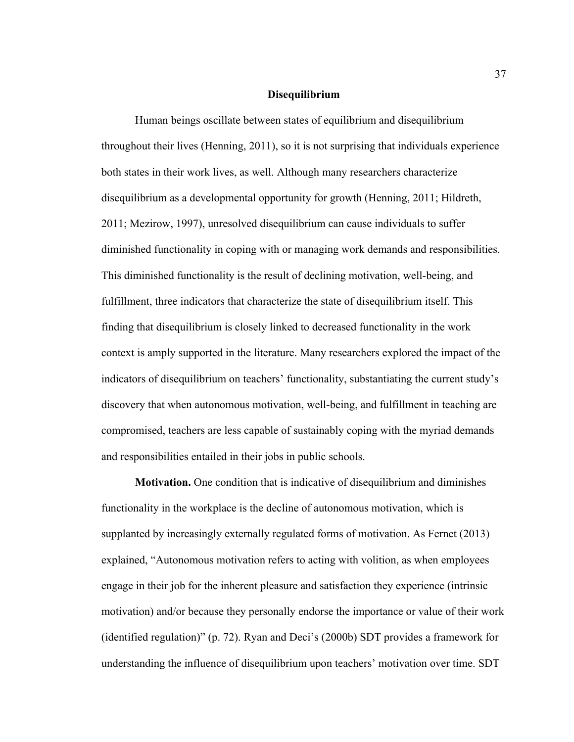#### **Disequilibrium**

Human beings oscillate between states of equilibrium and disequilibrium throughout their lives (Henning, 2011), so it is not surprising that individuals experience both states in their work lives, as well. Although many researchers characterize disequilibrium as a developmental opportunity for growth (Henning, 2011; Hildreth, 2011; Mezirow, 1997), unresolved disequilibrium can cause individuals to suffer diminished functionality in coping with or managing work demands and responsibilities. This diminished functionality is the result of declining motivation, well-being, and fulfillment, three indicators that characterize the state of disequilibrium itself. This finding that disequilibrium is closely linked to decreased functionality in the work context is amply supported in the literature. Many researchers explored the impact of the indicators of disequilibrium on teachers' functionality, substantiating the current study's discovery that when autonomous motivation, well-being, and fulfillment in teaching are compromised, teachers are less capable of sustainably coping with the myriad demands and responsibilities entailed in their jobs in public schools.

**Motivation.** One condition that is indicative of disequilibrium and diminishes functionality in the workplace is the decline of autonomous motivation, which is supplanted by increasingly externally regulated forms of motivation. As Fernet (2013) explained, "Autonomous motivation refers to acting with volition, as when employees engage in their job for the inherent pleasure and satisfaction they experience (intrinsic motivation) and/or because they personally endorse the importance or value of their work (identified regulation)" (p. 72). Ryan and Deci's (2000b) SDT provides a framework for understanding the influence of disequilibrium upon teachers' motivation over time. SDT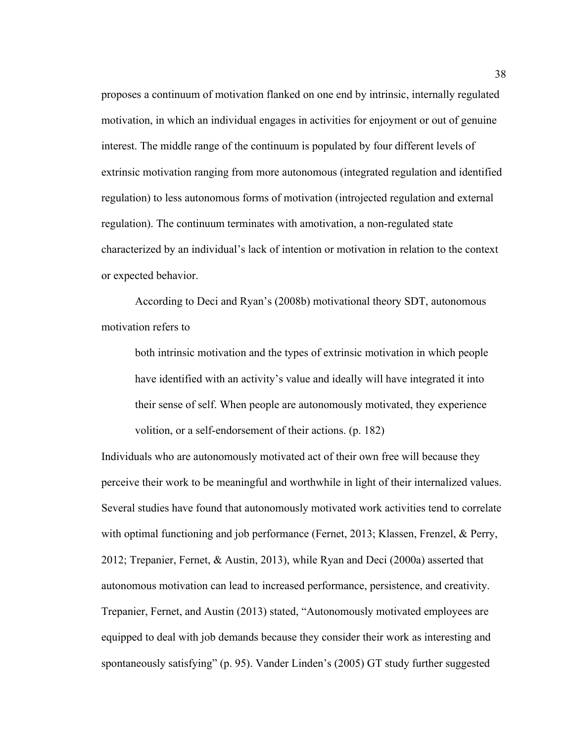proposes a continuum of motivation flanked on one end by intrinsic, internally regulated motivation, in which an individual engages in activities for enjoyment or out of genuine interest. The middle range of the continuum is populated by four different levels of extrinsic motivation ranging from more autonomous (integrated regulation and identified regulation) to less autonomous forms of motivation (introjected regulation and external regulation). The continuum terminates with amotivation, a non-regulated state characterized by an individual's lack of intention or motivation in relation to the context or expected behavior.

According to Deci and Ryan's (2008b) motivational theory SDT, autonomous motivation refers to

both intrinsic motivation and the types of extrinsic motivation in which people have identified with an activity's value and ideally will have integrated it into their sense of self. When people are autonomously motivated, they experience volition, or a self-endorsement of their actions. (p. 182)

Individuals who are autonomously motivated act of their own free will because they perceive their work to be meaningful and worthwhile in light of their internalized values. Several studies have found that autonomously motivated work activities tend to correlate with optimal functioning and job performance (Fernet, 2013; Klassen, Frenzel, & Perry, 2012; Trepanier, Fernet, & Austin, 2013), while Ryan and Deci (2000a) asserted that autonomous motivation can lead to increased performance, persistence, and creativity. Trepanier, Fernet, and Austin (2013) stated, "Autonomously motivated employees are equipped to deal with job demands because they consider their work as interesting and spontaneously satisfying" (p. 95). Vander Linden's (2005) GT study further suggested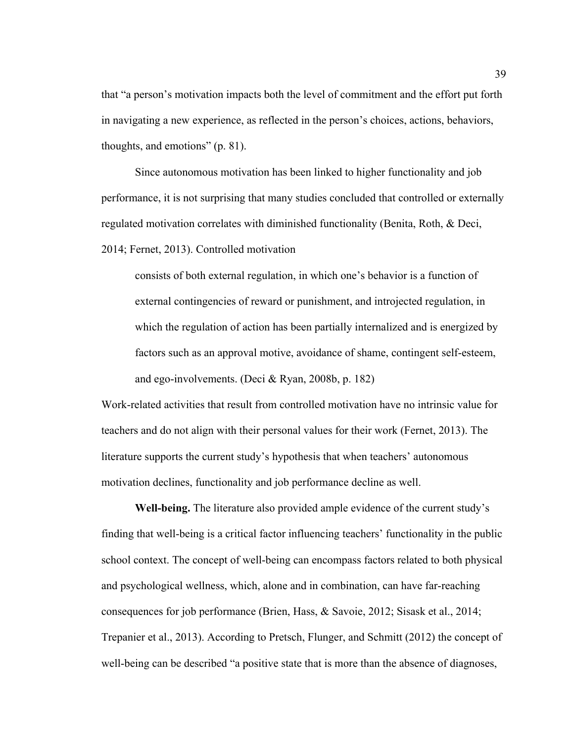that "a person's motivation impacts both the level of commitment and the effort put forth in navigating a new experience, as reflected in the person's choices, actions, behaviors, thoughts, and emotions" (p. 81).

Since autonomous motivation has been linked to higher functionality and job performance, it is not surprising that many studies concluded that controlled or externally regulated motivation correlates with diminished functionality (Benita, Roth, & Deci, 2014; Fernet, 2013). Controlled motivation

consists of both external regulation, in which one's behavior is a function of external contingencies of reward or punishment, and introjected regulation, in which the regulation of action has been partially internalized and is energized by factors such as an approval motive, avoidance of shame, contingent self-esteem, and ego-involvements. (Deci & Ryan, 2008b, p. 182)

Work-related activities that result from controlled motivation have no intrinsic value for teachers and do not align with their personal values for their work (Fernet, 2013). The literature supports the current study's hypothesis that when teachers' autonomous motivation declines, functionality and job performance decline as well.

**Well-being.** The literature also provided ample evidence of the current study's finding that well-being is a critical factor influencing teachers' functionality in the public school context. The concept of well-being can encompass factors related to both physical and psychological wellness, which, alone and in combination, can have far-reaching consequences for job performance (Brien, Hass, & Savoie, 2012; Sisask et al., 2014; Trepanier et al., 2013). According to Pretsch, Flunger, and Schmitt (2012) the concept of well-being can be described "a positive state that is more than the absence of diagnoses,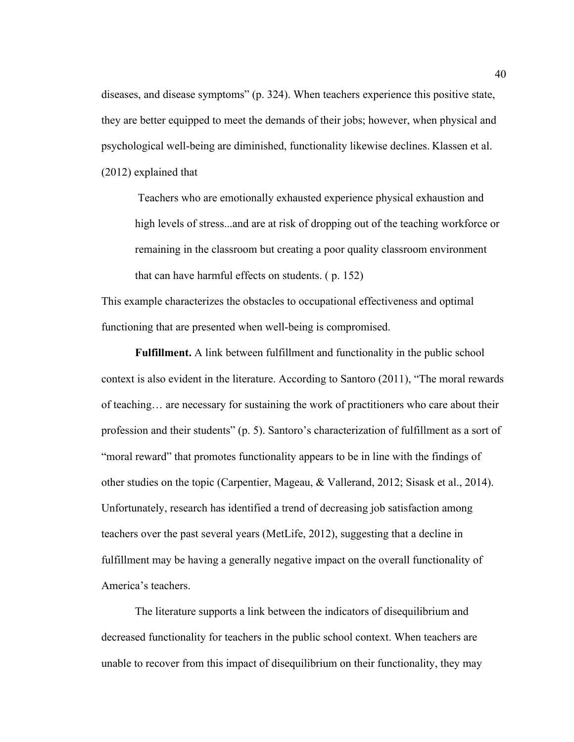diseases, and disease symptoms" (p. 324). When teachers experience this positive state, they are better equipped to meet the demands of their jobs; however, when physical and psychological well-being are diminished, functionality likewise declines. Klassen et al. (2012) explained that

Teachers who are emotionally exhausted experience physical exhaustion and high levels of stress...and are at risk of dropping out of the teaching workforce or remaining in the classroom but creating a poor quality classroom environment that can have harmful effects on students. ( p. 152)

This example characterizes the obstacles to occupational effectiveness and optimal functioning that are presented when well-being is compromised.

**Fulfillment.** A link between fulfillment and functionality in the public school context is also evident in the literature. According to Santoro (2011), "The moral rewards of teaching… are necessary for sustaining the work of practitioners who care about their profession and their students" (p. 5). Santoro's characterization of fulfillment as a sort of "moral reward" that promotes functionality appears to be in line with the findings of other studies on the topic (Carpentier, Mageau, & Vallerand, 2012; Sisask et al., 2014). Unfortunately, research has identified a trend of decreasing job satisfaction among teachers over the past several years (MetLife, 2012), suggesting that a decline in fulfillment may be having a generally negative impact on the overall functionality of America's teachers.

The literature supports a link between the indicators of disequilibrium and decreased functionality for teachers in the public school context. When teachers are unable to recover from this impact of disequilibrium on their functionality, they may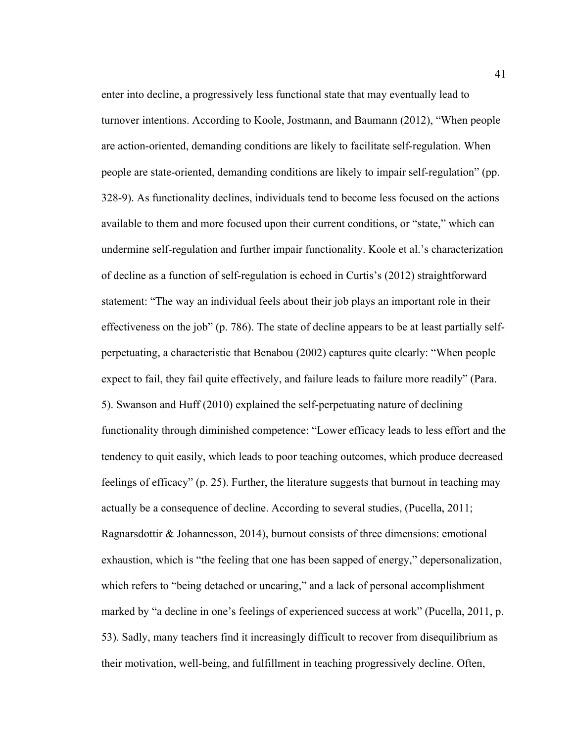enter into decline, a progressively less functional state that may eventually lead to turnover intentions. According to Koole, Jostmann, and Baumann (2012), "When people are action-oriented, demanding conditions are likely to facilitate self-regulation. When people are state-oriented, demanding conditions are likely to impair self-regulation" (pp. 328-9). As functionality declines, individuals tend to become less focused on the actions available to them and more focused upon their current conditions, or "state," which can undermine self-regulation and further impair functionality. Koole et al.'s characterization of decline as a function of self-regulation is echoed in Curtis's (2012) straightforward statement: "The way an individual feels about their job plays an important role in their effectiveness on the job" (p. 786). The state of decline appears to be at least partially selfperpetuating, a characteristic that Benabou (2002) captures quite clearly: "When people expect to fail, they fail quite effectively, and failure leads to failure more readily" (Para. 5). Swanson and Huff (2010) explained the self-perpetuating nature of declining functionality through diminished competence: "Lower efficacy leads to less effort and the tendency to quit easily, which leads to poor teaching outcomes, which produce decreased feelings of efficacy" (p. 25). Further, the literature suggests that burnout in teaching may actually be a consequence of decline. According to several studies, (Pucella, 2011; Ragnarsdottir & Johannesson, 2014), burnout consists of three dimensions: emotional exhaustion, which is "the feeling that one has been sapped of energy," depersonalization, which refers to "being detached or uncaring," and a lack of personal accomplishment marked by "a decline in one's feelings of experienced success at work" (Pucella, 2011, p. 53). Sadly, many teachers find it increasingly difficult to recover from disequilibrium as their motivation, well-being, and fulfillment in teaching progressively decline. Often,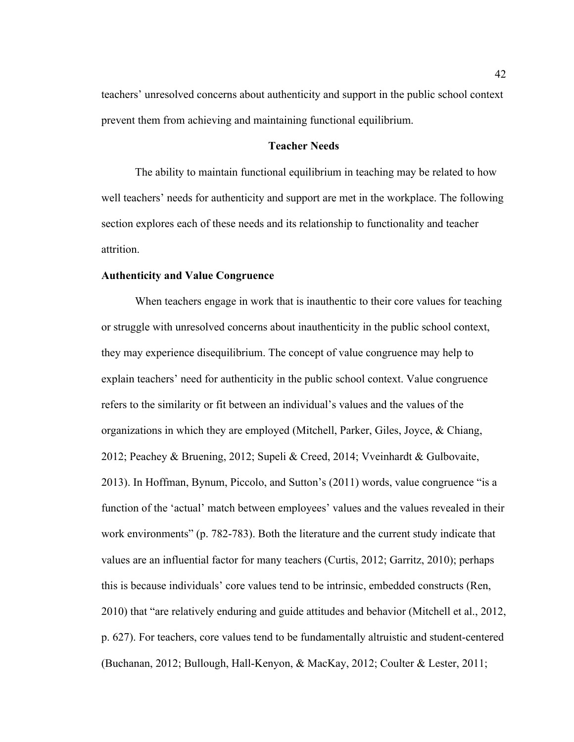teachers' unresolved concerns about authenticity and support in the public school context prevent them from achieving and maintaining functional equilibrium.

# **Teacher Needs**

The ability to maintain functional equilibrium in teaching may be related to how well teachers' needs for authenticity and support are met in the workplace. The following section explores each of these needs and its relationship to functionality and teacher attrition.

# **Authenticity and Value Congruence**

When teachers engage in work that is inauthentic to their core values for teaching or struggle with unresolved concerns about inauthenticity in the public school context, they may experience disequilibrium. The concept of value congruence may help to explain teachers' need for authenticity in the public school context. Value congruence refers to the similarity or fit between an individual's values and the values of the organizations in which they are employed (Mitchell, Parker, Giles, Joyce, & Chiang, 2012; Peachey & Bruening, 2012; Supeli & Creed, 2014; Vveinhardt & Gulbovaite, 2013). In Hoffman, Bynum, Piccolo, and Sutton's (2011) words, value congruence "is a function of the 'actual' match between employees' values and the values revealed in their work environments" (p. 782-783). Both the literature and the current study indicate that values are an influential factor for many teachers (Curtis, 2012; Garritz, 2010); perhaps this is because individuals' core values tend to be intrinsic, embedded constructs (Ren, 2010) that "are relatively enduring and guide attitudes and behavior (Mitchell et al., 2012, p. 627). For teachers, core values tend to be fundamentally altruistic and student-centered (Buchanan, 2012; Bullough, Hall-Kenyon, & MacKay, 2012; Coulter & Lester, 2011;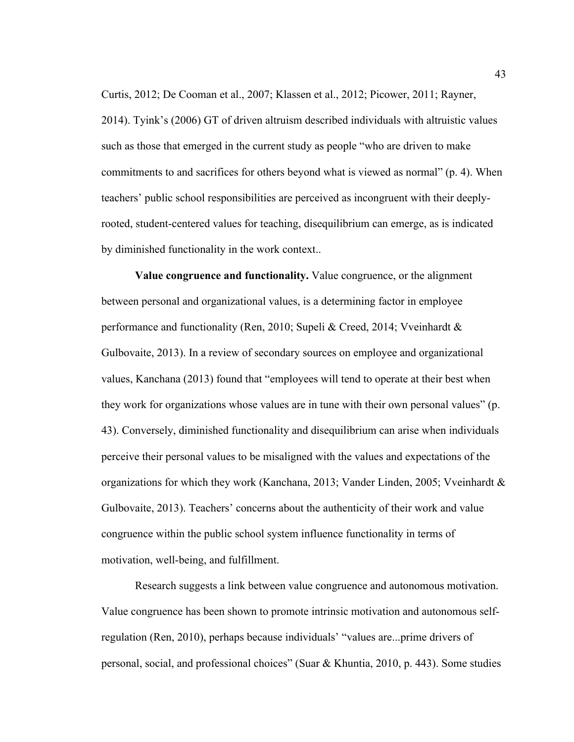Curtis, 2012; De Cooman et al., 2007; Klassen et al., 2012; Picower, 2011; Rayner, 2014). Tyink's (2006) GT of driven altruism described individuals with altruistic values such as those that emerged in the current study as people "who are driven to make commitments to and sacrifices for others beyond what is viewed as normal" (p. 4). When teachers' public school responsibilities are perceived as incongruent with their deeplyrooted, student-centered values for teaching, disequilibrium can emerge, as is indicated by diminished functionality in the work context..

**Value congruence and functionality.** Value congruence, or the alignment between personal and organizational values, is a determining factor in employee performance and functionality (Ren, 2010; Supeli & Creed, 2014; Vveinhardt & Gulbovaite, 2013). In a review of secondary sources on employee and organizational values, Kanchana (2013) found that "employees will tend to operate at their best when they work for organizations whose values are in tune with their own personal values" (p. 43). Conversely, diminished functionality and disequilibrium can arise when individuals perceive their personal values to be misaligned with the values and expectations of the organizations for which they work (Kanchana, 2013; Vander Linden, 2005; Vveinhardt & Gulbovaite, 2013). Teachers' concerns about the authenticity of their work and value congruence within the public school system influence functionality in terms of motivation, well-being, and fulfillment.

Research suggests a link between value congruence and autonomous motivation. Value congruence has been shown to promote intrinsic motivation and autonomous selfregulation (Ren, 2010), perhaps because individuals' "values are...prime drivers of personal, social, and professional choices" (Suar & Khuntia, 2010, p. 443). Some studies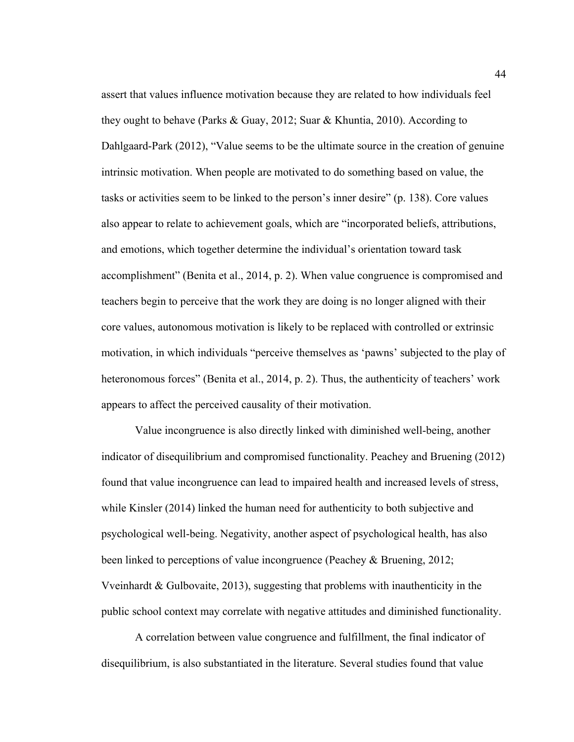assert that values influence motivation because they are related to how individuals feel they ought to behave (Parks & Guay, 2012; Suar & Khuntia, 2010). According to Dahlgaard-Park (2012), "Value seems to be the ultimate source in the creation of genuine intrinsic motivation. When people are motivated to do something based on value, the tasks or activities seem to be linked to the person's inner desire" (p. 138). Core values also appear to relate to achievement goals, which are "incorporated beliefs, attributions, and emotions, which together determine the individual's orientation toward task accomplishment" (Benita et al., 2014, p. 2). When value congruence is compromised and teachers begin to perceive that the work they are doing is no longer aligned with their core values, autonomous motivation is likely to be replaced with controlled or extrinsic motivation, in which individuals "perceive themselves as 'pawns' subjected to the play of heteronomous forces" (Benita et al., 2014, p. 2). Thus, the authenticity of teachers' work appears to affect the perceived causality of their motivation.

Value incongruence is also directly linked with diminished well-being, another indicator of disequilibrium and compromised functionality. Peachey and Bruening (2012) found that value incongruence can lead to impaired health and increased levels of stress, while Kinsler (2014) linked the human need for authenticity to both subjective and psychological well-being. Negativity, another aspect of psychological health, has also been linked to perceptions of value incongruence (Peachey & Bruening, 2012; Vveinhardt & Gulbovaite, 2013), suggesting that problems with inauthenticity in the public school context may correlate with negative attitudes and diminished functionality.

A correlation between value congruence and fulfillment, the final indicator of disequilibrium, is also substantiated in the literature. Several studies found that value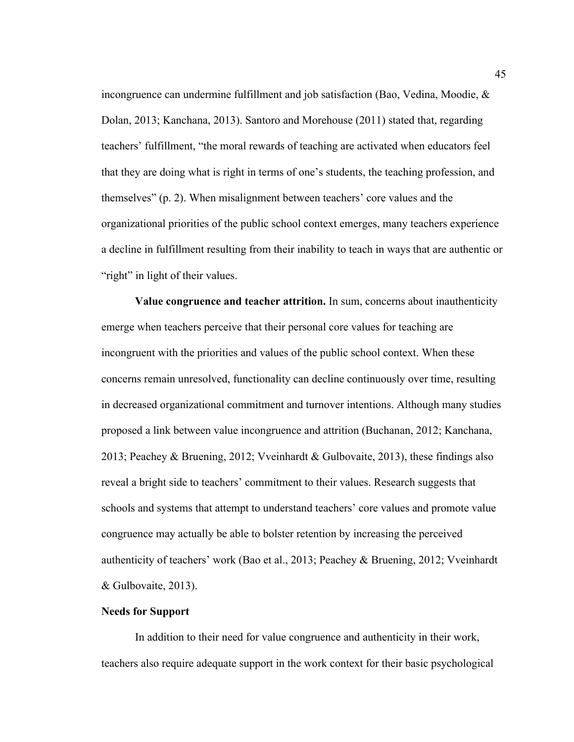incongruence can undermine fulfillment and job satisfaction (Bao, Vedina, Moodie, & Dolan, 2013; Kanchana, 2013). Santoro and Morehouse (2011) stated that, regarding teachers' fulfillment, "the moral rewards of teaching are activated when educators feel that they are doing what is right in terms of one's students, the teaching profession, and themselves" (p. 2). When misalignment between teachers' core values and the organizational priorities of the public school context emerges, many teachers experience a decline in fulfillment resulting from their inability to teach in ways that are authentic or "right" in light of their values.

**Value congruence and teacher attrition.** In sum, concerns about inauthenticity emerge when teachers perceive that their personal core values for teaching are incongruent with the priorities and values of the public school context. When these concerns remain unresolved, functionality can decline continuously over time, resulting in decreased organizational commitment and turnover intentions. Although many studies proposed a link between value incongruence and attrition (Buchanan, 2012; Kanchana, 2013; Peachey & Bruening, 2012; Vveinhardt & Gulbovaite, 2013), these findings also reveal a bright side to teachers' commitment to their values. Research suggests that schools and systems that attempt to understand teachers' core values and promote value congruence may actually be able to bolster retention by increasing the perceived authenticity of teachers' work (Bao et al., 2013; Peachey & Bruening, 2012; Vveinhardt & Gulbovaite, 2013).

# **Needs for Support**

In addition to their need for value congruence and authenticity in their work, teachers also require adequate support in the work context for their basic psychological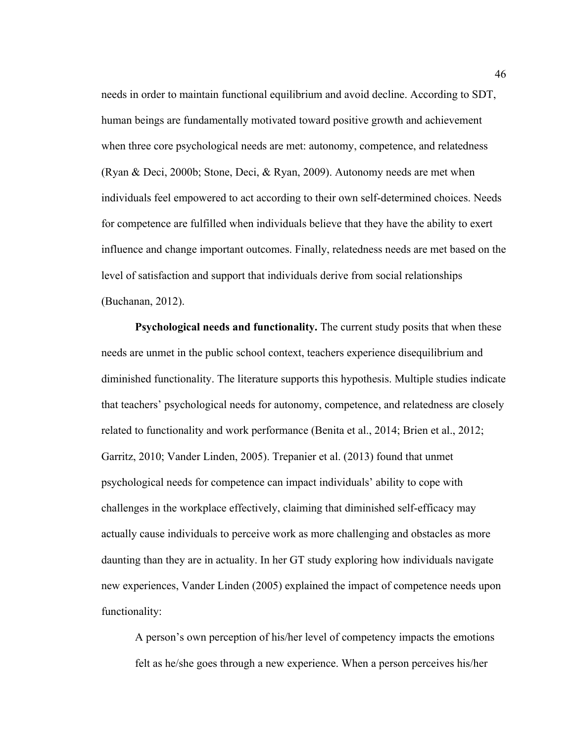needs in order to maintain functional equilibrium and avoid decline. According to SDT, human beings are fundamentally motivated toward positive growth and achievement when three core psychological needs are met: autonomy, competence, and relatedness (Ryan & Deci, 2000b; Stone, Deci, & Ryan, 2009). Autonomy needs are met when individuals feel empowered to act according to their own self-determined choices. Needs for competence are fulfilled when individuals believe that they have the ability to exert influence and change important outcomes. Finally, relatedness needs are met based on the level of satisfaction and support that individuals derive from social relationships (Buchanan, 2012).

**Psychological needs and functionality.** The current study posits that when these needs are unmet in the public school context, teachers experience disequilibrium and diminished functionality. The literature supports this hypothesis. Multiple studies indicate that teachers' psychological needs for autonomy, competence, and relatedness are closely related to functionality and work performance (Benita et al., 2014; Brien et al., 2012; Garritz, 2010; Vander Linden, 2005). Trepanier et al. (2013) found that unmet psychological needs for competence can impact individuals' ability to cope with challenges in the workplace effectively, claiming that diminished self-efficacy may actually cause individuals to perceive work as more challenging and obstacles as more daunting than they are in actuality. In her GT study exploring how individuals navigate new experiences, Vander Linden (2005) explained the impact of competence needs upon functionality:

A person's own perception of his/her level of competency impacts the emotions felt as he/she goes through a new experience. When a person perceives his/her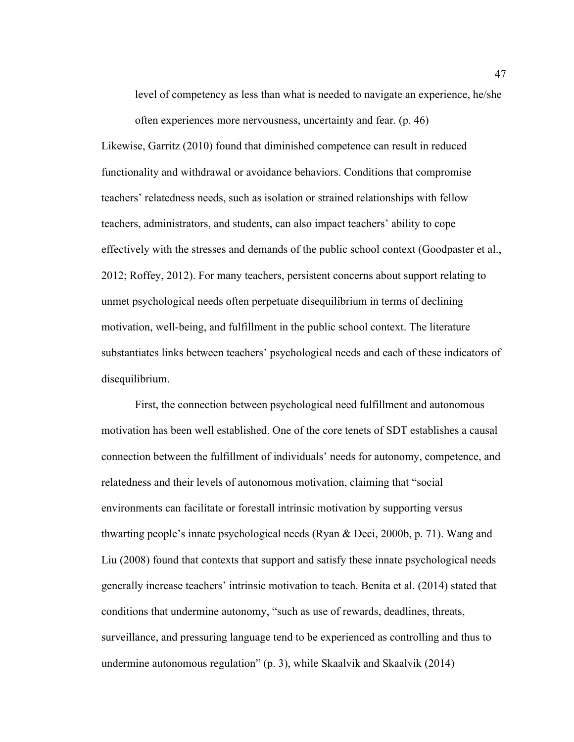level of competency as less than what is needed to navigate an experience, he/she often experiences more nervousness, uncertainty and fear. (p. 46)

Likewise, Garritz (2010) found that diminished competence can result in reduced functionality and withdrawal or avoidance behaviors. Conditions that compromise teachers' relatedness needs, such as isolation or strained relationships with fellow teachers, administrators, and students, can also impact teachers' ability to cope effectively with the stresses and demands of the public school context (Goodpaster et al., 2012; Roffey, 2012). For many teachers, persistent concerns about support relating to unmet psychological needs often perpetuate disequilibrium in terms of declining motivation, well-being, and fulfillment in the public school context. The literature substantiates links between teachers' psychological needs and each of these indicators of disequilibrium.

First, the connection between psychological need fulfillment and autonomous motivation has been well established. One of the core tenets of SDT establishes a causal connection between the fulfillment of individuals' needs for autonomy, competence, and relatedness and their levels of autonomous motivation, claiming that "social environments can facilitate or forestall intrinsic motivation by supporting versus thwarting people's innate psychological needs (Ryan & Deci, 2000b, p. 71). Wang and Liu (2008) found that contexts that support and satisfy these innate psychological needs generally increase teachers' intrinsic motivation to teach. Benita et al. (2014) stated that conditions that undermine autonomy, "such as use of rewards, deadlines, threats, surveillance, and pressuring language tend to be experienced as controlling and thus to undermine autonomous regulation" (p. 3), while Skaalvik and Skaalvik (2014)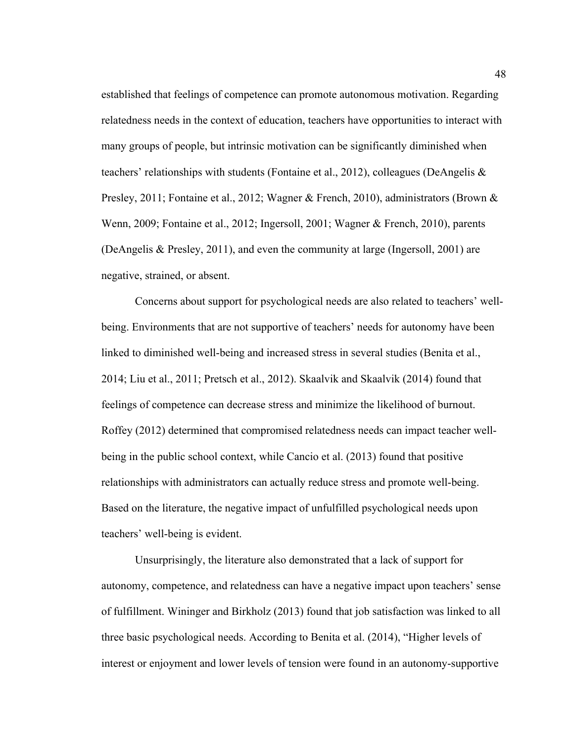established that feelings of competence can promote autonomous motivation. Regarding relatedness needs in the context of education, teachers have opportunities to interact with many groups of people, but intrinsic motivation can be significantly diminished when teachers' relationships with students (Fontaine et al., 2012), colleagues (DeAngelis  $\&$ Presley, 2011; Fontaine et al., 2012; Wagner & French, 2010), administrators (Brown & Wenn, 2009; Fontaine et al., 2012; Ingersoll, 2001; Wagner & French, 2010), parents (DeAngelis & Presley, 2011), and even the community at large (Ingersoll, 2001) are negative, strained, or absent.

Concerns about support for psychological needs are also related to teachers' wellbeing. Environments that are not supportive of teachers' needs for autonomy have been linked to diminished well-being and increased stress in several studies (Benita et al., 2014; Liu et al., 2011; Pretsch et al., 2012). Skaalvik and Skaalvik (2014) found that feelings of competence can decrease stress and minimize the likelihood of burnout. Roffey (2012) determined that compromised relatedness needs can impact teacher wellbeing in the public school context, while Cancio et al. (2013) found that positive relationships with administrators can actually reduce stress and promote well-being. Based on the literature, the negative impact of unfulfilled psychological needs upon teachers' well-being is evident.

Unsurprisingly, the literature also demonstrated that a lack of support for autonomy, competence, and relatedness can have a negative impact upon teachers' sense of fulfillment. Wininger and Birkholz (2013) found that job satisfaction was linked to all three basic psychological needs. According to Benita et al. (2014), "Higher levels of interest or enjoyment and lower levels of tension were found in an autonomy-supportive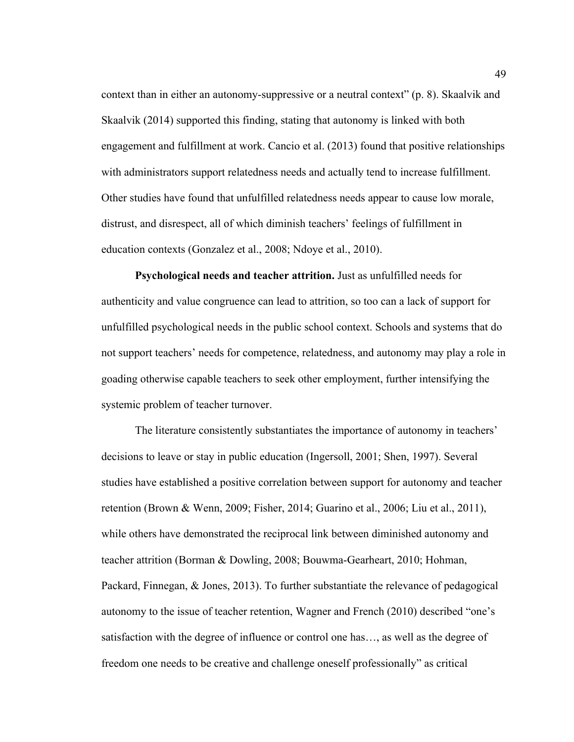context than in either an autonomy-suppressive or a neutral context" (p. 8). Skaalvik and Skaalvik (2014) supported this finding, stating that autonomy is linked with both engagement and fulfillment at work. Cancio et al. (2013) found that positive relationships with administrators support relatedness needs and actually tend to increase fulfillment. Other studies have found that unfulfilled relatedness needs appear to cause low morale, distrust, and disrespect, all of which diminish teachers' feelings of fulfillment in education contexts (Gonzalez et al., 2008; Ndoye et al., 2010).

**Psychological needs and teacher attrition.** Just as unfulfilled needs for authenticity and value congruence can lead to attrition, so too can a lack of support for unfulfilled psychological needs in the public school context. Schools and systems that do not support teachers' needs for competence, relatedness, and autonomy may play a role in goading otherwise capable teachers to seek other employment, further intensifying the systemic problem of teacher turnover.

The literature consistently substantiates the importance of autonomy in teachers' decisions to leave or stay in public education (Ingersoll, 2001; Shen, 1997). Several studies have established a positive correlation between support for autonomy and teacher retention (Brown & Wenn, 2009; Fisher, 2014; Guarino et al., 2006; Liu et al., 2011), while others have demonstrated the reciprocal link between diminished autonomy and teacher attrition (Borman & Dowling, 2008; Bouwma-Gearheart, 2010; Hohman, Packard, Finnegan, & Jones, 2013). To further substantiate the relevance of pedagogical autonomy to the issue of teacher retention, Wagner and French (2010) described "one's satisfaction with the degree of influence or control one has…, as well as the degree of freedom one needs to be creative and challenge oneself professionally" as critical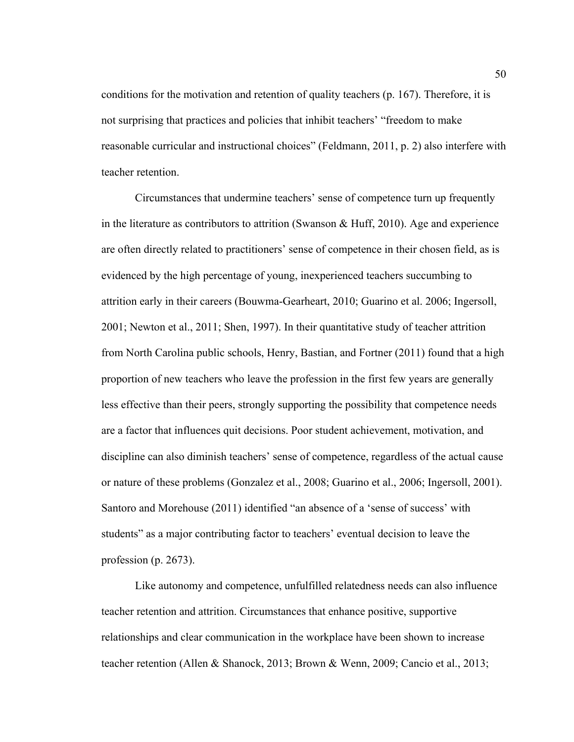conditions for the motivation and retention of quality teachers (p. 167). Therefore, it is not surprising that practices and policies that inhibit teachers' "freedom to make reasonable curricular and instructional choices" (Feldmann, 2011, p. 2) also interfere with teacher retention.

Circumstances that undermine teachers' sense of competence turn up frequently in the literature as contributors to attrition (Swanson  $\&$  Huff, 2010). Age and experience are often directly related to practitioners' sense of competence in their chosen field, as is evidenced by the high percentage of young, inexperienced teachers succumbing to attrition early in their careers (Bouwma-Gearheart, 2010; Guarino et al. 2006; Ingersoll, 2001; Newton et al., 2011; Shen, 1997). In their quantitative study of teacher attrition from North Carolina public schools, Henry, Bastian, and Fortner (2011) found that a high proportion of new teachers who leave the profession in the first few years are generally less effective than their peers, strongly supporting the possibility that competence needs are a factor that influences quit decisions. Poor student achievement, motivation, and discipline can also diminish teachers' sense of competence, regardless of the actual cause or nature of these problems (Gonzalez et al., 2008; Guarino et al., 2006; Ingersoll, 2001). Santoro and Morehouse (2011) identified "an absence of a 'sense of success' with students" as a major contributing factor to teachers' eventual decision to leave the profession (p. 2673).

Like autonomy and competence, unfulfilled relatedness needs can also influence teacher retention and attrition. Circumstances that enhance positive, supportive relationships and clear communication in the workplace have been shown to increase teacher retention (Allen & Shanock, 2013; Brown & Wenn, 2009; Cancio et al., 2013;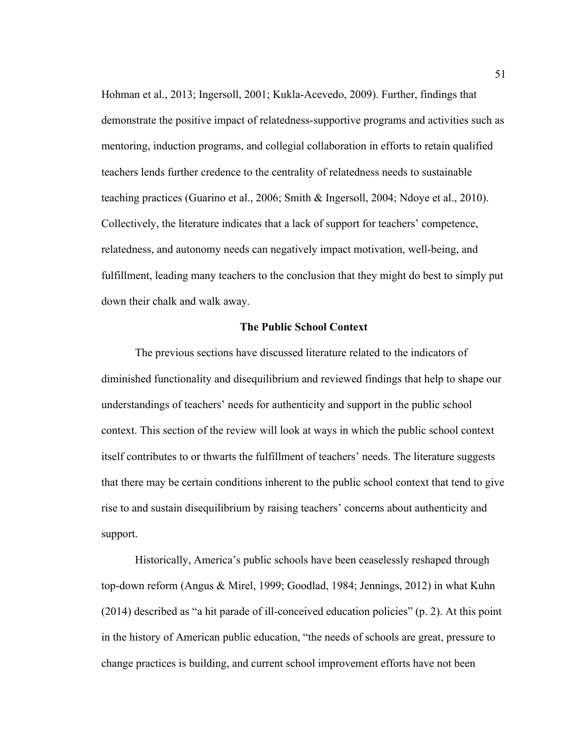Hohman et al., 2013; Ingersoll, 2001; Kukla-Acevedo, 2009). Further, findings that demonstrate the positive impact of relatedness-supportive programs and activities such as mentoring, induction programs, and collegial collaboration in efforts to retain qualified teachers lends further credence to the centrality of relatedness needs to sustainable teaching practices (Guarino et al., 2006; Smith & Ingersoll, 2004; Ndoye et al., 2010). Collectively, the literature indicates that a lack of support for teachers' competence, relatedness, and autonomy needs can negatively impact motivation, well-being, and fulfillment, leading many teachers to the conclusion that they might do best to simply put down their chalk and walk away.

## **The Public School Context**

The previous sections have discussed literature related to the indicators of diminished functionality and disequilibrium and reviewed findings that help to shape our understandings of teachers' needs for authenticity and support in the public school context. This section of the review will look at ways in which the public school context itself contributes to or thwarts the fulfillment of teachers' needs. The literature suggests that there may be certain conditions inherent to the public school context that tend to give rise to and sustain disequilibrium by raising teachers' concerns about authenticity and support.

Historically, America's public schools have been ceaselessly reshaped through top-down reform (Angus & Mirel, 1999; Goodlad, 1984; Jennings, 2012) in what Kuhn (2014) described as "a hit parade of ill-conceived education policies" (p. 2). At this point in the history of American public education, "the needs of schools are great, pressure to change practices is building, and current school improvement efforts have not been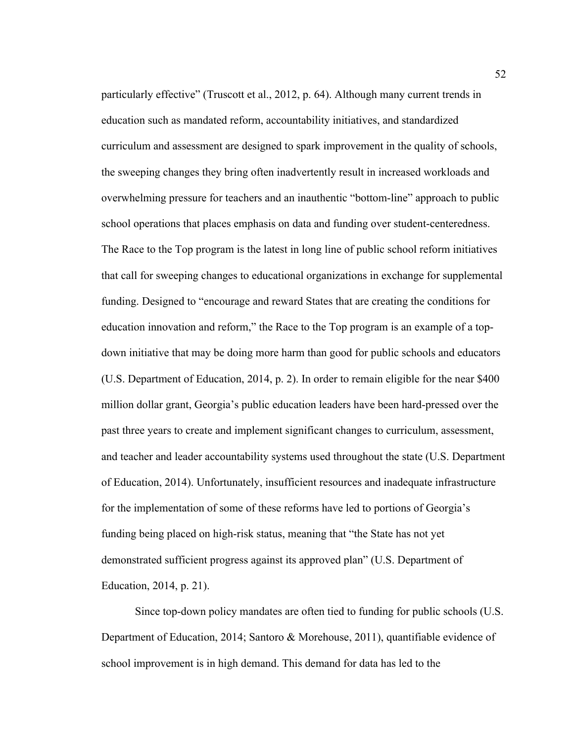particularly effective" (Truscott et al., 2012, p. 64). Although many current trends in education such as mandated reform, accountability initiatives, and standardized curriculum and assessment are designed to spark improvement in the quality of schools, the sweeping changes they bring often inadvertently result in increased workloads and overwhelming pressure for teachers and an inauthentic "bottom-line" approach to public school operations that places emphasis on data and funding over student-centeredness. The Race to the Top program is the latest in long line of public school reform initiatives that call for sweeping changes to educational organizations in exchange for supplemental funding. Designed to "encourage and reward States that are creating the conditions for education innovation and reform," the Race to the Top program is an example of a topdown initiative that may be doing more harm than good for public schools and educators (U.S. Department of Education, 2014, p. 2). In order to remain eligible for the near \$400 million dollar grant, Georgia's public education leaders have been hard-pressed over the past three years to create and implement significant changes to curriculum, assessment, and teacher and leader accountability systems used throughout the state (U.S. Department of Education, 2014). Unfortunately, insufficient resources and inadequate infrastructure for the implementation of some of these reforms have led to portions of Georgia's funding being placed on high-risk status, meaning that "the State has not yet demonstrated sufficient progress against its approved plan" (U.S. Department of Education, 2014, p. 21).

Since top-down policy mandates are often tied to funding for public schools (U.S. Department of Education, 2014; Santoro & Morehouse, 2011), quantifiable evidence of school improvement is in high demand. This demand for data has led to the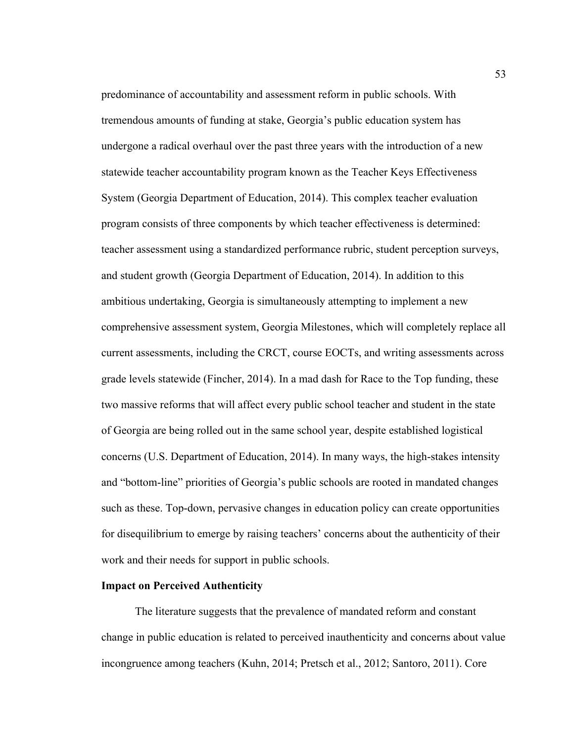predominance of accountability and assessment reform in public schools. With tremendous amounts of funding at stake, Georgia's public education system has undergone a radical overhaul over the past three years with the introduction of a new statewide teacher accountability program known as the Teacher Keys Effectiveness System (Georgia Department of Education, 2014). This complex teacher evaluation program consists of three components by which teacher effectiveness is determined: teacher assessment using a standardized performance rubric, student perception surveys, and student growth (Georgia Department of Education, 2014). In addition to this ambitious undertaking, Georgia is simultaneously attempting to implement a new comprehensive assessment system, Georgia Milestones, which will completely replace all current assessments, including the CRCT, course EOCTs, and writing assessments across grade levels statewide (Fincher, 2014). In a mad dash for Race to the Top funding, these two massive reforms that will affect every public school teacher and student in the state of Georgia are being rolled out in the same school year, despite established logistical concerns (U.S. Department of Education, 2014). In many ways, the high-stakes intensity and "bottom-line" priorities of Georgia's public schools are rooted in mandated changes such as these. Top-down, pervasive changes in education policy can create opportunities for disequilibrium to emerge by raising teachers' concerns about the authenticity of their work and their needs for support in public schools.

#### **Impact on Perceived Authenticity**

The literature suggests that the prevalence of mandated reform and constant change in public education is related to perceived inauthenticity and concerns about value incongruence among teachers (Kuhn, 2014; Pretsch et al., 2012; Santoro, 2011). Core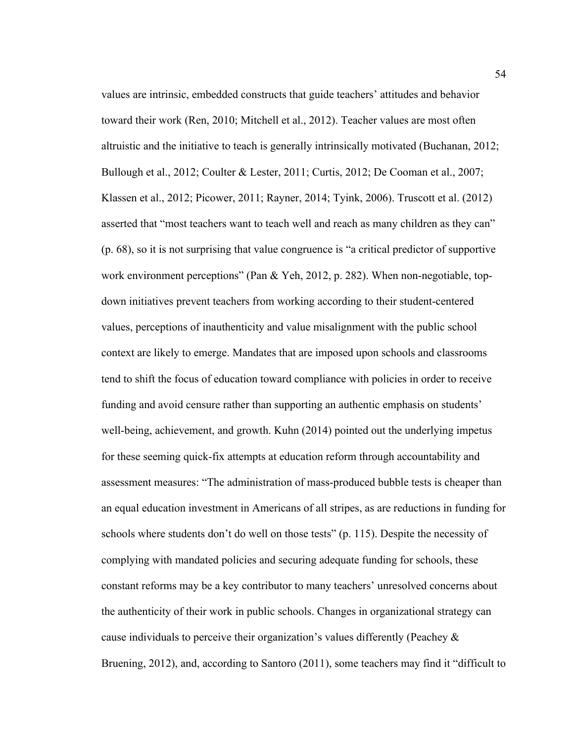values are intrinsic, embedded constructs that guide teachers' attitudes and behavior toward their work (Ren, 2010; Mitchell et al., 2012). Teacher values are most often altruistic and the initiative to teach is generally intrinsically motivated (Buchanan, 2012; Bullough et al., 2012; Coulter & Lester, 2011; Curtis, 2012; De Cooman et al., 2007; Klassen et al., 2012; Picower, 2011; Rayner, 2014; Tyink, 2006). Truscott et al. (2012) asserted that "most teachers want to teach well and reach as many children as they can" (p. 68), so it is not surprising that value congruence is "a critical predictor of supportive work environment perceptions" (Pan & Yeh, 2012, p. 282). When non-negotiable, topdown initiatives prevent teachers from working according to their student-centered values, perceptions of inauthenticity and value misalignment with the public school context are likely to emerge. Mandates that are imposed upon schools and classrooms tend to shift the focus of education toward compliance with policies in order to receive funding and avoid censure rather than supporting an authentic emphasis on students' well-being, achievement, and growth. Kuhn (2014) pointed out the underlying impetus for these seeming quick-fix attempts at education reform through accountability and assessment measures: "The administration of mass-produced bubble tests is cheaper than an equal education investment in Americans of all stripes, as are reductions in funding for schools where students don't do well on those tests" (p. 115). Despite the necessity of complying with mandated policies and securing adequate funding for schools, these constant reforms may be a key contributor to many teachers' unresolved concerns about the authenticity of their work in public schools. Changes in organizational strategy can cause individuals to perceive their organization's values differently (Peachey  $\&$ Bruening, 2012), and, according to Santoro (2011), some teachers may find it "difficult to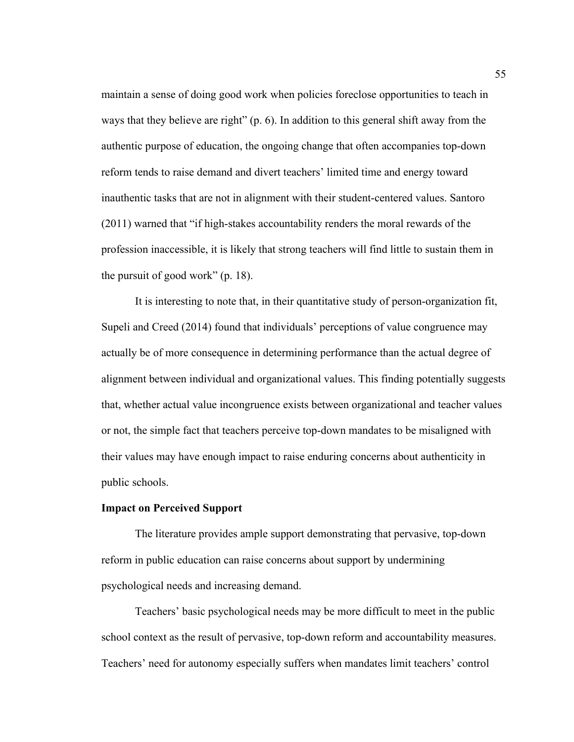maintain a sense of doing good work when policies foreclose opportunities to teach in ways that they believe are right" (p. 6). In addition to this general shift away from the authentic purpose of education, the ongoing change that often accompanies top-down reform tends to raise demand and divert teachers' limited time and energy toward inauthentic tasks that are not in alignment with their student-centered values. Santoro (2011) warned that "if high-stakes accountability renders the moral rewards of the profession inaccessible, it is likely that strong teachers will find little to sustain them in the pursuit of good work" (p. 18).

It is interesting to note that, in their quantitative study of person-organization fit, Supeli and Creed (2014) found that individuals' perceptions of value congruence may actually be of more consequence in determining performance than the actual degree of alignment between individual and organizational values. This finding potentially suggests that, whether actual value incongruence exists between organizational and teacher values or not, the simple fact that teachers perceive top-down mandates to be misaligned with their values may have enough impact to raise enduring concerns about authenticity in public schools.

#### **Impact on Perceived Support**

The literature provides ample support demonstrating that pervasive, top-down reform in public education can raise concerns about support by undermining psychological needs and increasing demand.

Teachers' basic psychological needs may be more difficult to meet in the public school context as the result of pervasive, top-down reform and accountability measures. Teachers' need for autonomy especially suffers when mandates limit teachers' control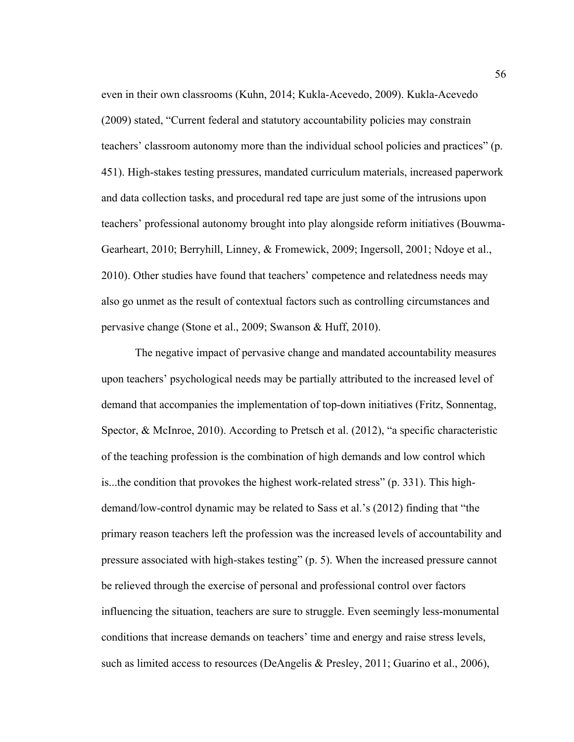even in their own classrooms (Kuhn, 2014; Kukla-Acevedo, 2009). Kukla-Acevedo (2009) stated, "Current federal and statutory accountability policies may constrain teachers' classroom autonomy more than the individual school policies and practices" (p. 451). High-stakes testing pressures, mandated curriculum materials, increased paperwork and data collection tasks, and procedural red tape are just some of the intrusions upon teachers' professional autonomy brought into play alongside reform initiatives (Bouwma-Gearheart, 2010; Berryhill, Linney, & Fromewick, 2009; Ingersoll, 2001; Ndoye et al., 2010). Other studies have found that teachers' competence and relatedness needs may also go unmet as the result of contextual factors such as controlling circumstances and pervasive change (Stone et al., 2009; Swanson & Huff, 2010).

The negative impact of pervasive change and mandated accountability measures upon teachers' psychological needs may be partially attributed to the increased level of demand that accompanies the implementation of top-down initiatives (Fritz, Sonnentag, Spector, & McInroe, 2010). According to Pretsch et al. (2012), "a specific characteristic of the teaching profession is the combination of high demands and low control which is...the condition that provokes the highest work-related stress" (p. 331). This highdemand/low-control dynamic may be related to Sass et al.'s (2012) finding that "the primary reason teachers left the profession was the increased levels of accountability and pressure associated with high-stakes testing" (p. 5). When the increased pressure cannot be relieved through the exercise of personal and professional control over factors influencing the situation, teachers are sure to struggle. Even seemingly less-monumental conditions that increase demands on teachers' time and energy and raise stress levels, such as limited access to resources (DeAngelis & Presley, 2011; Guarino et al., 2006),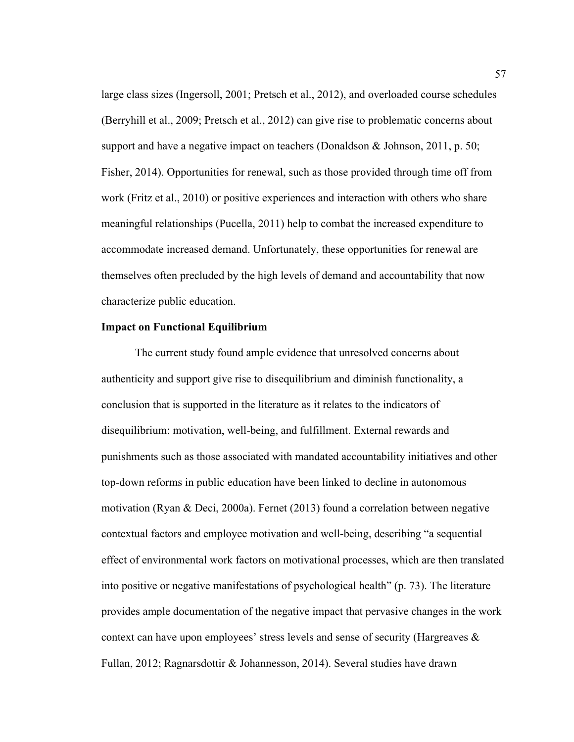large class sizes (Ingersoll, 2001; Pretsch et al., 2012), and overloaded course schedules (Berryhill et al., 2009; Pretsch et al., 2012) can give rise to problematic concerns about support and have a negative impact on teachers (Donaldson & Johnson, 2011, p. 50; Fisher, 2014). Opportunities for renewal, such as those provided through time off from work (Fritz et al., 2010) or positive experiences and interaction with others who share meaningful relationships (Pucella, 2011) help to combat the increased expenditure to accommodate increased demand. Unfortunately, these opportunities for renewal are themselves often precluded by the high levels of demand and accountability that now characterize public education.

## **Impact on Functional Equilibrium**

The current study found ample evidence that unresolved concerns about authenticity and support give rise to disequilibrium and diminish functionality, a conclusion that is supported in the literature as it relates to the indicators of disequilibrium: motivation, well-being, and fulfillment. External rewards and punishments such as those associated with mandated accountability initiatives and other top-down reforms in public education have been linked to decline in autonomous motivation (Ryan & Deci, 2000a). Fernet (2013) found a correlation between negative contextual factors and employee motivation and well-being, describing "a sequential effect of environmental work factors on motivational processes, which are then translated into positive or negative manifestations of psychological health" (p. 73). The literature provides ample documentation of the negative impact that pervasive changes in the work context can have upon employees' stress levels and sense of security (Hargreaves  $\&$ Fullan, 2012; Ragnarsdottir & Johannesson, 2014). Several studies have drawn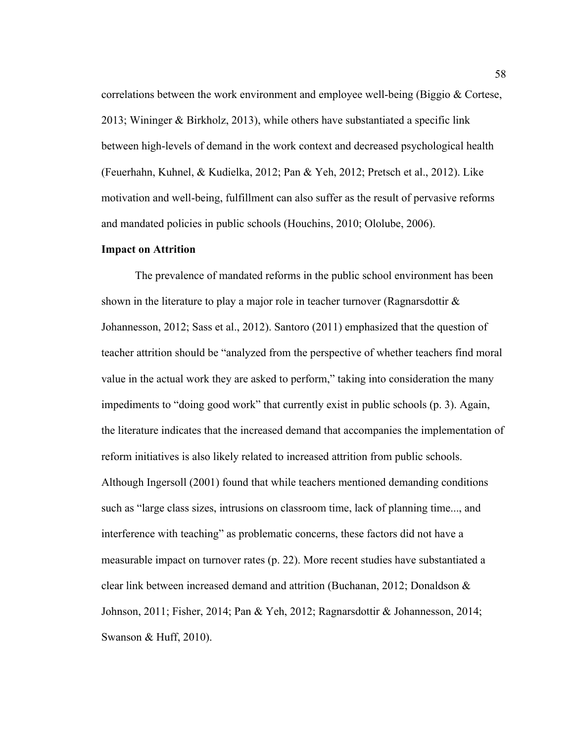correlations between the work environment and employee well-being (Biggio & Cortese, 2013; Wininger & Birkholz, 2013), while others have substantiated a specific link between high-levels of demand in the work context and decreased psychological health (Feuerhahn, Kuhnel, & Kudielka, 2012; Pan & Yeh, 2012; Pretsch et al., 2012). Like motivation and well-being, fulfillment can also suffer as the result of pervasive reforms and mandated policies in public schools (Houchins, 2010; Ololube, 2006).

# **Impact on Attrition**

The prevalence of mandated reforms in the public school environment has been shown in the literature to play a major role in teacher turnover (Ragnarsdottir  $\&$ Johannesson, 2012; Sass et al., 2012). Santoro (2011) emphasized that the question of teacher attrition should be "analyzed from the perspective of whether teachers find moral value in the actual work they are asked to perform," taking into consideration the many impediments to "doing good work" that currently exist in public schools (p. 3). Again, the literature indicates that the increased demand that accompanies the implementation of reform initiatives is also likely related to increased attrition from public schools. Although Ingersoll (2001) found that while teachers mentioned demanding conditions such as "large class sizes, intrusions on classroom time, lack of planning time..., and interference with teaching" as problematic concerns, these factors did not have a measurable impact on turnover rates (p. 22). More recent studies have substantiated a clear link between increased demand and attrition (Buchanan, 2012; Donaldson & Johnson, 2011; Fisher, 2014; Pan & Yeh, 2012; Ragnarsdottir & Johannesson, 2014; Swanson & Huff, 2010).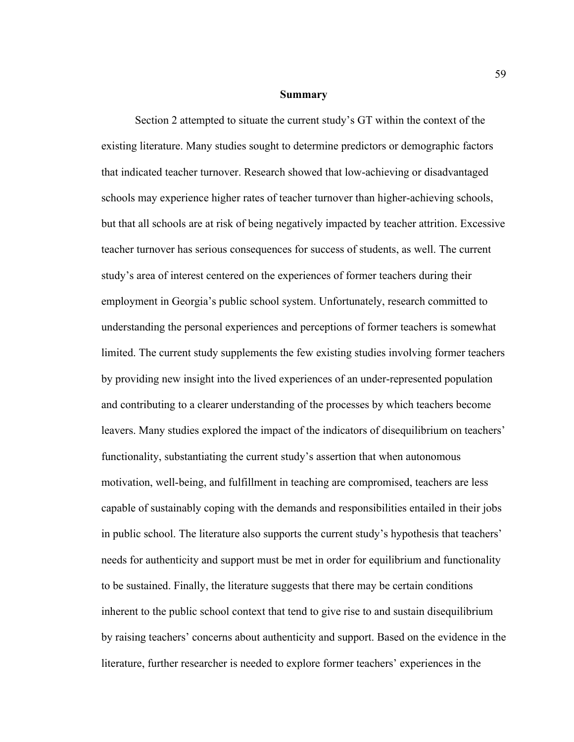#### **Summary**

Section 2 attempted to situate the current study's GT within the context of the existing literature. Many studies sought to determine predictors or demographic factors that indicated teacher turnover. Research showed that low-achieving or disadvantaged schools may experience higher rates of teacher turnover than higher-achieving schools, but that all schools are at risk of being negatively impacted by teacher attrition. Excessive teacher turnover has serious consequences for success of students, as well. The current study's area of interest centered on the experiences of former teachers during their employment in Georgia's public school system. Unfortunately, research committed to understanding the personal experiences and perceptions of former teachers is somewhat limited. The current study supplements the few existing studies involving former teachers by providing new insight into the lived experiences of an under-represented population and contributing to a clearer understanding of the processes by which teachers become leavers. Many studies explored the impact of the indicators of disequilibrium on teachers' functionality, substantiating the current study's assertion that when autonomous motivation, well-being, and fulfillment in teaching are compromised, teachers are less capable of sustainably coping with the demands and responsibilities entailed in their jobs in public school. The literature also supports the current study's hypothesis that teachers' needs for authenticity and support must be met in order for equilibrium and functionality to be sustained. Finally, the literature suggests that there may be certain conditions inherent to the public school context that tend to give rise to and sustain disequilibrium by raising teachers' concerns about authenticity and support. Based on the evidence in the literature, further researcher is needed to explore former teachers' experiences in the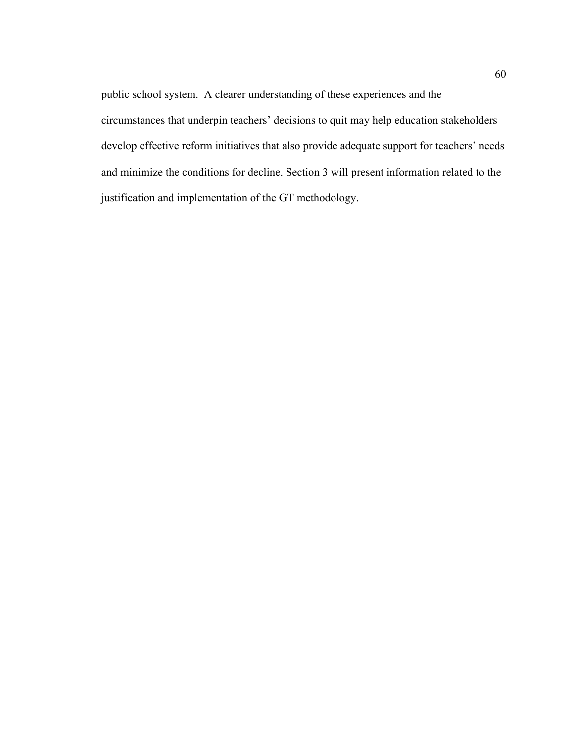public school system. A clearer understanding of these experiences and the circumstances that underpin teachers' decisions to quit may help education stakeholders develop effective reform initiatives that also provide adequate support for teachers' needs and minimize the conditions for decline. Section 3 will present information related to the justification and implementation of the GT methodology.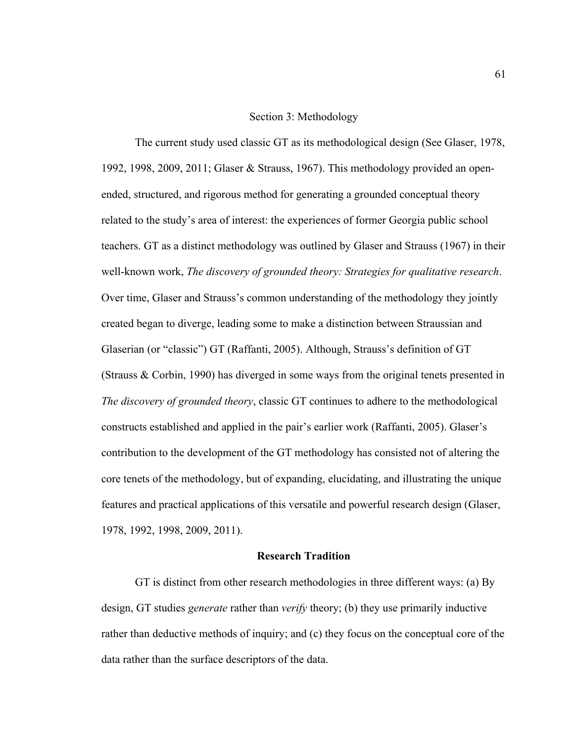#### Section 3: Methodology

The current study used classic GT as its methodological design (See Glaser, 1978, 1992, 1998, 2009, 2011; Glaser & Strauss, 1967). This methodology provided an openended, structured, and rigorous method for generating a grounded conceptual theory related to the study's area of interest: the experiences of former Georgia public school teachers. GT as a distinct methodology was outlined by Glaser and Strauss (1967) in their well-known work, *The discovery of grounded theory: Strategies for qualitative research*. Over time, Glaser and Strauss's common understanding of the methodology they jointly created began to diverge, leading some to make a distinction between Straussian and Glaserian (or "classic") GT (Raffanti, 2005). Although, Strauss's definition of GT (Strauss & Corbin, 1990) has diverged in some ways from the original tenets presented in *The discovery of grounded theory*, classic GT continues to adhere to the methodological constructs established and applied in the pair's earlier work (Raffanti, 2005). Glaser's contribution to the development of the GT methodology has consisted not of altering the core tenets of the methodology, but of expanding, elucidating, and illustrating the unique features and practical applications of this versatile and powerful research design (Glaser, 1978, 1992, 1998, 2009, 2011).

## **Research Tradition**

GT is distinct from other research methodologies in three different ways: (a) By design, GT studies *generate* rather than *verify* theory; (b) they use primarily inductive rather than deductive methods of inquiry; and (c) they focus on the conceptual core of the data rather than the surface descriptors of the data.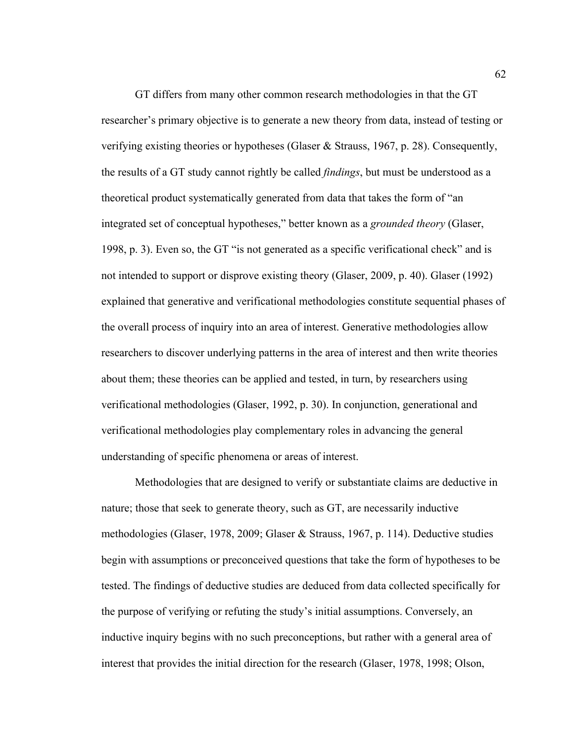GT differs from many other common research methodologies in that the GT researcher's primary objective is to generate a new theory from data, instead of testing or verifying existing theories or hypotheses (Glaser & Strauss, 1967, p. 28). Consequently, the results of a GT study cannot rightly be called *findings*, but must be understood as a theoretical product systematically generated from data that takes the form of "an integrated set of conceptual hypotheses," better known as a *grounded theory* (Glaser, 1998, p. 3). Even so, the GT "is not generated as a specific verificational check" and is not intended to support or disprove existing theory (Glaser, 2009, p. 40). Glaser (1992) explained that generative and verificational methodologies constitute sequential phases of the overall process of inquiry into an area of interest. Generative methodologies allow researchers to discover underlying patterns in the area of interest and then write theories about them; these theories can be applied and tested, in turn, by researchers using verificational methodologies (Glaser, 1992, p. 30). In conjunction, generational and verificational methodologies play complementary roles in advancing the general understanding of specific phenomena or areas of interest.

Methodologies that are designed to verify or substantiate claims are deductive in nature; those that seek to generate theory, such as GT, are necessarily inductive methodologies (Glaser, 1978, 2009; Glaser & Strauss, 1967, p. 114). Deductive studies begin with assumptions or preconceived questions that take the form of hypotheses to be tested. The findings of deductive studies are deduced from data collected specifically for the purpose of verifying or refuting the study's initial assumptions. Conversely, an inductive inquiry begins with no such preconceptions, but rather with a general area of interest that provides the initial direction for the research (Glaser, 1978, 1998; Olson,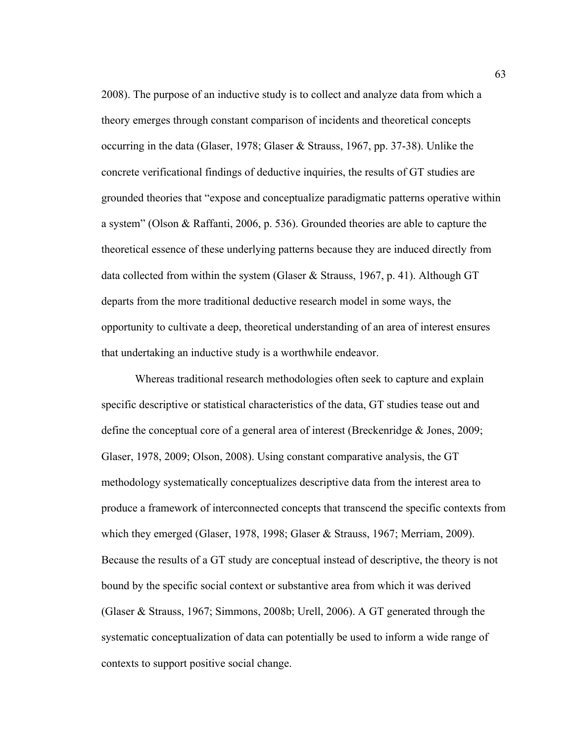2008). The purpose of an inductive study is to collect and analyze data from which a theory emerges through constant comparison of incidents and theoretical concepts occurring in the data (Glaser, 1978; Glaser & Strauss, 1967, pp. 37-38). Unlike the concrete verificational findings of deductive inquiries, the results of GT studies are grounded theories that "expose and conceptualize paradigmatic patterns operative within a system" (Olson & Raffanti, 2006, p. 536). Grounded theories are able to capture the theoretical essence of these underlying patterns because they are induced directly from data collected from within the system (Glaser & Strauss, 1967, p. 41). Although GT departs from the more traditional deductive research model in some ways, the opportunity to cultivate a deep, theoretical understanding of an area of interest ensures that undertaking an inductive study is a worthwhile endeavor.

Whereas traditional research methodologies often seek to capture and explain specific descriptive or statistical characteristics of the data, GT studies tease out and define the conceptual core of a general area of interest (Breckenridge & Jones, 2009; Glaser, 1978, 2009; Olson, 2008). Using constant comparative analysis, the GT methodology systematically conceptualizes descriptive data from the interest area to produce a framework of interconnected concepts that transcend the specific contexts from which they emerged (Glaser, 1978, 1998; Glaser & Strauss, 1967; Merriam, 2009). Because the results of a GT study are conceptual instead of descriptive, the theory is not bound by the specific social context or substantive area from which it was derived (Glaser & Strauss, 1967; Simmons, 2008b; Urell, 2006). A GT generated through the systematic conceptualization of data can potentially be used to inform a wide range of contexts to support positive social change.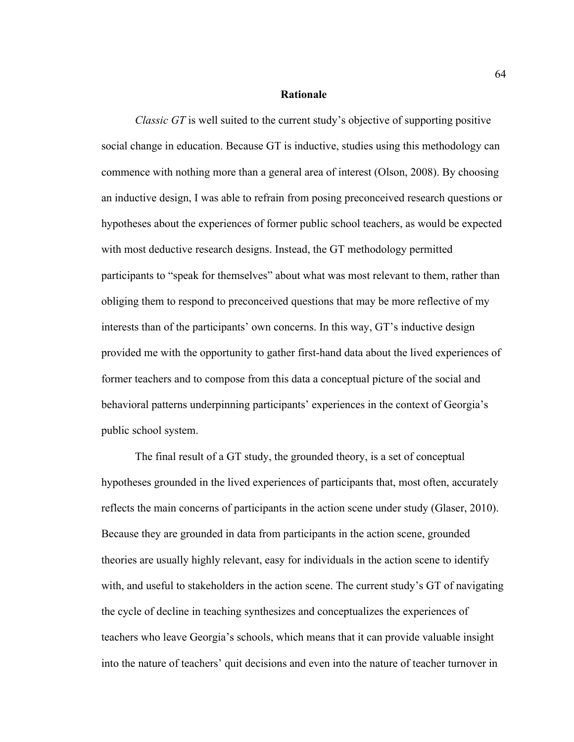#### **Rationale**

*Classic GT* is well suited to the current study's objective of supporting positive social change in education. Because GT is inductive, studies using this methodology can commence with nothing more than a general area of interest (Olson, 2008). By choosing an inductive design, I was able to refrain from posing preconceived research questions or hypotheses about the experiences of former public school teachers, as would be expected with most deductive research designs. Instead, the GT methodology permitted participants to "speak for themselves" about what was most relevant to them, rather than obliging them to respond to preconceived questions that may be more reflective of my interests than of the participants' own concerns. In this way, GT's inductive design provided me with the opportunity to gather first-hand data about the lived experiences of former teachers and to compose from this data a conceptual picture of the social and behavioral patterns underpinning participants' experiences in the context of Georgia's public school system.

The final result of a GT study, the grounded theory, is a set of conceptual hypotheses grounded in the lived experiences of participants that, most often, accurately reflects the main concerns of participants in the action scene under study (Glaser, 2010). Because they are grounded in data from participants in the action scene, grounded theories are usually highly relevant, easy for individuals in the action scene to identify with, and useful to stakeholders in the action scene. The current study's GT of navigating the cycle of decline in teaching synthesizes and conceptualizes the experiences of teachers who leave Georgia's schools, which means that it can provide valuable insight into the nature of teachers' quit decisions and even into the nature of teacher turnover in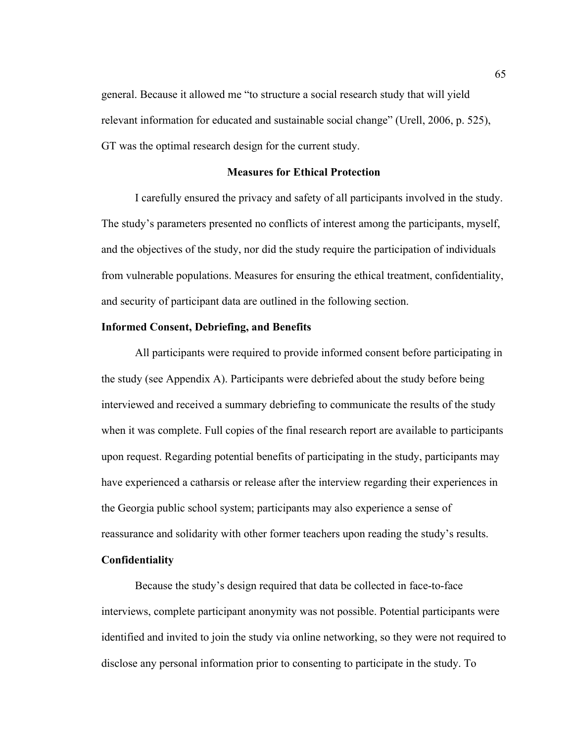general. Because it allowed me "to structure a social research study that will yield relevant information for educated and sustainable social change" (Urell, 2006, p. 525), GT was the optimal research design for the current study.

# **Measures for Ethical Protection**

I carefully ensured the privacy and safety of all participants involved in the study. The study's parameters presented no conflicts of interest among the participants, myself, and the objectives of the study, nor did the study require the participation of individuals from vulnerable populations. Measures for ensuring the ethical treatment, confidentiality, and security of participant data are outlined in the following section.

## **Informed Consent, Debriefing, and Benefits**

All participants were required to provide informed consent before participating in the study (see Appendix A). Participants were debriefed about the study before being interviewed and received a summary debriefing to communicate the results of the study when it was complete. Full copies of the final research report are available to participants upon request. Regarding potential benefits of participating in the study, participants may have experienced a catharsis or release after the interview regarding their experiences in the Georgia public school system; participants may also experience a sense of reassurance and solidarity with other former teachers upon reading the study's results.

# **Confidentiality**

Because the study's design required that data be collected in face-to-face interviews, complete participant anonymity was not possible. Potential participants were identified and invited to join the study via online networking, so they were not required to disclose any personal information prior to consenting to participate in the study. To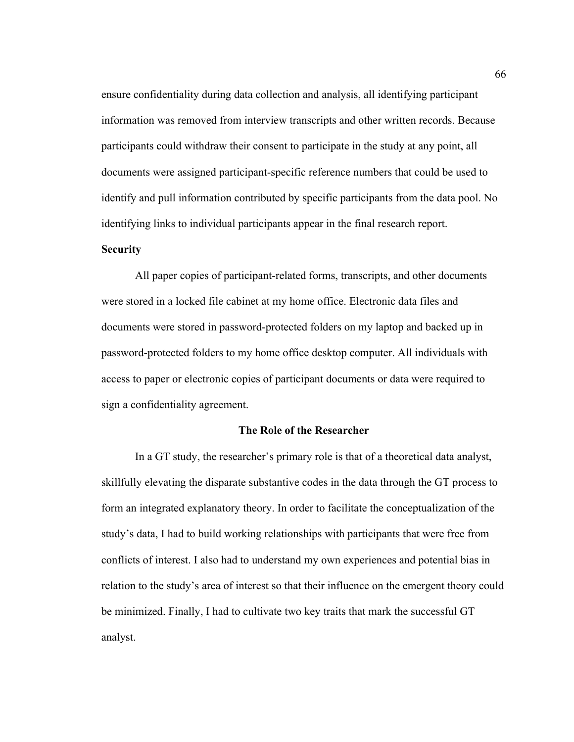ensure confidentiality during data collection and analysis, all identifying participant information was removed from interview transcripts and other written records. Because participants could withdraw their consent to participate in the study at any point, all documents were assigned participant-specific reference numbers that could be used to identify and pull information contributed by specific participants from the data pool. No identifying links to individual participants appear in the final research report.

# **Security**

All paper copies of participant-related forms, transcripts, and other documents were stored in a locked file cabinet at my home office. Electronic data files and documents were stored in password-protected folders on my laptop and backed up in password-protected folders to my home office desktop computer. All individuals with access to paper or electronic copies of participant documents or data were required to sign a confidentiality agreement.

## **The Role of the Researcher**

In a GT study, the researcher's primary role is that of a theoretical data analyst, skillfully elevating the disparate substantive codes in the data through the GT process to form an integrated explanatory theory. In order to facilitate the conceptualization of the study's data, I had to build working relationships with participants that were free from conflicts of interest. I also had to understand my own experiences and potential bias in relation to the study's area of interest so that their influence on the emergent theory could be minimized. Finally, I had to cultivate two key traits that mark the successful GT analyst.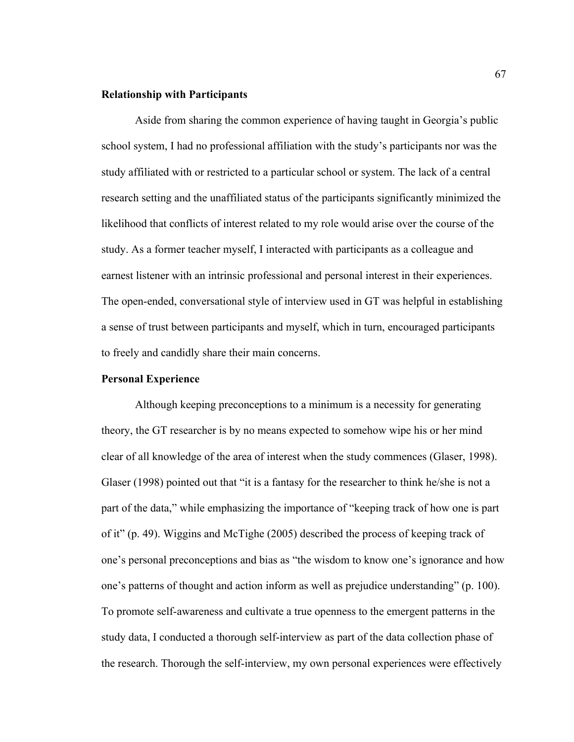## **Relationship with Participants**

Aside from sharing the common experience of having taught in Georgia's public school system, I had no professional affiliation with the study's participants nor was the study affiliated with or restricted to a particular school or system. The lack of a central research setting and the unaffiliated status of the participants significantly minimized the likelihood that conflicts of interest related to my role would arise over the course of the study. As a former teacher myself, I interacted with participants as a colleague and earnest listener with an intrinsic professional and personal interest in their experiences. The open-ended, conversational style of interview used in GT was helpful in establishing a sense of trust between participants and myself, which in turn, encouraged participants to freely and candidly share their main concerns.

#### **Personal Experience**

Although keeping preconceptions to a minimum is a necessity for generating theory, the GT researcher is by no means expected to somehow wipe his or her mind clear of all knowledge of the area of interest when the study commences (Glaser, 1998). Glaser (1998) pointed out that "it is a fantasy for the researcher to think he/she is not a part of the data," while emphasizing the importance of "keeping track of how one is part of it" (p. 49). Wiggins and McTighe (2005) described the process of keeping track of one's personal preconceptions and bias as "the wisdom to know one's ignorance and how one's patterns of thought and action inform as well as prejudice understanding" (p. 100). To promote self-awareness and cultivate a true openness to the emergent patterns in the study data, I conducted a thorough self-interview as part of the data collection phase of the research. Thorough the self-interview, my own personal experiences were effectively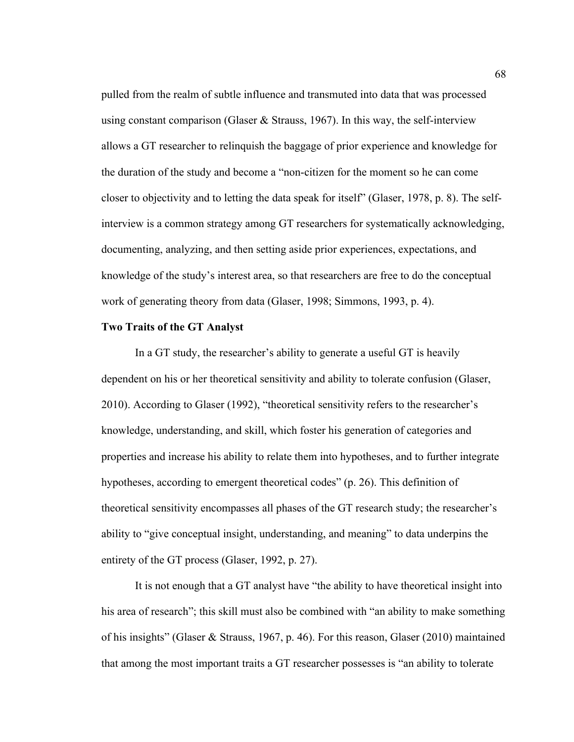pulled from the realm of subtle influence and transmuted into data that was processed using constant comparison (Glaser  $&$  Strauss, 1967). In this way, the self-interview allows a GT researcher to relinquish the baggage of prior experience and knowledge for the duration of the study and become a "non-citizen for the moment so he can come closer to objectivity and to letting the data speak for itself" (Glaser, 1978, p. 8). The selfinterview is a common strategy among GT researchers for systematically acknowledging, documenting, analyzing, and then setting aside prior experiences, expectations, and knowledge of the study's interest area, so that researchers are free to do the conceptual work of generating theory from data (Glaser, 1998; Simmons, 1993, p. 4).

## **Two Traits of the GT Analyst**

In a GT study, the researcher's ability to generate a useful GT is heavily dependent on his or her theoretical sensitivity and ability to tolerate confusion (Glaser, 2010). According to Glaser (1992), "theoretical sensitivity refers to the researcher's knowledge, understanding, and skill, which foster his generation of categories and properties and increase his ability to relate them into hypotheses, and to further integrate hypotheses, according to emergent theoretical codes" (p. 26). This definition of theoretical sensitivity encompasses all phases of the GT research study; the researcher's ability to "give conceptual insight, understanding, and meaning" to data underpins the entirety of the GT process (Glaser, 1992, p. 27).

It is not enough that a GT analyst have "the ability to have theoretical insight into his area of research"; this skill must also be combined with "an ability to make something of his insights" (Glaser & Strauss, 1967, p. 46). For this reason, Glaser (2010) maintained that among the most important traits a GT researcher possesses is "an ability to tolerate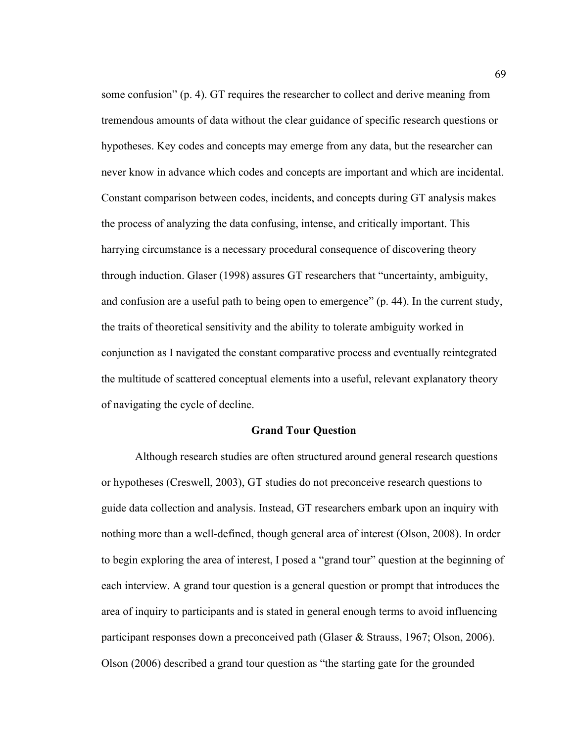some confusion" (p. 4). GT requires the researcher to collect and derive meaning from tremendous amounts of data without the clear guidance of specific research questions or hypotheses. Key codes and concepts may emerge from any data, but the researcher can never know in advance which codes and concepts are important and which are incidental. Constant comparison between codes, incidents, and concepts during GT analysis makes the process of analyzing the data confusing, intense, and critically important. This harrying circumstance is a necessary procedural consequence of discovering theory through induction. Glaser (1998) assures GT researchers that "uncertainty, ambiguity, and confusion are a useful path to being open to emergence" (p. 44). In the current study, the traits of theoretical sensitivity and the ability to tolerate ambiguity worked in conjunction as I navigated the constant comparative process and eventually reintegrated the multitude of scattered conceptual elements into a useful, relevant explanatory theory of navigating the cycle of decline.

#### **Grand Tour Question**

Although research studies are often structured around general research questions or hypotheses (Creswell, 2003), GT studies do not preconceive research questions to guide data collection and analysis. Instead, GT researchers embark upon an inquiry with nothing more than a well-defined, though general area of interest (Olson, 2008). In order to begin exploring the area of interest, I posed a "grand tour" question at the beginning of each interview. A grand tour question is a general question or prompt that introduces the area of inquiry to participants and is stated in general enough terms to avoid influencing participant responses down a preconceived path (Glaser & Strauss, 1967; Olson, 2006). Olson (2006) described a grand tour question as "the starting gate for the grounded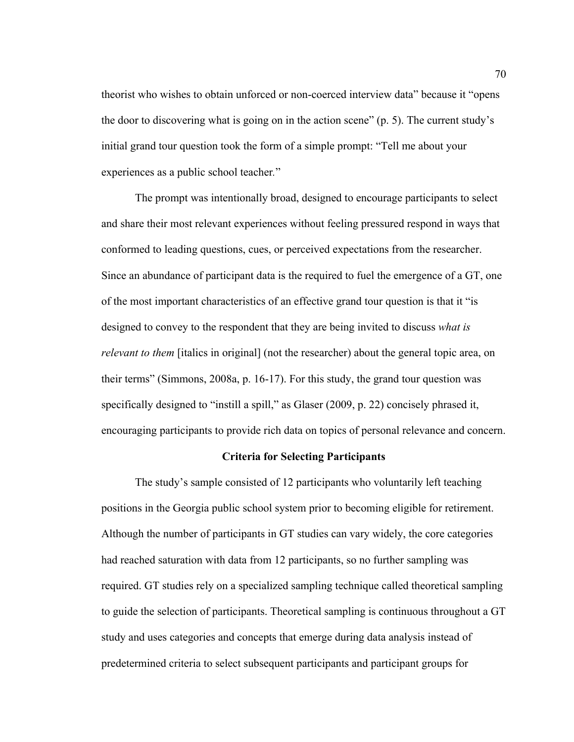theorist who wishes to obtain unforced or non-coerced interview data" because it "opens the door to discovering what is going on in the action scene" (p. 5). The current study's initial grand tour question took the form of a simple prompt: "Tell me about your experiences as a public school teacher*.*"

The prompt was intentionally broad, designed to encourage participants to select and share their most relevant experiences without feeling pressured respond in ways that conformed to leading questions, cues, or perceived expectations from the researcher. Since an abundance of participant data is the required to fuel the emergence of a GT, one of the most important characteristics of an effective grand tour question is that it "is designed to convey to the respondent that they are being invited to discuss *what is relevant to them* [italics in original] (not the researcher) about the general topic area, on their terms" (Simmons, 2008a, p. 16-17). For this study, the grand tour question was specifically designed to "instill a spill," as Glaser (2009, p. 22) concisely phrased it, encouraging participants to provide rich data on topics of personal relevance and concern.

# **Criteria for Selecting Participants**

The study's sample consisted of 12 participants who voluntarily left teaching positions in the Georgia public school system prior to becoming eligible for retirement. Although the number of participants in GT studies can vary widely, the core categories had reached saturation with data from 12 participants, so no further sampling was required. GT studies rely on a specialized sampling technique called theoretical sampling to guide the selection of participants. Theoretical sampling is continuous throughout a GT study and uses categories and concepts that emerge during data analysis instead of predetermined criteria to select subsequent participants and participant groups for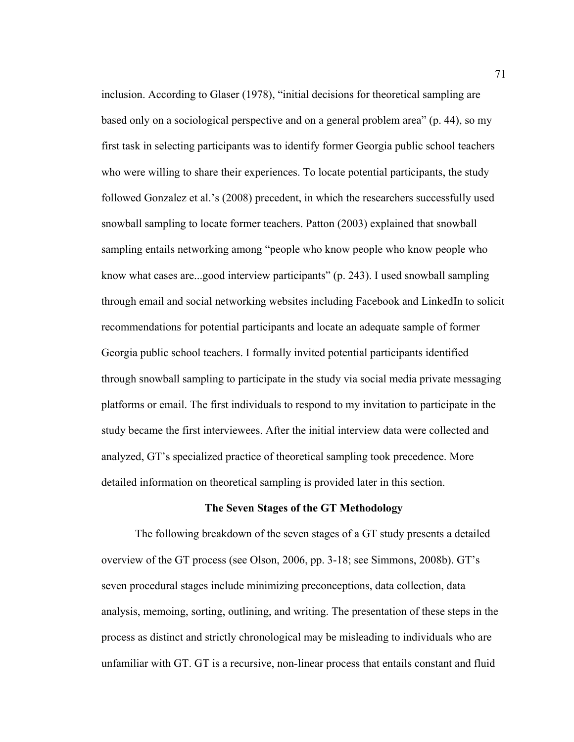inclusion. According to Glaser (1978), "initial decisions for theoretical sampling are based only on a sociological perspective and on a general problem area" (p. 44), so my first task in selecting participants was to identify former Georgia public school teachers who were willing to share their experiences. To locate potential participants, the study followed Gonzalez et al.'s (2008) precedent, in which the researchers successfully used snowball sampling to locate former teachers. Patton (2003) explained that snowball sampling entails networking among "people who know people who know people who know what cases are...good interview participants" (p. 243). I used snowball sampling through email and social networking websites including Facebook and LinkedIn to solicit recommendations for potential participants and locate an adequate sample of former Georgia public school teachers. I formally invited potential participants identified through snowball sampling to participate in the study via social media private messaging platforms or email. The first individuals to respond to my invitation to participate in the study became the first interviewees. After the initial interview data were collected and analyzed, GT's specialized practice of theoretical sampling took precedence. More detailed information on theoretical sampling is provided later in this section.

#### **The Seven Stages of the GT Methodology**

The following breakdown of the seven stages of a GT study presents a detailed overview of the GT process (see Olson, 2006, pp. 3-18; see Simmons, 2008b). GT's seven procedural stages include minimizing preconceptions, data collection, data analysis, memoing, sorting, outlining, and writing. The presentation of these steps in the process as distinct and strictly chronological may be misleading to individuals who are unfamiliar with GT. GT is a recursive, non-linear process that entails constant and fluid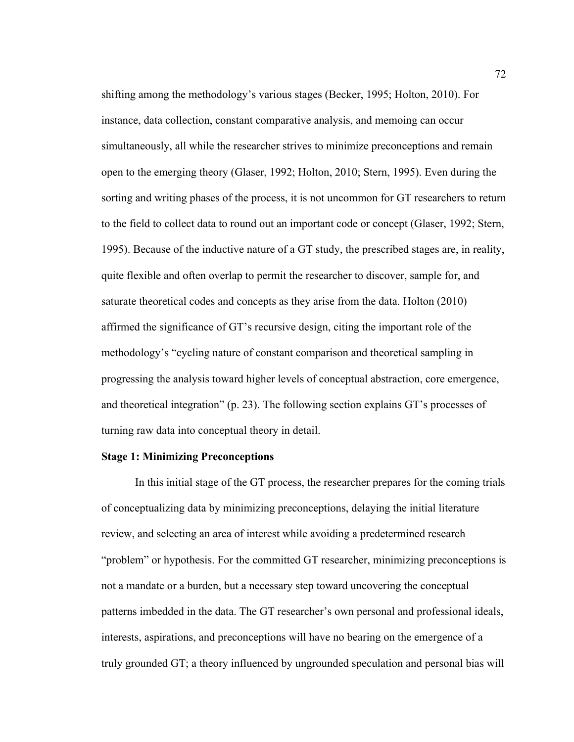shifting among the methodology's various stages (Becker, 1995; Holton, 2010). For instance, data collection, constant comparative analysis, and memoing can occur simultaneously, all while the researcher strives to minimize preconceptions and remain open to the emerging theory (Glaser, 1992; Holton, 2010; Stern, 1995). Even during the sorting and writing phases of the process, it is not uncommon for GT researchers to return to the field to collect data to round out an important code or concept (Glaser, 1992; Stern, 1995). Because of the inductive nature of a GT study, the prescribed stages are, in reality, quite flexible and often overlap to permit the researcher to discover, sample for, and saturate theoretical codes and concepts as they arise from the data. Holton (2010) affirmed the significance of GT's recursive design, citing the important role of the methodology's "cycling nature of constant comparison and theoretical sampling in progressing the analysis toward higher levels of conceptual abstraction, core emergence, and theoretical integration" (p. 23). The following section explains GT's processes of turning raw data into conceptual theory in detail.

#### **Stage 1: Minimizing Preconceptions**

In this initial stage of the GT process, the researcher prepares for the coming trials of conceptualizing data by minimizing preconceptions, delaying the initial literature review, and selecting an area of interest while avoiding a predetermined research "problem" or hypothesis. For the committed GT researcher, minimizing preconceptions is not a mandate or a burden, but a necessary step toward uncovering the conceptual patterns imbedded in the data. The GT researcher's own personal and professional ideals, interests, aspirations, and preconceptions will have no bearing on the emergence of a truly grounded GT; a theory influenced by ungrounded speculation and personal bias will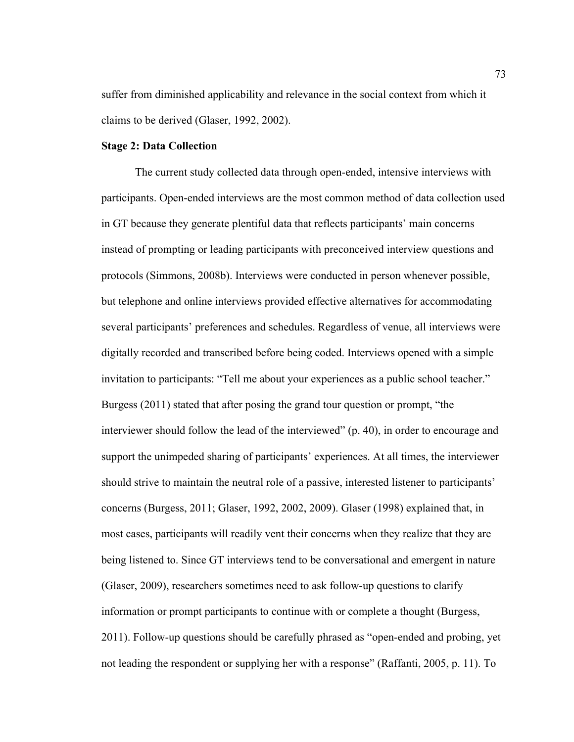suffer from diminished applicability and relevance in the social context from which it claims to be derived (Glaser, 1992, 2002).

#### **Stage 2: Data Collection**

The current study collected data through open-ended, intensive interviews with participants. Open-ended interviews are the most common method of data collection used in GT because they generate plentiful data that reflects participants' main concerns instead of prompting or leading participants with preconceived interview questions and protocols (Simmons, 2008b). Interviews were conducted in person whenever possible, but telephone and online interviews provided effective alternatives for accommodating several participants' preferences and schedules. Regardless of venue, all interviews were digitally recorded and transcribed before being coded. Interviews opened with a simple invitation to participants: "Tell me about your experiences as a public school teacher." Burgess (2011) stated that after posing the grand tour question or prompt, "the interviewer should follow the lead of the interviewed" (p. 40), in order to encourage and support the unimpeded sharing of participants' experiences. At all times, the interviewer should strive to maintain the neutral role of a passive, interested listener to participants' concerns (Burgess, 2011; Glaser, 1992, 2002, 2009). Glaser (1998) explained that, in most cases, participants will readily vent their concerns when they realize that they are being listened to. Since GT interviews tend to be conversational and emergent in nature (Glaser, 2009), researchers sometimes need to ask follow-up questions to clarify information or prompt participants to continue with or complete a thought (Burgess, 2011). Follow-up questions should be carefully phrased as "open-ended and probing, yet not leading the respondent or supplying her with a response" (Raffanti, 2005, p. 11). To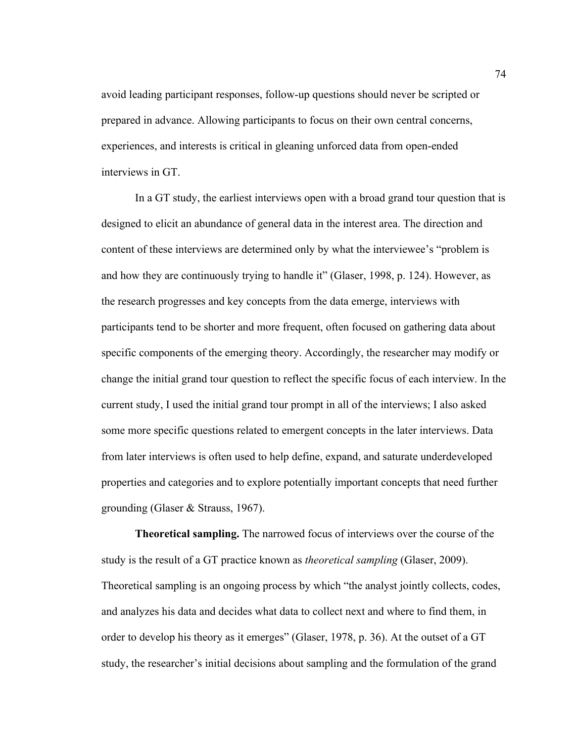avoid leading participant responses, follow-up questions should never be scripted or prepared in advance. Allowing participants to focus on their own central concerns, experiences, and interests is critical in gleaning unforced data from open-ended interviews in GT.

In a GT study, the earliest interviews open with a broad grand tour question that is designed to elicit an abundance of general data in the interest area. The direction and content of these interviews are determined only by what the interviewee's "problem is and how they are continuously trying to handle it" (Glaser, 1998, p. 124). However, as the research progresses and key concepts from the data emerge, interviews with participants tend to be shorter and more frequent, often focused on gathering data about specific components of the emerging theory. Accordingly, the researcher may modify or change the initial grand tour question to reflect the specific focus of each interview. In the current study, I used the initial grand tour prompt in all of the interviews; I also asked some more specific questions related to emergent concepts in the later interviews. Data from later interviews is often used to help define, expand, and saturate underdeveloped properties and categories and to explore potentially important concepts that need further grounding (Glaser & Strauss, 1967).

**Theoretical sampling.** The narrowed focus of interviews over the course of the study is the result of a GT practice known as *theoretical sampling* (Glaser, 2009). Theoretical sampling is an ongoing process by which "the analyst jointly collects, codes, and analyzes his data and decides what data to collect next and where to find them, in order to develop his theory as it emerges" (Glaser, 1978, p. 36). At the outset of a GT study, the researcher's initial decisions about sampling and the formulation of the grand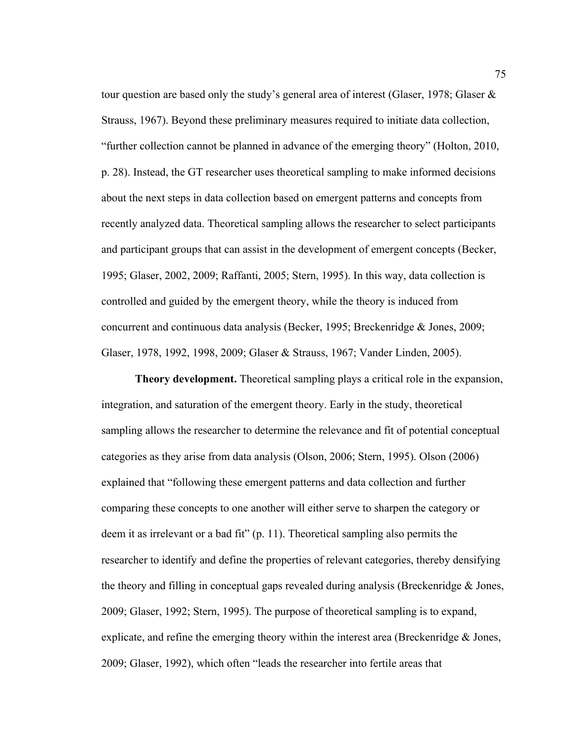tour question are based only the study's general area of interest (Glaser, 1978; Glaser & Strauss, 1967). Beyond these preliminary measures required to initiate data collection, "further collection cannot be planned in advance of the emerging theory" (Holton, 2010, p. 28). Instead, the GT researcher uses theoretical sampling to make informed decisions about the next steps in data collection based on emergent patterns and concepts from recently analyzed data. Theoretical sampling allows the researcher to select participants and participant groups that can assist in the development of emergent concepts (Becker, 1995; Glaser, 2002, 2009; Raffanti, 2005; Stern, 1995). In this way, data collection is controlled and guided by the emergent theory, while the theory is induced from concurrent and continuous data analysis (Becker, 1995; Breckenridge & Jones, 2009; Glaser, 1978, 1992, 1998, 2009; Glaser & Strauss, 1967; Vander Linden, 2005).

**Theory development.** Theoretical sampling plays a critical role in the expansion, integration, and saturation of the emergent theory. Early in the study, theoretical sampling allows the researcher to determine the relevance and fit of potential conceptual categories as they arise from data analysis (Olson, 2006; Stern, 1995). Olson (2006) explained that "following these emergent patterns and data collection and further comparing these concepts to one another will either serve to sharpen the category or deem it as irrelevant or a bad fit" (p. 11). Theoretical sampling also permits the researcher to identify and define the properties of relevant categories, thereby densifying the theory and filling in conceptual gaps revealed during analysis (Breckenridge & Jones, 2009; Glaser, 1992; Stern, 1995). The purpose of theoretical sampling is to expand, explicate, and refine the emerging theory within the interest area (Breckenridge  $\&$  Jones, 2009; Glaser, 1992), which often "leads the researcher into fertile areas that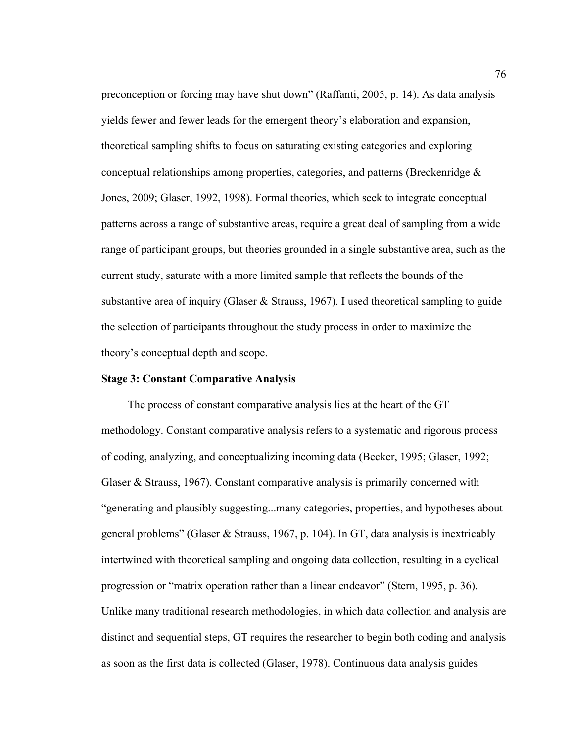preconception or forcing may have shut down" (Raffanti, 2005, p. 14). As data analysis yields fewer and fewer leads for the emergent theory's elaboration and expansion, theoretical sampling shifts to focus on saturating existing categories and exploring conceptual relationships among properties, categories, and patterns (Breckenridge  $\&$ Jones, 2009; Glaser, 1992, 1998). Formal theories, which seek to integrate conceptual patterns across a range of substantive areas, require a great deal of sampling from a wide range of participant groups, but theories grounded in a single substantive area, such as the current study, saturate with a more limited sample that reflects the bounds of the substantive area of inquiry (Glaser & Strauss, 1967). I used theoretical sampling to guide the selection of participants throughout the study process in order to maximize the theory's conceptual depth and scope.

#### **Stage 3: Constant Comparative Analysis**

The process of constant comparative analysis lies at the heart of the GT methodology. Constant comparative analysis refers to a systematic and rigorous process of coding, analyzing, and conceptualizing incoming data (Becker, 1995; Glaser, 1992; Glaser & Strauss, 1967). Constant comparative analysis is primarily concerned with "generating and plausibly suggesting...many categories, properties, and hypotheses about general problems" (Glaser & Strauss, 1967, p. 104). In GT, data analysis is inextricably intertwined with theoretical sampling and ongoing data collection, resulting in a cyclical progression or "matrix operation rather than a linear endeavor" (Stern, 1995, p. 36). Unlike many traditional research methodologies, in which data collection and analysis are distinct and sequential steps, GT requires the researcher to begin both coding and analysis as soon as the first data is collected (Glaser, 1978). Continuous data analysis guides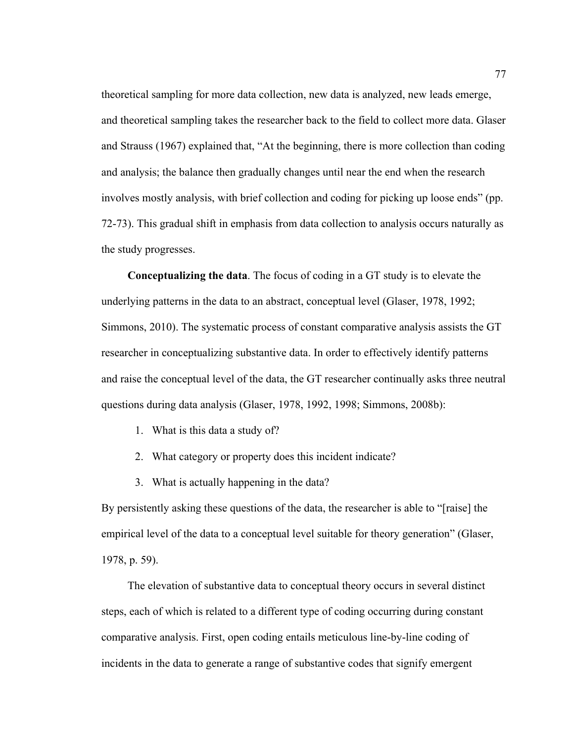theoretical sampling for more data collection, new data is analyzed, new leads emerge, and theoretical sampling takes the researcher back to the field to collect more data. Glaser and Strauss (1967) explained that, "At the beginning, there is more collection than coding and analysis; the balance then gradually changes until near the end when the research involves mostly analysis, with brief collection and coding for picking up loose ends" (pp. 72-73). This gradual shift in emphasis from data collection to analysis occurs naturally as the study progresses.

**Conceptualizing the data**. The focus of coding in a GT study is to elevate the underlying patterns in the data to an abstract, conceptual level (Glaser, 1978, 1992; Simmons, 2010). The systematic process of constant comparative analysis assists the GT researcher in conceptualizing substantive data. In order to effectively identify patterns and raise the conceptual level of the data, the GT researcher continually asks three neutral questions during data analysis (Glaser, 1978, 1992, 1998; Simmons, 2008b):

- 1. What is this data a study of?
- 2. What category or property does this incident indicate?
- 3. What is actually happening in the data?

By persistently asking these questions of the data, the researcher is able to "[raise] the empirical level of the data to a conceptual level suitable for theory generation" (Glaser, 1978, p. 59).

The elevation of substantive data to conceptual theory occurs in several distinct steps, each of which is related to a different type of coding occurring during constant comparative analysis. First, open coding entails meticulous line-by-line coding of incidents in the data to generate a range of substantive codes that signify emergent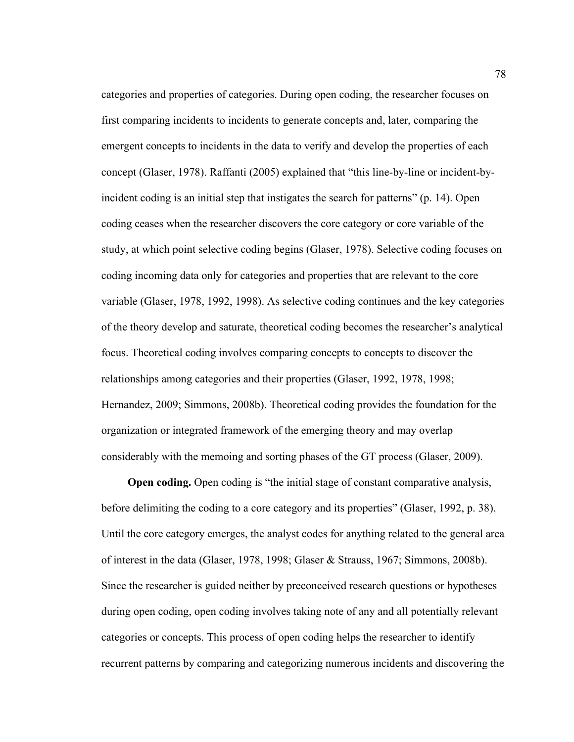categories and properties of categories. During open coding, the researcher focuses on first comparing incidents to incidents to generate concepts and, later, comparing the emergent concepts to incidents in the data to verify and develop the properties of each concept (Glaser, 1978). Raffanti (2005) explained that "this line-by-line or incident-byincident coding is an initial step that instigates the search for patterns" (p. 14). Open coding ceases when the researcher discovers the core category or core variable of the study, at which point selective coding begins (Glaser, 1978). Selective coding focuses on coding incoming data only for categories and properties that are relevant to the core variable (Glaser, 1978, 1992, 1998). As selective coding continues and the key categories of the theory develop and saturate, theoretical coding becomes the researcher's analytical focus. Theoretical coding involves comparing concepts to concepts to discover the relationships among categories and their properties (Glaser, 1992, 1978, 1998; Hernandez, 2009; Simmons, 2008b). Theoretical coding provides the foundation for the organization or integrated framework of the emerging theory and may overlap considerably with the memoing and sorting phases of the GT process (Glaser, 2009).

**Open coding.** Open coding is "the initial stage of constant comparative analysis, before delimiting the coding to a core category and its properties" (Glaser, 1992, p. 38). Until the core category emerges, the analyst codes for anything related to the general area of interest in the data (Glaser, 1978, 1998; Glaser & Strauss, 1967; Simmons, 2008b). Since the researcher is guided neither by preconceived research questions or hypotheses during open coding, open coding involves taking note of any and all potentially relevant categories or concepts. This process of open coding helps the researcher to identify recurrent patterns by comparing and categorizing numerous incidents and discovering the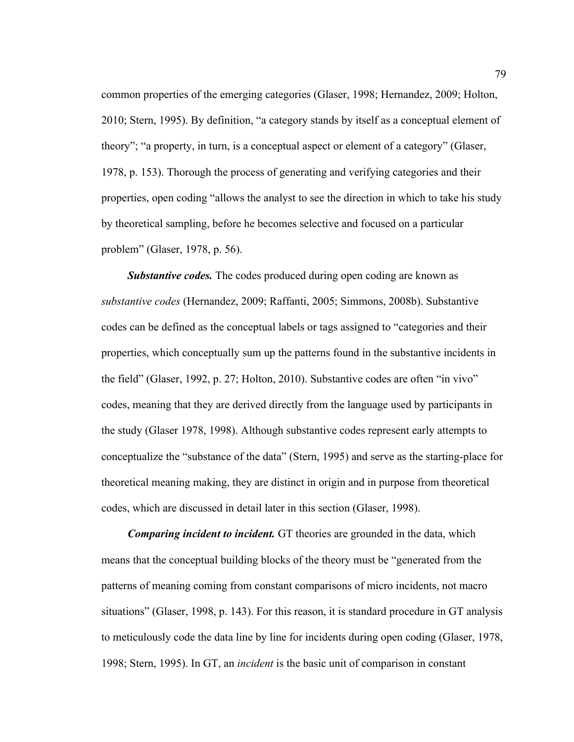common properties of the emerging categories (Glaser, 1998; Hernandez, 2009; Holton, 2010; Stern, 1995). By definition, "a category stands by itself as a conceptual element of theory"; "a property, in turn, is a conceptual aspect or element of a category" (Glaser, 1978, p. 153). Thorough the process of generating and verifying categories and their properties, open coding "allows the analyst to see the direction in which to take his study by theoretical sampling, before he becomes selective and focused on a particular problem" (Glaser, 1978, p. 56).

**Substantive codes.** The codes produced during open coding are known as *substantive codes* (Hernandez, 2009; Raffanti, 2005; Simmons, 2008b). Substantive codes can be defined as the conceptual labels or tags assigned to "categories and their properties, which conceptually sum up the patterns found in the substantive incidents in the field" (Glaser, 1992, p. 27; Holton, 2010). Substantive codes are often "in vivo" codes, meaning that they are derived directly from the language used by participants in the study (Glaser 1978, 1998). Although substantive codes represent early attempts to conceptualize the "substance of the data" (Stern, 1995) and serve as the starting-place for theoretical meaning making, they are distinct in origin and in purpose from theoretical codes, which are discussed in detail later in this section (Glaser, 1998).

*Comparing incident to incident.* GT theories are grounded in the data, which means that the conceptual building blocks of the theory must be "generated from the patterns of meaning coming from constant comparisons of micro incidents, not macro situations" (Glaser, 1998, p. 143). For this reason, it is standard procedure in GT analysis to meticulously code the data line by line for incidents during open coding (Glaser, 1978, 1998; Stern, 1995). In GT, an *incident* is the basic unit of comparison in constant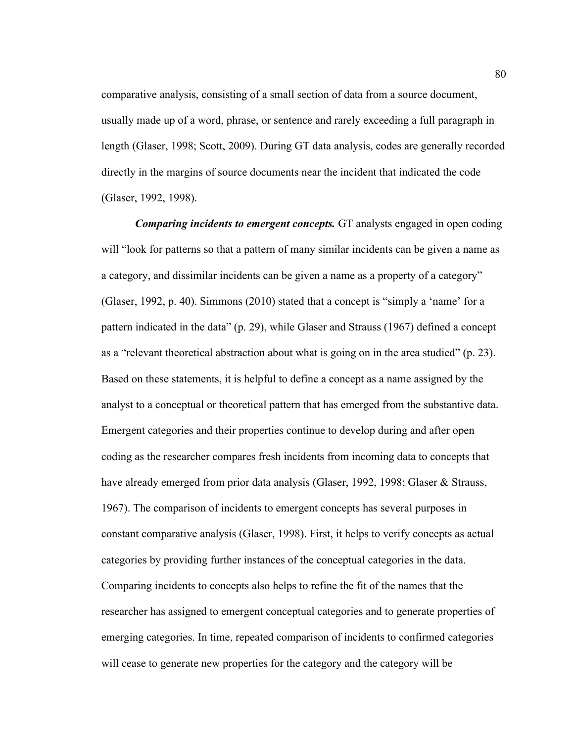comparative analysis, consisting of a small section of data from a source document, usually made up of a word, phrase, or sentence and rarely exceeding a full paragraph in length (Glaser, 1998; Scott, 2009). During GT data analysis, codes are generally recorded directly in the margins of source documents near the incident that indicated the code (Glaser, 1992, 1998).

*Comparing incidents to emergent concepts.* GT analysts engaged in open coding will "look for patterns so that a pattern of many similar incidents can be given a name as a category, and dissimilar incidents can be given a name as a property of a category" (Glaser, 1992, p. 40). Simmons (2010) stated that a concept is "simply a 'name' for a pattern indicated in the data" (p. 29), while Glaser and Strauss (1967) defined a concept as a "relevant theoretical abstraction about what is going on in the area studied" (p. 23). Based on these statements, it is helpful to define a concept as a name assigned by the analyst to a conceptual or theoretical pattern that has emerged from the substantive data. Emergent categories and their properties continue to develop during and after open coding as the researcher compares fresh incidents from incoming data to concepts that have already emerged from prior data analysis (Glaser, 1992, 1998; Glaser & Strauss, 1967). The comparison of incidents to emergent concepts has several purposes in constant comparative analysis (Glaser, 1998). First, it helps to verify concepts as actual categories by providing further instances of the conceptual categories in the data. Comparing incidents to concepts also helps to refine the fit of the names that the researcher has assigned to emergent conceptual categories and to generate properties of emerging categories. In time, repeated comparison of incidents to confirmed categories will cease to generate new properties for the category and the category will be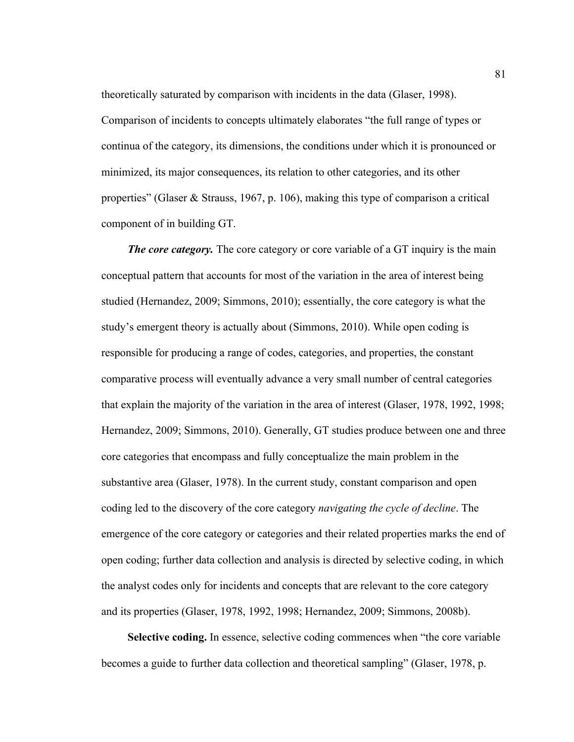theoretically saturated by comparison with incidents in the data (Glaser, 1998). Comparison of incidents to concepts ultimately elaborates "the full range of types or continua of the category, its dimensions, the conditions under which it is pronounced or minimized, its major consequences, its relation to other categories, and its other properties" (Glaser & Strauss, 1967, p. 106), making this type of comparison a critical component of in building GT.

*The core category.* The core category or core variable of a GT inquiry is the main conceptual pattern that accounts for most of the variation in the area of interest being studied (Hernandez, 2009; Simmons, 2010); essentially, the core category is what the study's emergent theory is actually about (Simmons, 2010). While open coding is responsible for producing a range of codes, categories, and properties, the constant comparative process will eventually advance a very small number of central categories that explain the majority of the variation in the area of interest (Glaser, 1978, 1992, 1998; Hernandez, 2009; Simmons, 2010). Generally, GT studies produce between one and three core categories that encompass and fully conceptualize the main problem in the substantive area (Glaser, 1978). In the current study, constant comparison and open coding led to the discovery of the core category *navigating the cycle of decline*. The emergence of the core category or categories and their related properties marks the end of open coding; further data collection and analysis is directed by selective coding, in which the analyst codes only for incidents and concepts that are relevant to the core category and its properties (Glaser, 1978, 1992, 1998; Hernandez, 2009; Simmons, 2008b).

**Selective coding.** In essence, selective coding commences when "the core variable becomes a guide to further data collection and theoretical sampling" (Glaser, 1978, p.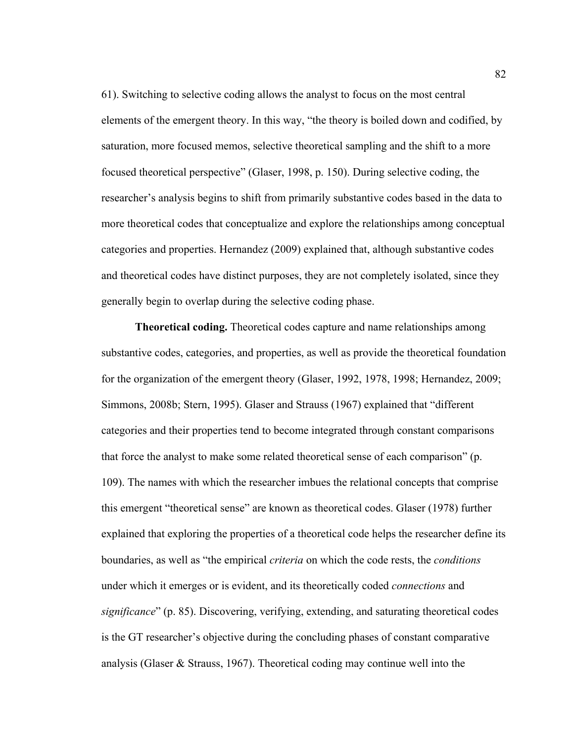61). Switching to selective coding allows the analyst to focus on the most central elements of the emergent theory. In this way, "the theory is boiled down and codified, by saturation, more focused memos, selective theoretical sampling and the shift to a more focused theoretical perspective" (Glaser, 1998, p. 150). During selective coding, the researcher's analysis begins to shift from primarily substantive codes based in the data to more theoretical codes that conceptualize and explore the relationships among conceptual categories and properties. Hernandez (2009) explained that, although substantive codes and theoretical codes have distinct purposes, they are not completely isolated, since they generally begin to overlap during the selective coding phase.

**Theoretical coding.** Theoretical codes capture and name relationships among substantive codes, categories, and properties, as well as provide the theoretical foundation for the organization of the emergent theory (Glaser, 1992, 1978, 1998; Hernandez, 2009; Simmons, 2008b; Stern, 1995). Glaser and Strauss (1967) explained that "different categories and their properties tend to become integrated through constant comparisons that force the analyst to make some related theoretical sense of each comparison" (p. 109). The names with which the researcher imbues the relational concepts that comprise this emergent "theoretical sense" are known as theoretical codes. Glaser (1978) further explained that exploring the properties of a theoretical code helps the researcher define its boundaries, as well as "the empirical *criteria* on which the code rests, the *conditions* under which it emerges or is evident, and its theoretically coded *connections* and *significance*" (p. 85). Discovering, verifying, extending, and saturating theoretical codes is the GT researcher's objective during the concluding phases of constant comparative analysis (Glaser & Strauss, 1967). Theoretical coding may continue well into the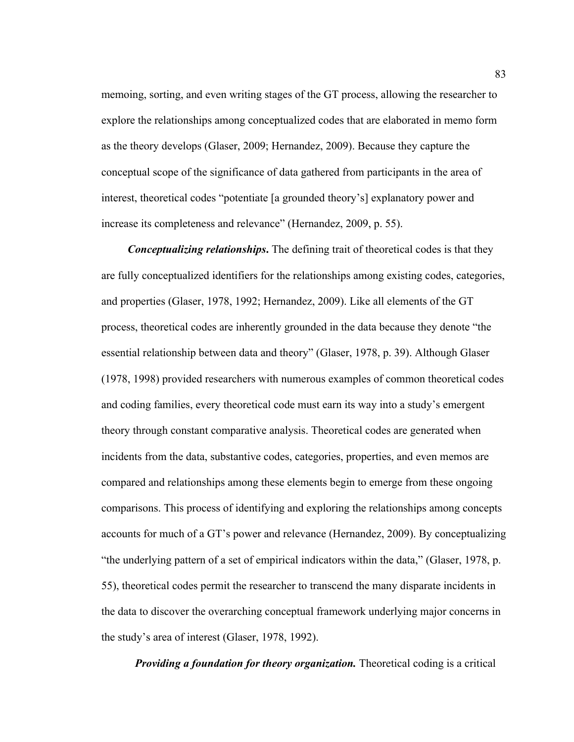memoing, sorting, and even writing stages of the GT process, allowing the researcher to explore the relationships among conceptualized codes that are elaborated in memo form as the theory develops (Glaser, 2009; Hernandez, 2009). Because they capture the conceptual scope of the significance of data gathered from participants in the area of interest, theoretical codes "potentiate [a grounded theory's] explanatory power and increase its completeness and relevance" (Hernandez, 2009, p. 55).

*Conceptualizing relationships***.** The defining trait of theoretical codes is that they are fully conceptualized identifiers for the relationships among existing codes, categories, and properties (Glaser, 1978, 1992; Hernandez, 2009). Like all elements of the GT process, theoretical codes are inherently grounded in the data because they denote "the essential relationship between data and theory" (Glaser, 1978, p. 39). Although Glaser (1978, 1998) provided researchers with numerous examples of common theoretical codes and coding families, every theoretical code must earn its way into a study's emergent theory through constant comparative analysis. Theoretical codes are generated when incidents from the data, substantive codes, categories, properties, and even memos are compared and relationships among these elements begin to emerge from these ongoing comparisons. This process of identifying and exploring the relationships among concepts accounts for much of a GT's power and relevance (Hernandez, 2009). By conceptualizing "the underlying pattern of a set of empirical indicators within the data," (Glaser, 1978, p. 55), theoretical codes permit the researcher to transcend the many disparate incidents in the data to discover the overarching conceptual framework underlying major concerns in the study's area of interest (Glaser, 1978, 1992).

*Providing a foundation for theory organization.* Theoretical coding is a critical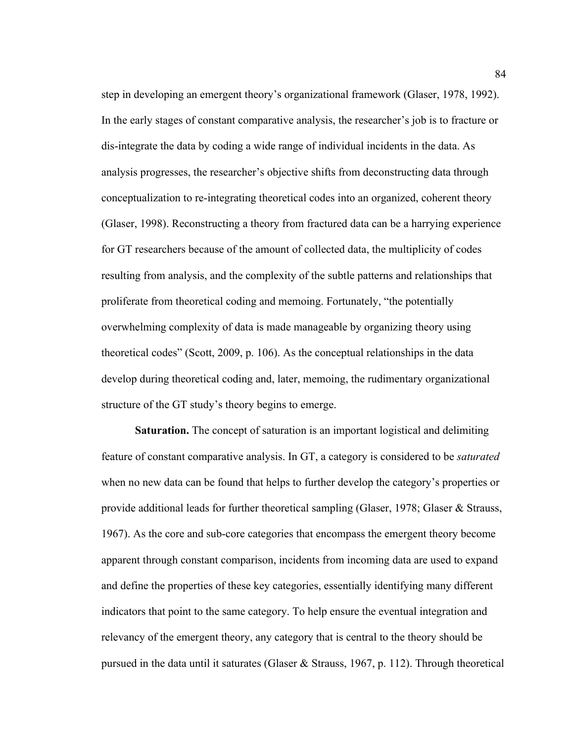step in developing an emergent theory's organizational framework (Glaser, 1978, 1992). In the early stages of constant comparative analysis, the researcher's job is to fracture or dis-integrate the data by coding a wide range of individual incidents in the data. As analysis progresses, the researcher's objective shifts from deconstructing data through conceptualization to re-integrating theoretical codes into an organized, coherent theory (Glaser, 1998). Reconstructing a theory from fractured data can be a harrying experience for GT researchers because of the amount of collected data, the multiplicity of codes resulting from analysis, and the complexity of the subtle patterns and relationships that proliferate from theoretical coding and memoing. Fortunately, "the potentially overwhelming complexity of data is made manageable by organizing theory using theoretical codes" (Scott, 2009, p. 106). As the conceptual relationships in the data develop during theoretical coding and, later, memoing, the rudimentary organizational structure of the GT study's theory begins to emerge.

**Saturation.** The concept of saturation is an important logistical and delimiting feature of constant comparative analysis. In GT, a category is considered to be *saturated* when no new data can be found that helps to further develop the category's properties or provide additional leads for further theoretical sampling (Glaser, 1978; Glaser & Strauss, 1967). As the core and sub-core categories that encompass the emergent theory become apparent through constant comparison, incidents from incoming data are used to expand and define the properties of these key categories, essentially identifying many different indicators that point to the same category. To help ensure the eventual integration and relevancy of the emergent theory, any category that is central to the theory should be pursued in the data until it saturates (Glaser & Strauss, 1967, p. 112). Through theoretical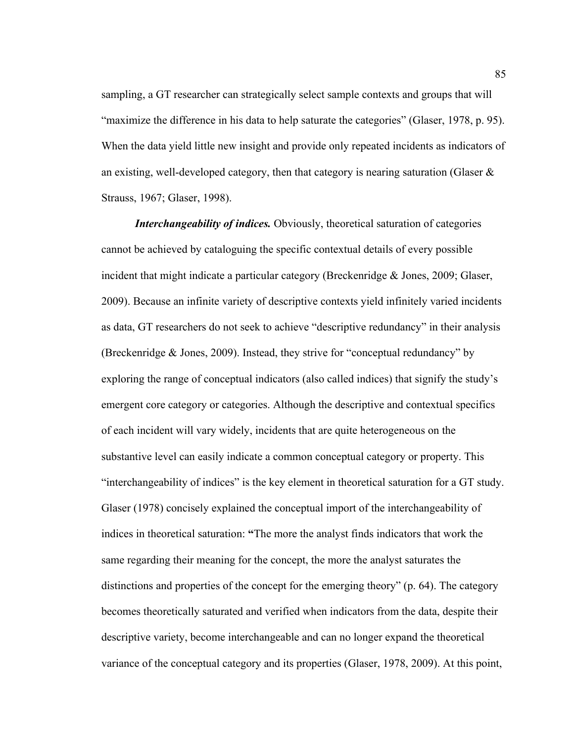sampling, a GT researcher can strategically select sample contexts and groups that will "maximize the difference in his data to help saturate the categories" (Glaser, 1978, p. 95). When the data yield little new insight and provide only repeated incidents as indicators of an existing, well-developed category, then that category is nearing saturation (Glaser  $\&$ Strauss, 1967; Glaser, 1998).

*Interchangeability of indices.* Obviously, theoretical saturation of categories cannot be achieved by cataloguing the specific contextual details of every possible incident that might indicate a particular category (Breckenridge & Jones, 2009; Glaser, 2009). Because an infinite variety of descriptive contexts yield infinitely varied incidents as data, GT researchers do not seek to achieve "descriptive redundancy" in their analysis (Breckenridge & Jones, 2009). Instead, they strive for "conceptual redundancy" by exploring the range of conceptual indicators (also called indices) that signify the study's emergent core category or categories. Although the descriptive and contextual specifics of each incident will vary widely, incidents that are quite heterogeneous on the substantive level can easily indicate a common conceptual category or property. This "interchangeability of indices" is the key element in theoretical saturation for a GT study. Glaser (1978) concisely explained the conceptual import of the interchangeability of indices in theoretical saturation: **"**The more the analyst finds indicators that work the same regarding their meaning for the concept, the more the analyst saturates the distinctions and properties of the concept for the emerging theory" (p. 64). The category becomes theoretically saturated and verified when indicators from the data, despite their descriptive variety, become interchangeable and can no longer expand the theoretical variance of the conceptual category and its properties (Glaser, 1978, 2009). At this point,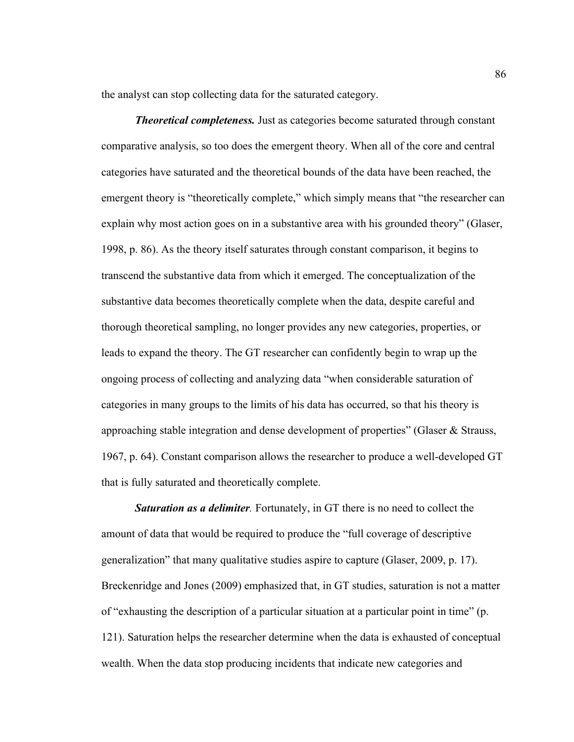the analyst can stop collecting data for the saturated category.

*Theoretical completeness.* Just as categories become saturated through constant comparative analysis, so too does the emergent theory. When all of the core and central categories have saturated and the theoretical bounds of the data have been reached, the emergent theory is "theoretically complete," which simply means that "the researcher can explain why most action goes on in a substantive area with his grounded theory" (Glaser, 1998, p. 86). As the theory itself saturates through constant comparison, it begins to transcend the substantive data from which it emerged. The conceptualization of the substantive data becomes theoretically complete when the data, despite careful and thorough theoretical sampling, no longer provides any new categories, properties, or leads to expand the theory. The GT researcher can confidently begin to wrap up the ongoing process of collecting and analyzing data "when considerable saturation of categories in many groups to the limits of his data has occurred, so that his theory is approaching stable integration and dense development of properties" (Glaser & Strauss, 1967, p. 64). Constant comparison allows the researcher to produce a well-developed GT that is fully saturated and theoretically complete.

**Saturation as a delimiter**. Fortunately, in GT there is no need to collect the amount of data that would be required to produce the "full coverage of descriptive generalization" that many qualitative studies aspire to capture (Glaser, 2009, p. 17). Breckenridge and Jones (2009) emphasized that, in GT studies, saturation is not a matter of "exhausting the description of a particular situation at a particular point in time" (p. 121). Saturation helps the researcher determine when the data is exhausted of conceptual wealth. When the data stop producing incidents that indicate new categories and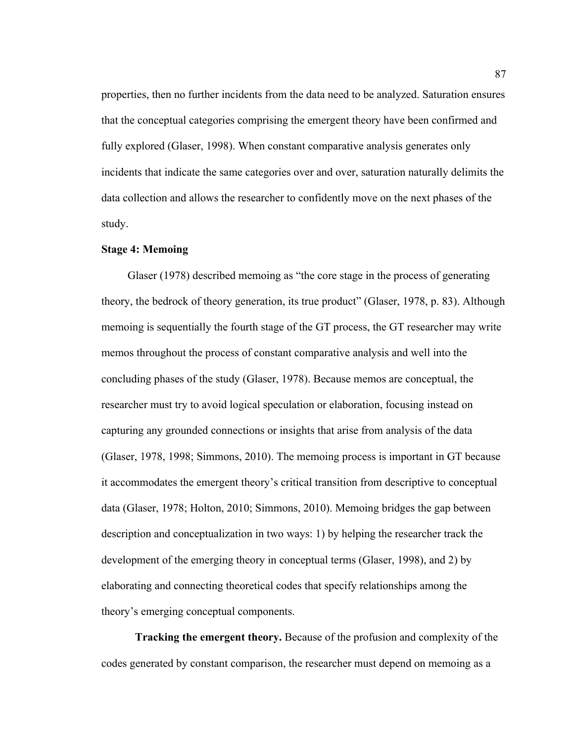properties, then no further incidents from the data need to be analyzed. Saturation ensures that the conceptual categories comprising the emergent theory have been confirmed and fully explored (Glaser, 1998). When constant comparative analysis generates only incidents that indicate the same categories over and over, saturation naturally delimits the data collection and allows the researcher to confidently move on the next phases of the study.

## **Stage 4: Memoing**

Glaser (1978) described memoing as "the core stage in the process of generating theory, the bedrock of theory generation, its true product" (Glaser, 1978, p. 83). Although memoing is sequentially the fourth stage of the GT process, the GT researcher may write memos throughout the process of constant comparative analysis and well into the concluding phases of the study (Glaser, 1978). Because memos are conceptual, the researcher must try to avoid logical speculation or elaboration, focusing instead on capturing any grounded connections or insights that arise from analysis of the data (Glaser, 1978, 1998; Simmons, 2010). The memoing process is important in GT because it accommodates the emergent theory's critical transition from descriptive to conceptual data (Glaser, 1978; Holton, 2010; Simmons, 2010). Memoing bridges the gap between description and conceptualization in two ways: 1) by helping the researcher track the development of the emerging theory in conceptual terms (Glaser, 1998), and 2) by elaborating and connecting theoretical codes that specify relationships among the theory's emerging conceptual components.

**Tracking the emergent theory.** Because of the profusion and complexity of the codes generated by constant comparison, the researcher must depend on memoing as a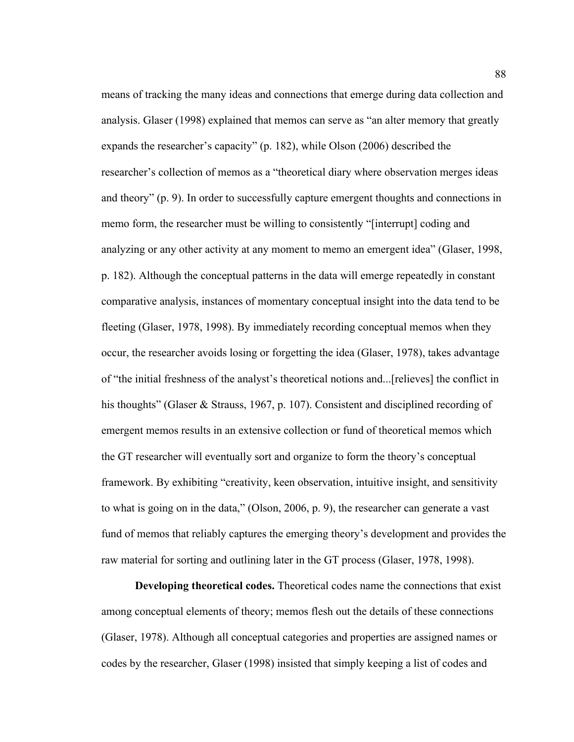means of tracking the many ideas and connections that emerge during data collection and analysis. Glaser (1998) explained that memos can serve as "an alter memory that greatly expands the researcher's capacity" (p. 182), while Olson (2006) described the researcher's collection of memos as a "theoretical diary where observation merges ideas and theory" (p. 9). In order to successfully capture emergent thoughts and connections in memo form, the researcher must be willing to consistently "[interrupt] coding and analyzing or any other activity at any moment to memo an emergent idea" (Glaser, 1998, p. 182). Although the conceptual patterns in the data will emerge repeatedly in constant comparative analysis, instances of momentary conceptual insight into the data tend to be fleeting (Glaser, 1978, 1998). By immediately recording conceptual memos when they occur, the researcher avoids losing or forgetting the idea (Glaser, 1978), takes advantage of "the initial freshness of the analyst's theoretical notions and...[relieves] the conflict in his thoughts" (Glaser & Strauss, 1967, p. 107). Consistent and disciplined recording of emergent memos results in an extensive collection or fund of theoretical memos which the GT researcher will eventually sort and organize to form the theory's conceptual framework. By exhibiting "creativity, keen observation, intuitive insight, and sensitivity to what is going on in the data," (Olson, 2006, p. 9), the researcher can generate a vast fund of memos that reliably captures the emerging theory's development and provides the raw material for sorting and outlining later in the GT process (Glaser, 1978, 1998).

**Developing theoretical codes.** Theoretical codes name the connections that exist among conceptual elements of theory; memos flesh out the details of these connections (Glaser, 1978). Although all conceptual categories and properties are assigned names or codes by the researcher, Glaser (1998) insisted that simply keeping a list of codes and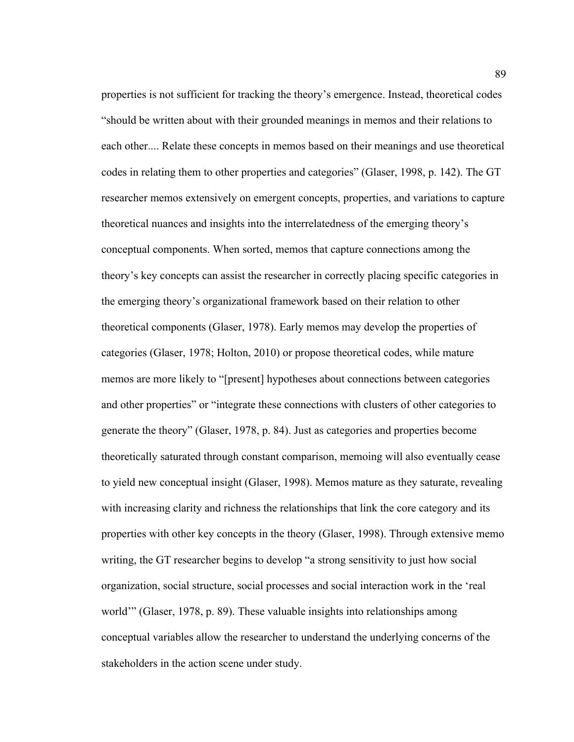properties is not sufficient for tracking the theory's emergence. Instead, theoretical codes "should be written about with their grounded meanings in memos and their relations to each other.... Relate these concepts in memos based on their meanings and use theoretical codes in relating them to other properties and categories" (Glaser, 1998, p. 142). The GT researcher memos extensively on emergent concepts, properties, and variations to capture theoretical nuances and insights into the interrelatedness of the emerging theory's conceptual components. When sorted, memos that capture connections among the theory's key concepts can assist the researcher in correctly placing specific categories in the emerging theory's organizational framework based on their relation to other theoretical components (Glaser, 1978). Early memos may develop the properties of categories (Glaser, 1978; Holton, 2010) or propose theoretical codes, while mature memos are more likely to "[present] hypotheses about connections between categories and other properties" or "integrate these connections with clusters of other categories to generate the theory" (Glaser, 1978, p. 84). Just as categories and properties become theoretically saturated through constant comparison, memoing will also eventually cease to yield new conceptual insight (Glaser, 1998). Memos mature as they saturate, revealing with increasing clarity and richness the relationships that link the core category and its properties with other key concepts in the theory (Glaser, 1998). Through extensive memo writing, the GT researcher begins to develop "a strong sensitivity to just how social organization, social structure, social processes and social interaction work in the 'real world'" (Glaser, 1978, p. 89). These valuable insights into relationships among conceptual variables allow the researcher to understand the underlying concerns of the stakeholders in the action scene under study.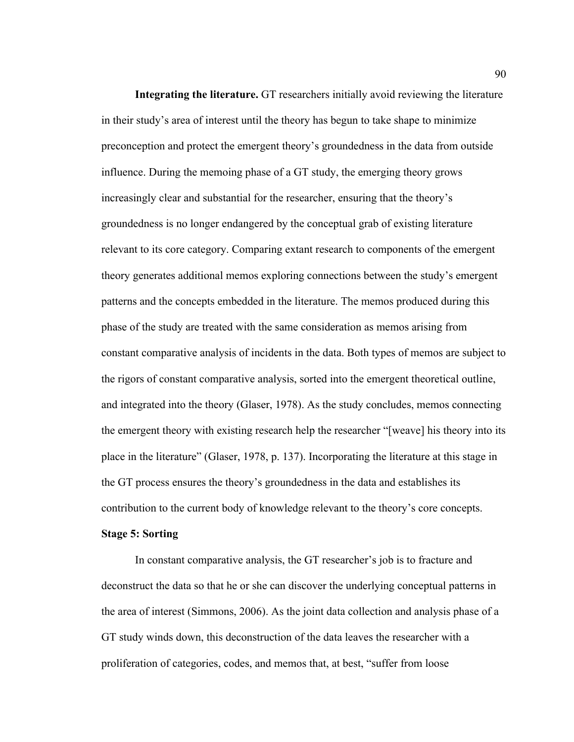**Integrating the literature.** GT researchers initially avoid reviewing the literature in their study's area of interest until the theory has begun to take shape to minimize preconception and protect the emergent theory's groundedness in the data from outside influence. During the memoing phase of a GT study, the emerging theory grows increasingly clear and substantial for the researcher, ensuring that the theory's groundedness is no longer endangered by the conceptual grab of existing literature relevant to its core category. Comparing extant research to components of the emergent theory generates additional memos exploring connections between the study's emergent patterns and the concepts embedded in the literature. The memos produced during this phase of the study are treated with the same consideration as memos arising from constant comparative analysis of incidents in the data. Both types of memos are subject to the rigors of constant comparative analysis, sorted into the emergent theoretical outline, and integrated into the theory (Glaser, 1978). As the study concludes, memos connecting the emergent theory with existing research help the researcher "[weave] his theory into its place in the literature" (Glaser, 1978, p. 137). Incorporating the literature at this stage in the GT process ensures the theory's groundedness in the data and establishes its contribution to the current body of knowledge relevant to the theory's core concepts.

#### **Stage 5: Sorting**

In constant comparative analysis, the GT researcher's job is to fracture and deconstruct the data so that he or she can discover the underlying conceptual patterns in the area of interest (Simmons, 2006). As the joint data collection and analysis phase of a GT study winds down, this deconstruction of the data leaves the researcher with a proliferation of categories, codes, and memos that, at best, "suffer from loose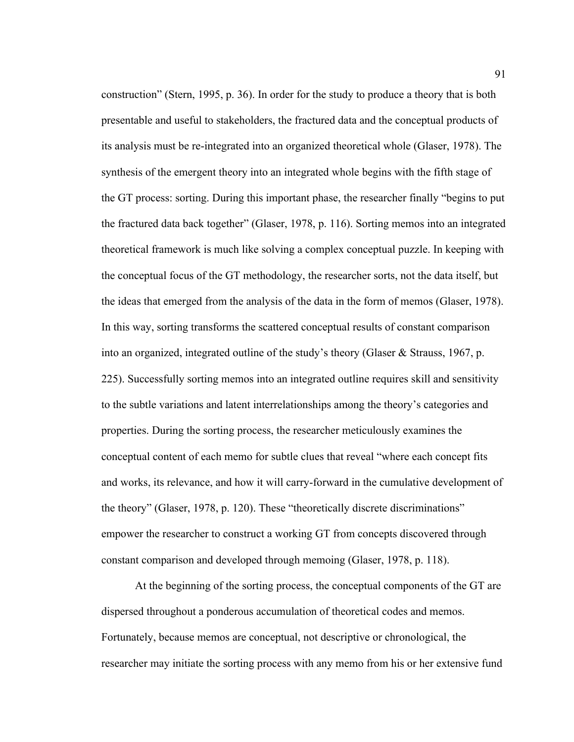construction" (Stern, 1995, p. 36). In order for the study to produce a theory that is both presentable and useful to stakeholders, the fractured data and the conceptual products of its analysis must be re-integrated into an organized theoretical whole (Glaser, 1978). The synthesis of the emergent theory into an integrated whole begins with the fifth stage of the GT process: sorting. During this important phase, the researcher finally "begins to put the fractured data back together" (Glaser, 1978, p. 116). Sorting memos into an integrated theoretical framework is much like solving a complex conceptual puzzle. In keeping with the conceptual focus of the GT methodology, the researcher sorts, not the data itself, but the ideas that emerged from the analysis of the data in the form of memos (Glaser, 1978). In this way, sorting transforms the scattered conceptual results of constant comparison into an organized, integrated outline of the study's theory (Glaser & Strauss, 1967, p. 225). Successfully sorting memos into an integrated outline requires skill and sensitivity to the subtle variations and latent interrelationships among the theory's categories and properties. During the sorting process, the researcher meticulously examines the conceptual content of each memo for subtle clues that reveal "where each concept fits and works, its relevance, and how it will carry-forward in the cumulative development of the theory" (Glaser, 1978, p. 120). These "theoretically discrete discriminations" empower the researcher to construct a working GT from concepts discovered through constant comparison and developed through memoing (Glaser, 1978, p. 118).

At the beginning of the sorting process, the conceptual components of the GT are dispersed throughout a ponderous accumulation of theoretical codes and memos. Fortunately, because memos are conceptual, not descriptive or chronological, the researcher may initiate the sorting process with any memo from his or her extensive fund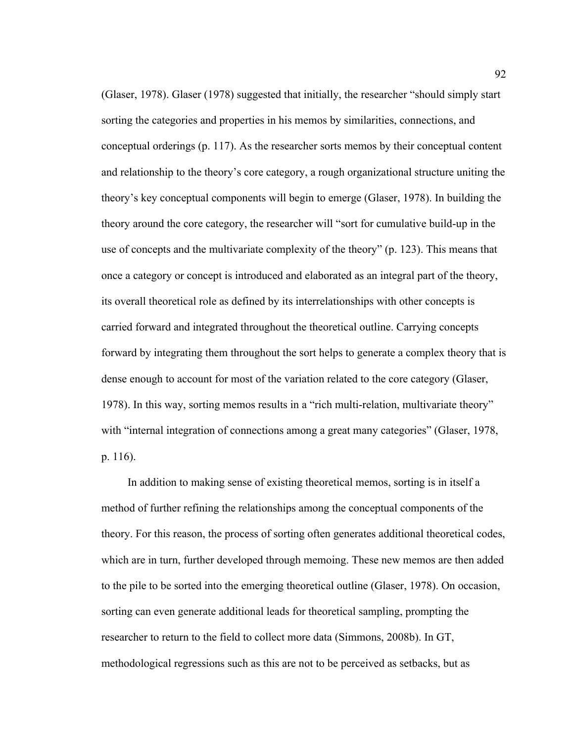(Glaser, 1978). Glaser (1978) suggested that initially, the researcher "should simply start sorting the categories and properties in his memos by similarities, connections, and conceptual orderings (p. 117). As the researcher sorts memos by their conceptual content and relationship to the theory's core category, a rough organizational structure uniting the theory's key conceptual components will begin to emerge (Glaser, 1978). In building the theory around the core category, the researcher will "sort for cumulative build-up in the use of concepts and the multivariate complexity of the theory" (p. 123). This means that once a category or concept is introduced and elaborated as an integral part of the theory, its overall theoretical role as defined by its interrelationships with other concepts is carried forward and integrated throughout the theoretical outline. Carrying concepts forward by integrating them throughout the sort helps to generate a complex theory that is dense enough to account for most of the variation related to the core category (Glaser, 1978). In this way, sorting memos results in a "rich multi-relation, multivariate theory" with "internal integration of connections among a great many categories" (Glaser, 1978, p. 116).

In addition to making sense of existing theoretical memos, sorting is in itself a method of further refining the relationships among the conceptual components of the theory. For this reason, the process of sorting often generates additional theoretical codes, which are in turn, further developed through memoing. These new memos are then added to the pile to be sorted into the emerging theoretical outline (Glaser, 1978). On occasion, sorting can even generate additional leads for theoretical sampling, prompting the researcher to return to the field to collect more data (Simmons, 2008b). In GT, methodological regressions such as this are not to be perceived as setbacks, but as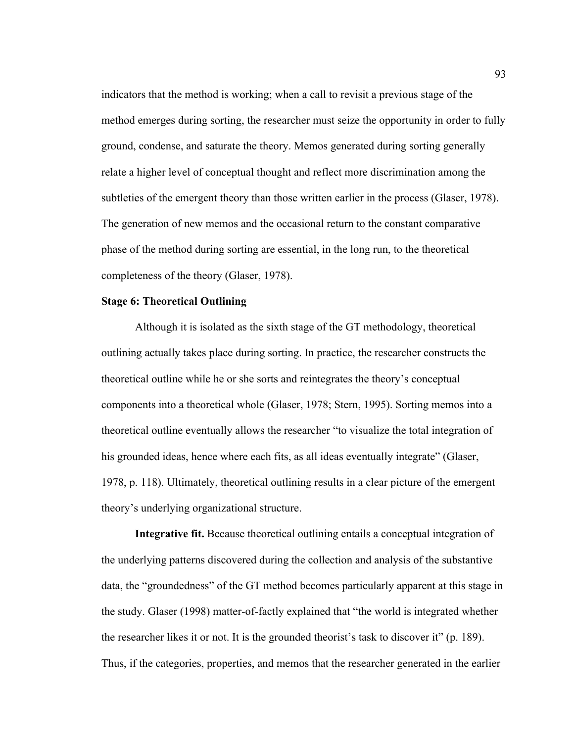indicators that the method is working; when a call to revisit a previous stage of the method emerges during sorting, the researcher must seize the opportunity in order to fully ground, condense, and saturate the theory. Memos generated during sorting generally relate a higher level of conceptual thought and reflect more discrimination among the subtleties of the emergent theory than those written earlier in the process (Glaser, 1978). The generation of new memos and the occasional return to the constant comparative phase of the method during sorting are essential, in the long run, to the theoretical completeness of the theory (Glaser, 1978).

# **Stage 6: Theoretical Outlining**

Although it is isolated as the sixth stage of the GT methodology, theoretical outlining actually takes place during sorting. In practice, the researcher constructs the theoretical outline while he or she sorts and reintegrates the theory's conceptual components into a theoretical whole (Glaser, 1978; Stern, 1995). Sorting memos into a theoretical outline eventually allows the researcher "to visualize the total integration of his grounded ideas, hence where each fits, as all ideas eventually integrate" (Glaser, 1978, p. 118). Ultimately, theoretical outlining results in a clear picture of the emergent theory's underlying organizational structure.

**Integrative fit.** Because theoretical outlining entails a conceptual integration of the underlying patterns discovered during the collection and analysis of the substantive data, the "groundedness" of the GT method becomes particularly apparent at this stage in the study. Glaser (1998) matter-of-factly explained that "the world is integrated whether the researcher likes it or not. It is the grounded theorist's task to discover it" (p. 189). Thus, if the categories, properties, and memos that the researcher generated in the earlier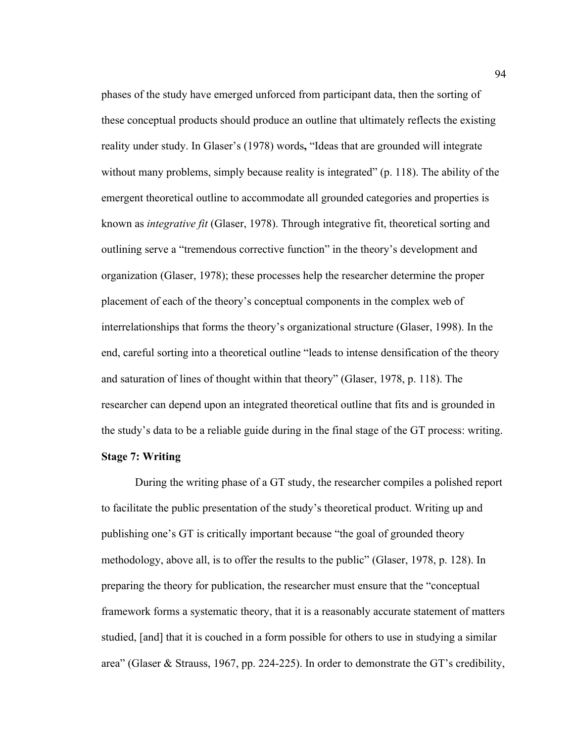phases of the study have emerged unforced from participant data, then the sorting of these conceptual products should produce an outline that ultimately reflects the existing reality under study. In Glaser's (1978) words**,** "Ideas that are grounded will integrate without many problems, simply because reality is integrated" (p. 118). The ability of the emergent theoretical outline to accommodate all grounded categories and properties is known as *integrative fit* (Glaser, 1978). Through integrative fit, theoretical sorting and outlining serve a "tremendous corrective function" in the theory's development and organization (Glaser, 1978); these processes help the researcher determine the proper placement of each of the theory's conceptual components in the complex web of interrelationships that forms the theory's organizational structure (Glaser, 1998). In the end, careful sorting into a theoretical outline "leads to intense densification of the theory and saturation of lines of thought within that theory" (Glaser, 1978, p. 118). The researcher can depend upon an integrated theoretical outline that fits and is grounded in the study's data to be a reliable guide during in the final stage of the GT process: writing.

# **Stage 7: Writing**

During the writing phase of a GT study, the researcher compiles a polished report to facilitate the public presentation of the study's theoretical product. Writing up and publishing one's GT is critically important because "the goal of grounded theory methodology, above all, is to offer the results to the public" (Glaser, 1978, p. 128). In preparing the theory for publication, the researcher must ensure that the "conceptual framework forms a systematic theory, that it is a reasonably accurate statement of matters studied, [and] that it is couched in a form possible for others to use in studying a similar area" (Glaser & Strauss, 1967, pp. 224-225). In order to demonstrate the GT's credibility,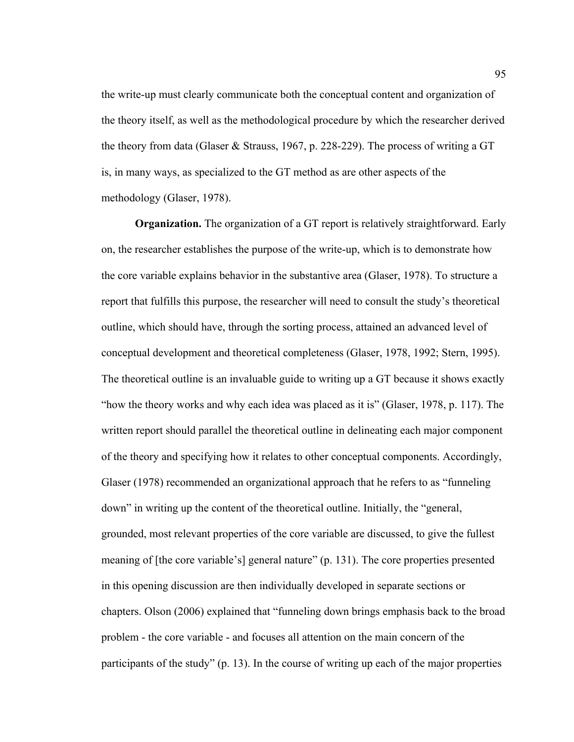the write-up must clearly communicate both the conceptual content and organization of the theory itself, as well as the methodological procedure by which the researcher derived the theory from data (Glaser & Strauss, 1967, p. 228-229). The process of writing a GT is, in many ways, as specialized to the GT method as are other aspects of the methodology (Glaser, 1978).

**Organization.** The organization of a GT report is relatively straightforward. Early on, the researcher establishes the purpose of the write-up, which is to demonstrate how the core variable explains behavior in the substantive area (Glaser, 1978). To structure a report that fulfills this purpose, the researcher will need to consult the study's theoretical outline, which should have, through the sorting process, attained an advanced level of conceptual development and theoretical completeness (Glaser, 1978, 1992; Stern, 1995). The theoretical outline is an invaluable guide to writing up a GT because it shows exactly "how the theory works and why each idea was placed as it is" (Glaser, 1978, p. 117). The written report should parallel the theoretical outline in delineating each major component of the theory and specifying how it relates to other conceptual components. Accordingly, Glaser (1978) recommended an organizational approach that he refers to as "funneling down" in writing up the content of the theoretical outline. Initially, the "general, grounded, most relevant properties of the core variable are discussed, to give the fullest meaning of [the core variable's] general nature" (p. 131). The core properties presented in this opening discussion are then individually developed in separate sections or chapters. Olson (2006) explained that "funneling down brings emphasis back to the broad problem - the core variable - and focuses all attention on the main concern of the participants of the study" (p. 13). In the course of writing up each of the major properties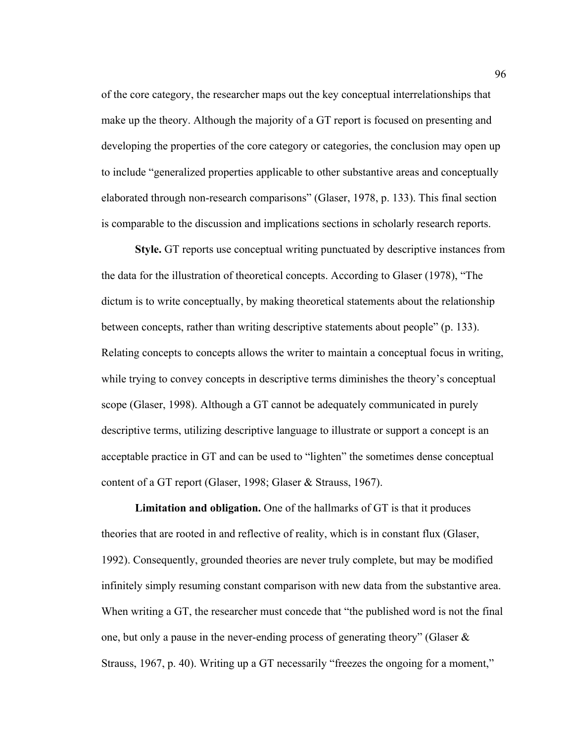of the core category, the researcher maps out the key conceptual interrelationships that make up the theory. Although the majority of a GT report is focused on presenting and developing the properties of the core category or categories, the conclusion may open up to include "generalized properties applicable to other substantive areas and conceptually elaborated through non-research comparisons" (Glaser, 1978, p. 133). This final section is comparable to the discussion and implications sections in scholarly research reports.

**Style.** GT reports use conceptual writing punctuated by descriptive instances from the data for the illustration of theoretical concepts. According to Glaser (1978), "The dictum is to write conceptually, by making theoretical statements about the relationship between concepts, rather than writing descriptive statements about people" (p. 133). Relating concepts to concepts allows the writer to maintain a conceptual focus in writing, while trying to convey concepts in descriptive terms diminishes the theory's conceptual scope (Glaser, 1998). Although a GT cannot be adequately communicated in purely descriptive terms, utilizing descriptive language to illustrate or support a concept is an acceptable practice in GT and can be used to "lighten" the sometimes dense conceptual content of a GT report (Glaser, 1998; Glaser & Strauss, 1967).

**Limitation and obligation.** One of the hallmarks of GT is that it produces theories that are rooted in and reflective of reality, which is in constant flux (Glaser, 1992). Consequently, grounded theories are never truly complete, but may be modified infinitely simply resuming constant comparison with new data from the substantive area. When writing a GT, the researcher must concede that "the published word is not the final one, but only a pause in the never-ending process of generating theory" (Glaser & Strauss, 1967, p. 40). Writing up a GT necessarily "freezes the ongoing for a moment,"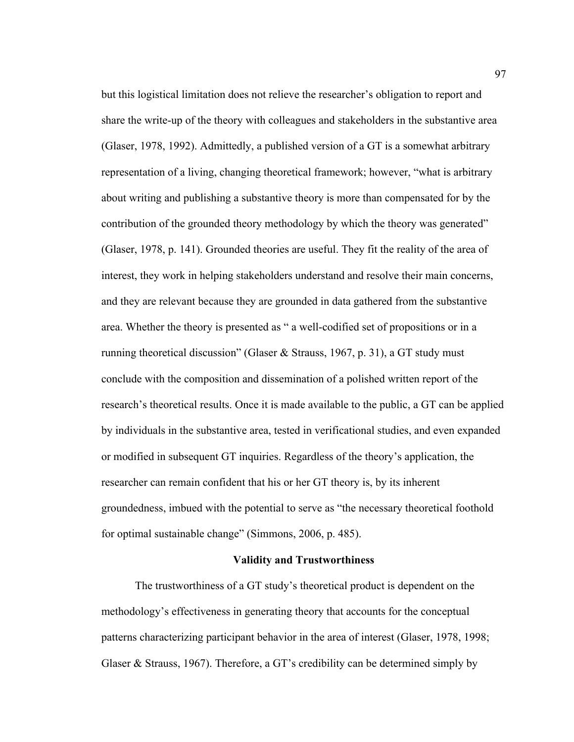but this logistical limitation does not relieve the researcher's obligation to report and share the write-up of the theory with colleagues and stakeholders in the substantive area (Glaser, 1978, 1992). Admittedly, a published version of a GT is a somewhat arbitrary representation of a living, changing theoretical framework; however, "what is arbitrary about writing and publishing a substantive theory is more than compensated for by the contribution of the grounded theory methodology by which the theory was generated" (Glaser, 1978, p. 141). Grounded theories are useful. They fit the reality of the area of interest, they work in helping stakeholders understand and resolve their main concerns, and they are relevant because they are grounded in data gathered from the substantive area. Whether the theory is presented as " a well-codified set of propositions or in a running theoretical discussion" (Glaser & Strauss, 1967, p. 31), a GT study must conclude with the composition and dissemination of a polished written report of the research's theoretical results. Once it is made available to the public, a GT can be applied by individuals in the substantive area, tested in verificational studies, and even expanded or modified in subsequent GT inquiries. Regardless of the theory's application, the researcher can remain confident that his or her GT theory is, by its inherent groundedness, imbued with the potential to serve as "the necessary theoretical foothold for optimal sustainable change" (Simmons, 2006, p. 485).

### **Validity and Trustworthiness**

The trustworthiness of a GT study's theoretical product is dependent on the methodology's effectiveness in generating theory that accounts for the conceptual patterns characterizing participant behavior in the area of interest (Glaser, 1978, 1998; Glaser & Strauss, 1967). Therefore, a GT's credibility can be determined simply by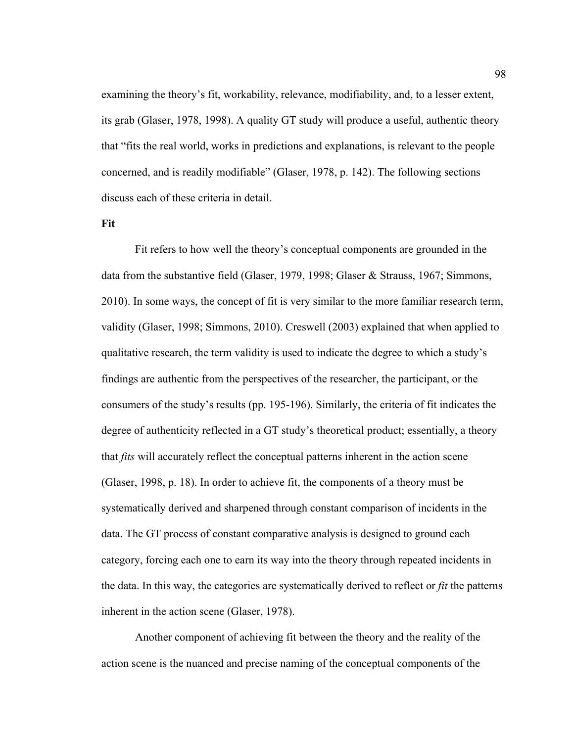examining the theory's fit, workability, relevance, modifiability, and, to a lesser extent, its grab (Glaser, 1978, 1998). A quality GT study will produce a useful, authentic theory that "fits the real world, works in predictions and explanations, is relevant to the people concerned, and is readily modifiable" (Glaser, 1978, p. 142). The following sections discuss each of these criteria in detail.

### **Fit**

Fit refers to how well the theory's conceptual components are grounded in the data from the substantive field (Glaser, 1979, 1998; Glaser & Strauss, 1967; Simmons, 2010). In some ways, the concept of fit is very similar to the more familiar research term, validity (Glaser, 1998; Simmons, 2010). Creswell (2003) explained that when applied to qualitative research, the term validity is used to indicate the degree to which a study's findings are authentic from the perspectives of the researcher, the participant, or the consumers of the study's results (pp. 195-196). Similarly, the criteria of fit indicates the degree of authenticity reflected in a GT study's theoretical product; essentially, a theory that *fits* will accurately reflect the conceptual patterns inherent in the action scene (Glaser, 1998, p. 18). In order to achieve fit, the components of a theory must be systematically derived and sharpened through constant comparison of incidents in the data. The GT process of constant comparative analysis is designed to ground each category, forcing each one to earn its way into the theory through repeated incidents in the data. In this way, the categories are systematically derived to reflect or *fit* the patterns inherent in the action scene (Glaser, 1978).

Another component of achieving fit between the theory and the reality of the action scene is the nuanced and precise naming of the conceptual components of the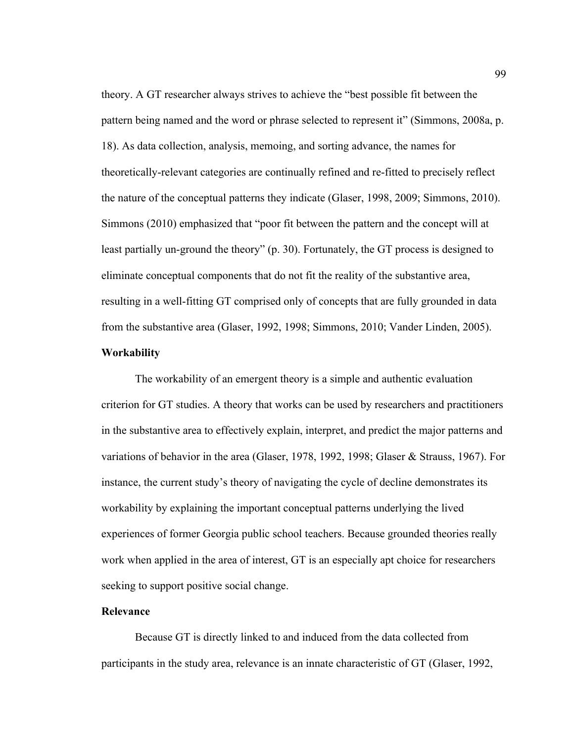theory. A GT researcher always strives to achieve the "best possible fit between the pattern being named and the word or phrase selected to represent it" (Simmons, 2008a, p. 18). As data collection, analysis, memoing, and sorting advance, the names for theoretically-relevant categories are continually refined and re-fitted to precisely reflect the nature of the conceptual patterns they indicate (Glaser, 1998, 2009; Simmons, 2010). Simmons (2010) emphasized that "poor fit between the pattern and the concept will at least partially un-ground the theory" (p. 30). Fortunately, the GT process is designed to eliminate conceptual components that do not fit the reality of the substantive area, resulting in a well-fitting GT comprised only of concepts that are fully grounded in data from the substantive area (Glaser, 1992, 1998; Simmons, 2010; Vander Linden, 2005).

## **Workability**

The workability of an emergent theory is a simple and authentic evaluation criterion for GT studies. A theory that works can be used by researchers and practitioners in the substantive area to effectively explain, interpret, and predict the major patterns and variations of behavior in the area (Glaser, 1978, 1992, 1998; Glaser & Strauss, 1967). For instance, the current study's theory of navigating the cycle of decline demonstrates its workability by explaining the important conceptual patterns underlying the lived experiences of former Georgia public school teachers. Because grounded theories really work when applied in the area of interest, GT is an especially apt choice for researchers seeking to support positive social change.

## **Relevance**

Because GT is directly linked to and induced from the data collected from participants in the study area, relevance is an innate characteristic of GT (Glaser, 1992,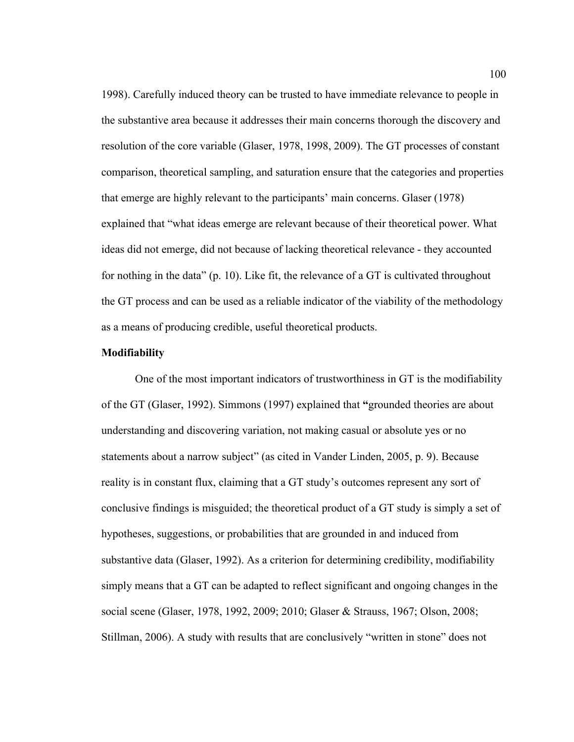1998). Carefully induced theory can be trusted to have immediate relevance to people in the substantive area because it addresses their main concerns thorough the discovery and resolution of the core variable (Glaser, 1978, 1998, 2009). The GT processes of constant comparison, theoretical sampling, and saturation ensure that the categories and properties that emerge are highly relevant to the participants' main concerns. Glaser (1978) explained that "what ideas emerge are relevant because of their theoretical power. What ideas did not emerge, did not because of lacking theoretical relevance - they accounted for nothing in the data" (p. 10). Like fit, the relevance of a GT is cultivated throughout the GT process and can be used as a reliable indicator of the viability of the methodology as a means of producing credible, useful theoretical products.

## **Modifiability**

One of the most important indicators of trustworthiness in GT is the modifiability of the GT (Glaser, 1992). Simmons (1997) explained that **"**grounded theories are about understanding and discovering variation, not making casual or absolute yes or no statements about a narrow subject" (as cited in Vander Linden, 2005, p. 9). Because reality is in constant flux, claiming that a GT study's outcomes represent any sort of conclusive findings is misguided; the theoretical product of a GT study is simply a set of hypotheses, suggestions, or probabilities that are grounded in and induced from substantive data (Glaser, 1992). As a criterion for determining credibility, modifiability simply means that a GT can be adapted to reflect significant and ongoing changes in the social scene (Glaser, 1978, 1992, 2009; 2010; Glaser & Strauss, 1967; Olson, 2008; Stillman, 2006). A study with results that are conclusively "written in stone" does not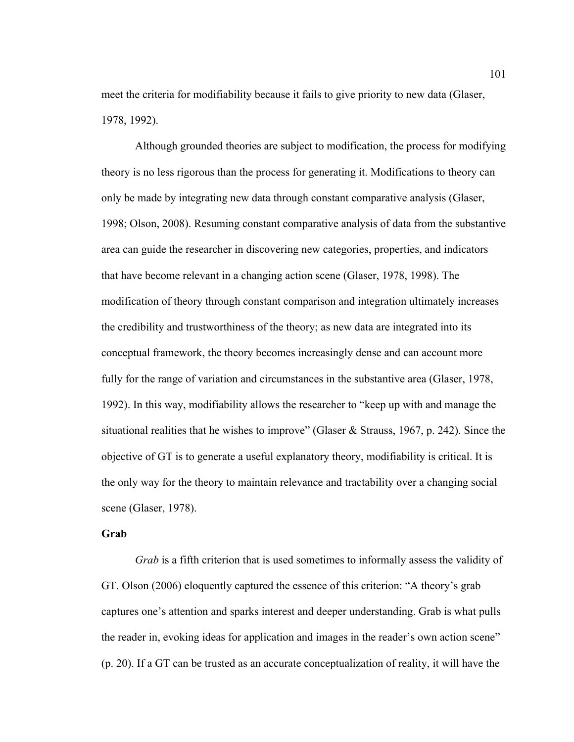meet the criteria for modifiability because it fails to give priority to new data (Glaser, 1978, 1992).

Although grounded theories are subject to modification, the process for modifying theory is no less rigorous than the process for generating it. Modifications to theory can only be made by integrating new data through constant comparative analysis (Glaser, 1998; Olson, 2008). Resuming constant comparative analysis of data from the substantive area can guide the researcher in discovering new categories, properties, and indicators that have become relevant in a changing action scene (Glaser, 1978, 1998). The modification of theory through constant comparison and integration ultimately increases the credibility and trustworthiness of the theory; as new data are integrated into its conceptual framework, the theory becomes increasingly dense and can account more fully for the range of variation and circumstances in the substantive area (Glaser, 1978, 1992). In this way, modifiability allows the researcher to "keep up with and manage the situational realities that he wishes to improve" (Glaser & Strauss, 1967, p. 242). Since the objective of GT is to generate a useful explanatory theory, modifiability is critical. It is the only way for the theory to maintain relevance and tractability over a changing social scene (Glaser, 1978).

### **Grab**

*Grab* is a fifth criterion that is used sometimes to informally assess the validity of GT. Olson (2006) eloquently captured the essence of this criterion: "A theory's grab captures one's attention and sparks interest and deeper understanding. Grab is what pulls the reader in, evoking ideas for application and images in the reader's own action scene" (p. 20). If a GT can be trusted as an accurate conceptualization of reality, it will have the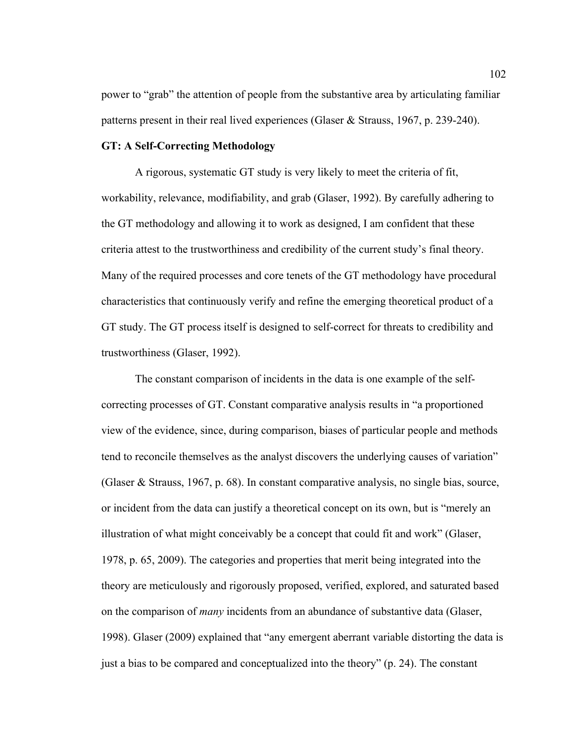power to "grab" the attention of people from the substantive area by articulating familiar patterns present in their real lived experiences (Glaser & Strauss, 1967, p. 239-240).

## **GT: A Self-Correcting Methodology**

A rigorous, systematic GT study is very likely to meet the criteria of fit, workability, relevance, modifiability, and grab (Glaser, 1992). By carefully adhering to the GT methodology and allowing it to work as designed, I am confident that these criteria attest to the trustworthiness and credibility of the current study's final theory. Many of the required processes and core tenets of the GT methodology have procedural characteristics that continuously verify and refine the emerging theoretical product of a GT study. The GT process itself is designed to self-correct for threats to credibility and trustworthiness (Glaser, 1992).

The constant comparison of incidents in the data is one example of the selfcorrecting processes of GT. Constant comparative analysis results in "a proportioned view of the evidence, since, during comparison, biases of particular people and methods tend to reconcile themselves as the analyst discovers the underlying causes of variation" (Glaser & Strauss, 1967, p. 68). In constant comparative analysis, no single bias, source, or incident from the data can justify a theoretical concept on its own, but is "merely an illustration of what might conceivably be a concept that could fit and work" (Glaser, 1978, p. 65, 2009). The categories and properties that merit being integrated into the theory are meticulously and rigorously proposed, verified, explored, and saturated based on the comparison of *many* incidents from an abundance of substantive data (Glaser, 1998). Glaser (2009) explained that "any emergent aberrant variable distorting the data is just a bias to be compared and conceptualized into the theory" (p. 24). The constant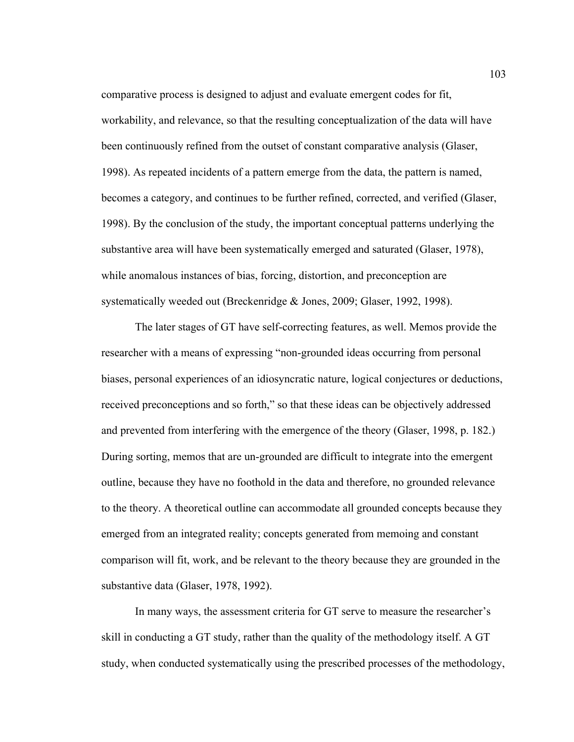comparative process is designed to adjust and evaluate emergent codes for fit, workability, and relevance, so that the resulting conceptualization of the data will have been continuously refined from the outset of constant comparative analysis (Glaser, 1998). As repeated incidents of a pattern emerge from the data, the pattern is named, becomes a category, and continues to be further refined, corrected, and verified (Glaser, 1998). By the conclusion of the study, the important conceptual patterns underlying the substantive area will have been systematically emerged and saturated (Glaser, 1978), while anomalous instances of bias, forcing, distortion, and preconception are systematically weeded out (Breckenridge & Jones, 2009; Glaser, 1992, 1998).

The later stages of GT have self-correcting features, as well. Memos provide the researcher with a means of expressing "non-grounded ideas occurring from personal biases, personal experiences of an idiosyncratic nature, logical conjectures or deductions, received preconceptions and so forth," so that these ideas can be objectively addressed and prevented from interfering with the emergence of the theory (Glaser, 1998, p. 182.) During sorting, memos that are un-grounded are difficult to integrate into the emergent outline, because they have no foothold in the data and therefore, no grounded relevance to the theory. A theoretical outline can accommodate all grounded concepts because they emerged from an integrated reality; concepts generated from memoing and constant comparison will fit, work, and be relevant to the theory because they are grounded in the substantive data (Glaser, 1978, 1992).

In many ways, the assessment criteria for GT serve to measure the researcher's skill in conducting a GT study, rather than the quality of the methodology itself. A GT study, when conducted systematically using the prescribed processes of the methodology,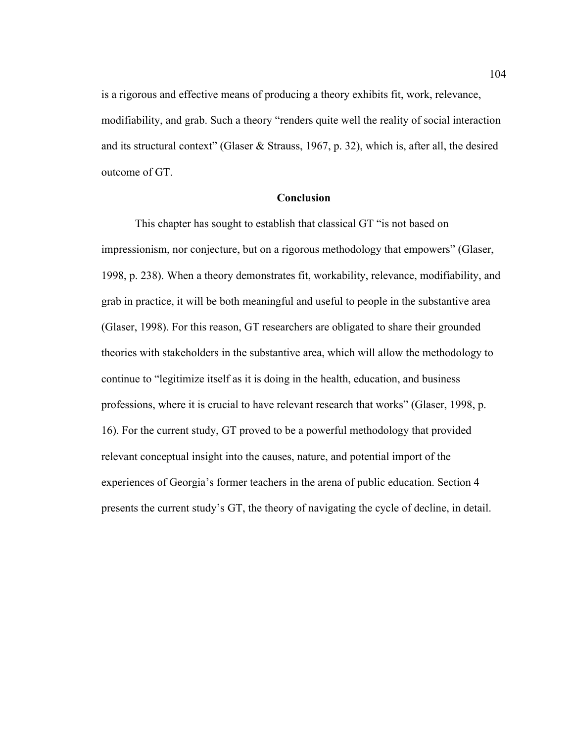is a rigorous and effective means of producing a theory exhibits fit, work, relevance, modifiability, and grab. Such a theory "renders quite well the reality of social interaction and its structural context" (Glaser & Strauss, 1967, p. 32), which is, after all, the desired outcome of GT.

### **Conclusion**

This chapter has sought to establish that classical GT "is not based on impressionism, nor conjecture, but on a rigorous methodology that empowers" (Glaser, 1998, p. 238). When a theory demonstrates fit, workability, relevance, modifiability, and grab in practice, it will be both meaningful and useful to people in the substantive area (Glaser, 1998). For this reason, GT researchers are obligated to share their grounded theories with stakeholders in the substantive area, which will allow the methodology to continue to "legitimize itself as it is doing in the health, education, and business professions, where it is crucial to have relevant research that works" (Glaser, 1998, p. 16). For the current study, GT proved to be a powerful methodology that provided relevant conceptual insight into the causes, nature, and potential import of the experiences of Georgia's former teachers in the arena of public education. Section 4 presents the current study's GT, the theory of navigating the cycle of decline, in detail.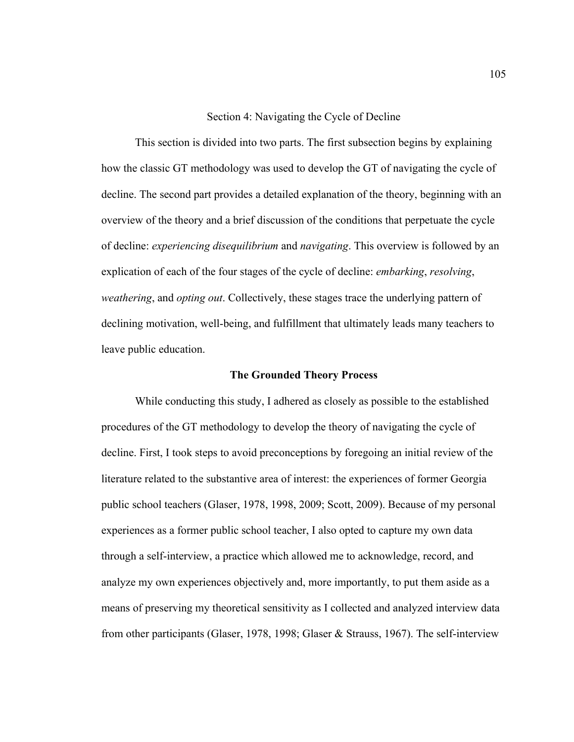#### Section 4: Navigating the Cycle of Decline

This section is divided into two parts. The first subsection begins by explaining how the classic GT methodology was used to develop the GT of navigating the cycle of decline. The second part provides a detailed explanation of the theory, beginning with an overview of the theory and a brief discussion of the conditions that perpetuate the cycle of decline: *experiencing disequilibrium* and *navigating*. This overview is followed by an explication of each of the four stages of the cycle of decline: *embarking*, *resolving*, *weathering*, and *opting out*. Collectively, these stages trace the underlying pattern of declining motivation, well-being, and fulfillment that ultimately leads many teachers to leave public education.

#### **The Grounded Theory Process**

While conducting this study, I adhered as closely as possible to the established procedures of the GT methodology to develop the theory of navigating the cycle of decline. First, I took steps to avoid preconceptions by foregoing an initial review of the literature related to the substantive area of interest: the experiences of former Georgia public school teachers (Glaser, 1978, 1998, 2009; Scott, 2009). Because of my personal experiences as a former public school teacher, I also opted to capture my own data through a self-interview, a practice which allowed me to acknowledge, record, and analyze my own experiences objectively and, more importantly, to put them aside as a means of preserving my theoretical sensitivity as I collected and analyzed interview data from other participants (Glaser, 1978, 1998; Glaser & Strauss, 1967). The self-interview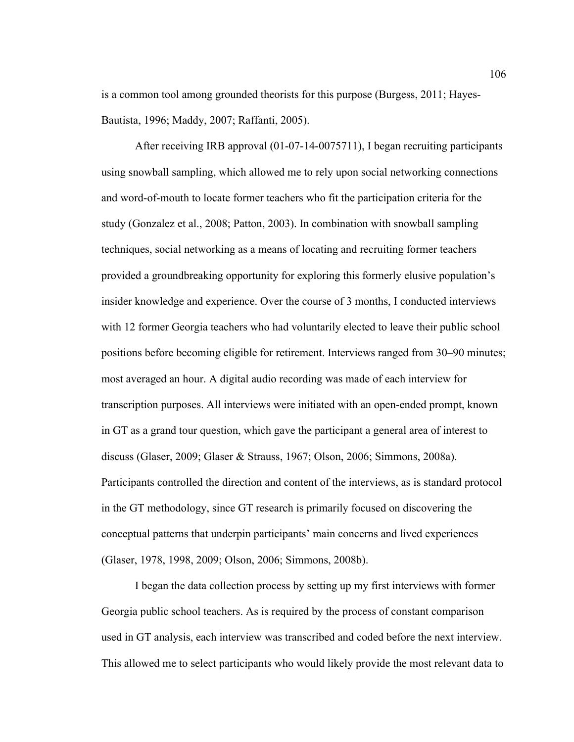is a common tool among grounded theorists for this purpose (Burgess, 2011; Hayes-Bautista, 1996; Maddy, 2007; Raffanti, 2005).

After receiving IRB approval (01-07-14-0075711), I began recruiting participants using snowball sampling, which allowed me to rely upon social networking connections and word-of-mouth to locate former teachers who fit the participation criteria for the study (Gonzalez et al., 2008; Patton, 2003). In combination with snowball sampling techniques, social networking as a means of locating and recruiting former teachers provided a groundbreaking opportunity for exploring this formerly elusive population's insider knowledge and experience. Over the course of 3 months, I conducted interviews with 12 former Georgia teachers who had voluntarily elected to leave their public school positions before becoming eligible for retirement. Interviews ranged from 30–90 minutes; most averaged an hour. A digital audio recording was made of each interview for transcription purposes. All interviews were initiated with an open-ended prompt, known in GT as a grand tour question, which gave the participant a general area of interest to discuss (Glaser, 2009; Glaser & Strauss, 1967; Olson, 2006; Simmons, 2008a). Participants controlled the direction and content of the interviews, as is standard protocol in the GT methodology, since GT research is primarily focused on discovering the conceptual patterns that underpin participants' main concerns and lived experiences (Glaser, 1978, 1998, 2009; Olson, 2006; Simmons, 2008b).

I began the data collection process by setting up my first interviews with former Georgia public school teachers. As is required by the process of constant comparison used in GT analysis, each interview was transcribed and coded before the next interview. This allowed me to select participants who would likely provide the most relevant data to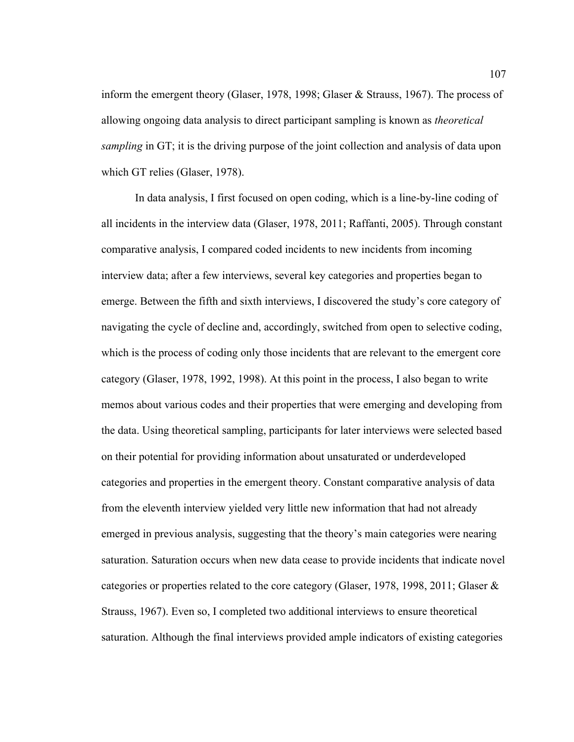inform the emergent theory (Glaser, 1978, 1998; Glaser & Strauss, 1967). The process of allowing ongoing data analysis to direct participant sampling is known as *theoretical sampling* in GT; it is the driving purpose of the joint collection and analysis of data upon which GT relies (Glaser, 1978).

In data analysis, I first focused on open coding, which is a line-by-line coding of all incidents in the interview data (Glaser, 1978, 2011; Raffanti, 2005). Through constant comparative analysis, I compared coded incidents to new incidents from incoming interview data; after a few interviews, several key categories and properties began to emerge. Between the fifth and sixth interviews, I discovered the study's core category of navigating the cycle of decline and, accordingly, switched from open to selective coding, which is the process of coding only those incidents that are relevant to the emergent core category (Glaser, 1978, 1992, 1998). At this point in the process, I also began to write memos about various codes and their properties that were emerging and developing from the data. Using theoretical sampling, participants for later interviews were selected based on their potential for providing information about unsaturated or underdeveloped categories and properties in the emergent theory. Constant comparative analysis of data from the eleventh interview yielded very little new information that had not already emerged in previous analysis, suggesting that the theory's main categories were nearing saturation. Saturation occurs when new data cease to provide incidents that indicate novel categories or properties related to the core category (Glaser, 1978, 1998, 2011; Glaser  $\&$ Strauss, 1967). Even so, I completed two additional interviews to ensure theoretical saturation. Although the final interviews provided ample indicators of existing categories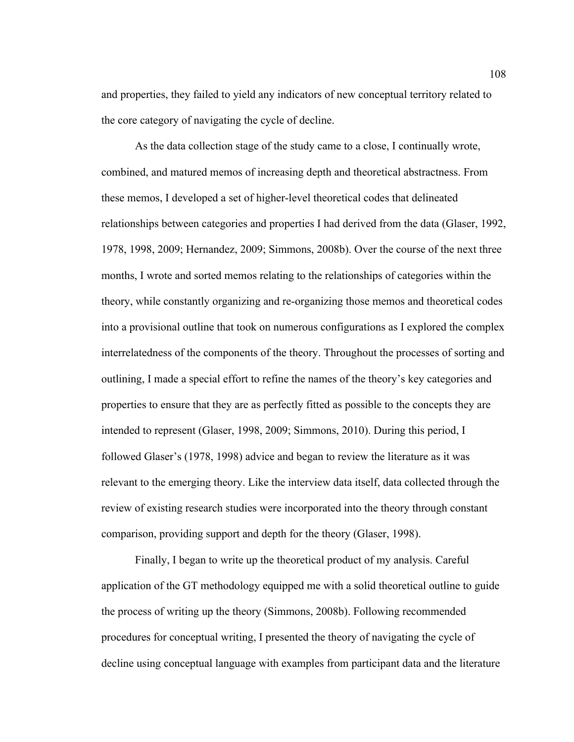and properties, they failed to yield any indicators of new conceptual territory related to the core category of navigating the cycle of decline.

As the data collection stage of the study came to a close, I continually wrote, combined, and matured memos of increasing depth and theoretical abstractness. From these memos, I developed a set of higher-level theoretical codes that delineated relationships between categories and properties I had derived from the data (Glaser, 1992, 1978, 1998, 2009; Hernandez, 2009; Simmons, 2008b). Over the course of the next three months, I wrote and sorted memos relating to the relationships of categories within the theory, while constantly organizing and re-organizing those memos and theoretical codes into a provisional outline that took on numerous configurations as I explored the complex interrelatedness of the components of the theory. Throughout the processes of sorting and outlining, I made a special effort to refine the names of the theory's key categories and properties to ensure that they are as perfectly fitted as possible to the concepts they are intended to represent (Glaser, 1998, 2009; Simmons, 2010). During this period, I followed Glaser's (1978, 1998) advice and began to review the literature as it was relevant to the emerging theory. Like the interview data itself, data collected through the review of existing research studies were incorporated into the theory through constant comparison, providing support and depth for the theory (Glaser, 1998).

Finally, I began to write up the theoretical product of my analysis. Careful application of the GT methodology equipped me with a solid theoretical outline to guide the process of writing up the theory (Simmons, 2008b). Following recommended procedures for conceptual writing, I presented the theory of navigating the cycle of decline using conceptual language with examples from participant data and the literature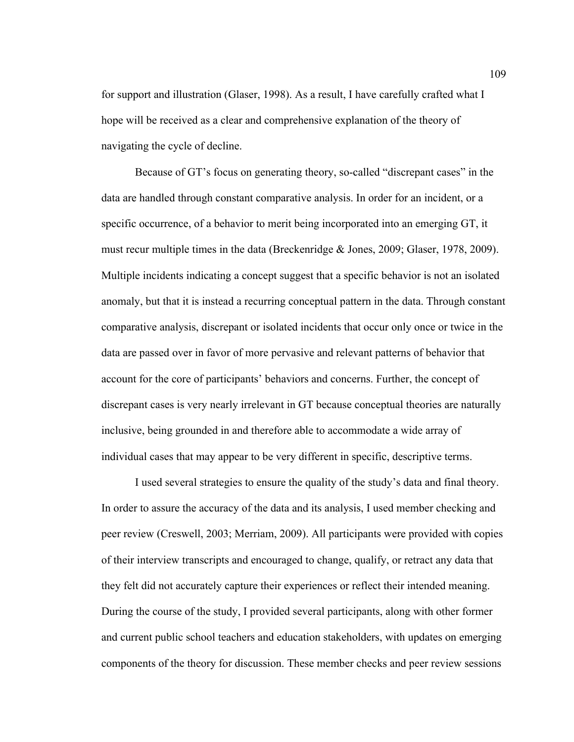for support and illustration (Glaser, 1998). As a result, I have carefully crafted what I hope will be received as a clear and comprehensive explanation of the theory of navigating the cycle of decline.

Because of GT's focus on generating theory, so-called "discrepant cases" in the data are handled through constant comparative analysis. In order for an incident, or a specific occurrence, of a behavior to merit being incorporated into an emerging GT, it must recur multiple times in the data (Breckenridge & Jones, 2009; Glaser, 1978, 2009). Multiple incidents indicating a concept suggest that a specific behavior is not an isolated anomaly, but that it is instead a recurring conceptual pattern in the data. Through constant comparative analysis, discrepant or isolated incidents that occur only once or twice in the data are passed over in favor of more pervasive and relevant patterns of behavior that account for the core of participants' behaviors and concerns. Further, the concept of discrepant cases is very nearly irrelevant in GT because conceptual theories are naturally inclusive, being grounded in and therefore able to accommodate a wide array of individual cases that may appear to be very different in specific, descriptive terms.

I used several strategies to ensure the quality of the study's data and final theory. In order to assure the accuracy of the data and its analysis, I used member checking and peer review (Creswell, 2003; Merriam, 2009). All participants were provided with copies of their interview transcripts and encouraged to change, qualify, or retract any data that they felt did not accurately capture their experiences or reflect their intended meaning. During the course of the study, I provided several participants, along with other former and current public school teachers and education stakeholders, with updates on emerging components of the theory for discussion. These member checks and peer review sessions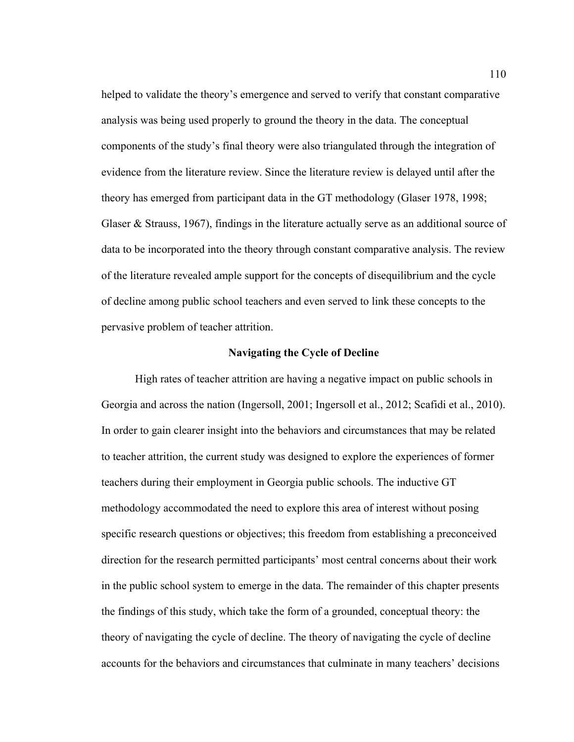helped to validate the theory's emergence and served to verify that constant comparative analysis was being used properly to ground the theory in the data. The conceptual components of the study's final theory were also triangulated through the integration of evidence from the literature review. Since the literature review is delayed until after the theory has emerged from participant data in the GT methodology (Glaser 1978, 1998; Glaser & Strauss, 1967), findings in the literature actually serve as an additional source of data to be incorporated into the theory through constant comparative analysis. The review of the literature revealed ample support for the concepts of disequilibrium and the cycle of decline among public school teachers and even served to link these concepts to the pervasive problem of teacher attrition.

## **Navigating the Cycle of Decline**

High rates of teacher attrition are having a negative impact on public schools in Georgia and across the nation (Ingersoll, 2001; Ingersoll et al., 2012; Scafidi et al., 2010). In order to gain clearer insight into the behaviors and circumstances that may be related to teacher attrition, the current study was designed to explore the experiences of former teachers during their employment in Georgia public schools. The inductive GT methodology accommodated the need to explore this area of interest without posing specific research questions or objectives; this freedom from establishing a preconceived direction for the research permitted participants' most central concerns about their work in the public school system to emerge in the data. The remainder of this chapter presents the findings of this study, which take the form of a grounded, conceptual theory: the theory of navigating the cycle of decline. The theory of navigating the cycle of decline accounts for the behaviors and circumstances that culminate in many teachers' decisions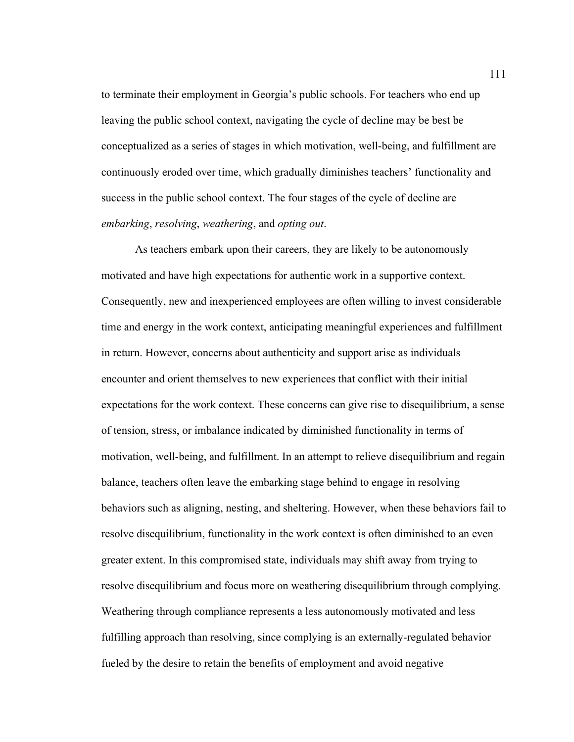to terminate their employment in Georgia's public schools. For teachers who end up leaving the public school context, navigating the cycle of decline may be best be conceptualized as a series of stages in which motivation, well-being, and fulfillment are continuously eroded over time, which gradually diminishes teachers' functionality and success in the public school context. The four stages of the cycle of decline are *embarking*, *resolving*, *weathering*, and *opting out*.

As teachers embark upon their careers, they are likely to be autonomously motivated and have high expectations for authentic work in a supportive context. Consequently, new and inexperienced employees are often willing to invest considerable time and energy in the work context, anticipating meaningful experiences and fulfillment in return. However, concerns about authenticity and support arise as individuals encounter and orient themselves to new experiences that conflict with their initial expectations for the work context. These concerns can give rise to disequilibrium, a sense of tension, stress, or imbalance indicated by diminished functionality in terms of motivation, well-being, and fulfillment. In an attempt to relieve disequilibrium and regain balance, teachers often leave the embarking stage behind to engage in resolving behaviors such as aligning, nesting, and sheltering. However, when these behaviors fail to resolve disequilibrium, functionality in the work context is often diminished to an even greater extent. In this compromised state, individuals may shift away from trying to resolve disequilibrium and focus more on weathering disequilibrium through complying. Weathering through compliance represents a less autonomously motivated and less fulfilling approach than resolving, since complying is an externally-regulated behavior fueled by the desire to retain the benefits of employment and avoid negative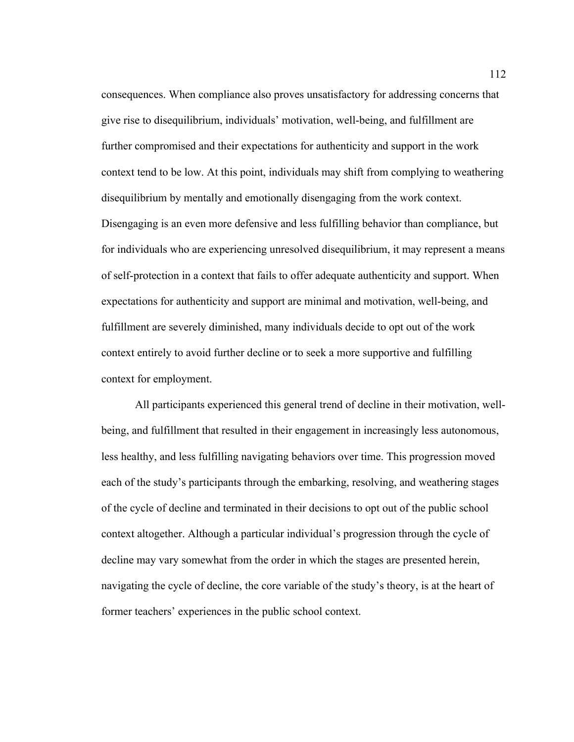consequences. When compliance also proves unsatisfactory for addressing concerns that give rise to disequilibrium, individuals' motivation, well-being, and fulfillment are further compromised and their expectations for authenticity and support in the work context tend to be low. At this point, individuals may shift from complying to weathering disequilibrium by mentally and emotionally disengaging from the work context. Disengaging is an even more defensive and less fulfilling behavior than compliance, but for individuals who are experiencing unresolved disequilibrium, it may represent a means of self-protection in a context that fails to offer adequate authenticity and support. When expectations for authenticity and support are minimal and motivation, well-being, and fulfillment are severely diminished, many individuals decide to opt out of the work context entirely to avoid further decline or to seek a more supportive and fulfilling context for employment.

All participants experienced this general trend of decline in their motivation, wellbeing, and fulfillment that resulted in their engagement in increasingly less autonomous, less healthy, and less fulfilling navigating behaviors over time. This progression moved each of the study's participants through the embarking, resolving, and weathering stages of the cycle of decline and terminated in their decisions to opt out of the public school context altogether. Although a particular individual's progression through the cycle of decline may vary somewhat from the order in which the stages are presented herein, navigating the cycle of decline, the core variable of the study's theory, is at the heart of former teachers' experiences in the public school context.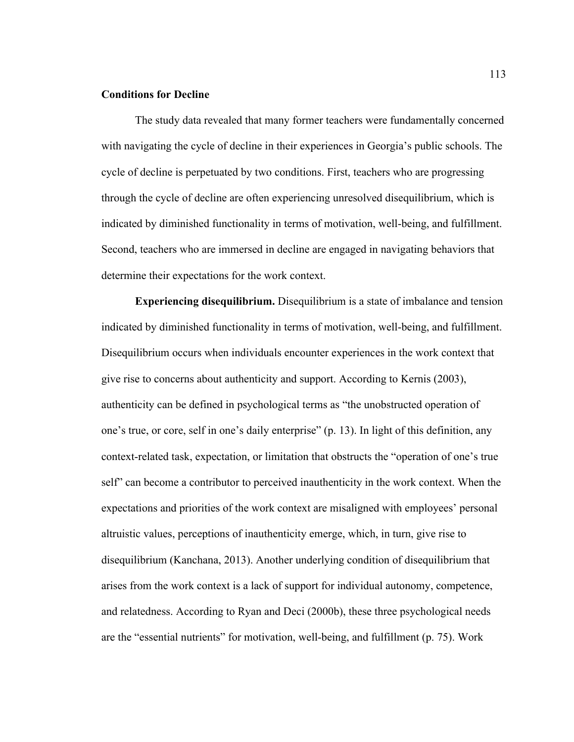## **Conditions for Decline**

The study data revealed that many former teachers were fundamentally concerned with navigating the cycle of decline in their experiences in Georgia's public schools. The cycle of decline is perpetuated by two conditions. First, teachers who are progressing through the cycle of decline are often experiencing unresolved disequilibrium, which is indicated by diminished functionality in terms of motivation, well-being, and fulfillment. Second, teachers who are immersed in decline are engaged in navigating behaviors that determine their expectations for the work context.

**Experiencing disequilibrium.** Disequilibrium is a state of imbalance and tension indicated by diminished functionality in terms of motivation, well-being, and fulfillment. Disequilibrium occurs when individuals encounter experiences in the work context that give rise to concerns about authenticity and support. According to Kernis (2003), authenticity can be defined in psychological terms as "the unobstructed operation of one's true, or core, self in one's daily enterprise" (p. 13). In light of this definition, any context-related task, expectation, or limitation that obstructs the "operation of one's true self" can become a contributor to perceived inauthenticity in the work context. When the expectations and priorities of the work context are misaligned with employees' personal altruistic values, perceptions of inauthenticity emerge, which, in turn, give rise to disequilibrium (Kanchana, 2013). Another underlying condition of disequilibrium that arises from the work context is a lack of support for individual autonomy, competence, and relatedness. According to Ryan and Deci (2000b), these three psychological needs are the "essential nutrients" for motivation, well-being, and fulfillment (p. 75). Work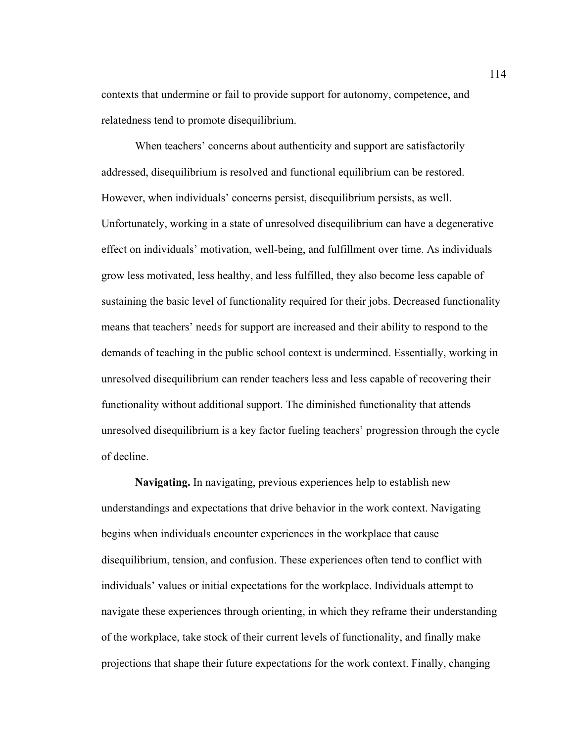contexts that undermine or fail to provide support for autonomy, competence, and relatedness tend to promote disequilibrium.

When teachers' concerns about authenticity and support are satisfactorily addressed, disequilibrium is resolved and functional equilibrium can be restored. However, when individuals' concerns persist, disequilibrium persists, as well. Unfortunately, working in a state of unresolved disequilibrium can have a degenerative effect on individuals' motivation, well-being, and fulfillment over time. As individuals grow less motivated, less healthy, and less fulfilled, they also become less capable of sustaining the basic level of functionality required for their jobs. Decreased functionality means that teachers' needs for support are increased and their ability to respond to the demands of teaching in the public school context is undermined. Essentially, working in unresolved disequilibrium can render teachers less and less capable of recovering their functionality without additional support. The diminished functionality that attends unresolved disequilibrium is a key factor fueling teachers' progression through the cycle of decline.

**Navigating.** In navigating, previous experiences help to establish new understandings and expectations that drive behavior in the work context. Navigating begins when individuals encounter experiences in the workplace that cause disequilibrium, tension, and confusion. These experiences often tend to conflict with individuals' values or initial expectations for the workplace. Individuals attempt to navigate these experiences through orienting, in which they reframe their understanding of the workplace, take stock of their current levels of functionality, and finally make projections that shape their future expectations for the work context. Finally, changing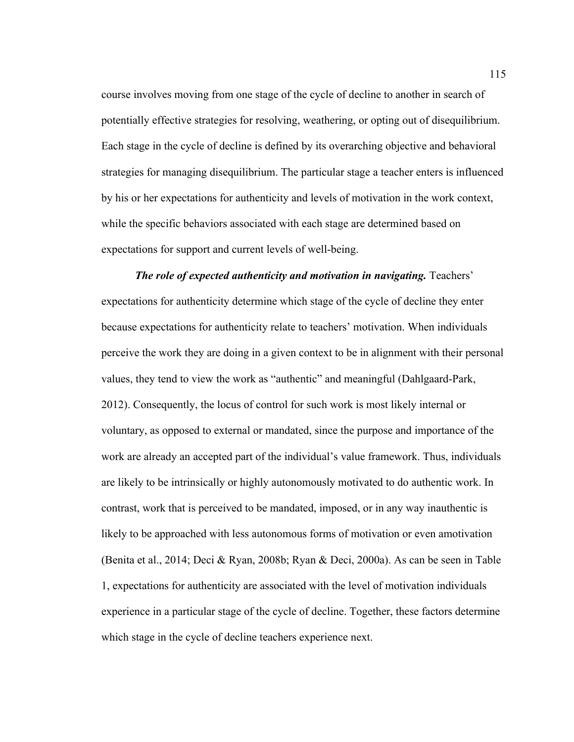course involves moving from one stage of the cycle of decline to another in search of potentially effective strategies for resolving, weathering, or opting out of disequilibrium. Each stage in the cycle of decline is defined by its overarching objective and behavioral strategies for managing disequilibrium. The particular stage a teacher enters is influenced by his or her expectations for authenticity and levels of motivation in the work context, while the specific behaviors associated with each stage are determined based on expectations for support and current levels of well-being.

*The role of expected authenticity and motivation in navigating. Teachers'* expectations for authenticity determine which stage of the cycle of decline they enter because expectations for authenticity relate to teachers' motivation. When individuals perceive the work they are doing in a given context to be in alignment with their personal values, they tend to view the work as "authentic" and meaningful (Dahlgaard-Park, 2012). Consequently, the locus of control for such work is most likely internal or voluntary, as opposed to external or mandated, since the purpose and importance of the work are already an accepted part of the individual's value framework. Thus, individuals are likely to be intrinsically or highly autonomously motivated to do authentic work. In contrast, work that is perceived to be mandated, imposed, or in any way inauthentic is likely to be approached with less autonomous forms of motivation or even amotivation (Benita et al., 2014; Deci & Ryan, 2008b; Ryan & Deci, 2000a). As can be seen in Table 1, expectations for authenticity are associated with the level of motivation individuals experience in a particular stage of the cycle of decline. Together, these factors determine which stage in the cycle of decline teachers experience next.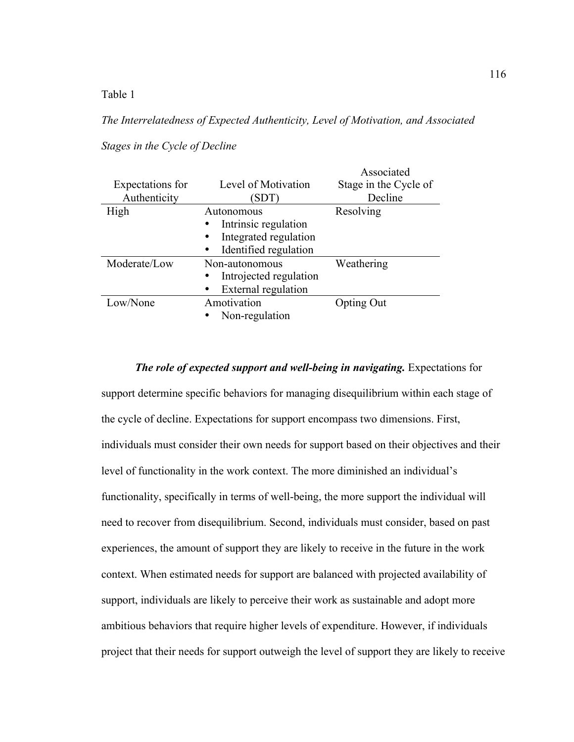Table 1

# *The Interrelatedness of Expected Authenticity, Level of Motivation, and Associated*

## *Stages in the Cycle of Decline*

| Expectations for<br>Authenticity | Level of Motivation<br>(SDT) | Associated<br>Stage in the Cycle of<br>Decline |
|----------------------------------|------------------------------|------------------------------------------------|
| High                             | Autonomous                   | Resolving                                      |
|                                  | Intrinsic regulation         |                                                |
|                                  | Integrated regulation        |                                                |
|                                  | Identified regulation        |                                                |
| Moderate/Low                     | Non-autonomous               | Weathering                                     |
|                                  | Introjected regulation       |                                                |
|                                  | External regulation          |                                                |
| Low/None                         | Amotivation                  | Opting Out                                     |
|                                  | Non-regulation               |                                                |

## *The role of expected support and well-being in navigating.* Expectations for

support determine specific behaviors for managing disequilibrium within each stage of the cycle of decline. Expectations for support encompass two dimensions. First, individuals must consider their own needs for support based on their objectives and their level of functionality in the work context. The more diminished an individual's functionality, specifically in terms of well-being, the more support the individual will need to recover from disequilibrium. Second, individuals must consider, based on past experiences, the amount of support they are likely to receive in the future in the work context. When estimated needs for support are balanced with projected availability of support, individuals are likely to perceive their work as sustainable and adopt more ambitious behaviors that require higher levels of expenditure. However, if individuals project that their needs for support outweigh the level of support they are likely to receive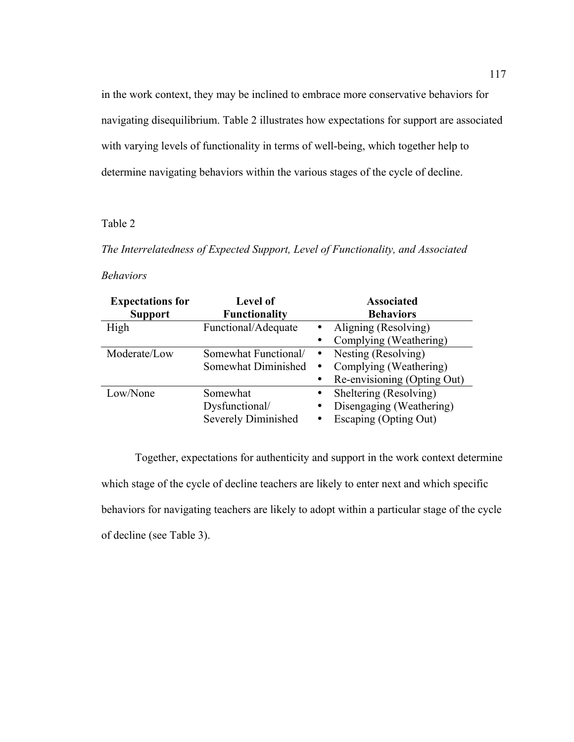in the work context, they may be inclined to embrace more conservative behaviors for navigating disequilibrium. Table 2 illustrates how expectations for support are associated with varying levels of functionality in terms of well-being, which together help to determine navigating behaviors within the various stages of the cycle of decline.

## Table 2

*The Interrelatedness of Expected Support, Level of Functionality, and Associated* 

# *Behaviors*

| <b>Expectations for</b> | <b>Level of</b>            |           | <b>Associated</b>           |
|-------------------------|----------------------------|-----------|-----------------------------|
| <b>Support</b>          | <b>Functionality</b>       |           | <b>Behaviors</b>            |
| High                    | Functional/Adequate        |           | Aligning (Resolving)        |
|                         |                            |           | Complying (Weathering)      |
| Moderate/Low            | Somewhat Functional/       | $\bullet$ | Nesting (Resolving)         |
|                         | Somewhat Diminished        | $\bullet$ | Complying (Weathering)      |
|                         |                            |           | Re-envisioning (Opting Out) |
| Low/None                | Somewhat                   |           | Sheltering (Resolving)      |
|                         | Dysfunctional/             | ٠         | Disengaging (Weathering)    |
|                         | <b>Severely Diminished</b> |           | Escaping (Opting Out)       |

Together, expectations for authenticity and support in the work context determine which stage of the cycle of decline teachers are likely to enter next and which specific behaviors for navigating teachers are likely to adopt within a particular stage of the cycle of decline (see Table 3).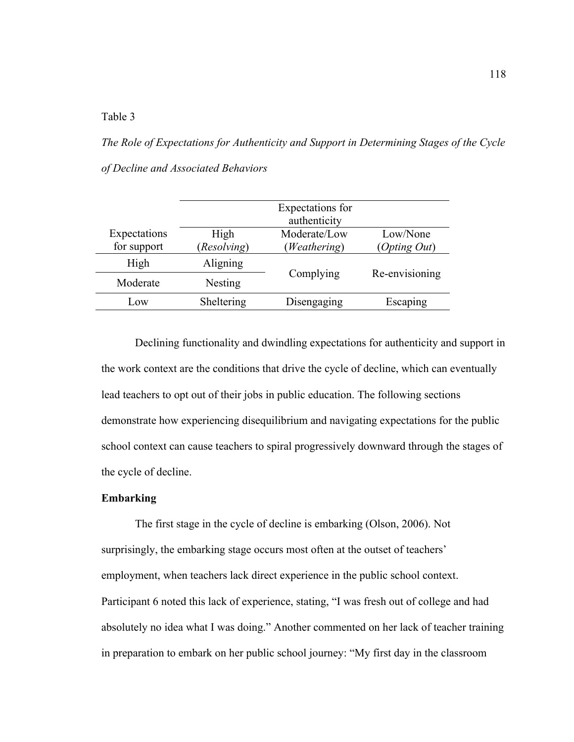Table 3

*The Role of Expectations for Authenticity and Support in Determining Stages of the Cycle of Decline and Associated Behaviors*

|              | Expectations for<br>authenticity |              |                |
|--------------|----------------------------------|--------------|----------------|
| Expectations | High                             | Moderate/Low | Low/None       |
| for support  | (Resolving)                      | (Weathering) | (Opting Out)   |
| High         | Aligning                         | Complying    | Re-envisioning |
| Moderate     | <b>Nesting</b>                   |              |                |
| Low          | Sheltering                       | Disengaging  | Escaping       |

Declining functionality and dwindling expectations for authenticity and support in the work context are the conditions that drive the cycle of decline, which can eventually lead teachers to opt out of their jobs in public education. The following sections demonstrate how experiencing disequilibrium and navigating expectations for the public school context can cause teachers to spiral progressively downward through the stages of the cycle of decline.

## **Embarking**

The first stage in the cycle of decline is embarking (Olson, 2006). Not surprisingly, the embarking stage occurs most often at the outset of teachers' employment, when teachers lack direct experience in the public school context. Participant 6 noted this lack of experience, stating, "I was fresh out of college and had absolutely no idea what I was doing." Another commented on her lack of teacher training in preparation to embark on her public school journey: "My first day in the classroom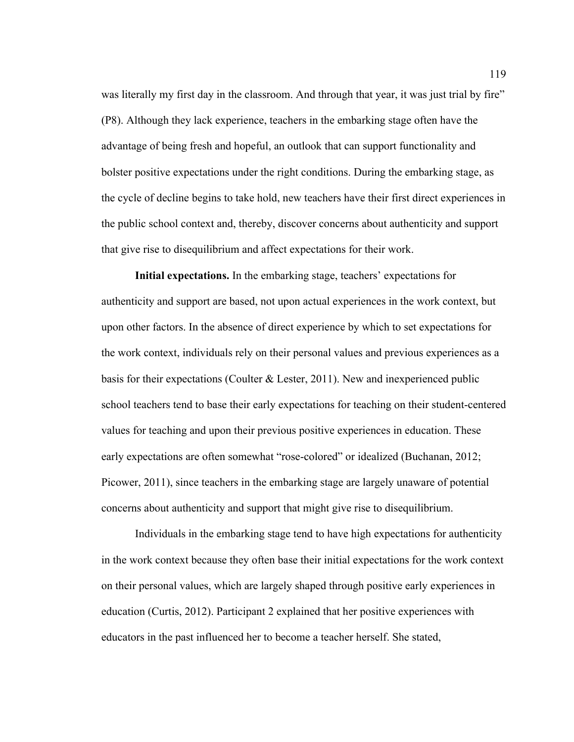was literally my first day in the classroom. And through that year, it was just trial by fire" (P8). Although they lack experience, teachers in the embarking stage often have the advantage of being fresh and hopeful, an outlook that can support functionality and bolster positive expectations under the right conditions. During the embarking stage, as the cycle of decline begins to take hold, new teachers have their first direct experiences in the public school context and, thereby, discover concerns about authenticity and support that give rise to disequilibrium and affect expectations for their work.

**Initial expectations.** In the embarking stage, teachers' expectations for authenticity and support are based, not upon actual experiences in the work context, but upon other factors. In the absence of direct experience by which to set expectations for the work context, individuals rely on their personal values and previous experiences as a basis for their expectations (Coulter & Lester, 2011). New and inexperienced public school teachers tend to base their early expectations for teaching on their student-centered values for teaching and upon their previous positive experiences in education. These early expectations are often somewhat "rose-colored" or idealized (Buchanan, 2012; Picower, 2011), since teachers in the embarking stage are largely unaware of potential concerns about authenticity and support that might give rise to disequilibrium.

Individuals in the embarking stage tend to have high expectations for authenticity in the work context because they often base their initial expectations for the work context on their personal values, which are largely shaped through positive early experiences in education (Curtis, 2012). Participant 2 explained that her positive experiences with educators in the past influenced her to become a teacher herself. She stated,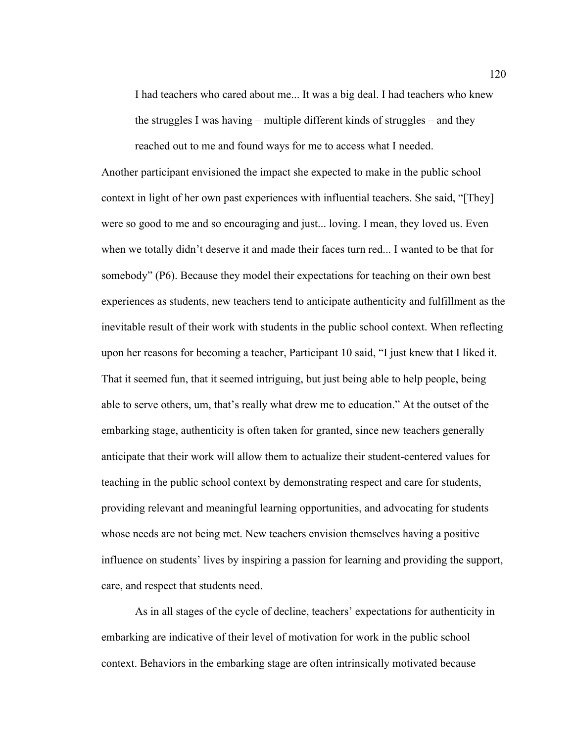I had teachers who cared about me... It was a big deal. I had teachers who knew the struggles I was having – multiple different kinds of struggles – and they reached out to me and found ways for me to access what I needed.

Another participant envisioned the impact she expected to make in the public school context in light of her own past experiences with influential teachers. She said, "[They] were so good to me and so encouraging and just... loving. I mean, they loved us. Even when we totally didn't deserve it and made their faces turn red... I wanted to be that for somebody" (P6). Because they model their expectations for teaching on their own best experiences as students, new teachers tend to anticipate authenticity and fulfillment as the inevitable result of their work with students in the public school context. When reflecting upon her reasons for becoming a teacher, Participant 10 said, "I just knew that I liked it. That it seemed fun, that it seemed intriguing, but just being able to help people, being able to serve others, um, that's really what drew me to education." At the outset of the embarking stage, authenticity is often taken for granted, since new teachers generally anticipate that their work will allow them to actualize their student-centered values for teaching in the public school context by demonstrating respect and care for students, providing relevant and meaningful learning opportunities, and advocating for students whose needs are not being met. New teachers envision themselves having a positive influence on students' lives by inspiring a passion for learning and providing the support, care, and respect that students need.

As in all stages of the cycle of decline, teachers' expectations for authenticity in embarking are indicative of their level of motivation for work in the public school context. Behaviors in the embarking stage are often intrinsically motivated because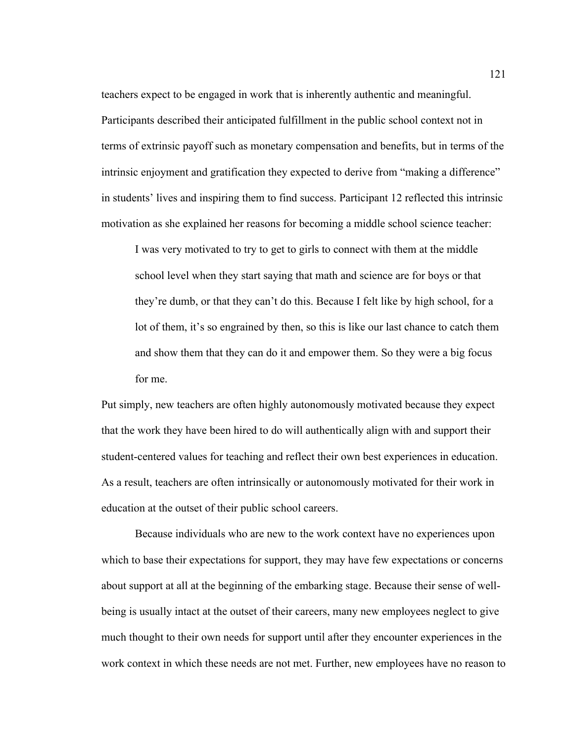teachers expect to be engaged in work that is inherently authentic and meaningful. Participants described their anticipated fulfillment in the public school context not in terms of extrinsic payoff such as monetary compensation and benefits, but in terms of the intrinsic enjoyment and gratification they expected to derive from "making a difference" in students' lives and inspiring them to find success. Participant 12 reflected this intrinsic motivation as she explained her reasons for becoming a middle school science teacher:

I was very motivated to try to get to girls to connect with them at the middle school level when they start saying that math and science are for boys or that they're dumb, or that they can't do this. Because I felt like by high school, for a lot of them, it's so engrained by then, so this is like our last chance to catch them and show them that they can do it and empower them. So they were a big focus for me.

Put simply, new teachers are often highly autonomously motivated because they expect that the work they have been hired to do will authentically align with and support their student-centered values for teaching and reflect their own best experiences in education. As a result, teachers are often intrinsically or autonomously motivated for their work in education at the outset of their public school careers.

Because individuals who are new to the work context have no experiences upon which to base their expectations for support, they may have few expectations or concerns about support at all at the beginning of the embarking stage. Because their sense of wellbeing is usually intact at the outset of their careers, many new employees neglect to give much thought to their own needs for support until after they encounter experiences in the work context in which these needs are not met. Further, new employees have no reason to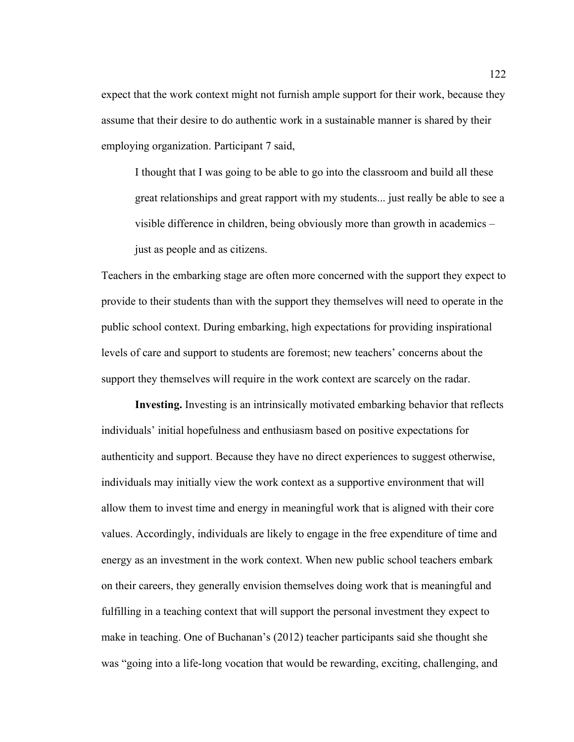expect that the work context might not furnish ample support for their work, because they assume that their desire to do authentic work in a sustainable manner is shared by their employing organization. Participant 7 said,

I thought that I was going to be able to go into the classroom and build all these great relationships and great rapport with my students... just really be able to see a visible difference in children, being obviously more than growth in academics – just as people and as citizens.

Teachers in the embarking stage are often more concerned with the support they expect to provide to their students than with the support they themselves will need to operate in the public school context. During embarking, high expectations for providing inspirational levels of care and support to students are foremost; new teachers' concerns about the support they themselves will require in the work context are scarcely on the radar.

**Investing.** Investing is an intrinsically motivated embarking behavior that reflects individuals' initial hopefulness and enthusiasm based on positive expectations for authenticity and support. Because they have no direct experiences to suggest otherwise, individuals may initially view the work context as a supportive environment that will allow them to invest time and energy in meaningful work that is aligned with their core values. Accordingly, individuals are likely to engage in the free expenditure of time and energy as an investment in the work context. When new public school teachers embark on their careers, they generally envision themselves doing work that is meaningful and fulfilling in a teaching context that will support the personal investment they expect to make in teaching. One of Buchanan's (2012) teacher participants said she thought she was "going into a life-long vocation that would be rewarding, exciting, challenging, and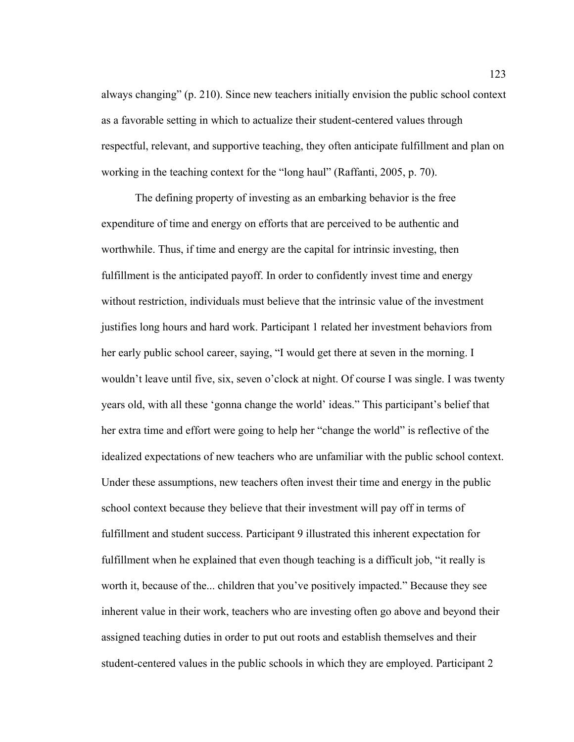always changing" (p. 210). Since new teachers initially envision the public school context as a favorable setting in which to actualize their student-centered values through respectful, relevant, and supportive teaching, they often anticipate fulfillment and plan on working in the teaching context for the "long haul" (Raffanti, 2005, p. 70).

The defining property of investing as an embarking behavior is the free expenditure of time and energy on efforts that are perceived to be authentic and worthwhile. Thus, if time and energy are the capital for intrinsic investing, then fulfillment is the anticipated payoff. In order to confidently invest time and energy without restriction, individuals must believe that the intrinsic value of the investment justifies long hours and hard work. Participant 1 related her investment behaviors from her early public school career, saying, "I would get there at seven in the morning. I wouldn't leave until five, six, seven o'clock at night. Of course I was single. I was twenty years old, with all these 'gonna change the world' ideas." This participant's belief that her extra time and effort were going to help her "change the world" is reflective of the idealized expectations of new teachers who are unfamiliar with the public school context. Under these assumptions, new teachers often invest their time and energy in the public school context because they believe that their investment will pay off in terms of fulfillment and student success. Participant 9 illustrated this inherent expectation for fulfillment when he explained that even though teaching is a difficult job, "it really is worth it, because of the... children that you've positively impacted." Because they see inherent value in their work, teachers who are investing often go above and beyond their assigned teaching duties in order to put out roots and establish themselves and their student-centered values in the public schools in which they are employed. Participant 2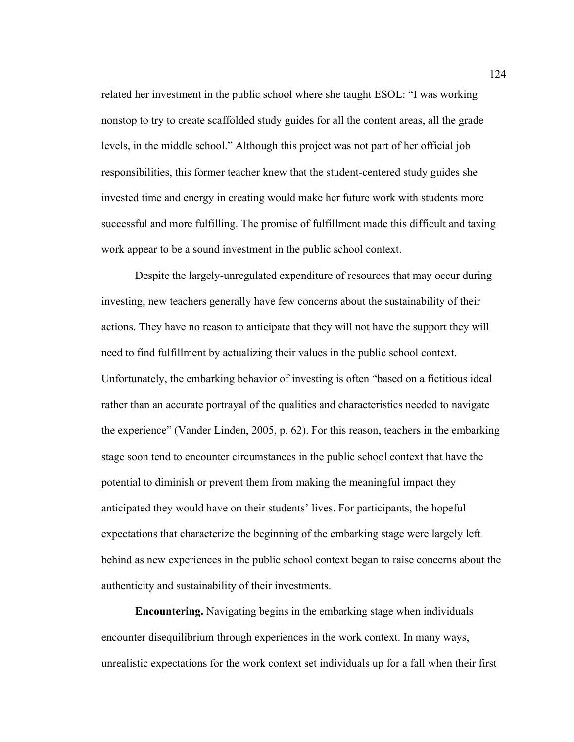related her investment in the public school where she taught ESOL: "I was working nonstop to try to create scaffolded study guides for all the content areas, all the grade levels, in the middle school." Although this project was not part of her official job responsibilities, this former teacher knew that the student-centered study guides she invested time and energy in creating would make her future work with students more successful and more fulfilling. The promise of fulfillment made this difficult and taxing work appear to be a sound investment in the public school context.

Despite the largely-unregulated expenditure of resources that may occur during investing, new teachers generally have few concerns about the sustainability of their actions. They have no reason to anticipate that they will not have the support they will need to find fulfillment by actualizing their values in the public school context. Unfortunately, the embarking behavior of investing is often "based on a fictitious ideal rather than an accurate portrayal of the qualities and characteristics needed to navigate the experience" (Vander Linden, 2005, p. 62). For this reason, teachers in the embarking stage soon tend to encounter circumstances in the public school context that have the potential to diminish or prevent them from making the meaningful impact they anticipated they would have on their students' lives. For participants, the hopeful expectations that characterize the beginning of the embarking stage were largely left behind as new experiences in the public school context began to raise concerns about the authenticity and sustainability of their investments.

**Encountering.** Navigating begins in the embarking stage when individuals encounter disequilibrium through experiences in the work context. In many ways, unrealistic expectations for the work context set individuals up for a fall when their first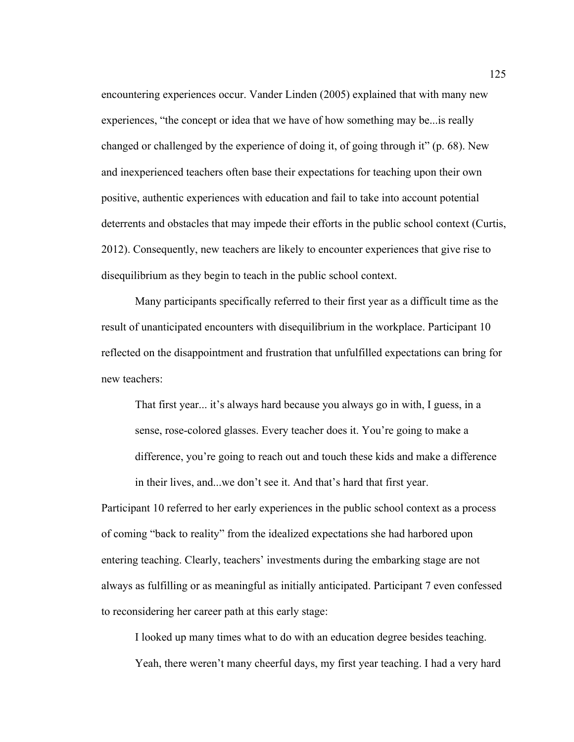encountering experiences occur. Vander Linden (2005) explained that with many new experiences, "the concept or idea that we have of how something may be...is really changed or challenged by the experience of doing it, of going through it" (p. 68). New and inexperienced teachers often base their expectations for teaching upon their own positive, authentic experiences with education and fail to take into account potential deterrents and obstacles that may impede their efforts in the public school context (Curtis, 2012). Consequently, new teachers are likely to encounter experiences that give rise to disequilibrium as they begin to teach in the public school context.

Many participants specifically referred to their first year as a difficult time as the result of unanticipated encounters with disequilibrium in the workplace. Participant 10 reflected on the disappointment and frustration that unfulfilled expectations can bring for new teachers:

That first year... it's always hard because you always go in with, I guess, in a sense, rose-colored glasses. Every teacher does it. You're going to make a difference, you're going to reach out and touch these kids and make a difference in their lives, and...we don't see it. And that's hard that first year.

Participant 10 referred to her early experiences in the public school context as a process of coming "back to reality" from the idealized expectations she had harbored upon entering teaching. Clearly, teachers' investments during the embarking stage are not always as fulfilling or as meaningful as initially anticipated. Participant 7 even confessed to reconsidering her career path at this early stage:

I looked up many times what to do with an education degree besides teaching. Yeah, there weren't many cheerful days, my first year teaching. I had a very hard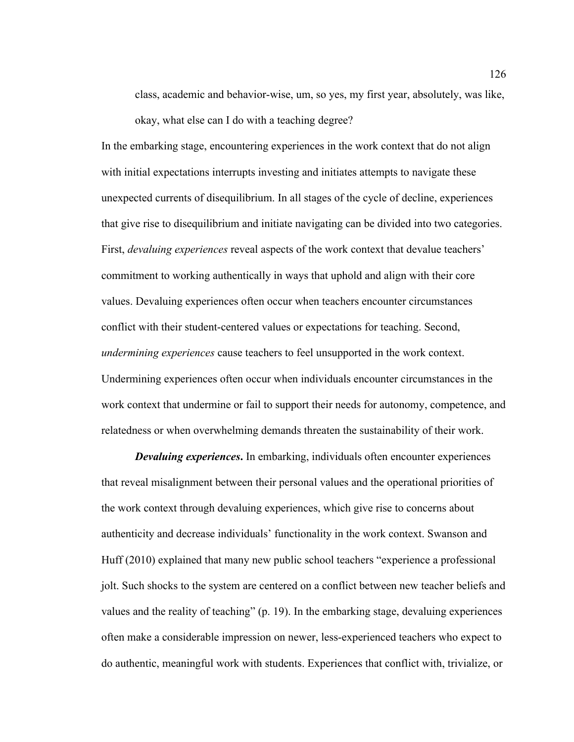class, academic and behavior-wise, um, so yes, my first year, absolutely, was like, okay, what else can I do with a teaching degree?

In the embarking stage, encountering experiences in the work context that do not align with initial expectations interrupts investing and initiates attempts to navigate these unexpected currents of disequilibrium. In all stages of the cycle of decline, experiences that give rise to disequilibrium and initiate navigating can be divided into two categories. First, *devaluing experiences* reveal aspects of the work context that devalue teachers' commitment to working authentically in ways that uphold and align with their core values. Devaluing experiences often occur when teachers encounter circumstances conflict with their student-centered values or expectations for teaching. Second, *undermining experiences* cause teachers to feel unsupported in the work context. Undermining experiences often occur when individuals encounter circumstances in the work context that undermine or fail to support their needs for autonomy, competence, and relatedness or when overwhelming demands threaten the sustainability of their work.

*Devaluing experiences***.** In embarking, individuals often encounter experiences that reveal misalignment between their personal values and the operational priorities of the work context through devaluing experiences, which give rise to concerns about authenticity and decrease individuals' functionality in the work context. Swanson and Huff (2010) explained that many new public school teachers "experience a professional jolt. Such shocks to the system are centered on a conflict between new teacher beliefs and values and the reality of teaching" (p. 19). In the embarking stage, devaluing experiences often make a considerable impression on newer, less-experienced teachers who expect to do authentic, meaningful work with students. Experiences that conflict with, trivialize, or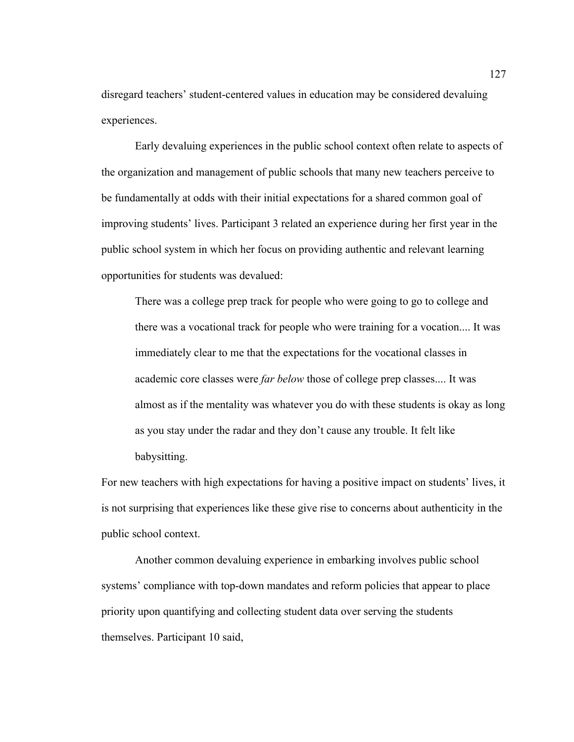disregard teachers' student-centered values in education may be considered devaluing experiences.

Early devaluing experiences in the public school context often relate to aspects of the organization and management of public schools that many new teachers perceive to be fundamentally at odds with their initial expectations for a shared common goal of improving students' lives. Participant 3 related an experience during her first year in the public school system in which her focus on providing authentic and relevant learning opportunities for students was devalued:

There was a college prep track for people who were going to go to college and there was a vocational track for people who were training for a vocation.... It was immediately clear to me that the expectations for the vocational classes in academic core classes were *far below* those of college prep classes.... It was almost as if the mentality was whatever you do with these students is okay as long as you stay under the radar and they don't cause any trouble. It felt like babysitting.

For new teachers with high expectations for having a positive impact on students' lives, it is not surprising that experiences like these give rise to concerns about authenticity in the public school context.

Another common devaluing experience in embarking involves public school systems' compliance with top-down mandates and reform policies that appear to place priority upon quantifying and collecting student data over serving the students themselves. Participant 10 said,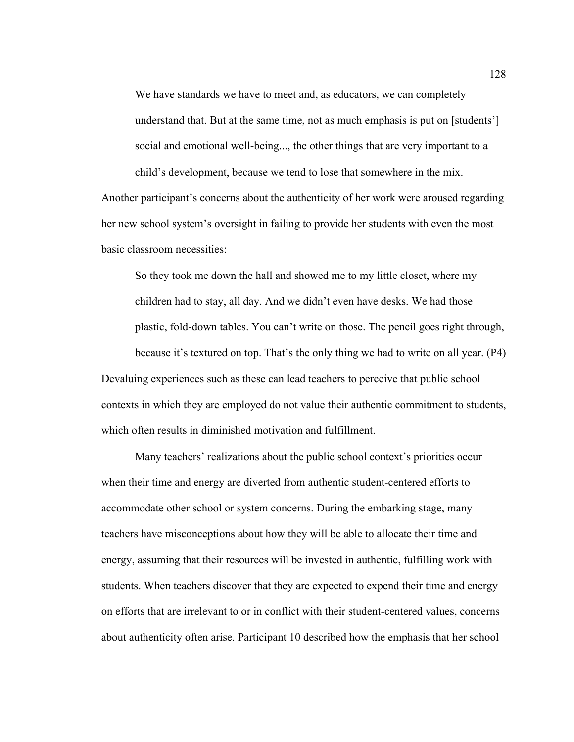We have standards we have to meet and, as educators, we can completely understand that. But at the same time, not as much emphasis is put on [students'] social and emotional well-being..., the other things that are very important to a child's development, because we tend to lose that somewhere in the mix.

Another participant's concerns about the authenticity of her work were aroused regarding her new school system's oversight in failing to provide her students with even the most basic classroom necessities:

So they took me down the hall and showed me to my little closet, where my children had to stay, all day. And we didn't even have desks. We had those plastic, fold-down tables. You can't write on those. The pencil goes right through, because it's textured on top. That's the only thing we had to write on all year. (P4) Devaluing experiences such as these can lead teachers to perceive that public school contexts in which they are employed do not value their authentic commitment to students, which often results in diminished motivation and fulfillment.

Many teachers' realizations about the public school context's priorities occur when their time and energy are diverted from authentic student-centered efforts to accommodate other school or system concerns. During the embarking stage, many teachers have misconceptions about how they will be able to allocate their time and energy, assuming that their resources will be invested in authentic, fulfilling work with students. When teachers discover that they are expected to expend their time and energy on efforts that are irrelevant to or in conflict with their student-centered values, concerns about authenticity often arise. Participant 10 described how the emphasis that her school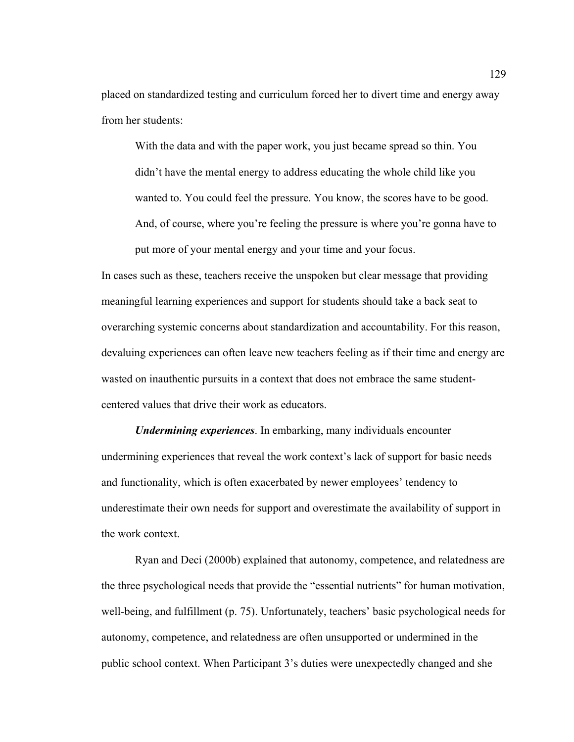placed on standardized testing and curriculum forced her to divert time and energy away from her students:

With the data and with the paper work, you just became spread so thin. You didn't have the mental energy to address educating the whole child like you wanted to. You could feel the pressure. You know, the scores have to be good. And, of course, where you're feeling the pressure is where you're gonna have to put more of your mental energy and your time and your focus.

In cases such as these, teachers receive the unspoken but clear message that providing meaningful learning experiences and support for students should take a back seat to overarching systemic concerns about standardization and accountability. For this reason, devaluing experiences can often leave new teachers feeling as if their time and energy are wasted on inauthentic pursuits in a context that does not embrace the same studentcentered values that drive their work as educators.

*Undermining experiences*. In embarking, many individuals encounter undermining experiences that reveal the work context's lack of support for basic needs and functionality, which is often exacerbated by newer employees' tendency to underestimate their own needs for support and overestimate the availability of support in the work context.

Ryan and Deci (2000b) explained that autonomy, competence, and relatedness are the three psychological needs that provide the "essential nutrients" for human motivation, well-being, and fulfillment (p. 75). Unfortunately, teachers' basic psychological needs for autonomy, competence, and relatedness are often unsupported or undermined in the public school context. When Participant 3's duties were unexpectedly changed and she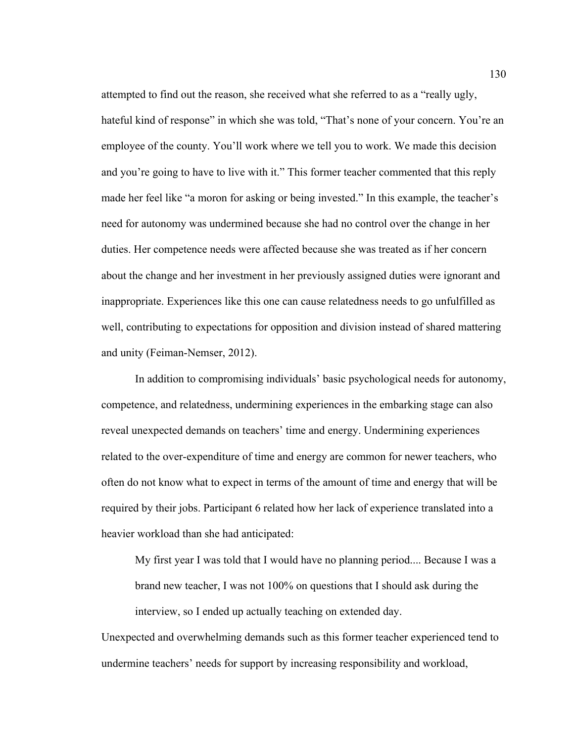attempted to find out the reason, she received what she referred to as a "really ugly, hateful kind of response" in which she was told, "That's none of your concern. You're an employee of the county. You'll work where we tell you to work. We made this decision and you're going to have to live with it." This former teacher commented that this reply made her feel like "a moron for asking or being invested." In this example, the teacher's need for autonomy was undermined because she had no control over the change in her duties. Her competence needs were affected because she was treated as if her concern about the change and her investment in her previously assigned duties were ignorant and inappropriate. Experiences like this one can cause relatedness needs to go unfulfilled as well, contributing to expectations for opposition and division instead of shared mattering and unity (Feiman-Nemser, 2012).

In addition to compromising individuals' basic psychological needs for autonomy, competence, and relatedness, undermining experiences in the embarking stage can also reveal unexpected demands on teachers' time and energy. Undermining experiences related to the over-expenditure of time and energy are common for newer teachers, who often do not know what to expect in terms of the amount of time and energy that will be required by their jobs. Participant 6 related how her lack of experience translated into a heavier workload than she had anticipated:

My first year I was told that I would have no planning period.... Because I was a brand new teacher, I was not 100% on questions that I should ask during the interview, so I ended up actually teaching on extended day.

Unexpected and overwhelming demands such as this former teacher experienced tend to undermine teachers' needs for support by increasing responsibility and workload,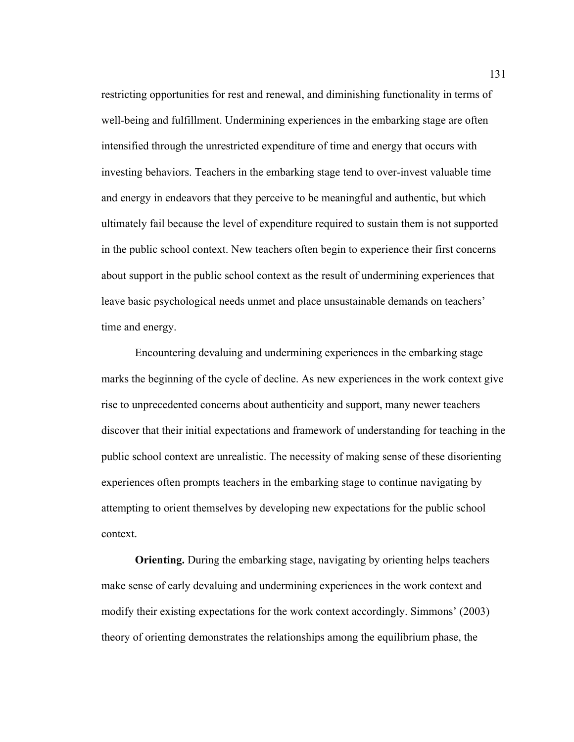restricting opportunities for rest and renewal, and diminishing functionality in terms of well-being and fulfillment. Undermining experiences in the embarking stage are often intensified through the unrestricted expenditure of time and energy that occurs with investing behaviors. Teachers in the embarking stage tend to over-invest valuable time and energy in endeavors that they perceive to be meaningful and authentic, but which ultimately fail because the level of expenditure required to sustain them is not supported in the public school context. New teachers often begin to experience their first concerns about support in the public school context as the result of undermining experiences that leave basic psychological needs unmet and place unsustainable demands on teachers' time and energy.

Encountering devaluing and undermining experiences in the embarking stage marks the beginning of the cycle of decline. As new experiences in the work context give rise to unprecedented concerns about authenticity and support, many newer teachers discover that their initial expectations and framework of understanding for teaching in the public school context are unrealistic. The necessity of making sense of these disorienting experiences often prompts teachers in the embarking stage to continue navigating by attempting to orient themselves by developing new expectations for the public school context.

**Orienting.** During the embarking stage, navigating by orienting helps teachers make sense of early devaluing and undermining experiences in the work context and modify their existing expectations for the work context accordingly. Simmons' (2003) theory of orienting demonstrates the relationships among the equilibrium phase, the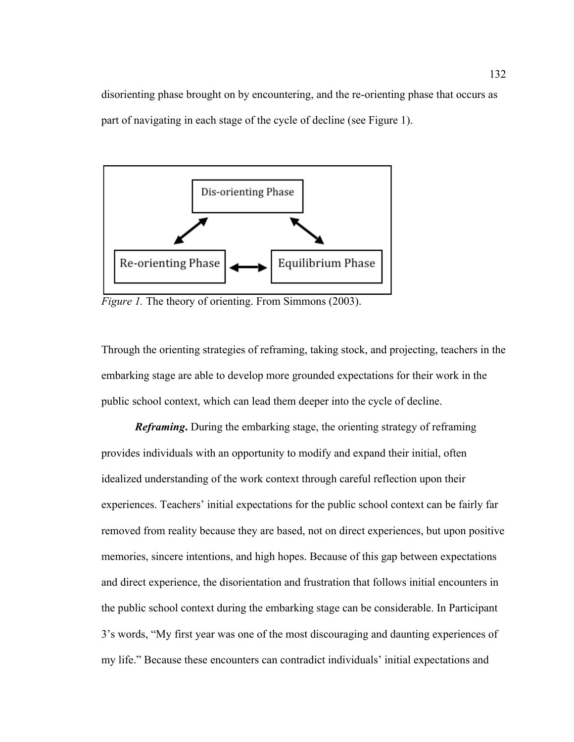disorienting phase brought on by encountering, and the re-orienting phase that occurs as part of navigating in each stage of the cycle of decline (see Figure 1).



*Figure 1.* The theory of orienting. From Simmons (2003).

Through the orienting strategies of reframing, taking stock, and projecting, teachers in the embarking stage are able to develop more grounded expectations for their work in the public school context, which can lead them deeper into the cycle of decline.

*Reframing***.** During the embarking stage, the orienting strategy of reframing provides individuals with an opportunity to modify and expand their initial, often idealized understanding of the work context through careful reflection upon their experiences. Teachers' initial expectations for the public school context can be fairly far removed from reality because they are based, not on direct experiences, but upon positive memories, sincere intentions, and high hopes. Because of this gap between expectations and direct experience, the disorientation and frustration that follows initial encounters in the public school context during the embarking stage can be considerable. In Participant 3's words, "My first year was one of the most discouraging and daunting experiences of my life." Because these encounters can contradict individuals' initial expectations and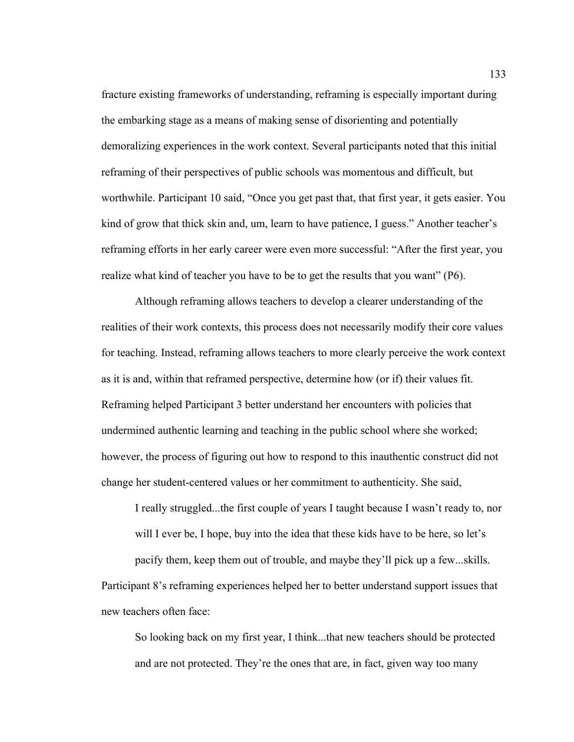fracture existing frameworks of understanding, reframing is especially important during the embarking stage as a means of making sense of disorienting and potentially demoralizing experiences in the work context. Several participants noted that this initial reframing of their perspectives of public schools was momentous and difficult, but worthwhile. Participant 10 said, "Once you get past that, that first year, it gets easier. You kind of grow that thick skin and, um, learn to have patience, I guess." Another teacher's reframing efforts in her early career were even more successful: "After the first year, you realize what kind of teacher you have to be to get the results that you want" (P6).

Although reframing allows teachers to develop a clearer understanding of the realities of their work contexts, this process does not necessarily modify their core values for teaching. Instead, reframing allows teachers to more clearly perceive the work context as it is and, within that reframed perspective, determine how (or if) their values fit. Reframing helped Participant 3 better understand her encounters with policies that undermined authentic learning and teaching in the public school where she worked; however, the process of figuring out how to respond to this inauthentic construct did not change her student-centered values or her commitment to authenticity. She said,

I really struggled...the first couple of years I taught because I wasn't ready to, nor will I ever be, I hope, buy into the idea that these kids have to be here, so let's

pacify them, keep them out of trouble, and maybe they'll pick up a few...skills. Participant 8's reframing experiences helped her to better understand support issues that new teachers often face:

So looking back on my first year, I think...that new teachers should be protected and are not protected. They're the ones that are, in fact, given way too many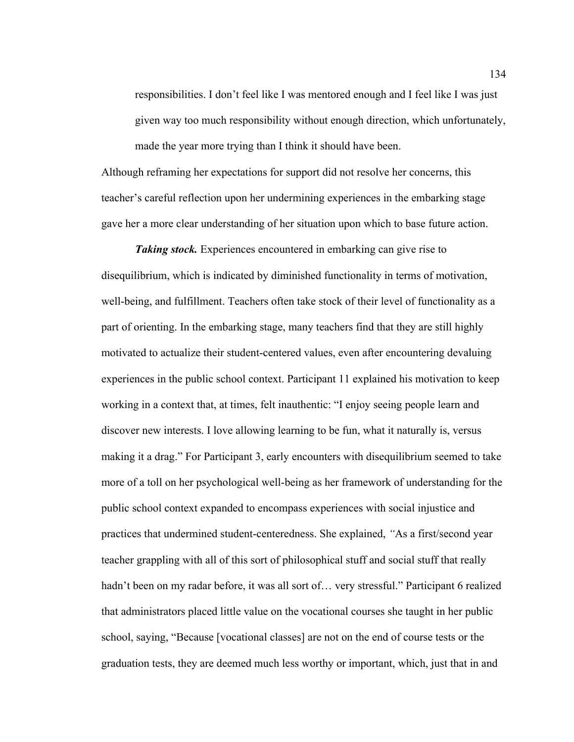responsibilities. I don't feel like I was mentored enough and I feel like I was just given way too much responsibility without enough direction, which unfortunately, made the year more trying than I think it should have been.

Although reframing her expectations for support did not resolve her concerns, this teacher's careful reflection upon her undermining experiences in the embarking stage gave her a more clear understanding of her situation upon which to base future action.

*Taking stock.* Experiences encountered in embarking can give rise to disequilibrium, which is indicated by diminished functionality in terms of motivation, well-being, and fulfillment. Teachers often take stock of their level of functionality as a part of orienting. In the embarking stage, many teachers find that they are still highly motivated to actualize their student-centered values, even after encountering devaluing experiences in the public school context. Participant 11 explained his motivation to keep working in a context that, at times, felt inauthentic: "I enjoy seeing people learn and discover new interests. I love allowing learning to be fun, what it naturally is, versus making it a drag." For Participant 3, early encounters with disequilibrium seemed to take more of a toll on her psychological well-being as her framework of understanding for the public school context expanded to encompass experiences with social injustice and practices that undermined student-centeredness. She explained, *"*As a first/second year teacher grappling with all of this sort of philosophical stuff and social stuff that really hadn't been on my radar before, it was all sort of... very stressful." Participant 6 realized that administrators placed little value on the vocational courses she taught in her public school, saying, "Because [vocational classes] are not on the end of course tests or the graduation tests, they are deemed much less worthy or important, which, just that in and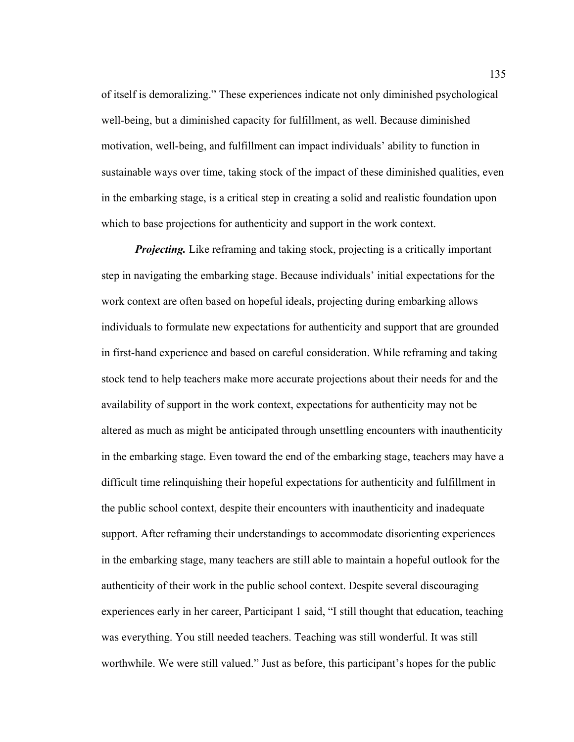of itself is demoralizing." These experiences indicate not only diminished psychological well-being, but a diminished capacity for fulfillment, as well. Because diminished motivation, well-being, and fulfillment can impact individuals' ability to function in sustainable ways over time, taking stock of the impact of these diminished qualities, even in the embarking stage, is a critical step in creating a solid and realistic foundation upon which to base projections for authenticity and support in the work context.

*Projecting.* Like reframing and taking stock, projecting is a critically important step in navigating the embarking stage. Because individuals' initial expectations for the work context are often based on hopeful ideals, projecting during embarking allows individuals to formulate new expectations for authenticity and support that are grounded in first-hand experience and based on careful consideration. While reframing and taking stock tend to help teachers make more accurate projections about their needs for and the availability of support in the work context, expectations for authenticity may not be altered as much as might be anticipated through unsettling encounters with inauthenticity in the embarking stage. Even toward the end of the embarking stage, teachers may have a difficult time relinquishing their hopeful expectations for authenticity and fulfillment in the public school context, despite their encounters with inauthenticity and inadequate support. After reframing their understandings to accommodate disorienting experiences in the embarking stage, many teachers are still able to maintain a hopeful outlook for the authenticity of their work in the public school context. Despite several discouraging experiences early in her career, Participant 1 said, "I still thought that education, teaching was everything. You still needed teachers. Teaching was still wonderful. It was still worthwhile. We were still valued." Just as before, this participant's hopes for the public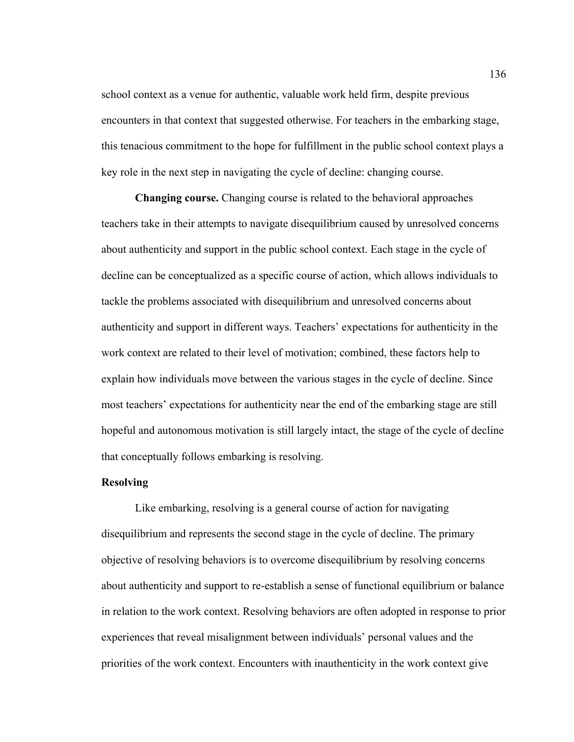school context as a venue for authentic, valuable work held firm, despite previous encounters in that context that suggested otherwise. For teachers in the embarking stage, this tenacious commitment to the hope for fulfillment in the public school context plays a key role in the next step in navigating the cycle of decline: changing course.

**Changing course.** Changing course is related to the behavioral approaches teachers take in their attempts to navigate disequilibrium caused by unresolved concerns about authenticity and support in the public school context. Each stage in the cycle of decline can be conceptualized as a specific course of action, which allows individuals to tackle the problems associated with disequilibrium and unresolved concerns about authenticity and support in different ways. Teachers' expectations for authenticity in the work context are related to their level of motivation; combined, these factors help to explain how individuals move between the various stages in the cycle of decline. Since most teachers' expectations for authenticity near the end of the embarking stage are still hopeful and autonomous motivation is still largely intact, the stage of the cycle of decline that conceptually follows embarking is resolving.

## **Resolving**

Like embarking, resolving is a general course of action for navigating disequilibrium and represents the second stage in the cycle of decline. The primary objective of resolving behaviors is to overcome disequilibrium by resolving concerns about authenticity and support to re-establish a sense of functional equilibrium or balance in relation to the work context. Resolving behaviors are often adopted in response to prior experiences that reveal misalignment between individuals' personal values and the priorities of the work context. Encounters with inauthenticity in the work context give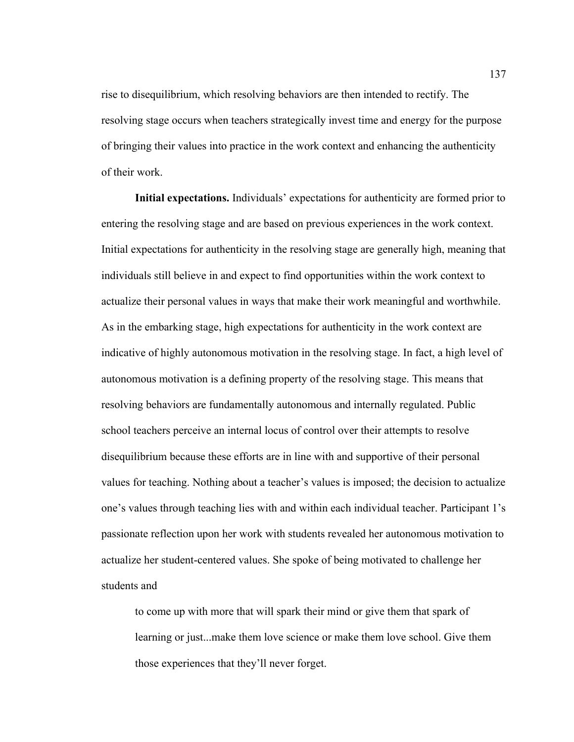rise to disequilibrium, which resolving behaviors are then intended to rectify. The resolving stage occurs when teachers strategically invest time and energy for the purpose of bringing their values into practice in the work context and enhancing the authenticity of their work.

**Initial expectations.** Individuals' expectations for authenticity are formed prior to entering the resolving stage and are based on previous experiences in the work context. Initial expectations for authenticity in the resolving stage are generally high, meaning that individuals still believe in and expect to find opportunities within the work context to actualize their personal values in ways that make their work meaningful and worthwhile. As in the embarking stage, high expectations for authenticity in the work context are indicative of highly autonomous motivation in the resolving stage. In fact, a high level of autonomous motivation is a defining property of the resolving stage. This means that resolving behaviors are fundamentally autonomous and internally regulated. Public school teachers perceive an internal locus of control over their attempts to resolve disequilibrium because these efforts are in line with and supportive of their personal values for teaching. Nothing about a teacher's values is imposed; the decision to actualize one's values through teaching lies with and within each individual teacher. Participant 1's passionate reflection upon her work with students revealed her autonomous motivation to actualize her student-centered values. She spoke of being motivated to challenge her students and

to come up with more that will spark their mind or give them that spark of learning or just...make them love science or make them love school. Give them those experiences that they'll never forget.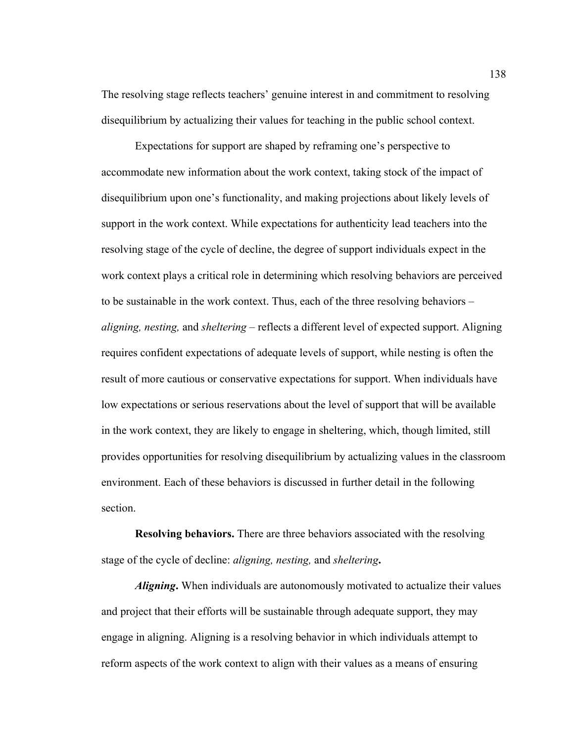The resolving stage reflects teachers' genuine interest in and commitment to resolving disequilibrium by actualizing their values for teaching in the public school context.

Expectations for support are shaped by reframing one's perspective to accommodate new information about the work context, taking stock of the impact of disequilibrium upon one's functionality, and making projections about likely levels of support in the work context. While expectations for authenticity lead teachers into the resolving stage of the cycle of decline, the degree of support individuals expect in the work context plays a critical role in determining which resolving behaviors are perceived to be sustainable in the work context. Thus, each of the three resolving behaviors – *aligning, nesting,* and *sheltering* – reflects a different level of expected support. Aligning requires confident expectations of adequate levels of support, while nesting is often the result of more cautious or conservative expectations for support. When individuals have low expectations or serious reservations about the level of support that will be available in the work context, they are likely to engage in sheltering, which, though limited, still provides opportunities for resolving disequilibrium by actualizing values in the classroom environment. Each of these behaviors is discussed in further detail in the following section.

**Resolving behaviors.** There are three behaviors associated with the resolving stage of the cycle of decline: *aligning, nesting,* and *sheltering***.**

*Aligning***.** When individuals are autonomously motivated to actualize their values and project that their efforts will be sustainable through adequate support, they may engage in aligning. Aligning is a resolving behavior in which individuals attempt to reform aspects of the work context to align with their values as a means of ensuring

138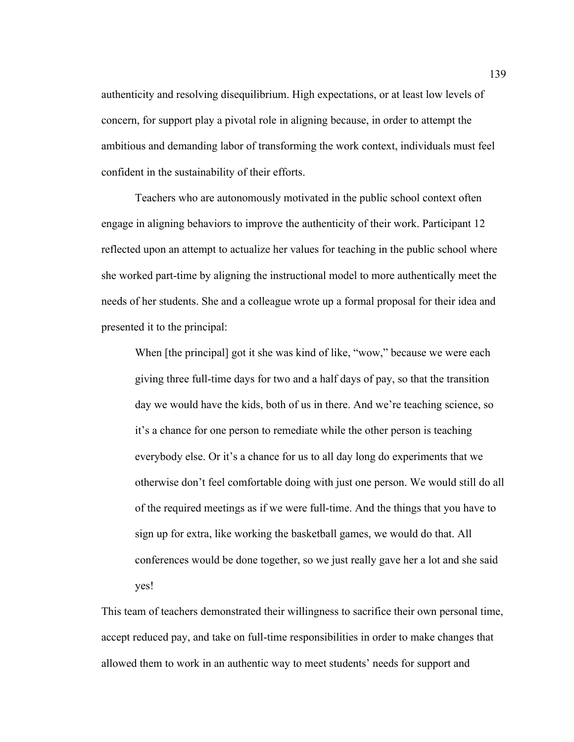authenticity and resolving disequilibrium. High expectations, or at least low levels of concern, for support play a pivotal role in aligning because, in order to attempt the ambitious and demanding labor of transforming the work context, individuals must feel confident in the sustainability of their efforts.

Teachers who are autonomously motivated in the public school context often engage in aligning behaviors to improve the authenticity of their work. Participant 12 reflected upon an attempt to actualize her values for teaching in the public school where she worked part-time by aligning the instructional model to more authentically meet the needs of her students. She and a colleague wrote up a formal proposal for their idea and presented it to the principal:

When [the principal] got it she was kind of like, "wow," because we were each giving three full-time days for two and a half days of pay, so that the transition day we would have the kids, both of us in there. And we're teaching science, so it's a chance for one person to remediate while the other person is teaching everybody else. Or it's a chance for us to all day long do experiments that we otherwise don't feel comfortable doing with just one person. We would still do all of the required meetings as if we were full-time. And the things that you have to sign up for extra, like working the basketball games, we would do that. All conferences would be done together, so we just really gave her a lot and she said yes!

This team of teachers demonstrated their willingness to sacrifice their own personal time, accept reduced pay, and take on full-time responsibilities in order to make changes that allowed them to work in an authentic way to meet students' needs for support and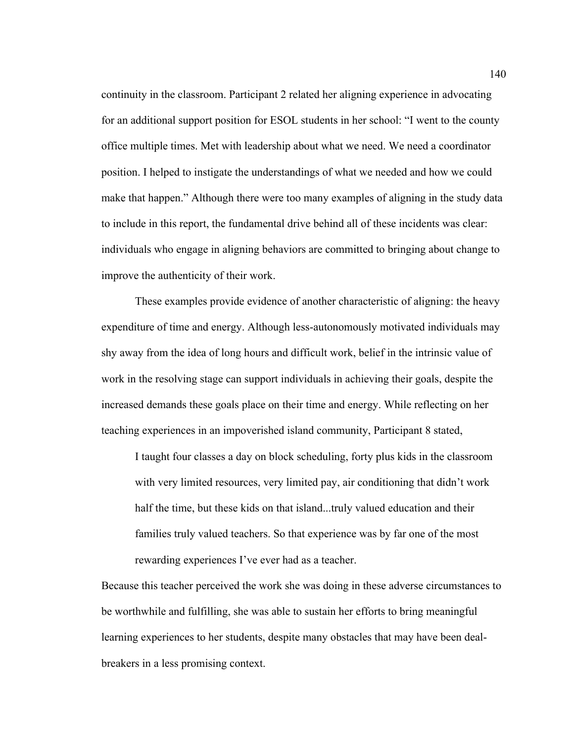continuity in the classroom. Participant 2 related her aligning experience in advocating for an additional support position for ESOL students in her school: "I went to the county office multiple times. Met with leadership about what we need. We need a coordinator position. I helped to instigate the understandings of what we needed and how we could make that happen." Although there were too many examples of aligning in the study data to include in this report, the fundamental drive behind all of these incidents was clear: individuals who engage in aligning behaviors are committed to bringing about change to improve the authenticity of their work.

These examples provide evidence of another characteristic of aligning: the heavy expenditure of time and energy. Although less-autonomously motivated individuals may shy away from the idea of long hours and difficult work, belief in the intrinsic value of work in the resolving stage can support individuals in achieving their goals, despite the increased demands these goals place on their time and energy. While reflecting on her teaching experiences in an impoverished island community, Participant 8 stated,

I taught four classes a day on block scheduling, forty plus kids in the classroom with very limited resources, very limited pay, air conditioning that didn't work half the time, but these kids on that island...truly valued education and their families truly valued teachers. So that experience was by far one of the most rewarding experiences I've ever had as a teacher.

Because this teacher perceived the work she was doing in these adverse circumstances to be worthwhile and fulfilling, she was able to sustain her efforts to bring meaningful learning experiences to her students, despite many obstacles that may have been dealbreakers in a less promising context.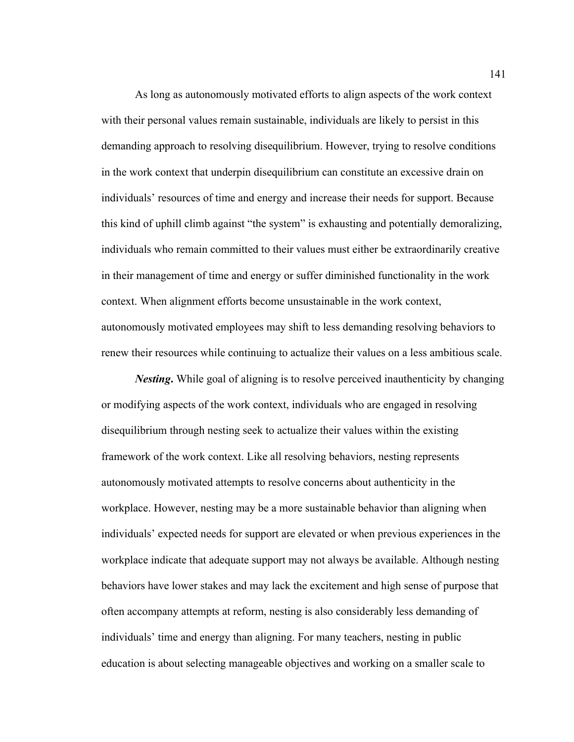As long as autonomously motivated efforts to align aspects of the work context with their personal values remain sustainable, individuals are likely to persist in this demanding approach to resolving disequilibrium. However, trying to resolve conditions in the work context that underpin disequilibrium can constitute an excessive drain on individuals' resources of time and energy and increase their needs for support. Because this kind of uphill climb against "the system" is exhausting and potentially demoralizing, individuals who remain committed to their values must either be extraordinarily creative in their management of time and energy or suffer diminished functionality in the work context. When alignment efforts become unsustainable in the work context, autonomously motivated employees may shift to less demanding resolving behaviors to renew their resources while continuing to actualize their values on a less ambitious scale.

*Nesting***.** While goal of aligning is to resolve perceived inauthenticity by changing or modifying aspects of the work context, individuals who are engaged in resolving disequilibrium through nesting seek to actualize their values within the existing framework of the work context. Like all resolving behaviors, nesting represents autonomously motivated attempts to resolve concerns about authenticity in the workplace. However, nesting may be a more sustainable behavior than aligning when individuals' expected needs for support are elevated or when previous experiences in the workplace indicate that adequate support may not always be available. Although nesting behaviors have lower stakes and may lack the excitement and high sense of purpose that often accompany attempts at reform, nesting is also considerably less demanding of individuals' time and energy than aligning. For many teachers, nesting in public education is about selecting manageable objectives and working on a smaller scale to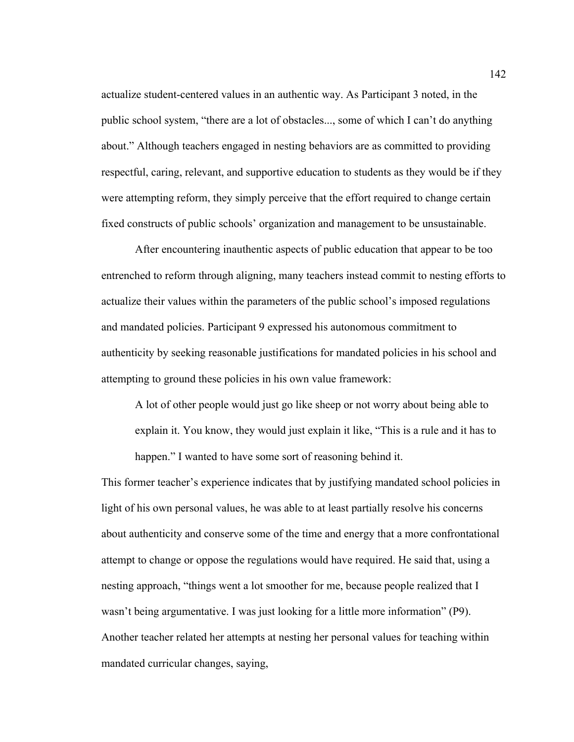actualize student-centered values in an authentic way. As Participant 3 noted, in the public school system, "there are a lot of obstacles..., some of which I can't do anything about." Although teachers engaged in nesting behaviors are as committed to providing respectful, caring, relevant, and supportive education to students as they would be if they were attempting reform, they simply perceive that the effort required to change certain fixed constructs of public schools' organization and management to be unsustainable.

After encountering inauthentic aspects of public education that appear to be too entrenched to reform through aligning, many teachers instead commit to nesting efforts to actualize their values within the parameters of the public school's imposed regulations and mandated policies. Participant 9 expressed his autonomous commitment to authenticity by seeking reasonable justifications for mandated policies in his school and attempting to ground these policies in his own value framework:

A lot of other people would just go like sheep or not worry about being able to explain it. You know, they would just explain it like, "This is a rule and it has to happen." I wanted to have some sort of reasoning behind it.

This former teacher's experience indicates that by justifying mandated school policies in light of his own personal values, he was able to at least partially resolve his concerns about authenticity and conserve some of the time and energy that a more confrontational attempt to change or oppose the regulations would have required. He said that, using a nesting approach, "things went a lot smoother for me, because people realized that I wasn't being argumentative. I was just looking for a little more information" (P9). Another teacher related her attempts at nesting her personal values for teaching within mandated curricular changes, saying,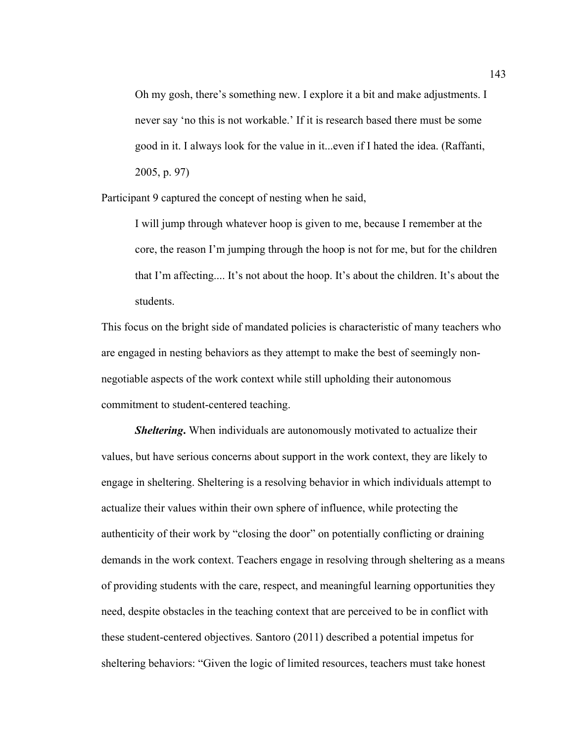Oh my gosh, there's something new. I explore it a bit and make adjustments. I never say 'no this is not workable.' If it is research based there must be some good in it. I always look for the value in it...even if I hated the idea. (Raffanti, 2005, p. 97)

Participant 9 captured the concept of nesting when he said,

I will jump through whatever hoop is given to me, because I remember at the core, the reason I'm jumping through the hoop is not for me, but for the children that I'm affecting.... It's not about the hoop. It's about the children. It's about the students.

This focus on the bright side of mandated policies is characteristic of many teachers who are engaged in nesting behaviors as they attempt to make the best of seemingly nonnegotiable aspects of the work context while still upholding their autonomous commitment to student-centered teaching.

*Sheltering***.** When individuals are autonomously motivated to actualize their values, but have serious concerns about support in the work context, they are likely to engage in sheltering. Sheltering is a resolving behavior in which individuals attempt to actualize their values within their own sphere of influence, while protecting the authenticity of their work by "closing the door" on potentially conflicting or draining demands in the work context. Teachers engage in resolving through sheltering as a means of providing students with the care, respect, and meaningful learning opportunities they need, despite obstacles in the teaching context that are perceived to be in conflict with these student-centered objectives. Santoro (2011) described a potential impetus for sheltering behaviors: "Given the logic of limited resources, teachers must take honest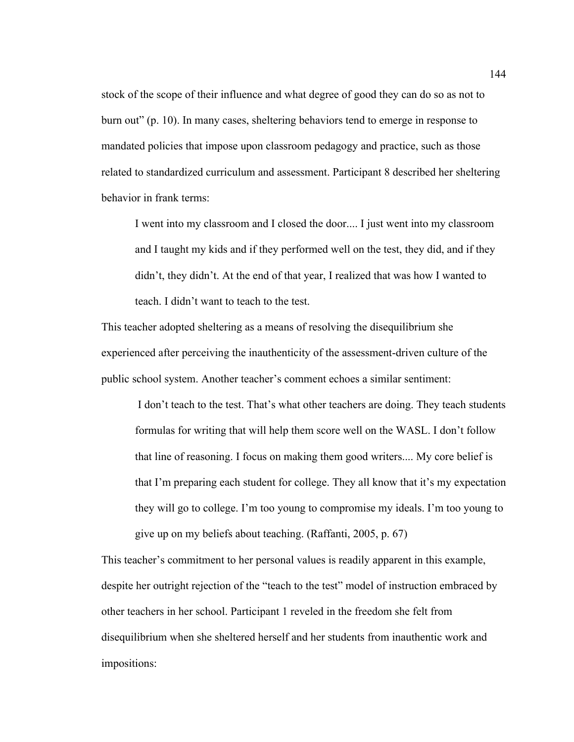stock of the scope of their influence and what degree of good they can do so as not to burn out" (p. 10). In many cases, sheltering behaviors tend to emerge in response to mandated policies that impose upon classroom pedagogy and practice, such as those related to standardized curriculum and assessment. Participant 8 described her sheltering behavior in frank terms:

I went into my classroom and I closed the door.... I just went into my classroom and I taught my kids and if they performed well on the test, they did, and if they didn't, they didn't. At the end of that year, I realized that was how I wanted to teach. I didn't want to teach to the test.

This teacher adopted sheltering as a means of resolving the disequilibrium she experienced after perceiving the inauthenticity of the assessment-driven culture of the public school system. Another teacher's comment echoes a similar sentiment:

I don't teach to the test. That's what other teachers are doing. They teach students formulas for writing that will help them score well on the WASL. I don't follow that line of reasoning. I focus on making them good writers.... My core belief is that I'm preparing each student for college. They all know that it's my expectation they will go to college. I'm too young to compromise my ideals. I'm too young to give up on my beliefs about teaching. (Raffanti, 2005, p. 67)

This teacher's commitment to her personal values is readily apparent in this example, despite her outright rejection of the "teach to the test" model of instruction embraced by other teachers in her school. Participant 1 reveled in the freedom she felt from disequilibrium when she sheltered herself and her students from inauthentic work and impositions: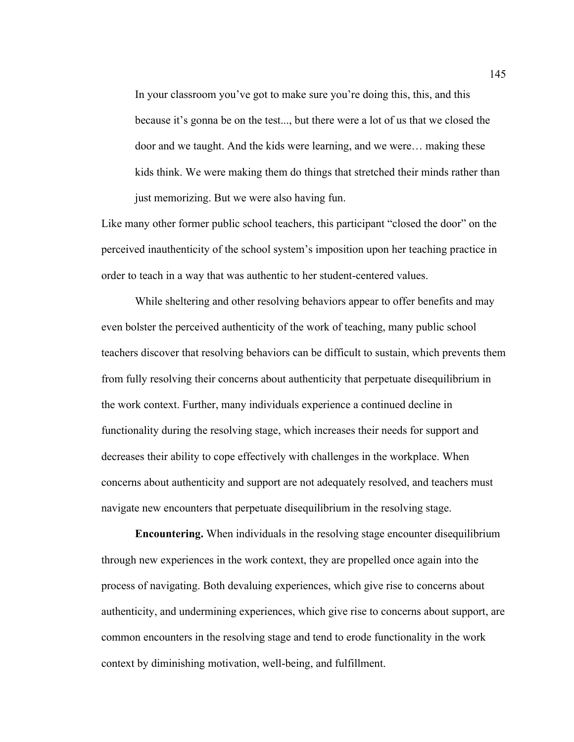In your classroom you've got to make sure you're doing this, this, and this because it's gonna be on the test..., but there were a lot of us that we closed the door and we taught. And the kids were learning, and we were… making these kids think. We were making them do things that stretched their minds rather than just memorizing. But we were also having fun.

Like many other former public school teachers, this participant "closed the door" on the perceived inauthenticity of the school system's imposition upon her teaching practice in order to teach in a way that was authentic to her student-centered values.

While sheltering and other resolving behaviors appear to offer benefits and may even bolster the perceived authenticity of the work of teaching, many public school teachers discover that resolving behaviors can be difficult to sustain, which prevents them from fully resolving their concerns about authenticity that perpetuate disequilibrium in the work context. Further, many individuals experience a continued decline in functionality during the resolving stage, which increases their needs for support and decreases their ability to cope effectively with challenges in the workplace. When concerns about authenticity and support are not adequately resolved, and teachers must navigate new encounters that perpetuate disequilibrium in the resolving stage.

**Encountering.** When individuals in the resolving stage encounter disequilibrium through new experiences in the work context, they are propelled once again into the process of navigating. Both devaluing experiences, which give rise to concerns about authenticity, and undermining experiences, which give rise to concerns about support, are common encounters in the resolving stage and tend to erode functionality in the work context by diminishing motivation, well-being, and fulfillment.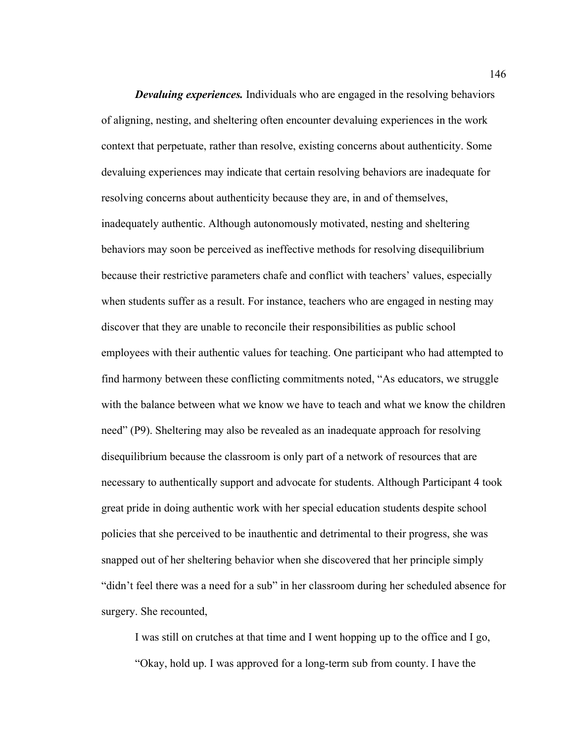*Devaluing experiences.* Individuals who are engaged in the resolving behaviors of aligning, nesting, and sheltering often encounter devaluing experiences in the work context that perpetuate, rather than resolve, existing concerns about authenticity. Some devaluing experiences may indicate that certain resolving behaviors are inadequate for resolving concerns about authenticity because they are, in and of themselves, inadequately authentic. Although autonomously motivated, nesting and sheltering behaviors may soon be perceived as ineffective methods for resolving disequilibrium because their restrictive parameters chafe and conflict with teachers' values, especially when students suffer as a result. For instance, teachers who are engaged in nesting may discover that they are unable to reconcile their responsibilities as public school employees with their authentic values for teaching. One participant who had attempted to find harmony between these conflicting commitments noted, "As educators, we struggle with the balance between what we know we have to teach and what we know the children need" (P9). Sheltering may also be revealed as an inadequate approach for resolving disequilibrium because the classroom is only part of a network of resources that are necessary to authentically support and advocate for students. Although Participant 4 took great pride in doing authentic work with her special education students despite school policies that she perceived to be inauthentic and detrimental to their progress, she was snapped out of her sheltering behavior when she discovered that her principle simply "didn't feel there was a need for a sub" in her classroom during her scheduled absence for surgery. She recounted,

I was still on crutches at that time and I went hopping up to the office and I go, "Okay, hold up. I was approved for a long-term sub from county. I have the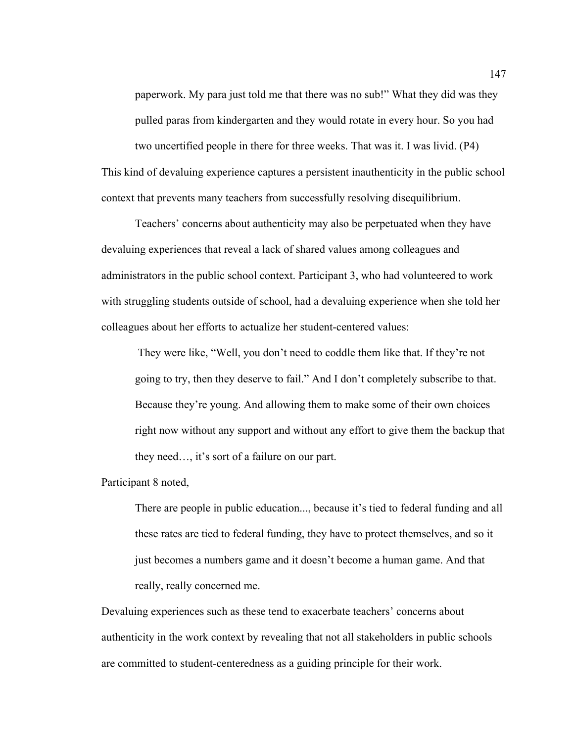paperwork. My para just told me that there was no sub!" What they did was they pulled paras from kindergarten and they would rotate in every hour. So you had two uncertified people in there for three weeks. That was it. I was livid. (P4) This kind of devaluing experience captures a persistent inauthenticity in the public school context that prevents many teachers from successfully resolving disequilibrium.

Teachers' concerns about authenticity may also be perpetuated when they have devaluing experiences that reveal a lack of shared values among colleagues and administrators in the public school context. Participant 3, who had volunteered to work with struggling students outside of school, had a devaluing experience when she told her colleagues about her efforts to actualize her student-centered values:

They were like, "Well, you don't need to coddle them like that. If they're not going to try, then they deserve to fail." And I don't completely subscribe to that. Because they're young. And allowing them to make some of their own choices right now without any support and without any effort to give them the backup that they need…, it's sort of a failure on our part.

Participant 8 noted,

There are people in public education..., because it's tied to federal funding and all these rates are tied to federal funding, they have to protect themselves, and so it just becomes a numbers game and it doesn't become a human game. And that really, really concerned me.

Devaluing experiences such as these tend to exacerbate teachers' concerns about authenticity in the work context by revealing that not all stakeholders in public schools are committed to student-centeredness as a guiding principle for their work.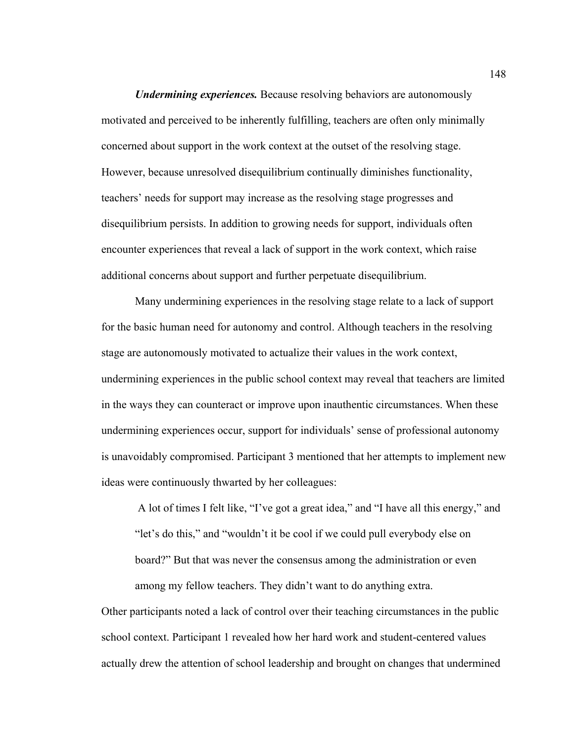*Undermining experiences.* Because resolving behaviors are autonomously motivated and perceived to be inherently fulfilling, teachers are often only minimally concerned about support in the work context at the outset of the resolving stage. However, because unresolved disequilibrium continually diminishes functionality, teachers' needs for support may increase as the resolving stage progresses and disequilibrium persists. In addition to growing needs for support, individuals often encounter experiences that reveal a lack of support in the work context, which raise additional concerns about support and further perpetuate disequilibrium.

Many undermining experiences in the resolving stage relate to a lack of support for the basic human need for autonomy and control. Although teachers in the resolving stage are autonomously motivated to actualize their values in the work context, undermining experiences in the public school context may reveal that teachers are limited in the ways they can counteract or improve upon inauthentic circumstances. When these undermining experiences occur, support for individuals' sense of professional autonomy is unavoidably compromised. Participant 3 mentioned that her attempts to implement new ideas were continuously thwarted by her colleagues:

A lot of times I felt like, "I've got a great idea," and "I have all this energy," and "let's do this," and "wouldn't it be cool if we could pull everybody else on board?" But that was never the consensus among the administration or even among my fellow teachers. They didn't want to do anything extra.

Other participants noted a lack of control over their teaching circumstances in the public school context. Participant 1 revealed how her hard work and student-centered values actually drew the attention of school leadership and brought on changes that undermined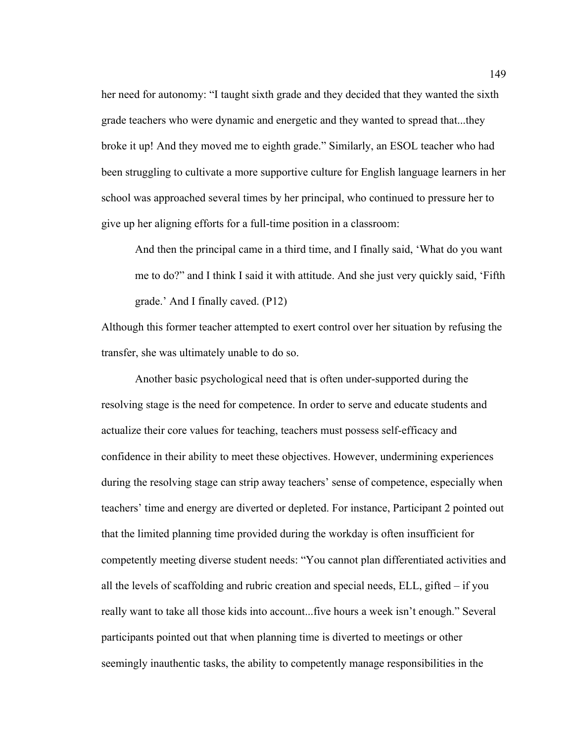her need for autonomy: "I taught sixth grade and they decided that they wanted the sixth grade teachers who were dynamic and energetic and they wanted to spread that...they broke it up! And they moved me to eighth grade." Similarly, an ESOL teacher who had been struggling to cultivate a more supportive culture for English language learners in her school was approached several times by her principal, who continued to pressure her to give up her aligning efforts for a full-time position in a classroom:

And then the principal came in a third time, and I finally said, 'What do you want me to do?" and I think I said it with attitude. And she just very quickly said, 'Fifth grade.' And I finally caved. (P12)

Although this former teacher attempted to exert control over her situation by refusing the transfer, she was ultimately unable to do so.

Another basic psychological need that is often under-supported during the resolving stage is the need for competence. In order to serve and educate students and actualize their core values for teaching, teachers must possess self-efficacy and confidence in their ability to meet these objectives. However, undermining experiences during the resolving stage can strip away teachers' sense of competence, especially when teachers' time and energy are diverted or depleted. For instance, Participant 2 pointed out that the limited planning time provided during the workday is often insufficient for competently meeting diverse student needs: "You cannot plan differentiated activities and all the levels of scaffolding and rubric creation and special needs, ELL, gifted – if you really want to take all those kids into account...five hours a week isn't enough." Several participants pointed out that when planning time is diverted to meetings or other seemingly inauthentic tasks, the ability to competently manage responsibilities in the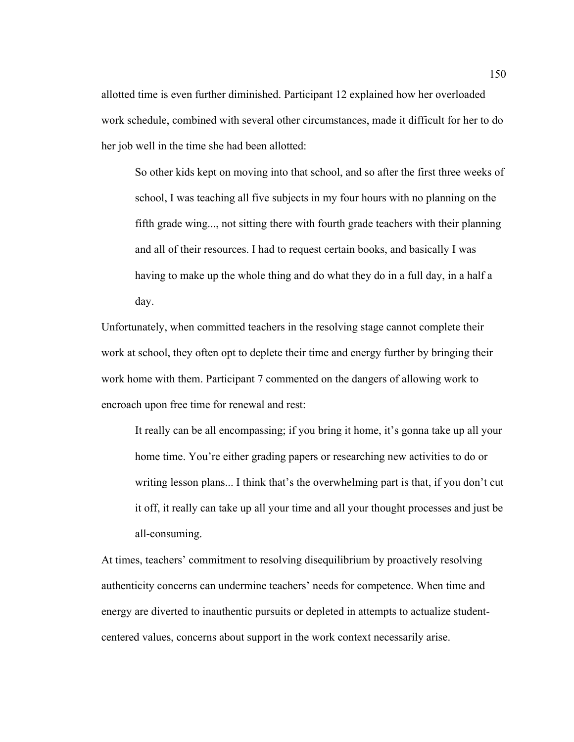allotted time is even further diminished. Participant 12 explained how her overloaded work schedule, combined with several other circumstances, made it difficult for her to do her job well in the time she had been allotted:

So other kids kept on moving into that school, and so after the first three weeks of school, I was teaching all five subjects in my four hours with no planning on the fifth grade wing..., not sitting there with fourth grade teachers with their planning and all of their resources. I had to request certain books, and basically I was having to make up the whole thing and do what they do in a full day, in a half a day.

Unfortunately, when committed teachers in the resolving stage cannot complete their work at school, they often opt to deplete their time and energy further by bringing their work home with them. Participant 7 commented on the dangers of allowing work to encroach upon free time for renewal and rest:

It really can be all encompassing; if you bring it home, it's gonna take up all your home time. You're either grading papers or researching new activities to do or writing lesson plans... I think that's the overwhelming part is that, if you don't cut it off, it really can take up all your time and all your thought processes and just be all-consuming.

At times, teachers' commitment to resolving disequilibrium by proactively resolving authenticity concerns can undermine teachers' needs for competence. When time and energy are diverted to inauthentic pursuits or depleted in attempts to actualize studentcentered values, concerns about support in the work context necessarily arise.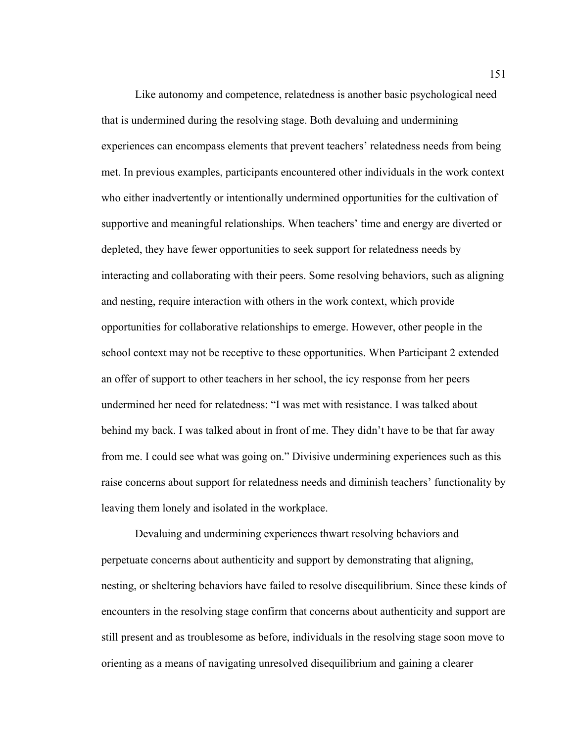Like autonomy and competence, relatedness is another basic psychological need that is undermined during the resolving stage. Both devaluing and undermining experiences can encompass elements that prevent teachers' relatedness needs from being met. In previous examples, participants encountered other individuals in the work context who either inadvertently or intentionally undermined opportunities for the cultivation of supportive and meaningful relationships. When teachers' time and energy are diverted or depleted, they have fewer opportunities to seek support for relatedness needs by interacting and collaborating with their peers. Some resolving behaviors, such as aligning and nesting, require interaction with others in the work context, which provide opportunities for collaborative relationships to emerge. However, other people in the school context may not be receptive to these opportunities. When Participant 2 extended an offer of support to other teachers in her school, the icy response from her peers undermined her need for relatedness: "I was met with resistance. I was talked about behind my back. I was talked about in front of me. They didn't have to be that far away from me. I could see what was going on." Divisive undermining experiences such as this raise concerns about support for relatedness needs and diminish teachers' functionality by leaving them lonely and isolated in the workplace.

Devaluing and undermining experiences thwart resolving behaviors and perpetuate concerns about authenticity and support by demonstrating that aligning, nesting, or sheltering behaviors have failed to resolve disequilibrium. Since these kinds of encounters in the resolving stage confirm that concerns about authenticity and support are still present and as troublesome as before, individuals in the resolving stage soon move to orienting as a means of navigating unresolved disequilibrium and gaining a clearer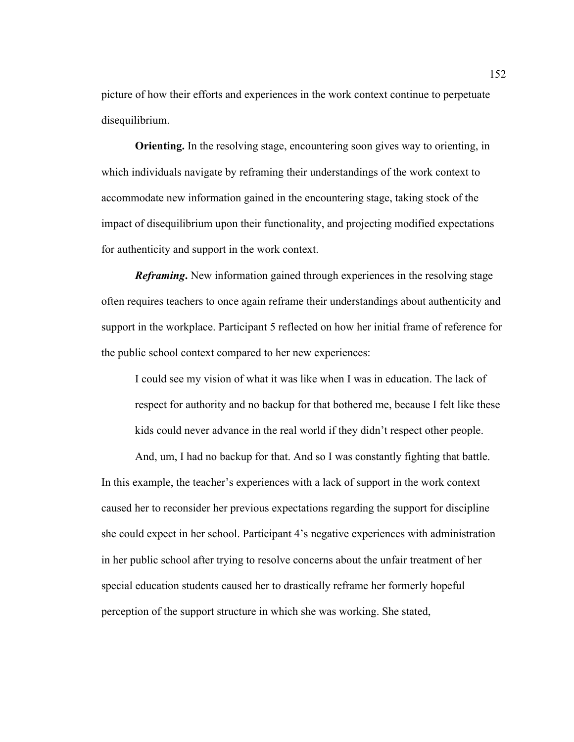picture of how their efforts and experiences in the work context continue to perpetuate disequilibrium.

**Orienting.** In the resolving stage, encountering soon gives way to orienting, in which individuals navigate by reframing their understandings of the work context to accommodate new information gained in the encountering stage, taking stock of the impact of disequilibrium upon their functionality, and projecting modified expectations for authenticity and support in the work context.

*Reframing***.** New information gained through experiences in the resolving stage often requires teachers to once again reframe their understandings about authenticity and support in the workplace. Participant 5 reflected on how her initial frame of reference for the public school context compared to her new experiences:

I could see my vision of what it was like when I was in education. The lack of respect for authority and no backup for that bothered me, because I felt like these kids could never advance in the real world if they didn't respect other people.

And, um, I had no backup for that. And so I was constantly fighting that battle. In this example, the teacher's experiences with a lack of support in the work context caused her to reconsider her previous expectations regarding the support for discipline she could expect in her school. Participant 4's negative experiences with administration in her public school after trying to resolve concerns about the unfair treatment of her special education students caused her to drastically reframe her formerly hopeful perception of the support structure in which she was working. She stated,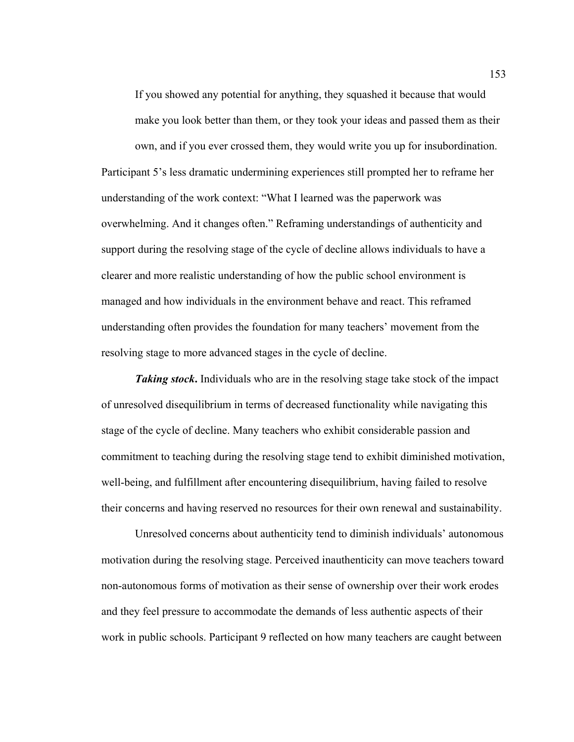If you showed any potential for anything, they squashed it because that would make you look better than them, or they took your ideas and passed them as their

own, and if you ever crossed them, they would write you up for insubordination. Participant 5's less dramatic undermining experiences still prompted her to reframe her understanding of the work context: "What I learned was the paperwork was overwhelming. And it changes often." Reframing understandings of authenticity and support during the resolving stage of the cycle of decline allows individuals to have a clearer and more realistic understanding of how the public school environment is managed and how individuals in the environment behave and react. This reframed understanding often provides the foundation for many teachers' movement from the resolving stage to more advanced stages in the cycle of decline.

*Taking stock***.** Individuals who are in the resolving stage take stock of the impact of unresolved disequilibrium in terms of decreased functionality while navigating this stage of the cycle of decline. Many teachers who exhibit considerable passion and commitment to teaching during the resolving stage tend to exhibit diminished motivation, well-being, and fulfillment after encountering disequilibrium, having failed to resolve their concerns and having reserved no resources for their own renewal and sustainability.

Unresolved concerns about authenticity tend to diminish individuals' autonomous motivation during the resolving stage. Perceived inauthenticity can move teachers toward non-autonomous forms of motivation as their sense of ownership over their work erodes and they feel pressure to accommodate the demands of less authentic aspects of their work in public schools. Participant 9 reflected on how many teachers are caught between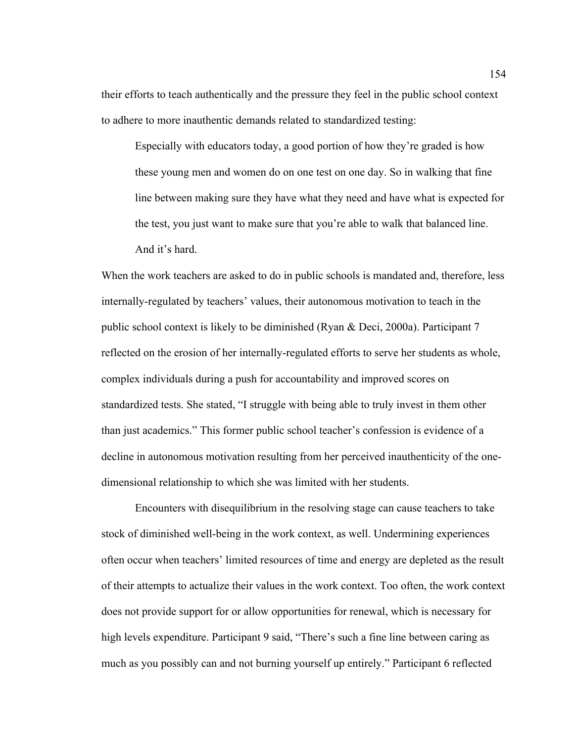their efforts to teach authentically and the pressure they feel in the public school context to adhere to more inauthentic demands related to standardized testing:

Especially with educators today, a good portion of how they're graded is how these young men and women do on one test on one day. So in walking that fine line between making sure they have what they need and have what is expected for the test, you just want to make sure that you're able to walk that balanced line. And it's hard.

When the work teachers are asked to do in public schools is mandated and, therefore, less internally-regulated by teachers' values, their autonomous motivation to teach in the public school context is likely to be diminished (Ryan & Deci, 2000a). Participant 7 reflected on the erosion of her internally-regulated efforts to serve her students as whole, complex individuals during a push for accountability and improved scores on standardized tests. She stated, "I struggle with being able to truly invest in them other than just academics." This former public school teacher's confession is evidence of a decline in autonomous motivation resulting from her perceived inauthenticity of the onedimensional relationship to which she was limited with her students.

Encounters with disequilibrium in the resolving stage can cause teachers to take stock of diminished well-being in the work context, as well. Undermining experiences often occur when teachers' limited resources of time and energy are depleted as the result of their attempts to actualize their values in the work context. Too often, the work context does not provide support for or allow opportunities for renewal, which is necessary for high levels expenditure. Participant 9 said, "There's such a fine line between caring as much as you possibly can and not burning yourself up entirely." Participant 6 reflected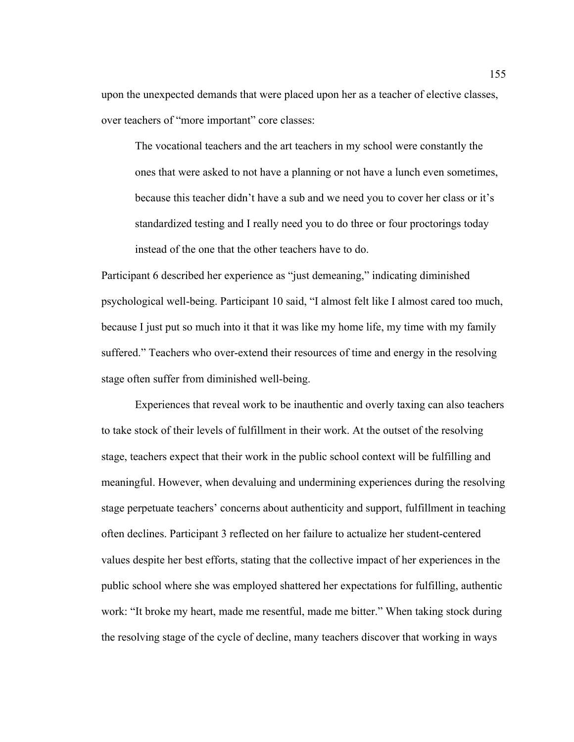upon the unexpected demands that were placed upon her as a teacher of elective classes, over teachers of "more important" core classes:

The vocational teachers and the art teachers in my school were constantly the ones that were asked to not have a planning or not have a lunch even sometimes, because this teacher didn't have a sub and we need you to cover her class or it's standardized testing and I really need you to do three or four proctorings today instead of the one that the other teachers have to do.

Participant 6 described her experience as "just demeaning," indicating diminished psychological well-being. Participant 10 said, "I almost felt like I almost cared too much, because I just put so much into it that it was like my home life, my time with my family suffered." Teachers who over-extend their resources of time and energy in the resolving stage often suffer from diminished well-being.

Experiences that reveal work to be inauthentic and overly taxing can also teachers to take stock of their levels of fulfillment in their work. At the outset of the resolving stage, teachers expect that their work in the public school context will be fulfilling and meaningful. However, when devaluing and undermining experiences during the resolving stage perpetuate teachers' concerns about authenticity and support, fulfillment in teaching often declines. Participant 3 reflected on her failure to actualize her student-centered values despite her best efforts, stating that the collective impact of her experiences in the public school where she was employed shattered her expectations for fulfilling, authentic work: "It broke my heart, made me resentful, made me bitter." When taking stock during the resolving stage of the cycle of decline, many teachers discover that working in ways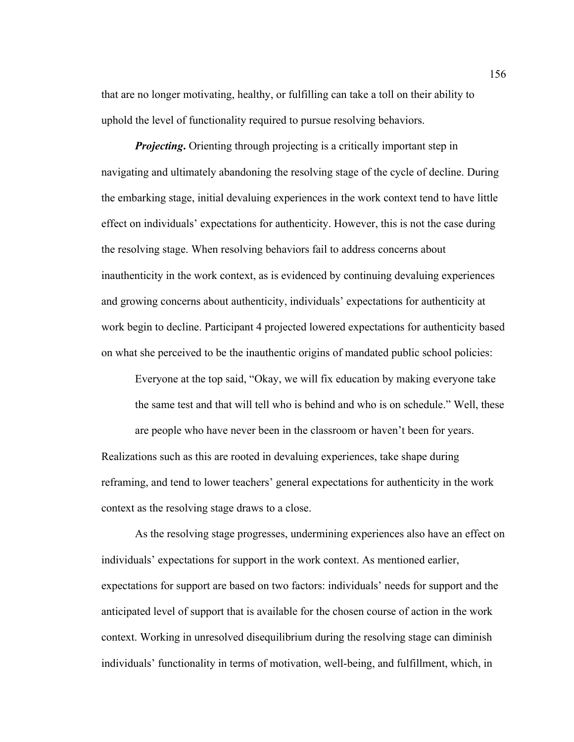that are no longer motivating, healthy, or fulfilling can take a toll on their ability to uphold the level of functionality required to pursue resolving behaviors.

*Projecting*. Orienting through projecting is a critically important step in navigating and ultimately abandoning the resolving stage of the cycle of decline. During the embarking stage, initial devaluing experiences in the work context tend to have little effect on individuals' expectations for authenticity. However, this is not the case during the resolving stage. When resolving behaviors fail to address concerns about inauthenticity in the work context, as is evidenced by continuing devaluing experiences and growing concerns about authenticity, individuals' expectations for authenticity at work begin to decline. Participant 4 projected lowered expectations for authenticity based on what she perceived to be the inauthentic origins of mandated public school policies:

Everyone at the top said, "Okay, we will fix education by making everyone take the same test and that will tell who is behind and who is on schedule." Well, these are people who have never been in the classroom or haven't been for years. Realizations such as this are rooted in devaluing experiences, take shape during reframing, and tend to lower teachers' general expectations for authenticity in the work context as the resolving stage draws to a close.

As the resolving stage progresses, undermining experiences also have an effect on individuals' expectations for support in the work context. As mentioned earlier, expectations for support are based on two factors: individuals' needs for support and the anticipated level of support that is available for the chosen course of action in the work context. Working in unresolved disequilibrium during the resolving stage can diminish individuals' functionality in terms of motivation, well-being, and fulfillment, which, in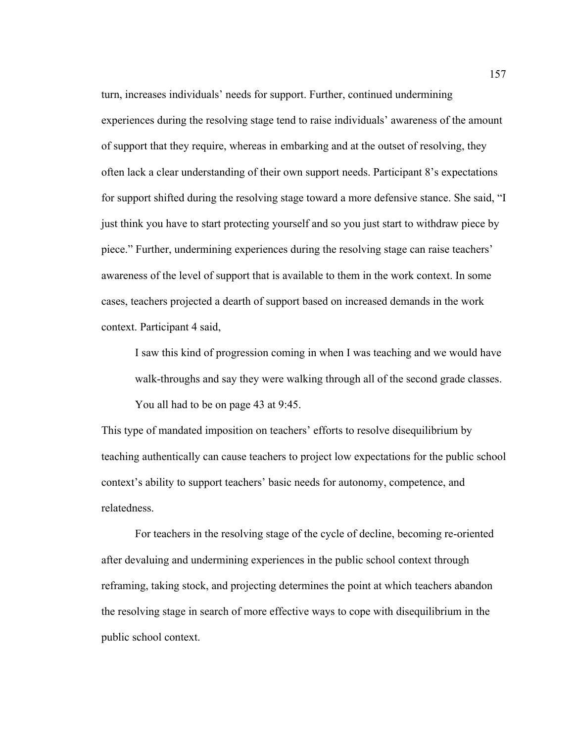turn, increases individuals' needs for support. Further, continued undermining experiences during the resolving stage tend to raise individuals' awareness of the amount of support that they require, whereas in embarking and at the outset of resolving, they often lack a clear understanding of their own support needs. Participant 8's expectations for support shifted during the resolving stage toward a more defensive stance. She said, "I just think you have to start protecting yourself and so you just start to withdraw piece by piece." Further, undermining experiences during the resolving stage can raise teachers' awareness of the level of support that is available to them in the work context. In some cases, teachers projected a dearth of support based on increased demands in the work context. Participant 4 said,

I saw this kind of progression coming in when I was teaching and we would have walk-throughs and say they were walking through all of the second grade classes. You all had to be on page 43 at 9:45.

This type of mandated imposition on teachers' efforts to resolve disequilibrium by teaching authentically can cause teachers to project low expectations for the public school context's ability to support teachers' basic needs for autonomy, competence, and relatedness.

For teachers in the resolving stage of the cycle of decline, becoming re-oriented after devaluing and undermining experiences in the public school context through reframing, taking stock, and projecting determines the point at which teachers abandon the resolving stage in search of more effective ways to cope with disequilibrium in the public school context.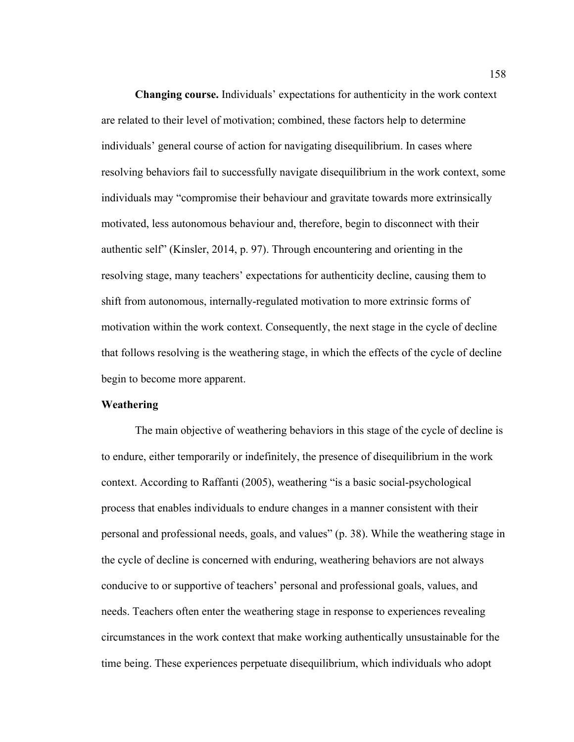**Changing course.** Individuals' expectations for authenticity in the work context are related to their level of motivation; combined, these factors help to determine individuals' general course of action for navigating disequilibrium. In cases where resolving behaviors fail to successfully navigate disequilibrium in the work context, some individuals may "compromise their behaviour and gravitate towards more extrinsically motivated, less autonomous behaviour and, therefore, begin to disconnect with their authentic self" (Kinsler, 2014, p. 97). Through encountering and orienting in the resolving stage, many teachers' expectations for authenticity decline, causing them to shift from autonomous, internally-regulated motivation to more extrinsic forms of motivation within the work context. Consequently, the next stage in the cycle of decline that follows resolving is the weathering stage, in which the effects of the cycle of decline begin to become more apparent.

## **Weathering**

The main objective of weathering behaviors in this stage of the cycle of decline is to endure, either temporarily or indefinitely, the presence of disequilibrium in the work context. According to Raffanti (2005), weathering "is a basic social-psychological process that enables individuals to endure changes in a manner consistent with their personal and professional needs, goals, and values" (p. 38). While the weathering stage in the cycle of decline is concerned with enduring, weathering behaviors are not always conducive to or supportive of teachers' personal and professional goals, values, and needs. Teachers often enter the weathering stage in response to experiences revealing circumstances in the work context that make working authentically unsustainable for the time being. These experiences perpetuate disequilibrium, which individuals who adopt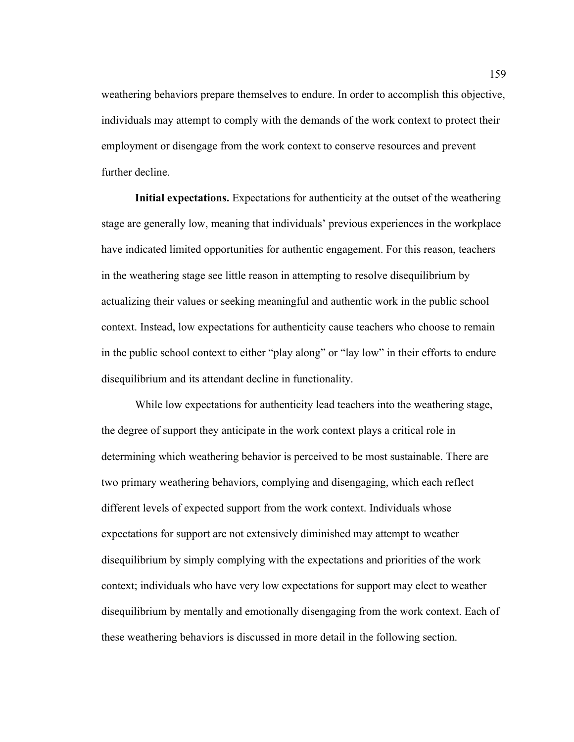weathering behaviors prepare themselves to endure. In order to accomplish this objective, individuals may attempt to comply with the demands of the work context to protect their employment or disengage from the work context to conserve resources and prevent further decline.

**Initial expectations.** Expectations for authenticity at the outset of the weathering stage are generally low, meaning that individuals' previous experiences in the workplace have indicated limited opportunities for authentic engagement. For this reason, teachers in the weathering stage see little reason in attempting to resolve disequilibrium by actualizing their values or seeking meaningful and authentic work in the public school context. Instead, low expectations for authenticity cause teachers who choose to remain in the public school context to either "play along" or "lay low" in their efforts to endure disequilibrium and its attendant decline in functionality.

While low expectations for authenticity lead teachers into the weathering stage, the degree of support they anticipate in the work context plays a critical role in determining which weathering behavior is perceived to be most sustainable. There are two primary weathering behaviors, complying and disengaging, which each reflect different levels of expected support from the work context. Individuals whose expectations for support are not extensively diminished may attempt to weather disequilibrium by simply complying with the expectations and priorities of the work context; individuals who have very low expectations for support may elect to weather disequilibrium by mentally and emotionally disengaging from the work context. Each of these weathering behaviors is discussed in more detail in the following section.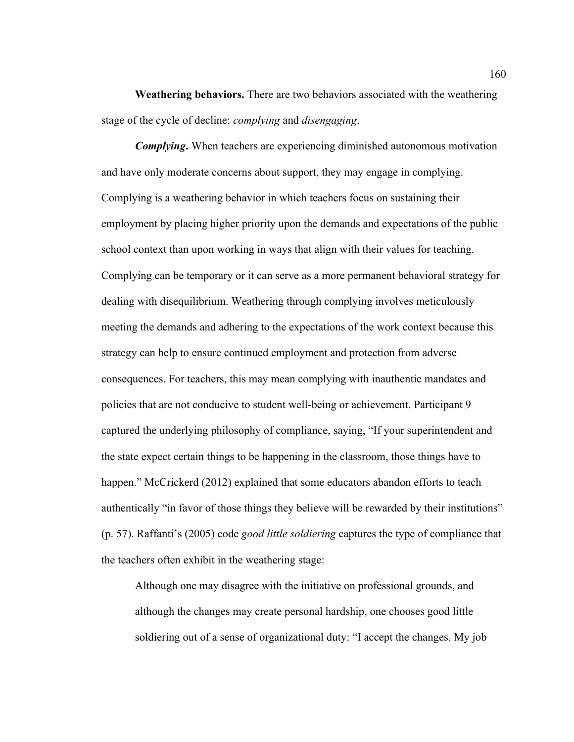**Weathering behaviors.** There are two behaviors associated with the weathering stage of the cycle of decline: *complying* and *disengaging*.

*Complying***.** When teachers are experiencing diminished autonomous motivation and have only moderate concerns about support, they may engage in complying. Complying is a weathering behavior in which teachers focus on sustaining their employment by placing higher priority upon the demands and expectations of the public school context than upon working in ways that align with their values for teaching. Complying can be temporary or it can serve as a more permanent behavioral strategy for dealing with disequilibrium. Weathering through complying involves meticulously meeting the demands and adhering to the expectations of the work context because this strategy can help to ensure continued employment and protection from adverse consequences. For teachers, this may mean complying with inauthentic mandates and policies that are not conducive to student well-being or achievement. Participant 9 captured the underlying philosophy of compliance, saying, "If your superintendent and the state expect certain things to be happening in the classroom, those things have to happen." McCrickerd (2012) explained that some educators abandon efforts to teach authentically "in favor of those things they believe will be rewarded by their institutions" (p. 57). Raffanti's (2005) code *good little soldiering* captures the type of compliance that the teachers often exhibit in the weathering stage:

Although one may disagree with the initiative on professional grounds, and although the changes may create personal hardship, one chooses good little soldiering out of a sense of organizational duty: "I accept the changes. My job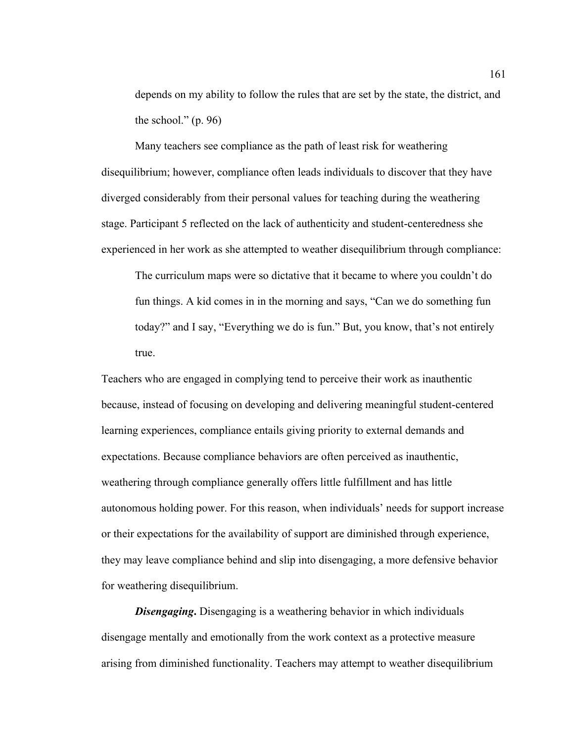depends on my ability to follow the rules that are set by the state, the district, and the school."  $(p. 96)$ 

Many teachers see compliance as the path of least risk for weathering disequilibrium; however, compliance often leads individuals to discover that they have diverged considerably from their personal values for teaching during the weathering stage. Participant 5 reflected on the lack of authenticity and student-centeredness she experienced in her work as she attempted to weather disequilibrium through compliance:

The curriculum maps were so dictative that it became to where you couldn't do fun things. A kid comes in in the morning and says, "Can we do something fun today?" and I say, "Everything we do is fun." But, you know, that's not entirely true.

Teachers who are engaged in complying tend to perceive their work as inauthentic because, instead of focusing on developing and delivering meaningful student-centered learning experiences, compliance entails giving priority to external demands and expectations. Because compliance behaviors are often perceived as inauthentic, weathering through compliance generally offers little fulfillment and has little autonomous holding power. For this reason, when individuals' needs for support increase or their expectations for the availability of support are diminished through experience, they may leave compliance behind and slip into disengaging, a more defensive behavior for weathering disequilibrium.

*Disengaging***.** Disengaging is a weathering behavior in which individuals disengage mentally and emotionally from the work context as a protective measure arising from diminished functionality. Teachers may attempt to weather disequilibrium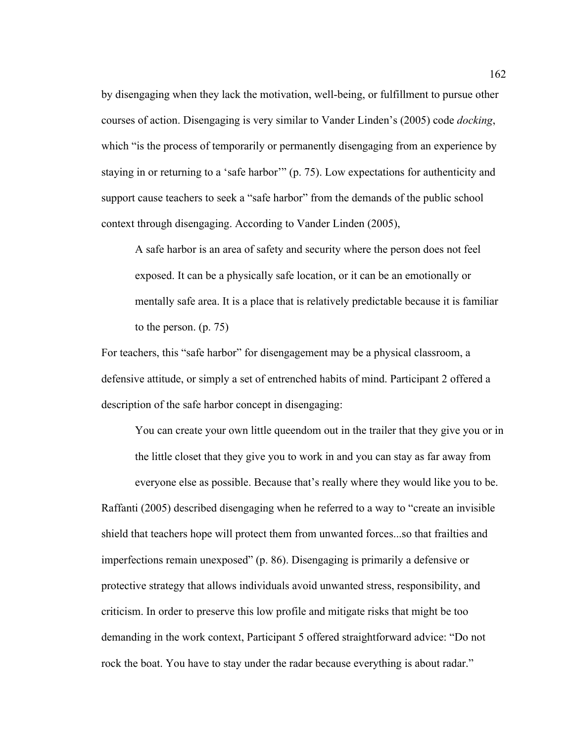by disengaging when they lack the motivation, well-being, or fulfillment to pursue other courses of action. Disengaging is very similar to Vander Linden's (2005) code *docking*, which "is the process of temporarily or permanently disengaging from an experience by staying in or returning to a 'safe harbor'" (p. 75). Low expectations for authenticity and support cause teachers to seek a "safe harbor" from the demands of the public school context through disengaging. According to Vander Linden (2005),

A safe harbor is an area of safety and security where the person does not feel exposed. It can be a physically safe location, or it can be an emotionally or mentally safe area. It is a place that is relatively predictable because it is familiar to the person. (p. 75)

For teachers, this "safe harbor" for disengagement may be a physical classroom, a defensive attitude, or simply a set of entrenched habits of mind. Participant 2 offered a description of the safe harbor concept in disengaging:

You can create your own little queendom out in the trailer that they give you or in the little closet that they give you to work in and you can stay as far away from

everyone else as possible. Because that's really where they would like you to be. Raffanti (2005) described disengaging when he referred to a way to "create an invisible shield that teachers hope will protect them from unwanted forces...so that frailties and imperfections remain unexposed" (p. 86). Disengaging is primarily a defensive or protective strategy that allows individuals avoid unwanted stress, responsibility, and criticism. In order to preserve this low profile and mitigate risks that might be too demanding in the work context, Participant 5 offered straightforward advice: "Do not rock the boat. You have to stay under the radar because everything is about radar."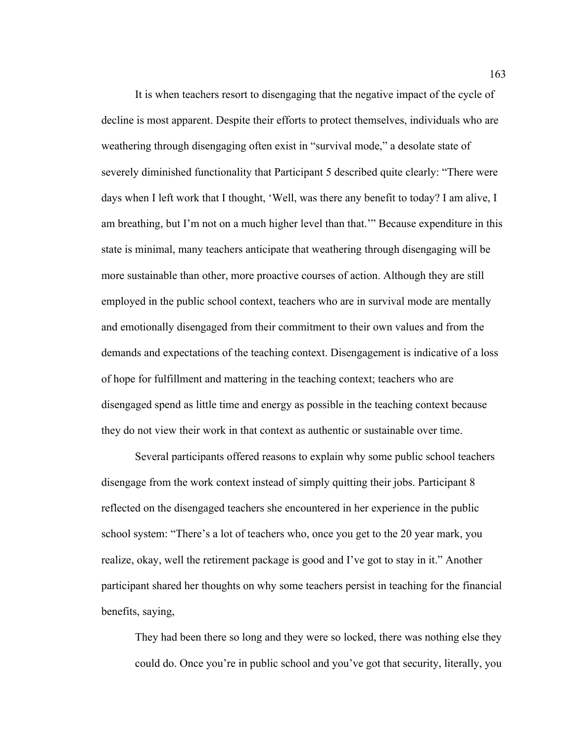It is when teachers resort to disengaging that the negative impact of the cycle of decline is most apparent. Despite their efforts to protect themselves, individuals who are weathering through disengaging often exist in "survival mode," a desolate state of severely diminished functionality that Participant 5 described quite clearly: "There were days when I left work that I thought, 'Well, was there any benefit to today? I am alive, I am breathing, but I'm not on a much higher level than that.'" Because expenditure in this state is minimal, many teachers anticipate that weathering through disengaging will be more sustainable than other, more proactive courses of action. Although they are still employed in the public school context, teachers who are in survival mode are mentally and emotionally disengaged from their commitment to their own values and from the demands and expectations of the teaching context. Disengagement is indicative of a loss of hope for fulfillment and mattering in the teaching context; teachers who are disengaged spend as little time and energy as possible in the teaching context because they do not view their work in that context as authentic or sustainable over time.

Several participants offered reasons to explain why some public school teachers disengage from the work context instead of simply quitting their jobs. Participant 8 reflected on the disengaged teachers she encountered in her experience in the public school system: "There's a lot of teachers who, once you get to the 20 year mark, you realize, okay, well the retirement package is good and I've got to stay in it." Another participant shared her thoughts on why some teachers persist in teaching for the financial benefits, saying,

They had been there so long and they were so locked, there was nothing else they could do. Once you're in public school and you've got that security, literally, you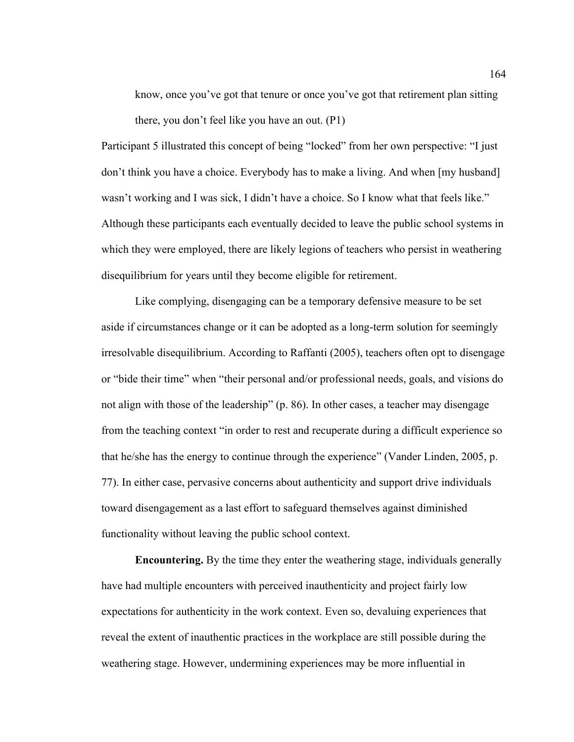know, once you've got that tenure or once you've got that retirement plan sitting there, you don't feel like you have an out. (P1)

Participant 5 illustrated this concept of being "locked" from her own perspective: "I just don't think you have a choice. Everybody has to make a living. And when [my husband] wasn't working and I was sick, I didn't have a choice. So I know what that feels like." Although these participants each eventually decided to leave the public school systems in which they were employed, there are likely legions of teachers who persist in weathering disequilibrium for years until they become eligible for retirement.

Like complying, disengaging can be a temporary defensive measure to be set aside if circumstances change or it can be adopted as a long-term solution for seemingly irresolvable disequilibrium. According to Raffanti (2005), teachers often opt to disengage or "bide their time" when "their personal and/or professional needs, goals, and visions do not align with those of the leadership" (p. 86). In other cases, a teacher may disengage from the teaching context "in order to rest and recuperate during a difficult experience so that he/she has the energy to continue through the experience" (Vander Linden, 2005, p. 77). In either case, pervasive concerns about authenticity and support drive individuals toward disengagement as a last effort to safeguard themselves against diminished functionality without leaving the public school context.

**Encountering.** By the time they enter the weathering stage, individuals generally have had multiple encounters with perceived inauthenticity and project fairly low expectations for authenticity in the work context. Even so, devaluing experiences that reveal the extent of inauthentic practices in the workplace are still possible during the weathering stage. However, undermining experiences may be more influential in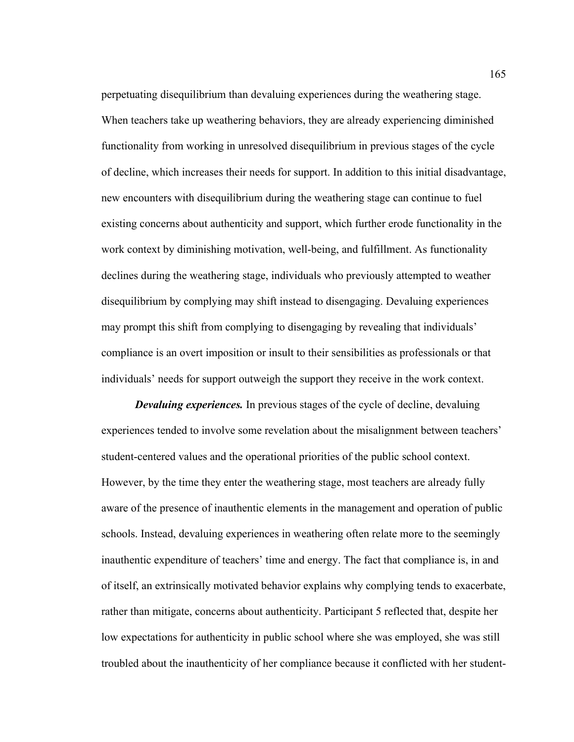perpetuating disequilibrium than devaluing experiences during the weathering stage. When teachers take up weathering behaviors, they are already experiencing diminished functionality from working in unresolved disequilibrium in previous stages of the cycle of decline, which increases their needs for support. In addition to this initial disadvantage, new encounters with disequilibrium during the weathering stage can continue to fuel existing concerns about authenticity and support, which further erode functionality in the work context by diminishing motivation, well-being, and fulfillment. As functionality declines during the weathering stage, individuals who previously attempted to weather disequilibrium by complying may shift instead to disengaging. Devaluing experiences may prompt this shift from complying to disengaging by revealing that individuals' compliance is an overt imposition or insult to their sensibilities as professionals or that individuals' needs for support outweigh the support they receive in the work context.

*Devaluing experiences.* In previous stages of the cycle of decline, devaluing experiences tended to involve some revelation about the misalignment between teachers' student-centered values and the operational priorities of the public school context. However, by the time they enter the weathering stage, most teachers are already fully aware of the presence of inauthentic elements in the management and operation of public schools. Instead, devaluing experiences in weathering often relate more to the seemingly inauthentic expenditure of teachers' time and energy. The fact that compliance is, in and of itself, an extrinsically motivated behavior explains why complying tends to exacerbate, rather than mitigate, concerns about authenticity. Participant 5 reflected that, despite her low expectations for authenticity in public school where she was employed, she was still troubled about the inauthenticity of her compliance because it conflicted with her student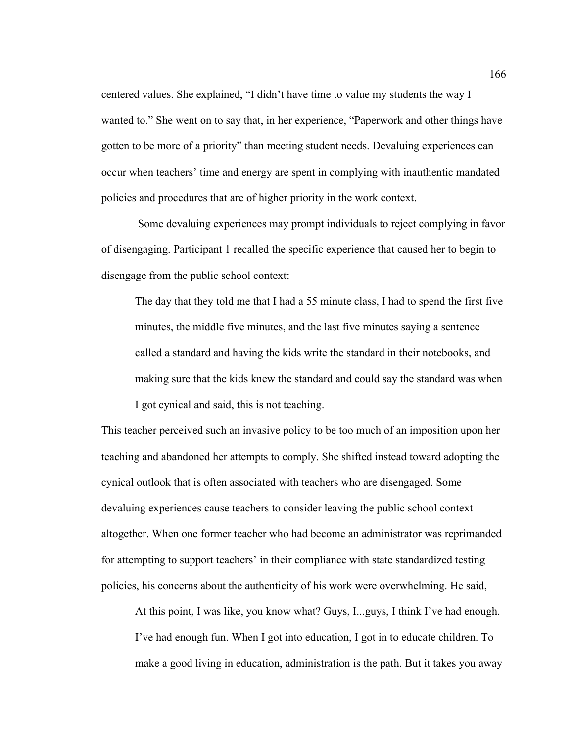centered values. She explained, "I didn't have time to value my students the way I wanted to." She went on to say that, in her experience, "Paperwork and other things have gotten to be more of a priority" than meeting student needs. Devaluing experiences can occur when teachers' time and energy are spent in complying with inauthentic mandated policies and procedures that are of higher priority in the work context.

 Some devaluing experiences may prompt individuals to reject complying in favor of disengaging. Participant 1 recalled the specific experience that caused her to begin to disengage from the public school context:

The day that they told me that I had a 55 minute class, I had to spend the first five minutes, the middle five minutes, and the last five minutes saying a sentence called a standard and having the kids write the standard in their notebooks, and making sure that the kids knew the standard and could say the standard was when I got cynical and said, this is not teaching.

This teacher perceived such an invasive policy to be too much of an imposition upon her teaching and abandoned her attempts to comply. She shifted instead toward adopting the cynical outlook that is often associated with teachers who are disengaged. Some devaluing experiences cause teachers to consider leaving the public school context altogether. When one former teacher who had become an administrator was reprimanded for attempting to support teachers' in their compliance with state standardized testing policies, his concerns about the authenticity of his work were overwhelming. He said,

At this point, I was like, you know what? Guys, I...guys, I think I've had enough. I've had enough fun. When I got into education, I got in to educate children. To make a good living in education, administration is the path. But it takes you away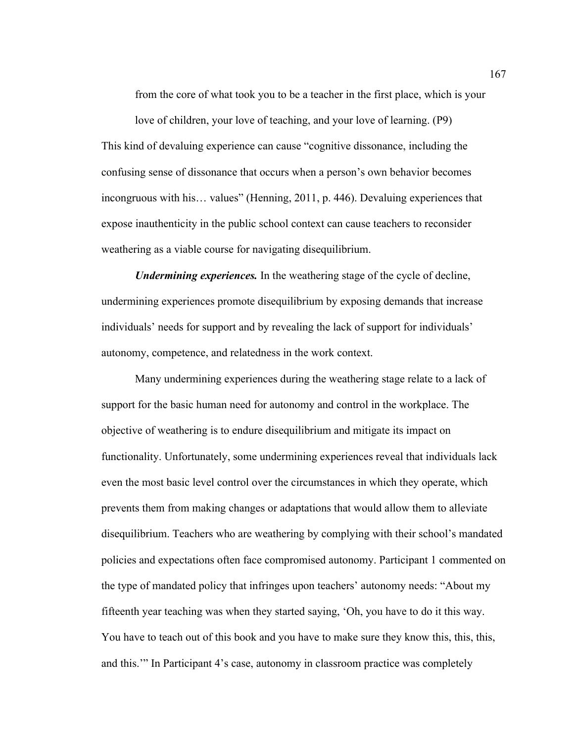from the core of what took you to be a teacher in the first place, which is your

love of children, your love of teaching, and your love of learning. (P9) This kind of devaluing experience can cause "cognitive dissonance, including the confusing sense of dissonance that occurs when a person's own behavior becomes incongruous with his… values" (Henning, 2011, p. 446). Devaluing experiences that expose inauthenticity in the public school context can cause teachers to reconsider weathering as a viable course for navigating disequilibrium.

*Undermining experiences.* In the weathering stage of the cycle of decline, undermining experiences promote disequilibrium by exposing demands that increase individuals' needs for support and by revealing the lack of support for individuals' autonomy, competence, and relatedness in the work context.

Many undermining experiences during the weathering stage relate to a lack of support for the basic human need for autonomy and control in the workplace. The objective of weathering is to endure disequilibrium and mitigate its impact on functionality. Unfortunately, some undermining experiences reveal that individuals lack even the most basic level control over the circumstances in which they operate, which prevents them from making changes or adaptations that would allow them to alleviate disequilibrium. Teachers who are weathering by complying with their school's mandated policies and expectations often face compromised autonomy. Participant 1 commented on the type of mandated policy that infringes upon teachers' autonomy needs: "About my fifteenth year teaching was when they started saying, 'Oh, you have to do it this way. You have to teach out of this book and you have to make sure they know this, this, this, and this.'" In Participant 4's case, autonomy in classroom practice was completely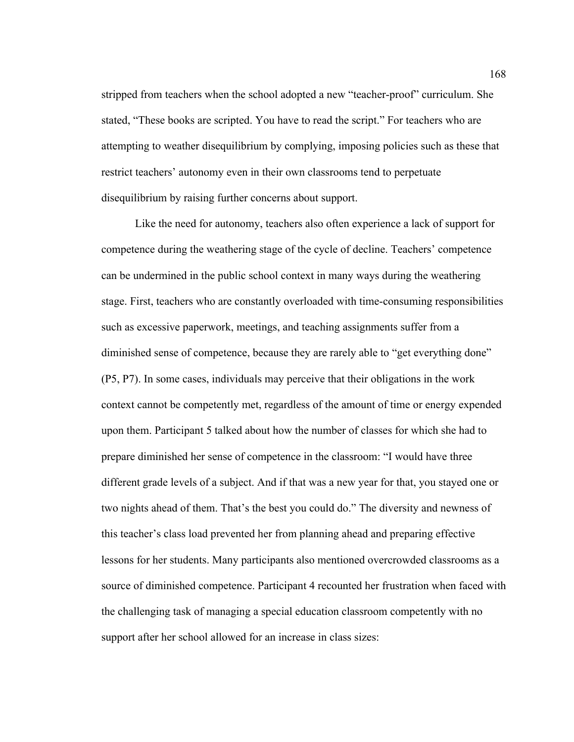stripped from teachers when the school adopted a new "teacher-proof" curriculum. She stated, "These books are scripted. You have to read the script." For teachers who are attempting to weather disequilibrium by complying, imposing policies such as these that restrict teachers' autonomy even in their own classrooms tend to perpetuate disequilibrium by raising further concerns about support.

Like the need for autonomy, teachers also often experience a lack of support for competence during the weathering stage of the cycle of decline. Teachers' competence can be undermined in the public school context in many ways during the weathering stage. First, teachers who are constantly overloaded with time-consuming responsibilities such as excessive paperwork, meetings, and teaching assignments suffer from a diminished sense of competence, because they are rarely able to "get everything done" (P5, P7). In some cases, individuals may perceive that their obligations in the work context cannot be competently met, regardless of the amount of time or energy expended upon them. Participant 5 talked about how the number of classes for which she had to prepare diminished her sense of competence in the classroom: "I would have three different grade levels of a subject. And if that was a new year for that, you stayed one or two nights ahead of them. That's the best you could do." The diversity and newness of this teacher's class load prevented her from planning ahead and preparing effective lessons for her students. Many participants also mentioned overcrowded classrooms as a source of diminished competence. Participant 4 recounted her frustration when faced with the challenging task of managing a special education classroom competently with no support after her school allowed for an increase in class sizes: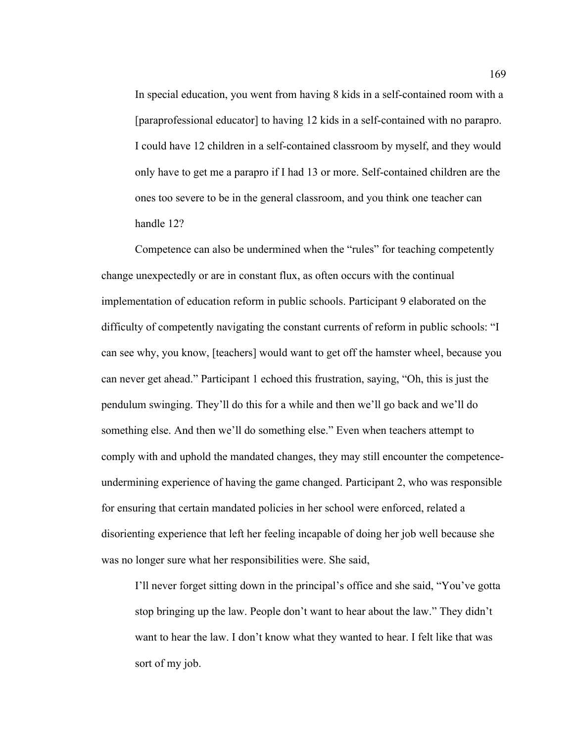In special education, you went from having 8 kids in a self-contained room with a [paraprofessional educator] to having 12 kids in a self-contained with no parapro. I could have 12 children in a self-contained classroom by myself, and they would only have to get me a parapro if I had 13 or more. Self-contained children are the ones too severe to be in the general classroom, and you think one teacher can handle 12?

Competence can also be undermined when the "rules" for teaching competently change unexpectedly or are in constant flux, as often occurs with the continual implementation of education reform in public schools. Participant 9 elaborated on the difficulty of competently navigating the constant currents of reform in public schools: "I can see why, you know, [teachers] would want to get off the hamster wheel, because you can never get ahead." Participant 1 echoed this frustration, saying, "Oh, this is just the pendulum swinging. They'll do this for a while and then we'll go back and we'll do something else. And then we'll do something else." Even when teachers attempt to comply with and uphold the mandated changes, they may still encounter the competenceundermining experience of having the game changed. Participant 2, who was responsible for ensuring that certain mandated policies in her school were enforced, related a disorienting experience that left her feeling incapable of doing her job well because she was no longer sure what her responsibilities were. She said,

I'll never forget sitting down in the principal's office and she said, "You've gotta stop bringing up the law. People don't want to hear about the law." They didn't want to hear the law. I don't know what they wanted to hear. I felt like that was sort of my job.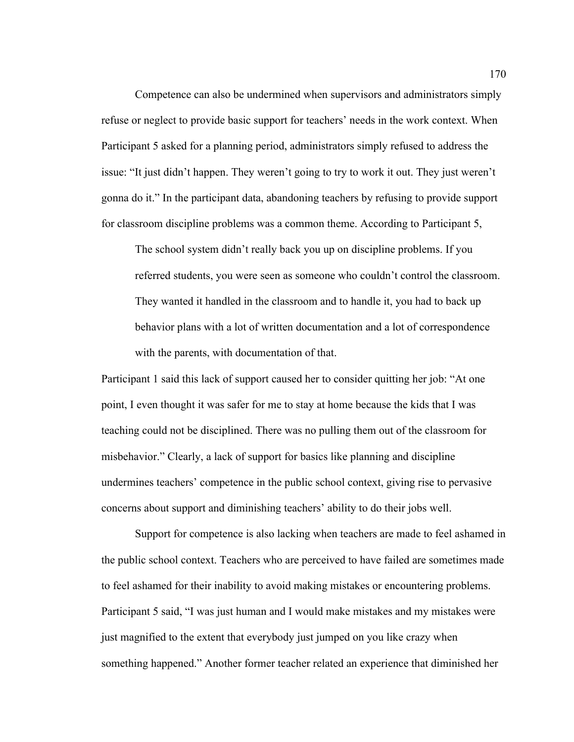Competence can also be undermined when supervisors and administrators simply refuse or neglect to provide basic support for teachers' needs in the work context. When Participant 5 asked for a planning period, administrators simply refused to address the issue: "It just didn't happen. They weren't going to try to work it out. They just weren't gonna do it." In the participant data, abandoning teachers by refusing to provide support for classroom discipline problems was a common theme. According to Participant 5,

The school system didn't really back you up on discipline problems. If you referred students, you were seen as someone who couldn't control the classroom. They wanted it handled in the classroom and to handle it, you had to back up behavior plans with a lot of written documentation and a lot of correspondence with the parents, with documentation of that.

Participant 1 said this lack of support caused her to consider quitting her job: "At one point, I even thought it was safer for me to stay at home because the kids that I was teaching could not be disciplined. There was no pulling them out of the classroom for misbehavior." Clearly, a lack of support for basics like planning and discipline undermines teachers' competence in the public school context, giving rise to pervasive concerns about support and diminishing teachers' ability to do their jobs well.

Support for competence is also lacking when teachers are made to feel ashamed in the public school context. Teachers who are perceived to have failed are sometimes made to feel ashamed for their inability to avoid making mistakes or encountering problems. Participant 5 said, "I was just human and I would make mistakes and my mistakes were just magnified to the extent that everybody just jumped on you like crazy when something happened." Another former teacher related an experience that diminished her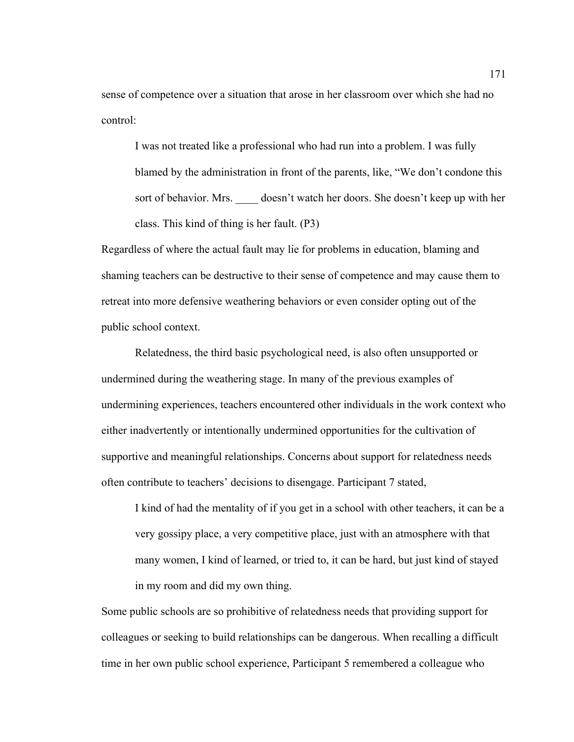sense of competence over a situation that arose in her classroom over which she had no control:

I was not treated like a professional who had run into a problem. I was fully blamed by the administration in front of the parents, like, "We don't condone this sort of behavior. Mrs. doesn't watch her doors. She doesn't keep up with her class. This kind of thing is her fault. (P3)

Regardless of where the actual fault may lie for problems in education, blaming and shaming teachers can be destructive to their sense of competence and may cause them to retreat into more defensive weathering behaviors or even consider opting out of the public school context.

Relatedness, the third basic psychological need, is also often unsupported or undermined during the weathering stage. In many of the previous examples of undermining experiences, teachers encountered other individuals in the work context who either inadvertently or intentionally undermined opportunities for the cultivation of supportive and meaningful relationships. Concerns about support for relatedness needs often contribute to teachers' decisions to disengage. Participant 7 stated,

I kind of had the mentality of if you get in a school with other teachers, it can be a very gossipy place, a very competitive place, just with an atmosphere with that many women, I kind of learned, or tried to, it can be hard, but just kind of stayed in my room and did my own thing.

Some public schools are so prohibitive of relatedness needs that providing support for colleagues or seeking to build relationships can be dangerous. When recalling a difficult time in her own public school experience, Participant 5 remembered a colleague who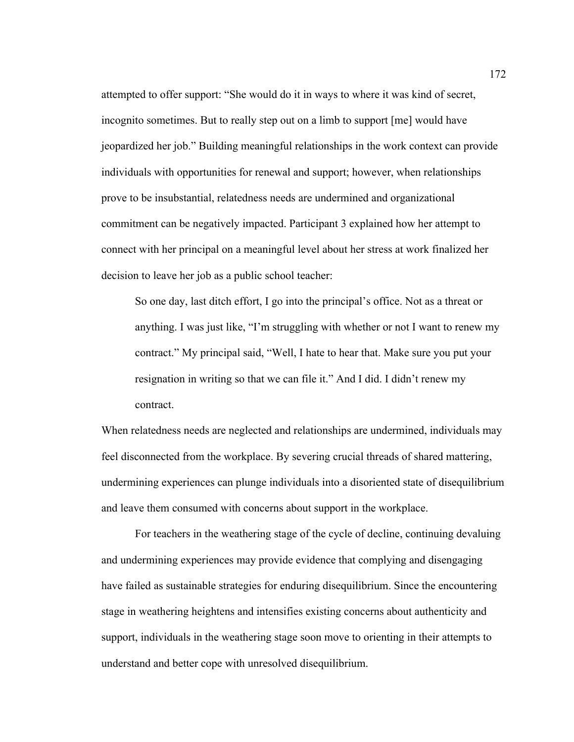attempted to offer support: "She would do it in ways to where it was kind of secret, incognito sometimes. But to really step out on a limb to support [me] would have jeopardized her job." Building meaningful relationships in the work context can provide individuals with opportunities for renewal and support; however, when relationships prove to be insubstantial, relatedness needs are undermined and organizational commitment can be negatively impacted. Participant 3 explained how her attempt to connect with her principal on a meaningful level about her stress at work finalized her decision to leave her job as a public school teacher:

So one day, last ditch effort, I go into the principal's office. Not as a threat or anything. I was just like, "I'm struggling with whether or not I want to renew my contract." My principal said, "Well, I hate to hear that. Make sure you put your resignation in writing so that we can file it." And I did. I didn't renew my contract.

When relatedness needs are neglected and relationships are undermined, individuals may feel disconnected from the workplace. By severing crucial threads of shared mattering, undermining experiences can plunge individuals into a disoriented state of disequilibrium and leave them consumed with concerns about support in the workplace.

For teachers in the weathering stage of the cycle of decline, continuing devaluing and undermining experiences may provide evidence that complying and disengaging have failed as sustainable strategies for enduring disequilibrium. Since the encountering stage in weathering heightens and intensifies existing concerns about authenticity and support, individuals in the weathering stage soon move to orienting in their attempts to understand and better cope with unresolved disequilibrium.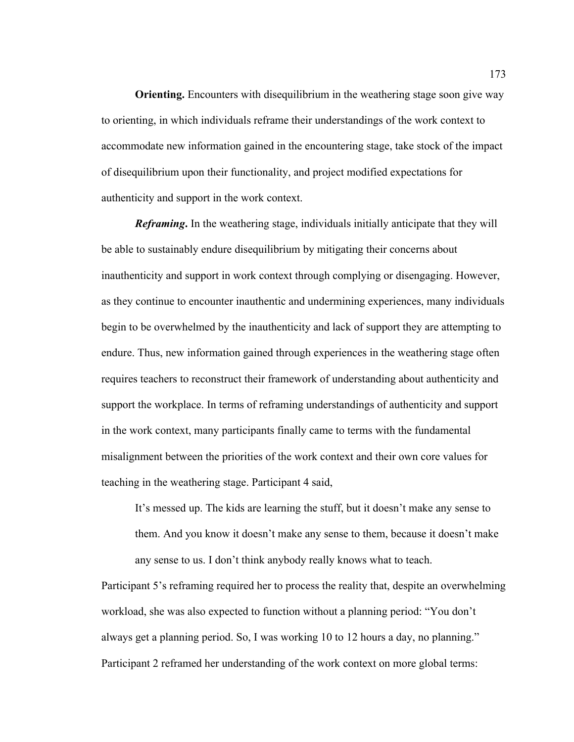**Orienting.** Encounters with disequilibrium in the weathering stage soon give way to orienting, in which individuals reframe their understandings of the work context to accommodate new information gained in the encountering stage, take stock of the impact of disequilibrium upon their functionality, and project modified expectations for authenticity and support in the work context.

*Reframing***.** In the weathering stage, individuals initially anticipate that they will be able to sustainably endure disequilibrium by mitigating their concerns about inauthenticity and support in work context through complying or disengaging. However, as they continue to encounter inauthentic and undermining experiences, many individuals begin to be overwhelmed by the inauthenticity and lack of support they are attempting to endure. Thus, new information gained through experiences in the weathering stage often requires teachers to reconstruct their framework of understanding about authenticity and support the workplace. In terms of reframing understandings of authenticity and support in the work context, many participants finally came to terms with the fundamental misalignment between the priorities of the work context and their own core values for teaching in the weathering stage. Participant 4 said,

It's messed up. The kids are learning the stuff, but it doesn't make any sense to them. And you know it doesn't make any sense to them, because it doesn't make any sense to us. I don't think anybody really knows what to teach.

Participant 5's reframing required her to process the reality that, despite an overwhelming workload, she was also expected to function without a planning period: "You don't always get a planning period. So, I was working 10 to 12 hours a day, no planning." Participant 2 reframed her understanding of the work context on more global terms: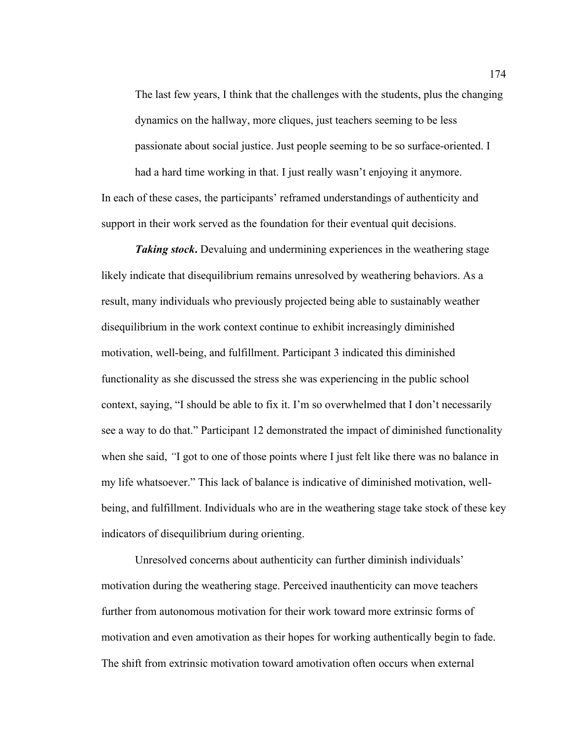The last few years, I think that the challenges with the students, plus the changing dynamics on the hallway, more cliques, just teachers seeming to be less passionate about social justice. Just people seeming to be so surface-oriented. I had a hard time working in that. I just really wasn't enjoying it anymore. In each of these cases, the participants' reframed understandings of authenticity and support in their work served as the foundation for their eventual quit decisions.

*Taking stock***.** Devaluing and undermining experiences in the weathering stage likely indicate that disequilibrium remains unresolved by weathering behaviors. As a result, many individuals who previously projected being able to sustainably weather disequilibrium in the work context continue to exhibit increasingly diminished motivation, well-being, and fulfillment. Participant 3 indicated this diminished functionality as she discussed the stress she was experiencing in the public school context, saying, "I should be able to fix it. I'm so overwhelmed that I don't necessarily see a way to do that." Participant 12 demonstrated the impact of diminished functionality when she said, *"*I got to one of those points where I just felt like there was no balance in my life whatsoever." This lack of balance is indicative of diminished motivation, wellbeing, and fulfillment. Individuals who are in the weathering stage take stock of these key indicators of disequilibrium during orienting.

Unresolved concerns about authenticity can further diminish individuals' motivation during the weathering stage. Perceived inauthenticity can move teachers further from autonomous motivation for their work toward more extrinsic forms of motivation and even amotivation as their hopes for working authentically begin to fade. The shift from extrinsic motivation toward amotivation often occurs when external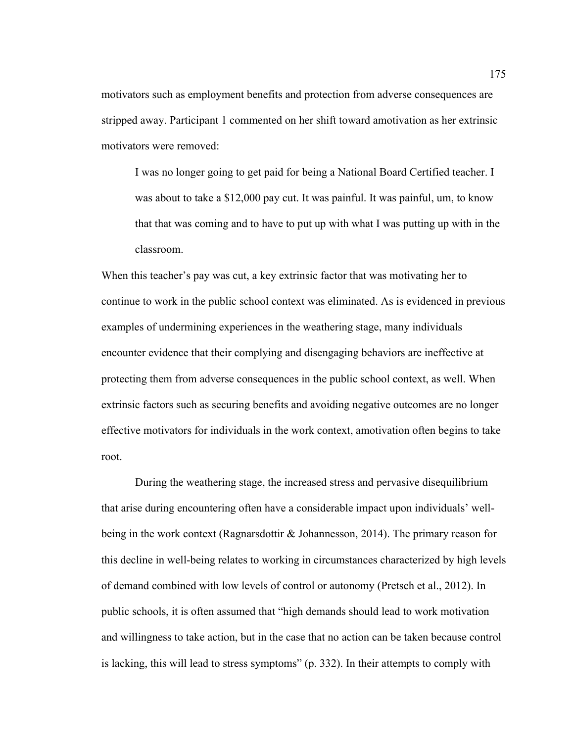motivators such as employment benefits and protection from adverse consequences are stripped away. Participant 1 commented on her shift toward amotivation as her extrinsic motivators were removed:

I was no longer going to get paid for being a National Board Certified teacher. I was about to take a \$12,000 pay cut. It was painful. It was painful, um, to know that that was coming and to have to put up with what I was putting up with in the classroom.

When this teacher's pay was cut, a key extrinsic factor that was motivating her to continue to work in the public school context was eliminated. As is evidenced in previous examples of undermining experiences in the weathering stage, many individuals encounter evidence that their complying and disengaging behaviors are ineffective at protecting them from adverse consequences in the public school context, as well. When extrinsic factors such as securing benefits and avoiding negative outcomes are no longer effective motivators for individuals in the work context, amotivation often begins to take root.

During the weathering stage, the increased stress and pervasive disequilibrium that arise during encountering often have a considerable impact upon individuals' wellbeing in the work context (Ragnarsdottir & Johannesson, 2014). The primary reason for this decline in well-being relates to working in circumstances characterized by high levels of demand combined with low levels of control or autonomy (Pretsch et al., 2012). In public schools, it is often assumed that "high demands should lead to work motivation and willingness to take action, but in the case that no action can be taken because control is lacking, this will lead to stress symptoms" (p. 332). In their attempts to comply with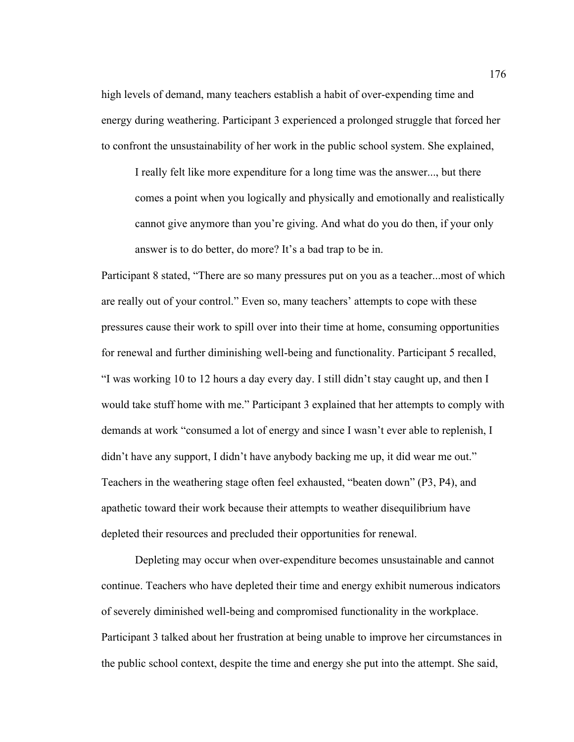high levels of demand, many teachers establish a habit of over-expending time and energy during weathering. Participant 3 experienced a prolonged struggle that forced her to confront the unsustainability of her work in the public school system. She explained,

I really felt like more expenditure for a long time was the answer..., but there comes a point when you logically and physically and emotionally and realistically cannot give anymore than you're giving. And what do you do then, if your only answer is to do better, do more? It's a bad trap to be in.

Participant 8 stated, "There are so many pressures put on you as a teacher...most of which are really out of your control." Even so, many teachers' attempts to cope with these pressures cause their work to spill over into their time at home, consuming opportunities for renewal and further diminishing well-being and functionality. Participant 5 recalled, "I was working 10 to 12 hours a day every day. I still didn't stay caught up, and then I would take stuff home with me." Participant 3 explained that her attempts to comply with demands at work "consumed a lot of energy and since I wasn't ever able to replenish, I didn't have any support, I didn't have anybody backing me up, it did wear me out." Teachers in the weathering stage often feel exhausted, "beaten down" (P3, P4), and apathetic toward their work because their attempts to weather disequilibrium have depleted their resources and precluded their opportunities for renewal.

Depleting may occur when over-expenditure becomes unsustainable and cannot continue. Teachers who have depleted their time and energy exhibit numerous indicators of severely diminished well-being and compromised functionality in the workplace. Participant 3 talked about her frustration at being unable to improve her circumstances in the public school context, despite the time and energy she put into the attempt. She said,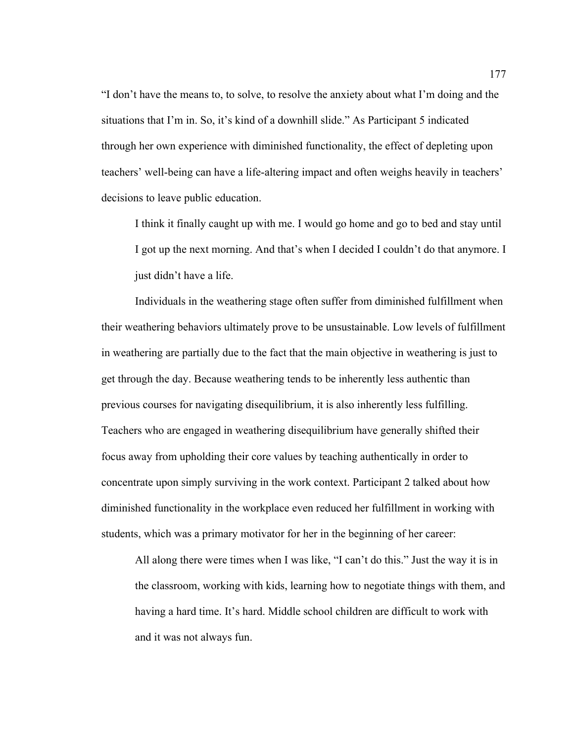"I don't have the means to, to solve, to resolve the anxiety about what I'm doing and the situations that I'm in. So, it's kind of a downhill slide." As Participant 5 indicated through her own experience with diminished functionality, the effect of depleting upon teachers' well-being can have a life-altering impact and often weighs heavily in teachers' decisions to leave public education.

I think it finally caught up with me. I would go home and go to bed and stay until I got up the next morning. And that's when I decided I couldn't do that anymore. I just didn't have a life.

Individuals in the weathering stage often suffer from diminished fulfillment when their weathering behaviors ultimately prove to be unsustainable. Low levels of fulfillment in weathering are partially due to the fact that the main objective in weathering is just to get through the day. Because weathering tends to be inherently less authentic than previous courses for navigating disequilibrium, it is also inherently less fulfilling. Teachers who are engaged in weathering disequilibrium have generally shifted their focus away from upholding their core values by teaching authentically in order to concentrate upon simply surviving in the work context. Participant 2 talked about how diminished functionality in the workplace even reduced her fulfillment in working with students, which was a primary motivator for her in the beginning of her career:

All along there were times when I was like, "I can't do this." Just the way it is in the classroom, working with kids, learning how to negotiate things with them, and having a hard time. It's hard. Middle school children are difficult to work with and it was not always fun.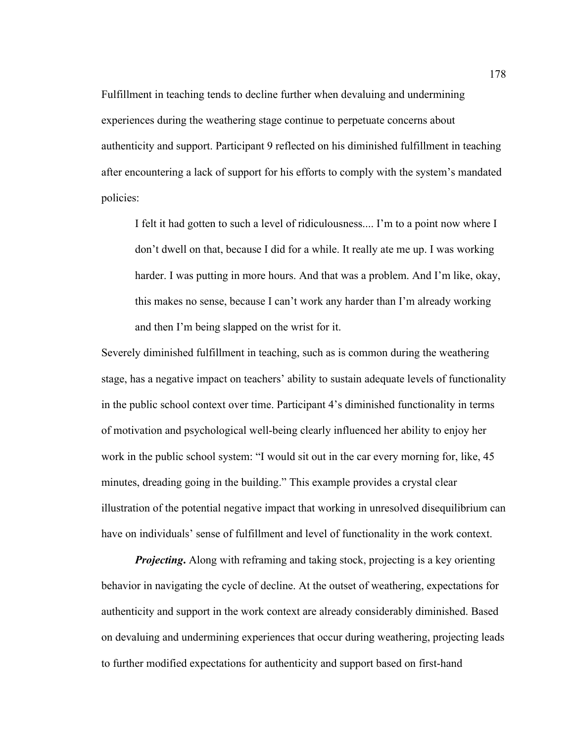Fulfillment in teaching tends to decline further when devaluing and undermining experiences during the weathering stage continue to perpetuate concerns about authenticity and support. Participant 9 reflected on his diminished fulfillment in teaching after encountering a lack of support for his efforts to comply with the system's mandated policies:

I felt it had gotten to such a level of ridiculousness.... I'm to a point now where I don't dwell on that, because I did for a while. It really ate me up. I was working harder. I was putting in more hours. And that was a problem. And I'm like, okay, this makes no sense, because I can't work any harder than I'm already working and then I'm being slapped on the wrist for it.

Severely diminished fulfillment in teaching, such as is common during the weathering stage, has a negative impact on teachers' ability to sustain adequate levels of functionality in the public school context over time. Participant 4's diminished functionality in terms of motivation and psychological well-being clearly influenced her ability to enjoy her work in the public school system: "I would sit out in the car every morning for, like, 45 minutes, dreading going in the building." This example provides a crystal clear illustration of the potential negative impact that working in unresolved disequilibrium can have on individuals' sense of fulfillment and level of functionality in the work context.

*Projecting*. Along with reframing and taking stock, projecting is a key orienting behavior in navigating the cycle of decline. At the outset of weathering, expectations for authenticity and support in the work context are already considerably diminished. Based on devaluing and undermining experiences that occur during weathering, projecting leads to further modified expectations for authenticity and support based on first-hand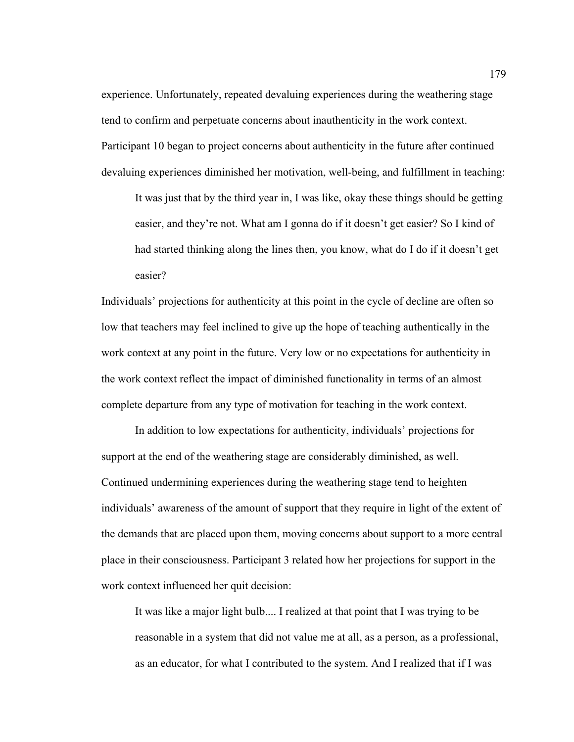experience. Unfortunately, repeated devaluing experiences during the weathering stage tend to confirm and perpetuate concerns about inauthenticity in the work context. Participant 10 began to project concerns about authenticity in the future after continued devaluing experiences diminished her motivation, well-being, and fulfillment in teaching:

It was just that by the third year in, I was like, okay these things should be getting easier, and they're not. What am I gonna do if it doesn't get easier? So I kind of had started thinking along the lines then, you know, what do I do if it doesn't get easier?

Individuals' projections for authenticity at this point in the cycle of decline are often so low that teachers may feel inclined to give up the hope of teaching authentically in the work context at any point in the future. Very low or no expectations for authenticity in the work context reflect the impact of diminished functionality in terms of an almost complete departure from any type of motivation for teaching in the work context.

In addition to low expectations for authenticity, individuals' projections for support at the end of the weathering stage are considerably diminished, as well. Continued undermining experiences during the weathering stage tend to heighten individuals' awareness of the amount of support that they require in light of the extent of the demands that are placed upon them, moving concerns about support to a more central place in their consciousness. Participant 3 related how her projections for support in the work context influenced her quit decision:

It was like a major light bulb.... I realized at that point that I was trying to be reasonable in a system that did not value me at all, as a person, as a professional, as an educator, for what I contributed to the system. And I realized that if I was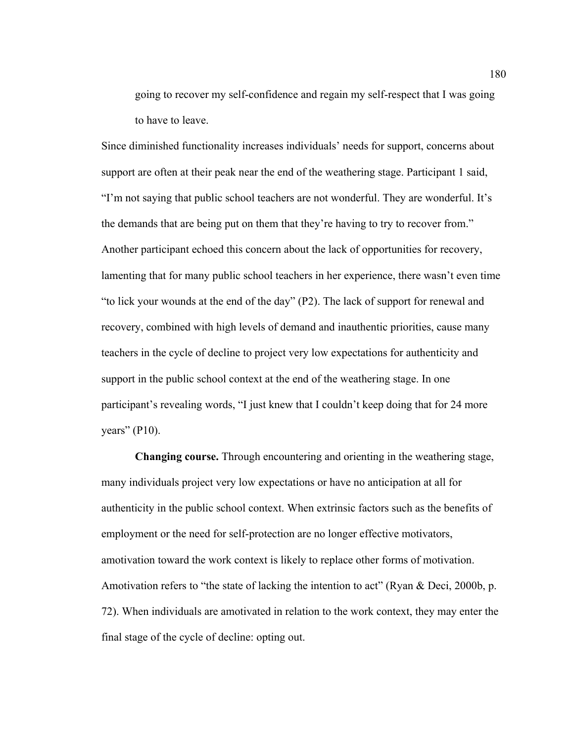going to recover my self-confidence and regain my self-respect that I was going to have to leave.

Since diminished functionality increases individuals' needs for support, concerns about support are often at their peak near the end of the weathering stage. Participant 1 said, "I'm not saying that public school teachers are not wonderful. They are wonderful. It's the demands that are being put on them that they're having to try to recover from." Another participant echoed this concern about the lack of opportunities for recovery, lamenting that for many public school teachers in her experience, there wasn't even time "to lick your wounds at the end of the day" (P2). The lack of support for renewal and recovery, combined with high levels of demand and inauthentic priorities, cause many teachers in the cycle of decline to project very low expectations for authenticity and support in the public school context at the end of the weathering stage. In one participant's revealing words, "I just knew that I couldn't keep doing that for 24 more years"  $($ P10 $).$ 

**Changing course.** Through encountering and orienting in the weathering stage, many individuals project very low expectations or have no anticipation at all for authenticity in the public school context. When extrinsic factors such as the benefits of employment or the need for self-protection are no longer effective motivators, amotivation toward the work context is likely to replace other forms of motivation. Amotivation refers to "the state of lacking the intention to act" (Ryan & Deci, 2000b, p. 72). When individuals are amotivated in relation to the work context, they may enter the final stage of the cycle of decline: opting out.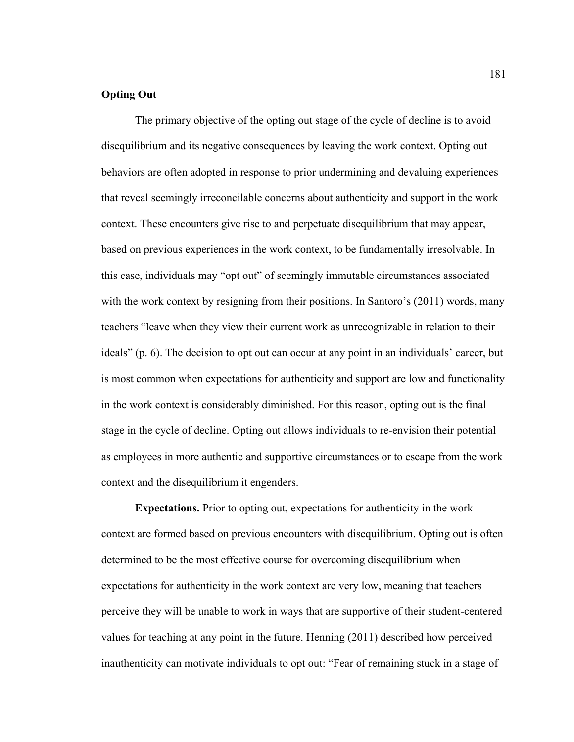# **Opting Out**

The primary objective of the opting out stage of the cycle of decline is to avoid disequilibrium and its negative consequences by leaving the work context. Opting out behaviors are often adopted in response to prior undermining and devaluing experiences that reveal seemingly irreconcilable concerns about authenticity and support in the work context. These encounters give rise to and perpetuate disequilibrium that may appear, based on previous experiences in the work context, to be fundamentally irresolvable. In this case, individuals may "opt out" of seemingly immutable circumstances associated with the work context by resigning from their positions. In Santoro's (2011) words, many teachers "leave when they view their current work as unrecognizable in relation to their ideals" (p. 6). The decision to opt out can occur at any point in an individuals' career, but is most common when expectations for authenticity and support are low and functionality in the work context is considerably diminished. For this reason, opting out is the final stage in the cycle of decline. Opting out allows individuals to re-envision their potential as employees in more authentic and supportive circumstances or to escape from the work context and the disequilibrium it engenders.

**Expectations.** Prior to opting out, expectations for authenticity in the work context are formed based on previous encounters with disequilibrium. Opting out is often determined to be the most effective course for overcoming disequilibrium when expectations for authenticity in the work context are very low, meaning that teachers perceive they will be unable to work in ways that are supportive of their student-centered values for teaching at any point in the future. Henning (2011) described how perceived inauthenticity can motivate individuals to opt out: "Fear of remaining stuck in a stage of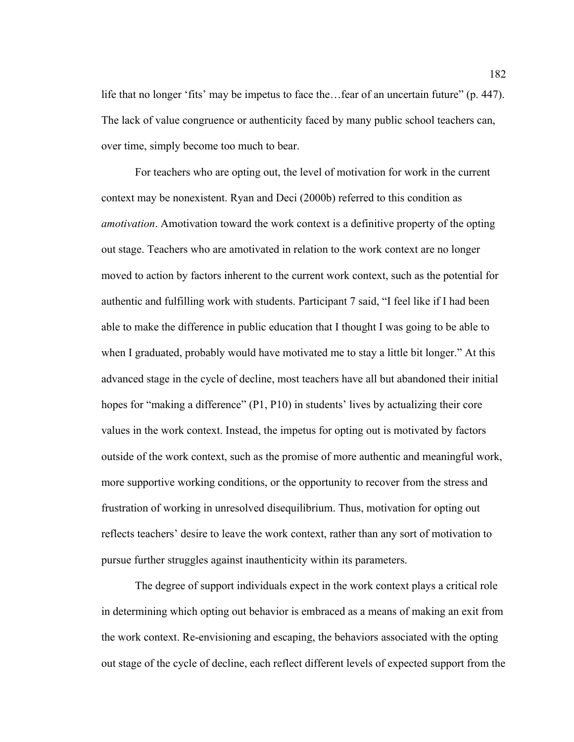life that no longer 'fits' may be impetus to face the…fear of an uncertain future" (p. 447). The lack of value congruence or authenticity faced by many public school teachers can, over time, simply become too much to bear.

For teachers who are opting out, the level of motivation for work in the current context may be nonexistent. Ryan and Deci (2000b) referred to this condition as *amotivation*. Amotivation toward the work context is a definitive property of the opting out stage. Teachers who are amotivated in relation to the work context are no longer moved to action by factors inherent to the current work context, such as the potential for authentic and fulfilling work with students. Participant 7 said, "I feel like if I had been able to make the difference in public education that I thought I was going to be able to when I graduated, probably would have motivated me to stay a little bit longer." At this advanced stage in the cycle of decline, most teachers have all but abandoned their initial hopes for "making a difference" (P1, P10) in students' lives by actualizing their core values in the work context. Instead, the impetus for opting out is motivated by factors outside of the work context, such as the promise of more authentic and meaningful work, more supportive working conditions, or the opportunity to recover from the stress and frustration of working in unresolved disequilibrium. Thus, motivation for opting out reflects teachers' desire to leave the work context, rather than any sort of motivation to pursue further struggles against inauthenticity within its parameters.

The degree of support individuals expect in the work context plays a critical role in determining which opting out behavior is embraced as a means of making an exit from the work context. Re-envisioning and escaping, the behaviors associated with the opting out stage of the cycle of decline, each reflect different levels of expected support from the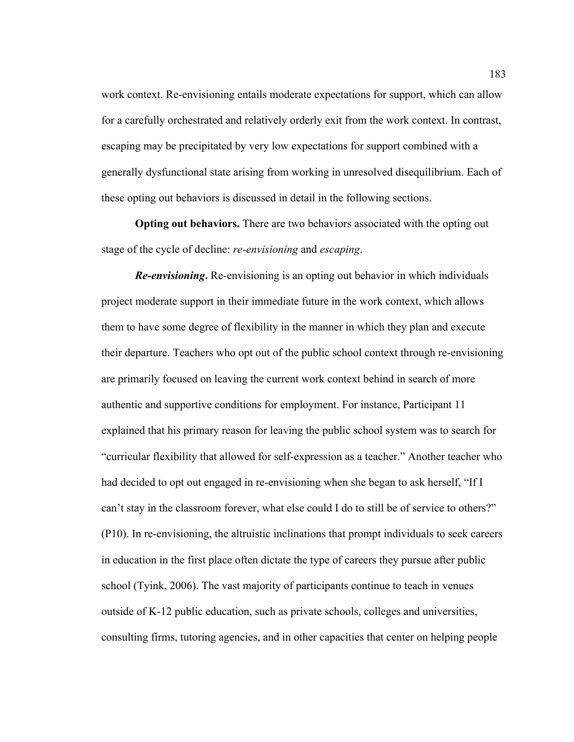work context. Re-envisioning entails moderate expectations for support, which can allow for a carefully orchestrated and relatively orderly exit from the work context. In contrast, escaping may be precipitated by very low expectations for support combined with a generally dysfunctional state arising from working in unresolved disequilibrium. Each of these opting out behaviors is discussed in detail in the following sections.

**Opting out behaviors.** There are two behaviors associated with the opting out stage of the cycle of decline: *re-envisioning* and *escaping*.

*Re-envisioning***.** Re-envisioning is an opting out behavior in which individuals project moderate support in their immediate future in the work context, which allows them to have some degree of flexibility in the manner in which they plan and execute their departure. Teachers who opt out of the public school context through re-envisioning are primarily focused on leaving the current work context behind in search of more authentic and supportive conditions for employment. For instance, Participant 11 explained that his primary reason for leaving the public school system was to search for "curricular flexibility that allowed for self-expression as a teacher." Another teacher who had decided to opt out engaged in re-envisioning when she began to ask herself, "If I can't stay in the classroom forever, what else could I do to still be of service to others?" (P10). In re-envisioning, the altruistic inclinations that prompt individuals to seek careers in education in the first place often dictate the type of careers they pursue after public school (Tyink, 2006). The vast majority of participants continue to teach in venues outside of K-12 public education, such as private schools, colleges and universities, consulting firms, tutoring agencies, and in other capacities that center on helping people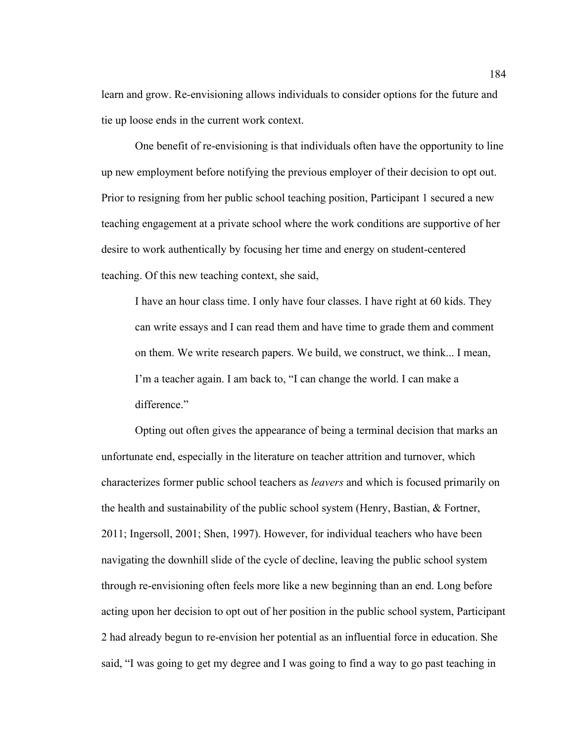learn and grow. Re-envisioning allows individuals to consider options for the future and tie up loose ends in the current work context.

One benefit of re-envisioning is that individuals often have the opportunity to line up new employment before notifying the previous employer of their decision to opt out. Prior to resigning from her public school teaching position, Participant 1 secured a new teaching engagement at a private school where the work conditions are supportive of her desire to work authentically by focusing her time and energy on student-centered teaching. Of this new teaching context, she said,

I have an hour class time. I only have four classes. I have right at 60 kids. They can write essays and I can read them and have time to grade them and comment on them. We write research papers. We build, we construct, we think... I mean, I'm a teacher again. I am back to, "I can change the world. I can make a difference."

Opting out often gives the appearance of being a terminal decision that marks an unfortunate end, especially in the literature on teacher attrition and turnover, which characterizes former public school teachers as *leavers* and which is focused primarily on the health and sustainability of the public school system (Henry, Bastian, & Fortner, 2011; Ingersoll, 2001; Shen, 1997). However, for individual teachers who have been navigating the downhill slide of the cycle of decline, leaving the public school system through re-envisioning often feels more like a new beginning than an end. Long before acting upon her decision to opt out of her position in the public school system, Participant 2 had already begun to re-envision her potential as an influential force in education. She said, "I was going to get my degree and I was going to find a way to go past teaching in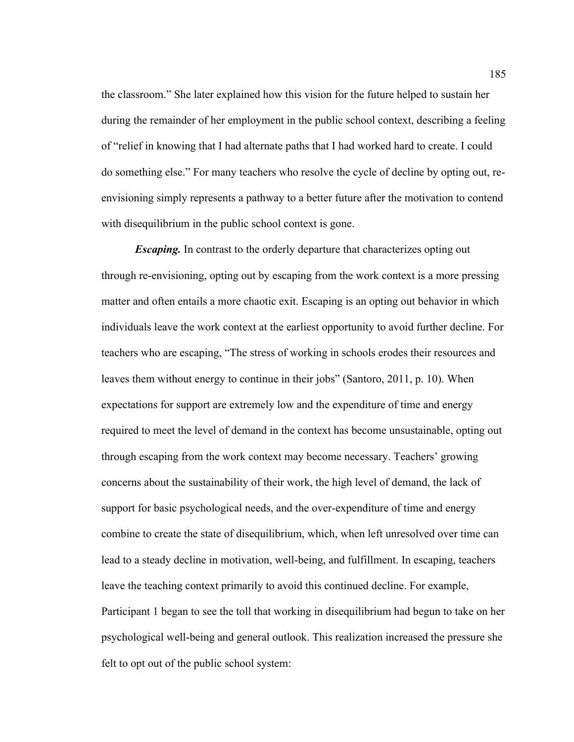the classroom." She later explained how this vision for the future helped to sustain her during the remainder of her employment in the public school context, describing a feeling of "relief in knowing that I had alternate paths that I had worked hard to create. I could do something else." For many teachers who resolve the cycle of decline by opting out, reenvisioning simply represents a pathway to a better future after the motivation to contend with disequilibrium in the public school context is gone.

*Escaping.* In contrast to the orderly departure that characterizes opting out through re-envisioning, opting out by escaping from the work context is a more pressing matter and often entails a more chaotic exit. Escaping is an opting out behavior in which individuals leave the work context at the earliest opportunity to avoid further decline. For teachers who are escaping, "The stress of working in schools erodes their resources and leaves them without energy to continue in their jobs" (Santoro, 2011, p. 10). When expectations for support are extremely low and the expenditure of time and energy required to meet the level of demand in the context has become unsustainable, opting out through escaping from the work context may become necessary. Teachers' growing concerns about the sustainability of their work, the high level of demand, the lack of support for basic psychological needs, and the over-expenditure of time and energy combine to create the state of disequilibrium, which, when left unresolved over time can lead to a steady decline in motivation, well-being, and fulfillment. In escaping, teachers leave the teaching context primarily to avoid this continued decline. For example, Participant 1 began to see the toll that working in disequilibrium had begun to take on her psychological well-being and general outlook. This realization increased the pressure she felt to opt out of the public school system: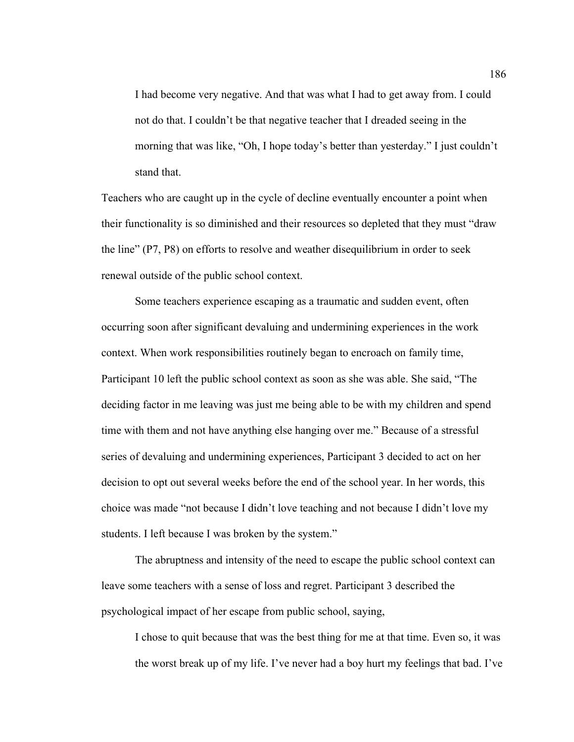I had become very negative. And that was what I had to get away from. I could not do that. I couldn't be that negative teacher that I dreaded seeing in the morning that was like, "Oh, I hope today's better than yesterday." I just couldn't stand that.

Teachers who are caught up in the cycle of decline eventually encounter a point when their functionality is so diminished and their resources so depleted that they must "draw the line" (P7, P8) on efforts to resolve and weather disequilibrium in order to seek renewal outside of the public school context.

Some teachers experience escaping as a traumatic and sudden event, often occurring soon after significant devaluing and undermining experiences in the work context. When work responsibilities routinely began to encroach on family time, Participant 10 left the public school context as soon as she was able. She said, "The deciding factor in me leaving was just me being able to be with my children and spend time with them and not have anything else hanging over me." Because of a stressful series of devaluing and undermining experiences, Participant 3 decided to act on her decision to opt out several weeks before the end of the school year. In her words, this choice was made "not because I didn't love teaching and not because I didn't love my students. I left because I was broken by the system."

The abruptness and intensity of the need to escape the public school context can leave some teachers with a sense of loss and regret. Participant 3 described the psychological impact of her escape from public school, saying,

I chose to quit because that was the best thing for me at that time. Even so, it was the worst break up of my life. I've never had a boy hurt my feelings that bad. I've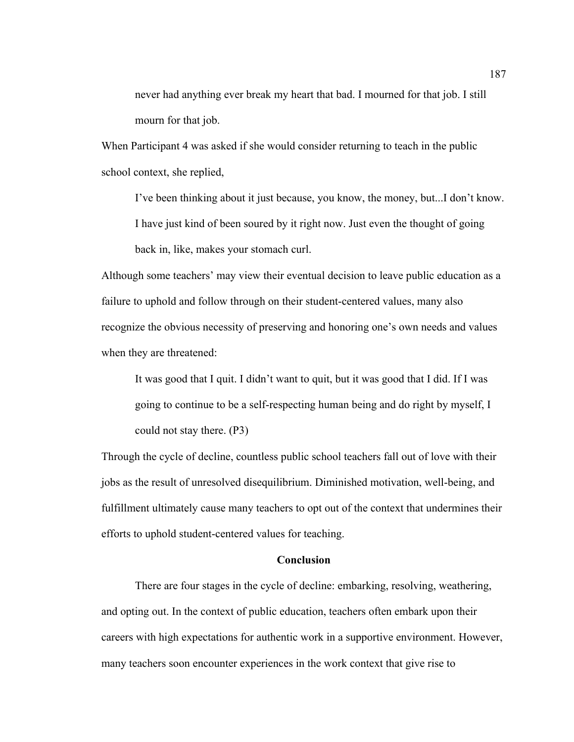never had anything ever break my heart that bad. I mourned for that job. I still mourn for that job.

When Participant 4 was asked if she would consider returning to teach in the public school context, she replied,

I've been thinking about it just because, you know, the money, but...I don't know. I have just kind of been soured by it right now. Just even the thought of going back in, like, makes your stomach curl.

Although some teachers' may view their eventual decision to leave public education as a failure to uphold and follow through on their student-centered values, many also recognize the obvious necessity of preserving and honoring one's own needs and values when they are threatened:

It was good that I quit. I didn't want to quit, but it was good that I did. If I was going to continue to be a self-respecting human being and do right by myself, I could not stay there. (P3)

Through the cycle of decline, countless public school teachers fall out of love with their jobs as the result of unresolved disequilibrium. Diminished motivation, well-being, and fulfillment ultimately cause many teachers to opt out of the context that undermines their efforts to uphold student-centered values for teaching.

# **Conclusion**

There are four stages in the cycle of decline: embarking, resolving, weathering, and opting out. In the context of public education, teachers often embark upon their careers with high expectations for authentic work in a supportive environment. However, many teachers soon encounter experiences in the work context that give rise to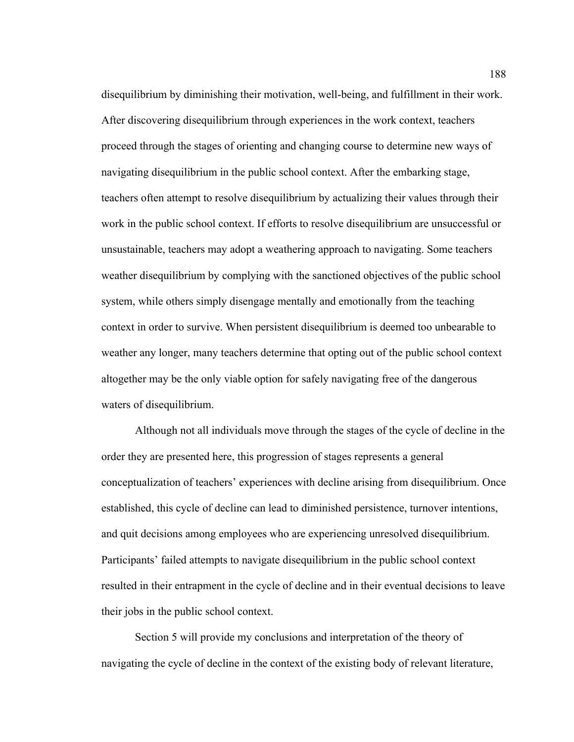disequilibrium by diminishing their motivation, well-being, and fulfillment in their work. After discovering disequilibrium through experiences in the work context, teachers proceed through the stages of orienting and changing course to determine new ways of navigating disequilibrium in the public school context. After the embarking stage, teachers often attempt to resolve disequilibrium by actualizing their values through their work in the public school context. If efforts to resolve disequilibrium are unsuccessful or unsustainable, teachers may adopt a weathering approach to navigating. Some teachers weather disequilibrium by complying with the sanctioned objectives of the public school system, while others simply disengage mentally and emotionally from the teaching context in order to survive. When persistent disequilibrium is deemed too unbearable to weather any longer, many teachers determine that opting out of the public school context altogether may be the only viable option for safely navigating free of the dangerous waters of disequilibrium.

Although not all individuals move through the stages of the cycle of decline in the order they are presented here, this progression of stages represents a general conceptualization of teachers' experiences with decline arising from disequilibrium. Once established, this cycle of decline can lead to diminished persistence, turnover intentions, and quit decisions among employees who are experiencing unresolved disequilibrium. Participants' failed attempts to navigate disequilibrium in the public school context resulted in their entrapment in the cycle of decline and in their eventual decisions to leave their jobs in the public school context.

Section 5 will provide my conclusions and interpretation of the theory of navigating the cycle of decline in the context of the existing body of relevant literature,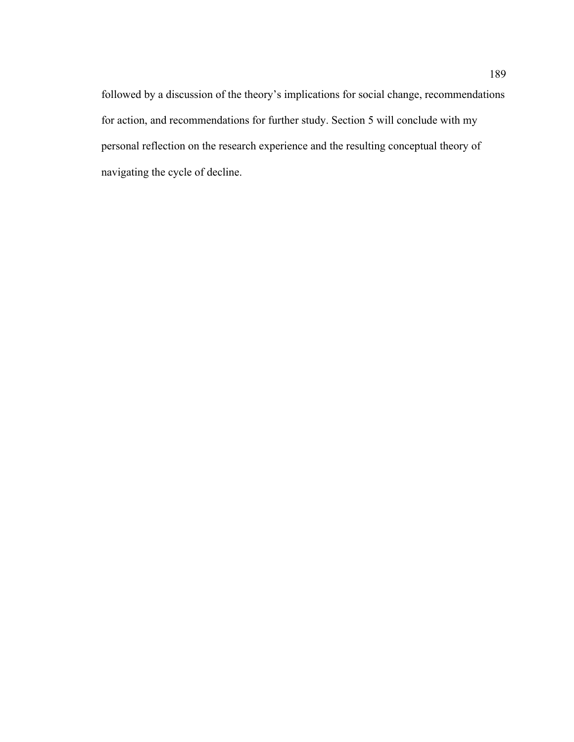followed by a discussion of the theory's implications for social change, recommendations for action, and recommendations for further study. Section 5 will conclude with my personal reflection on the research experience and the resulting conceptual theory of navigating the cycle of decline.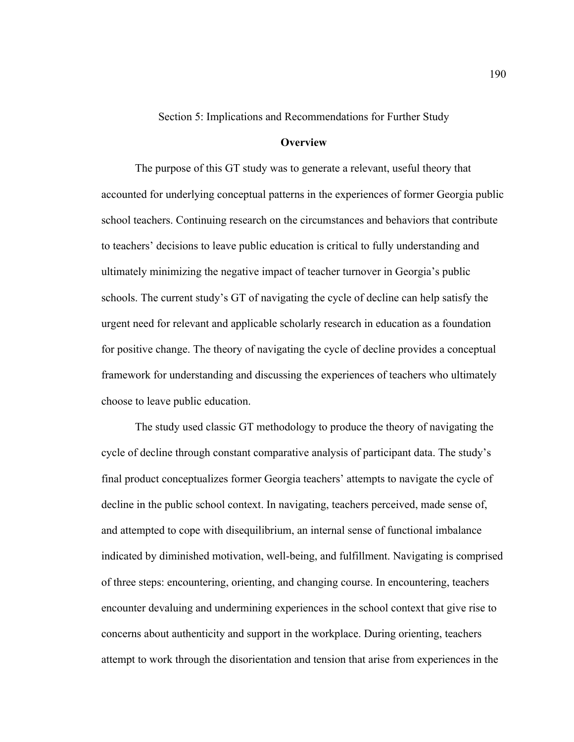Section 5: Implications and Recommendations for Further Study

# **Overview**

The purpose of this GT study was to generate a relevant, useful theory that accounted for underlying conceptual patterns in the experiences of former Georgia public school teachers. Continuing research on the circumstances and behaviors that contribute to teachers' decisions to leave public education is critical to fully understanding and ultimately minimizing the negative impact of teacher turnover in Georgia's public schools. The current study's GT of navigating the cycle of decline can help satisfy the urgent need for relevant and applicable scholarly research in education as a foundation for positive change. The theory of navigating the cycle of decline provides a conceptual framework for understanding and discussing the experiences of teachers who ultimately choose to leave public education.

The study used classic GT methodology to produce the theory of navigating the cycle of decline through constant comparative analysis of participant data. The study's final product conceptualizes former Georgia teachers' attempts to navigate the cycle of decline in the public school context. In navigating, teachers perceived, made sense of, and attempted to cope with disequilibrium, an internal sense of functional imbalance indicated by diminished motivation, well-being, and fulfillment. Navigating is comprised of three steps: encountering, orienting, and changing course. In encountering, teachers encounter devaluing and undermining experiences in the school context that give rise to concerns about authenticity and support in the workplace. During orienting, teachers attempt to work through the disorientation and tension that arise from experiences in the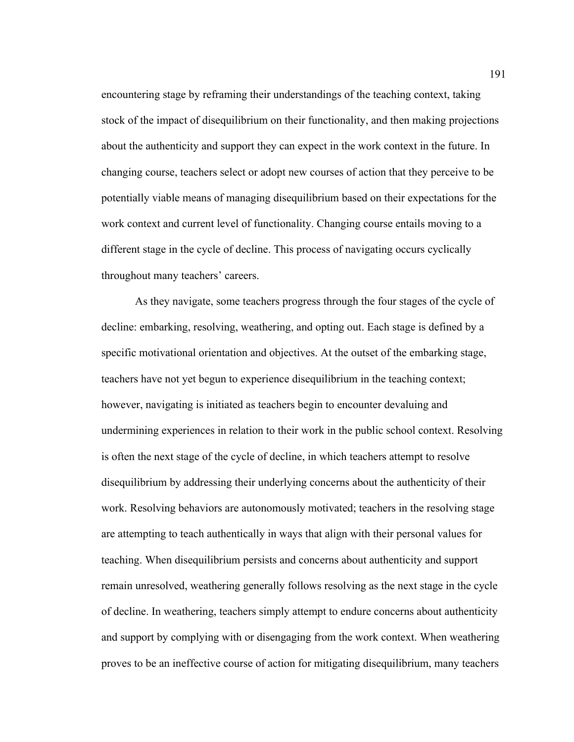encountering stage by reframing their understandings of the teaching context, taking stock of the impact of disequilibrium on their functionality, and then making projections about the authenticity and support they can expect in the work context in the future. In changing course, teachers select or adopt new courses of action that they perceive to be potentially viable means of managing disequilibrium based on their expectations for the work context and current level of functionality. Changing course entails moving to a different stage in the cycle of decline. This process of navigating occurs cyclically throughout many teachers' careers.

As they navigate, some teachers progress through the four stages of the cycle of decline: embarking, resolving, weathering, and opting out. Each stage is defined by a specific motivational orientation and objectives. At the outset of the embarking stage, teachers have not yet begun to experience disequilibrium in the teaching context; however, navigating is initiated as teachers begin to encounter devaluing and undermining experiences in relation to their work in the public school context. Resolving is often the next stage of the cycle of decline, in which teachers attempt to resolve disequilibrium by addressing their underlying concerns about the authenticity of their work. Resolving behaviors are autonomously motivated; teachers in the resolving stage are attempting to teach authentically in ways that align with their personal values for teaching. When disequilibrium persists and concerns about authenticity and support remain unresolved, weathering generally follows resolving as the next stage in the cycle of decline. In weathering, teachers simply attempt to endure concerns about authenticity and support by complying with or disengaging from the work context. When weathering proves to be an ineffective course of action for mitigating disequilibrium, many teachers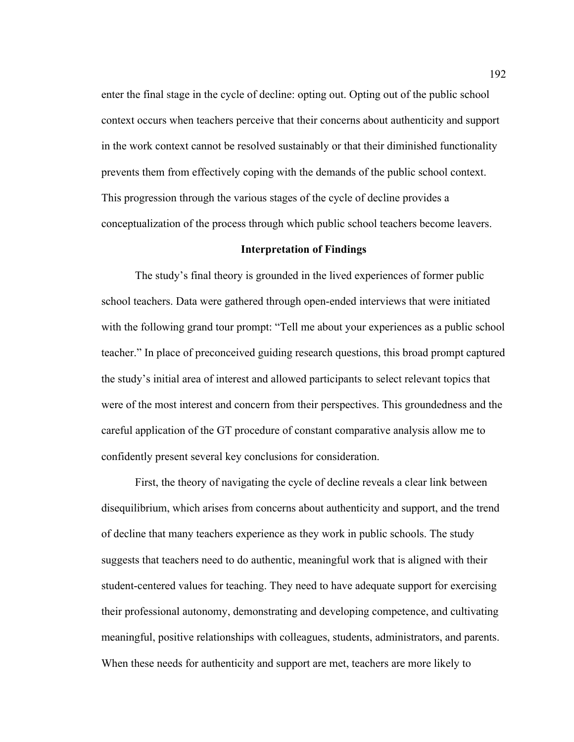enter the final stage in the cycle of decline: opting out. Opting out of the public school context occurs when teachers perceive that their concerns about authenticity and support in the work context cannot be resolved sustainably or that their diminished functionality prevents them from effectively coping with the demands of the public school context. This progression through the various stages of the cycle of decline provides a conceptualization of the process through which public school teachers become leavers.

#### **Interpretation of Findings**

The study's final theory is grounded in the lived experiences of former public school teachers. Data were gathered through open-ended interviews that were initiated with the following grand tour prompt: "Tell me about your experiences as a public school teacher." In place of preconceived guiding research questions, this broad prompt captured the study's initial area of interest and allowed participants to select relevant topics that were of the most interest and concern from their perspectives. This groundedness and the careful application of the GT procedure of constant comparative analysis allow me to confidently present several key conclusions for consideration.

First, the theory of navigating the cycle of decline reveals a clear link between disequilibrium, which arises from concerns about authenticity and support, and the trend of decline that many teachers experience as they work in public schools. The study suggests that teachers need to do authentic, meaningful work that is aligned with their student-centered values for teaching. They need to have adequate support for exercising their professional autonomy, demonstrating and developing competence, and cultivating meaningful, positive relationships with colleagues, students, administrators, and parents. When these needs for authenticity and support are met, teachers are more likely to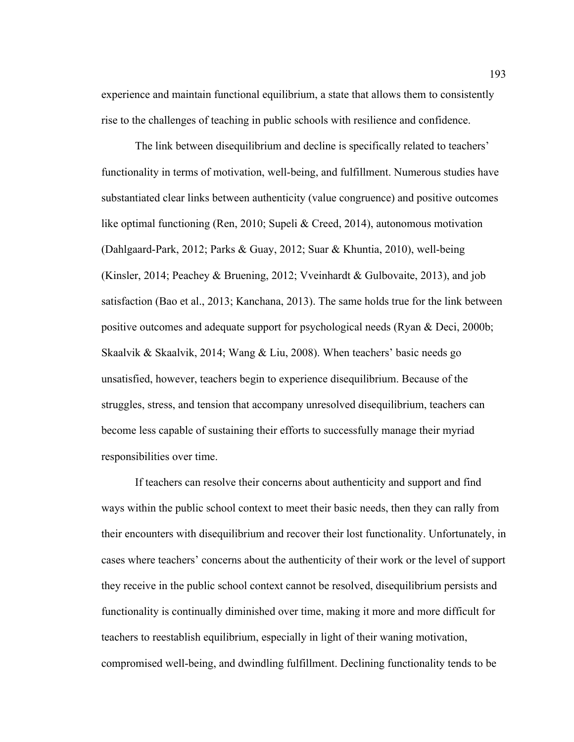experience and maintain functional equilibrium, a state that allows them to consistently rise to the challenges of teaching in public schools with resilience and confidence.

The link between disequilibrium and decline is specifically related to teachers' functionality in terms of motivation, well-being, and fulfillment. Numerous studies have substantiated clear links between authenticity (value congruence) and positive outcomes like optimal functioning (Ren, 2010; Supeli & Creed, 2014), autonomous motivation (Dahlgaard-Park, 2012; Parks & Guay, 2012; Suar & Khuntia, 2010), well-being (Kinsler, 2014; Peachey & Bruening, 2012; Vveinhardt & Gulbovaite, 2013), and job satisfaction (Bao et al., 2013; Kanchana, 2013). The same holds true for the link between positive outcomes and adequate support for psychological needs (Ryan & Deci, 2000b; Skaalvik & Skaalvik, 2014; Wang & Liu, 2008). When teachers' basic needs go unsatisfied, however, teachers begin to experience disequilibrium. Because of the struggles, stress, and tension that accompany unresolved disequilibrium, teachers can become less capable of sustaining their efforts to successfully manage their myriad responsibilities over time.

If teachers can resolve their concerns about authenticity and support and find ways within the public school context to meet their basic needs, then they can rally from their encounters with disequilibrium and recover their lost functionality. Unfortunately, in cases where teachers' concerns about the authenticity of their work or the level of support they receive in the public school context cannot be resolved, disequilibrium persists and functionality is continually diminished over time, making it more and more difficult for teachers to reestablish equilibrium, especially in light of their waning motivation, compromised well-being, and dwindling fulfillment. Declining functionality tends to be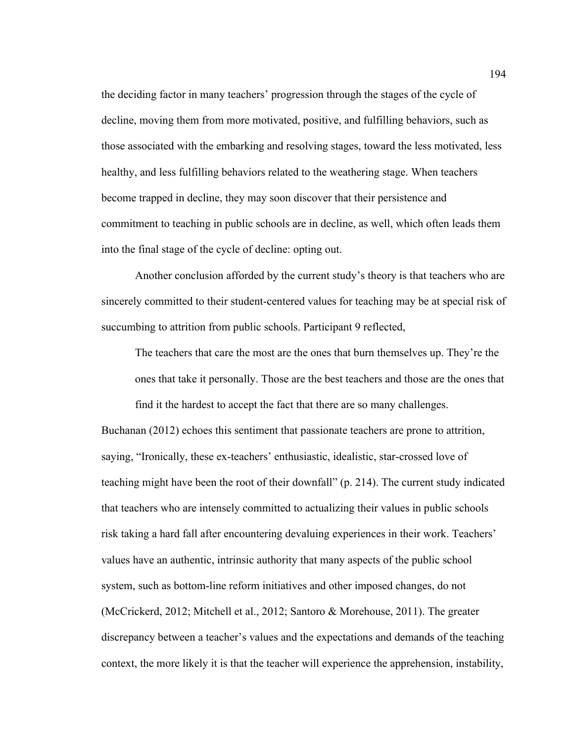the deciding factor in many teachers' progression through the stages of the cycle of decline, moving them from more motivated, positive, and fulfilling behaviors, such as those associated with the embarking and resolving stages, toward the less motivated, less healthy, and less fulfilling behaviors related to the weathering stage. When teachers become trapped in decline, they may soon discover that their persistence and commitment to teaching in public schools are in decline, as well, which often leads them into the final stage of the cycle of decline: opting out.

Another conclusion afforded by the current study's theory is that teachers who are sincerely committed to their student-centered values for teaching may be at special risk of succumbing to attrition from public schools. Participant 9 reflected,

The teachers that care the most are the ones that burn themselves up. They're the ones that take it personally. Those are the best teachers and those are the ones that

find it the hardest to accept the fact that there are so many challenges.

Buchanan (2012) echoes this sentiment that passionate teachers are prone to attrition, saying, "Ironically, these ex-teachers' enthusiastic, idealistic, star-crossed love of teaching might have been the root of their downfall" (p. 214). The current study indicated that teachers who are intensely committed to actualizing their values in public schools risk taking a hard fall after encountering devaluing experiences in their work. Teachers' values have an authentic, intrinsic authority that many aspects of the public school system, such as bottom-line reform initiatives and other imposed changes, do not (McCrickerd, 2012; Mitchell et al., 2012; Santoro & Morehouse, 2011). The greater discrepancy between a teacher's values and the expectations and demands of the teaching context, the more likely it is that the teacher will experience the apprehension, instability,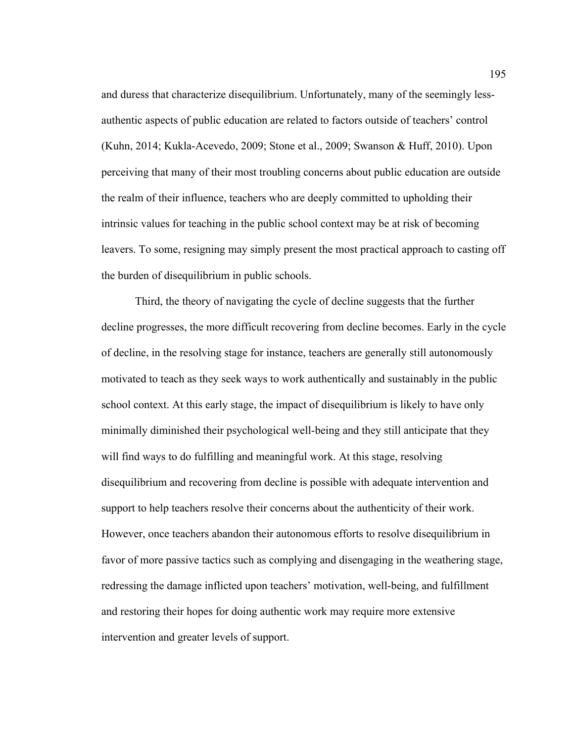and duress that characterize disequilibrium. Unfortunately, many of the seemingly lessauthentic aspects of public education are related to factors outside of teachers' control (Kuhn, 2014; Kukla-Acevedo, 2009; Stone et al., 2009; Swanson & Huff, 2010). Upon perceiving that many of their most troubling concerns about public education are outside the realm of their influence, teachers who are deeply committed to upholding their intrinsic values for teaching in the public school context may be at risk of becoming leavers. To some, resigning may simply present the most practical approach to casting off the burden of disequilibrium in public schools.

Third, the theory of navigating the cycle of decline suggests that the further decline progresses, the more difficult recovering from decline becomes. Early in the cycle of decline, in the resolving stage for instance, teachers are generally still autonomously motivated to teach as they seek ways to work authentically and sustainably in the public school context. At this early stage, the impact of disequilibrium is likely to have only minimally diminished their psychological well-being and they still anticipate that they will find ways to do fulfilling and meaningful work. At this stage, resolving disequilibrium and recovering from decline is possible with adequate intervention and support to help teachers resolve their concerns about the authenticity of their work. However, once teachers abandon their autonomous efforts to resolve disequilibrium in favor of more passive tactics such as complying and disengaging in the weathering stage, redressing the damage inflicted upon teachers' motivation, well-being, and fulfillment and restoring their hopes for doing authentic work may require more extensive intervention and greater levels of support.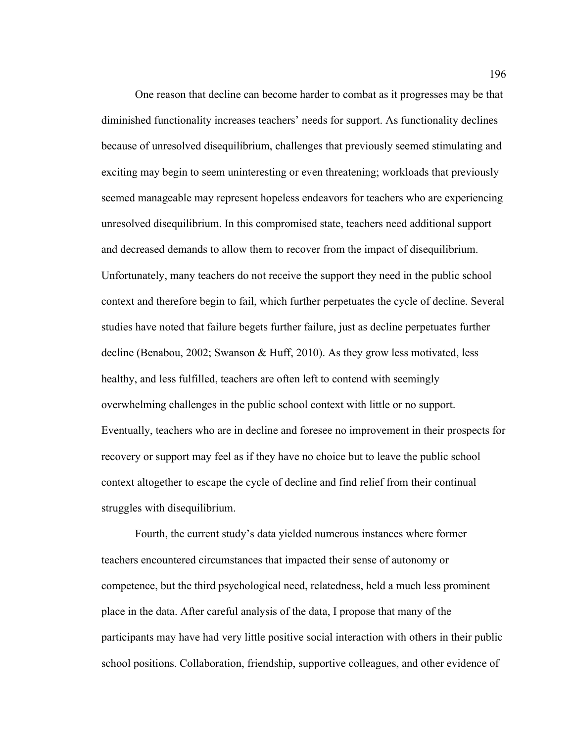One reason that decline can become harder to combat as it progresses may be that diminished functionality increases teachers' needs for support. As functionality declines because of unresolved disequilibrium, challenges that previously seemed stimulating and exciting may begin to seem uninteresting or even threatening; workloads that previously seemed manageable may represent hopeless endeavors for teachers who are experiencing unresolved disequilibrium. In this compromised state, teachers need additional support and decreased demands to allow them to recover from the impact of disequilibrium. Unfortunately, many teachers do not receive the support they need in the public school context and therefore begin to fail, which further perpetuates the cycle of decline. Several studies have noted that failure begets further failure, just as decline perpetuates further decline (Benabou, 2002; Swanson & Huff, 2010). As they grow less motivated, less healthy, and less fulfilled, teachers are often left to contend with seemingly overwhelming challenges in the public school context with little or no support. Eventually, teachers who are in decline and foresee no improvement in their prospects for recovery or support may feel as if they have no choice but to leave the public school context altogether to escape the cycle of decline and find relief from their continual struggles with disequilibrium.

Fourth, the current study's data yielded numerous instances where former teachers encountered circumstances that impacted their sense of autonomy or competence, but the third psychological need, relatedness, held a much less prominent place in the data. After careful analysis of the data, I propose that many of the participants may have had very little positive social interaction with others in their public school positions. Collaboration, friendship, supportive colleagues, and other evidence of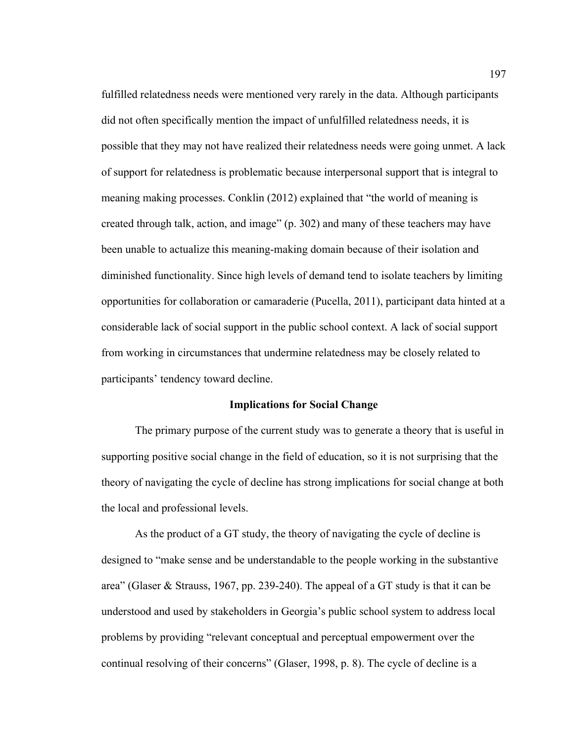fulfilled relatedness needs were mentioned very rarely in the data. Although participants did not often specifically mention the impact of unfulfilled relatedness needs, it is possible that they may not have realized their relatedness needs were going unmet. A lack of support for relatedness is problematic because interpersonal support that is integral to meaning making processes. Conklin (2012) explained that "the world of meaning is created through talk, action, and image" (p. 302) and many of these teachers may have been unable to actualize this meaning-making domain because of their isolation and diminished functionality. Since high levels of demand tend to isolate teachers by limiting opportunities for collaboration or camaraderie (Pucella, 2011), participant data hinted at a considerable lack of social support in the public school context. A lack of social support from working in circumstances that undermine relatedness may be closely related to participants' tendency toward decline.

# **Implications for Social Change**

The primary purpose of the current study was to generate a theory that is useful in supporting positive social change in the field of education, so it is not surprising that the theory of navigating the cycle of decline has strong implications for social change at both the local and professional levels.

As the product of a GT study, the theory of navigating the cycle of decline is designed to "make sense and be understandable to the people working in the substantive area" (Glaser & Strauss, 1967, pp. 239-240). The appeal of a GT study is that it can be understood and used by stakeholders in Georgia's public school system to address local problems by providing "relevant conceptual and perceptual empowerment over the continual resolving of their concerns" (Glaser, 1998, p. 8). The cycle of decline is a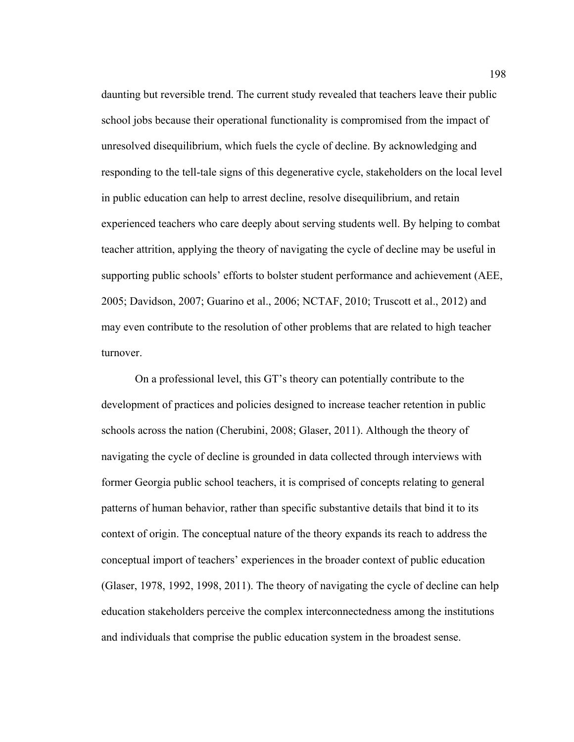daunting but reversible trend. The current study revealed that teachers leave their public school jobs because their operational functionality is compromised from the impact of unresolved disequilibrium, which fuels the cycle of decline. By acknowledging and responding to the tell-tale signs of this degenerative cycle, stakeholders on the local level in public education can help to arrest decline, resolve disequilibrium, and retain experienced teachers who care deeply about serving students well. By helping to combat teacher attrition, applying the theory of navigating the cycle of decline may be useful in supporting public schools' efforts to bolster student performance and achievement (AEE, 2005; Davidson, 2007; Guarino et al., 2006; NCTAF, 2010; Truscott et al., 2012) and may even contribute to the resolution of other problems that are related to high teacher turnover.

On a professional level, this GT's theory can potentially contribute to the development of practices and policies designed to increase teacher retention in public schools across the nation (Cherubini, 2008; Glaser, 2011). Although the theory of navigating the cycle of decline is grounded in data collected through interviews with former Georgia public school teachers, it is comprised of concepts relating to general patterns of human behavior, rather than specific substantive details that bind it to its context of origin. The conceptual nature of the theory expands its reach to address the conceptual import of teachers' experiences in the broader context of public education (Glaser, 1978, 1992, 1998, 2011). The theory of navigating the cycle of decline can help education stakeholders perceive the complex interconnectedness among the institutions and individuals that comprise the public education system in the broadest sense.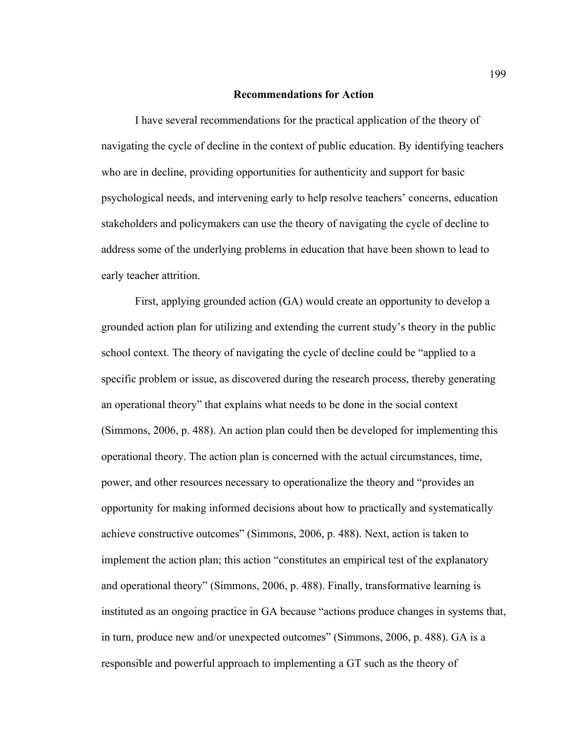# **Recommendations for Action**

I have several recommendations for the practical application of the theory of navigating the cycle of decline in the context of public education. By identifying teachers who are in decline, providing opportunities for authenticity and support for basic psychological needs, and intervening early to help resolve teachers' concerns, education stakeholders and policymakers can use the theory of navigating the cycle of decline to address some of the underlying problems in education that have been shown to lead to early teacher attrition.

First, applying grounded action (GA) would create an opportunity to develop a grounded action plan for utilizing and extending the current study's theory in the public school context. The theory of navigating the cycle of decline could be "applied to a specific problem or issue, as discovered during the research process, thereby generating an operational theory" that explains what needs to be done in the social context (Simmons, 2006, p. 488). An action plan could then be developed for implementing this operational theory. The action plan is concerned with the actual circumstances, time, power, and other resources necessary to operationalize the theory and "provides an opportunity for making informed decisions about how to practically and systematically achieve constructive outcomes" (Simmons, 2006, p. 488). Next, action is taken to implement the action plan; this action "constitutes an empirical test of the explanatory and operational theory" (Simmons, 2006, p. 488). Finally, transformative learning is instituted as an ongoing practice in GA because "actions produce changes in systems that, in turn, produce new and/or unexpected outcomes" (Simmons, 2006, p. 488). GA is a responsible and powerful approach to implementing a GT such as the theory of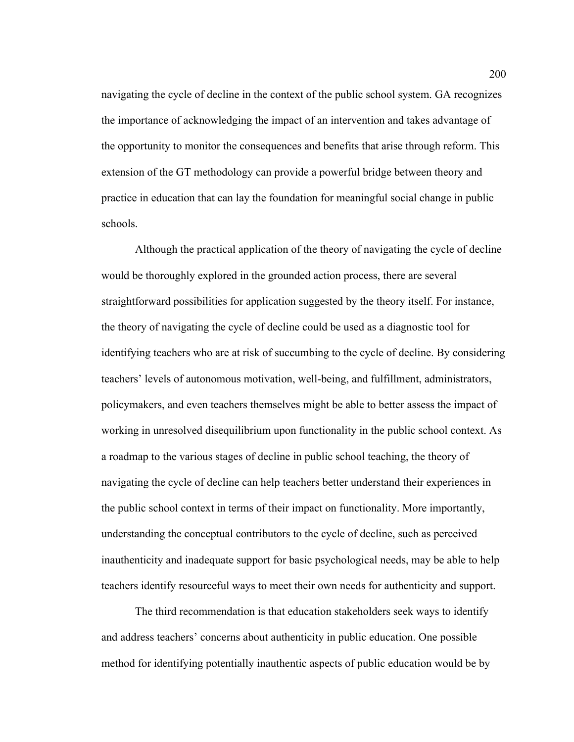navigating the cycle of decline in the context of the public school system. GA recognizes the importance of acknowledging the impact of an intervention and takes advantage of the opportunity to monitor the consequences and benefits that arise through reform. This extension of the GT methodology can provide a powerful bridge between theory and practice in education that can lay the foundation for meaningful social change in public schools.

Although the practical application of the theory of navigating the cycle of decline would be thoroughly explored in the grounded action process, there are several straightforward possibilities for application suggested by the theory itself. For instance, the theory of navigating the cycle of decline could be used as a diagnostic tool for identifying teachers who are at risk of succumbing to the cycle of decline. By considering teachers' levels of autonomous motivation, well-being, and fulfillment, administrators, policymakers, and even teachers themselves might be able to better assess the impact of working in unresolved disequilibrium upon functionality in the public school context. As a roadmap to the various stages of decline in public school teaching, the theory of navigating the cycle of decline can help teachers better understand their experiences in the public school context in terms of their impact on functionality. More importantly, understanding the conceptual contributors to the cycle of decline, such as perceived inauthenticity and inadequate support for basic psychological needs, may be able to help teachers identify resourceful ways to meet their own needs for authenticity and support.

The third recommendation is that education stakeholders seek ways to identify and address teachers' concerns about authenticity in public education. One possible method for identifying potentially inauthentic aspects of public education would be by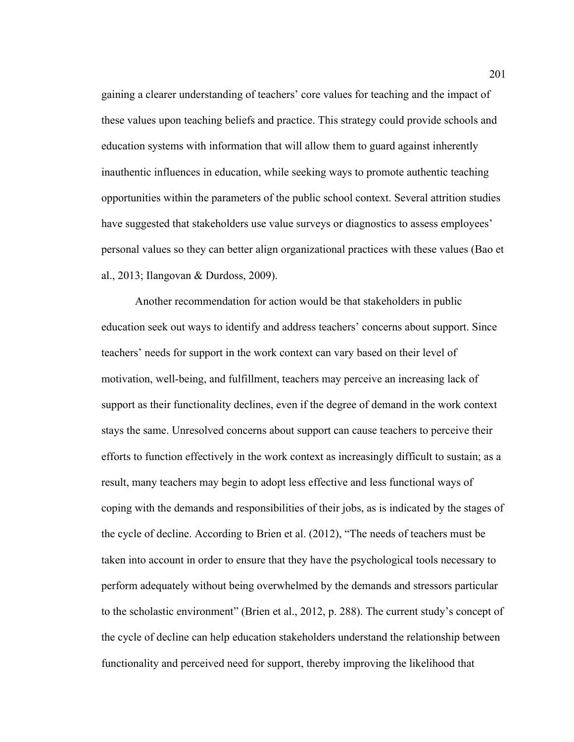gaining a clearer understanding of teachers' core values for teaching and the impact of these values upon teaching beliefs and practice. This strategy could provide schools and education systems with information that will allow them to guard against inherently inauthentic influences in education, while seeking ways to promote authentic teaching opportunities within the parameters of the public school context. Several attrition studies have suggested that stakeholders use value surveys or diagnostics to assess employees' personal values so they can better align organizational practices with these values (Bao et al., 2013; Ilangovan & Durdoss, 2009).

Another recommendation for action would be that stakeholders in public education seek out ways to identify and address teachers' concerns about support. Since teachers' needs for support in the work context can vary based on their level of motivation, well-being, and fulfillment, teachers may perceive an increasing lack of support as their functionality declines, even if the degree of demand in the work context stays the same. Unresolved concerns about support can cause teachers to perceive their efforts to function effectively in the work context as increasingly difficult to sustain; as a result, many teachers may begin to adopt less effective and less functional ways of coping with the demands and responsibilities of their jobs, as is indicated by the stages of the cycle of decline. According to Brien et al. (2012), "The needs of teachers must be taken into account in order to ensure that they have the psychological tools necessary to perform adequately without being overwhelmed by the demands and stressors particular to the scholastic environment" (Brien et al., 2012, p. 288). The current study's concept of the cycle of decline can help education stakeholders understand the relationship between functionality and perceived need for support, thereby improving the likelihood that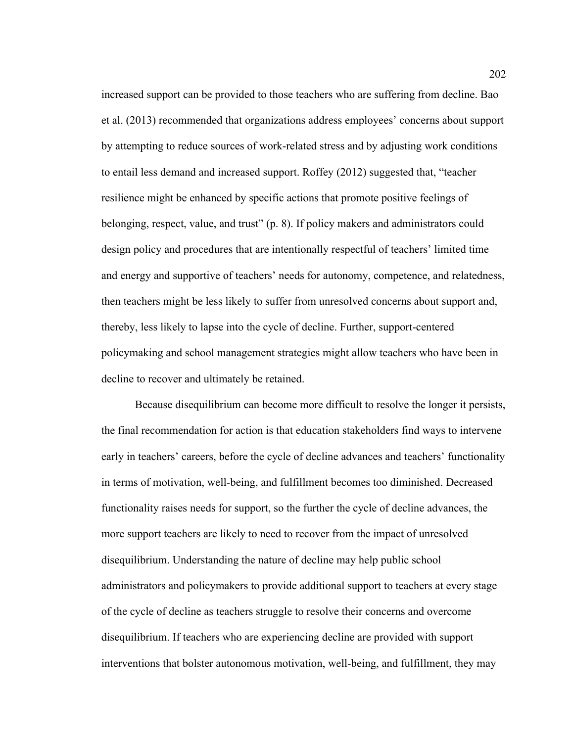increased support can be provided to those teachers who are suffering from decline. Bao et al. (2013) recommended that organizations address employees' concerns about support by attempting to reduce sources of work-related stress and by adjusting work conditions to entail less demand and increased support. Roffey (2012) suggested that, "teacher resilience might be enhanced by specific actions that promote positive feelings of belonging, respect, value, and trust" (p. 8). If policy makers and administrators could design policy and procedures that are intentionally respectful of teachers' limited time and energy and supportive of teachers' needs for autonomy, competence, and relatedness, then teachers might be less likely to suffer from unresolved concerns about support and, thereby, less likely to lapse into the cycle of decline. Further, support-centered policymaking and school management strategies might allow teachers who have been in decline to recover and ultimately be retained.

Because disequilibrium can become more difficult to resolve the longer it persists, the final recommendation for action is that education stakeholders find ways to intervene early in teachers' careers, before the cycle of decline advances and teachers' functionality in terms of motivation, well-being, and fulfillment becomes too diminished. Decreased functionality raises needs for support, so the further the cycle of decline advances, the more support teachers are likely to need to recover from the impact of unresolved disequilibrium. Understanding the nature of decline may help public school administrators and policymakers to provide additional support to teachers at every stage of the cycle of decline as teachers struggle to resolve their concerns and overcome disequilibrium. If teachers who are experiencing decline are provided with support interventions that bolster autonomous motivation, well-being, and fulfillment, they may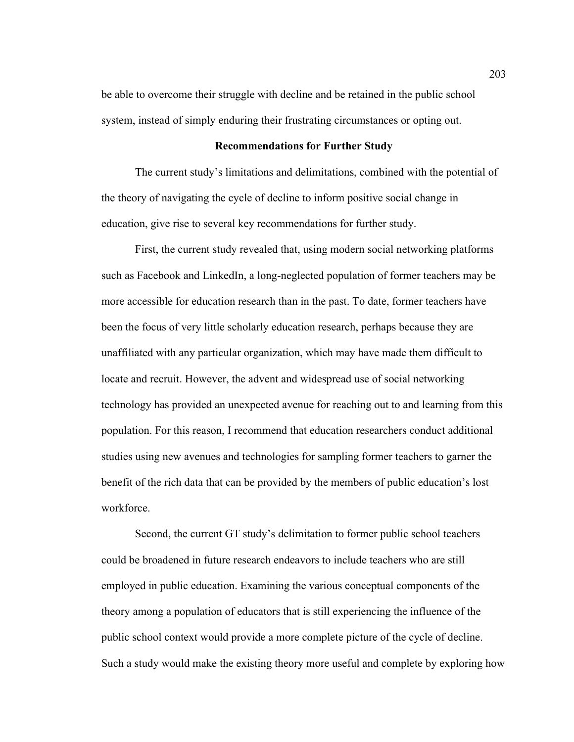be able to overcome their struggle with decline and be retained in the public school system, instead of simply enduring their frustrating circumstances or opting out.

#### **Recommendations for Further Study**

The current study's limitations and delimitations, combined with the potential of the theory of navigating the cycle of decline to inform positive social change in education, give rise to several key recommendations for further study.

First, the current study revealed that, using modern social networking platforms such as Facebook and LinkedIn, a long-neglected population of former teachers may be more accessible for education research than in the past. To date, former teachers have been the focus of very little scholarly education research, perhaps because they are unaffiliated with any particular organization, which may have made them difficult to locate and recruit. However, the advent and widespread use of social networking technology has provided an unexpected avenue for reaching out to and learning from this population. For this reason, I recommend that education researchers conduct additional studies using new avenues and technologies for sampling former teachers to garner the benefit of the rich data that can be provided by the members of public education's lost workforce.

Second, the current GT study's delimitation to former public school teachers could be broadened in future research endeavors to include teachers who are still employed in public education. Examining the various conceptual components of the theory among a population of educators that is still experiencing the influence of the public school context would provide a more complete picture of the cycle of decline. Such a study would make the existing theory more useful and complete by exploring how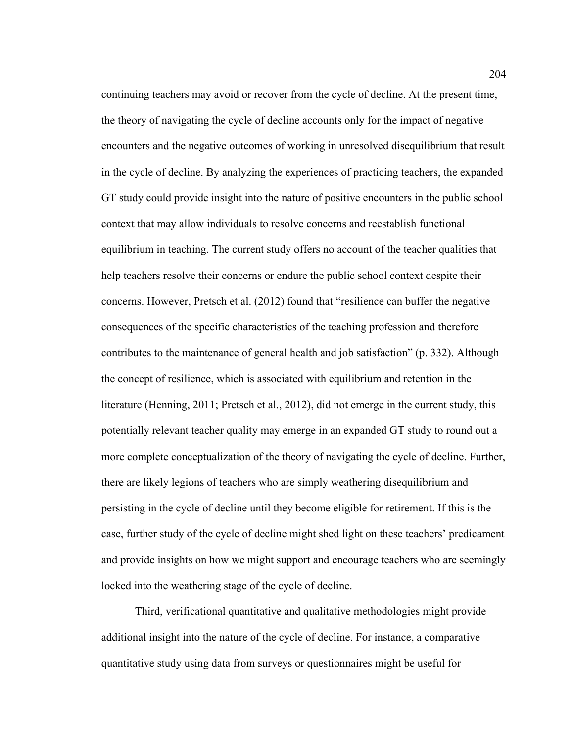continuing teachers may avoid or recover from the cycle of decline. At the present time, the theory of navigating the cycle of decline accounts only for the impact of negative encounters and the negative outcomes of working in unresolved disequilibrium that result in the cycle of decline. By analyzing the experiences of practicing teachers, the expanded GT study could provide insight into the nature of positive encounters in the public school context that may allow individuals to resolve concerns and reestablish functional equilibrium in teaching. The current study offers no account of the teacher qualities that help teachers resolve their concerns or endure the public school context despite their concerns. However, Pretsch et al. (2012) found that "resilience can buffer the negative consequences of the specific characteristics of the teaching profession and therefore contributes to the maintenance of general health and job satisfaction" (p. 332). Although the concept of resilience, which is associated with equilibrium and retention in the literature (Henning, 2011; Pretsch et al., 2012), did not emerge in the current study, this potentially relevant teacher quality may emerge in an expanded GT study to round out a more complete conceptualization of the theory of navigating the cycle of decline. Further, there are likely legions of teachers who are simply weathering disequilibrium and persisting in the cycle of decline until they become eligible for retirement. If this is the case, further study of the cycle of decline might shed light on these teachers' predicament and provide insights on how we might support and encourage teachers who are seemingly locked into the weathering stage of the cycle of decline.

Third, verificational quantitative and qualitative methodologies might provide additional insight into the nature of the cycle of decline. For instance, a comparative quantitative study using data from surveys or questionnaires might be useful for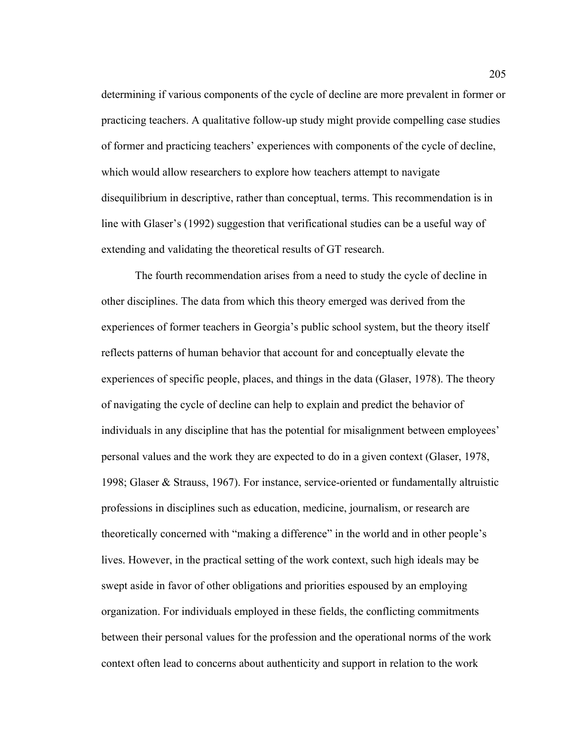determining if various components of the cycle of decline are more prevalent in former or practicing teachers. A qualitative follow-up study might provide compelling case studies of former and practicing teachers' experiences with components of the cycle of decline, which would allow researchers to explore how teachers attempt to navigate disequilibrium in descriptive, rather than conceptual, terms. This recommendation is in line with Glaser's (1992) suggestion that verificational studies can be a useful way of extending and validating the theoretical results of GT research.

The fourth recommendation arises from a need to study the cycle of decline in other disciplines. The data from which this theory emerged was derived from the experiences of former teachers in Georgia's public school system, but the theory itself reflects patterns of human behavior that account for and conceptually elevate the experiences of specific people, places, and things in the data (Glaser, 1978). The theory of navigating the cycle of decline can help to explain and predict the behavior of individuals in any discipline that has the potential for misalignment between employees' personal values and the work they are expected to do in a given context (Glaser, 1978, 1998; Glaser & Strauss, 1967). For instance, service-oriented or fundamentally altruistic professions in disciplines such as education, medicine, journalism, or research are theoretically concerned with "making a difference" in the world and in other people's lives. However, in the practical setting of the work context, such high ideals may be swept aside in favor of other obligations and priorities espoused by an employing organization. For individuals employed in these fields, the conflicting commitments between their personal values for the profession and the operational norms of the work context often lead to concerns about authenticity and support in relation to the work

205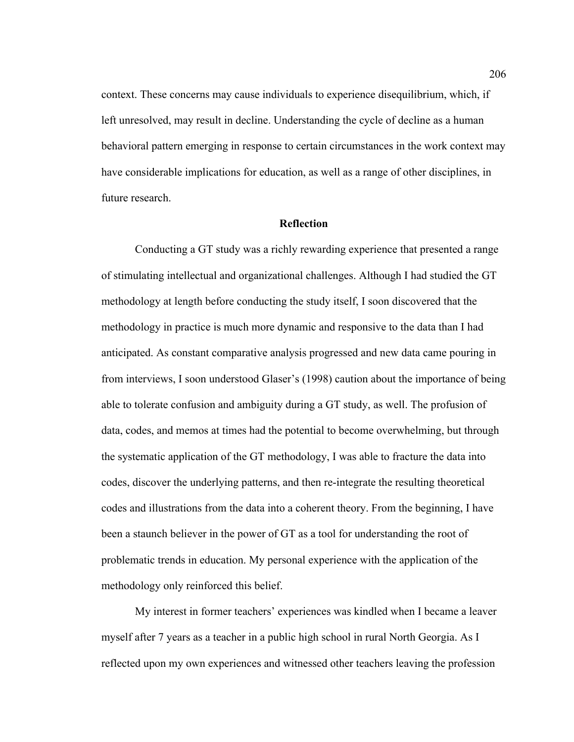context. These concerns may cause individuals to experience disequilibrium, which, if left unresolved, may result in decline. Understanding the cycle of decline as a human behavioral pattern emerging in response to certain circumstances in the work context may have considerable implications for education, as well as a range of other disciplines, in future research.

### **Reflection**

Conducting a GT study was a richly rewarding experience that presented a range of stimulating intellectual and organizational challenges. Although I had studied the GT methodology at length before conducting the study itself, I soon discovered that the methodology in practice is much more dynamic and responsive to the data than I had anticipated. As constant comparative analysis progressed and new data came pouring in from interviews, I soon understood Glaser's (1998) caution about the importance of being able to tolerate confusion and ambiguity during a GT study, as well. The profusion of data, codes, and memos at times had the potential to become overwhelming, but through the systematic application of the GT methodology, I was able to fracture the data into codes, discover the underlying patterns, and then re-integrate the resulting theoretical codes and illustrations from the data into a coherent theory. From the beginning, I have been a staunch believer in the power of GT as a tool for understanding the root of problematic trends in education. My personal experience with the application of the methodology only reinforced this belief.

My interest in former teachers' experiences was kindled when I became a leaver myself after 7 years as a teacher in a public high school in rural North Georgia. As I reflected upon my own experiences and witnessed other teachers leaving the profession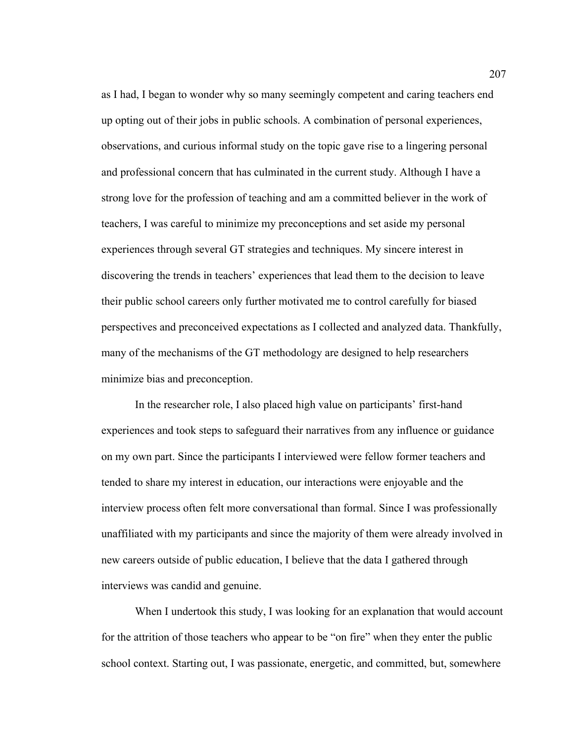as I had, I began to wonder why so many seemingly competent and caring teachers end up opting out of their jobs in public schools. A combination of personal experiences, observations, and curious informal study on the topic gave rise to a lingering personal and professional concern that has culminated in the current study. Although I have a strong love for the profession of teaching and am a committed believer in the work of teachers, I was careful to minimize my preconceptions and set aside my personal experiences through several GT strategies and techniques. My sincere interest in discovering the trends in teachers' experiences that lead them to the decision to leave their public school careers only further motivated me to control carefully for biased perspectives and preconceived expectations as I collected and analyzed data. Thankfully, many of the mechanisms of the GT methodology are designed to help researchers minimize bias and preconception.

In the researcher role, I also placed high value on participants' first-hand experiences and took steps to safeguard their narratives from any influence or guidance on my own part. Since the participants I interviewed were fellow former teachers and tended to share my interest in education, our interactions were enjoyable and the interview process often felt more conversational than formal. Since I was professionally unaffiliated with my participants and since the majority of them were already involved in new careers outside of public education, I believe that the data I gathered through interviews was candid and genuine.

When I undertook this study, I was looking for an explanation that would account for the attrition of those teachers who appear to be "on fire" when they enter the public school context. Starting out, I was passionate, energetic, and committed, but, somewhere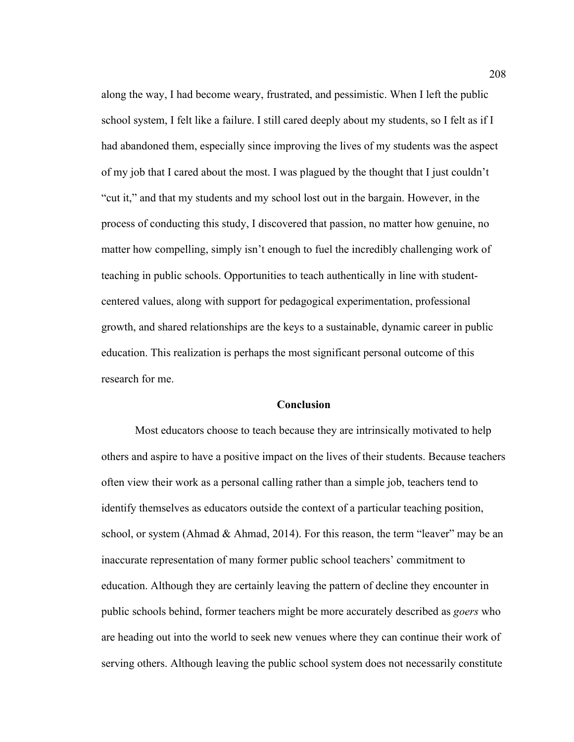along the way, I had become weary, frustrated, and pessimistic. When I left the public school system, I felt like a failure. I still cared deeply about my students, so I felt as if I had abandoned them, especially since improving the lives of my students was the aspect of my job that I cared about the most. I was plagued by the thought that I just couldn't "cut it," and that my students and my school lost out in the bargain. However, in the process of conducting this study, I discovered that passion, no matter how genuine, no matter how compelling, simply isn't enough to fuel the incredibly challenging work of teaching in public schools. Opportunities to teach authentically in line with studentcentered values, along with support for pedagogical experimentation, professional growth, and shared relationships are the keys to a sustainable, dynamic career in public education. This realization is perhaps the most significant personal outcome of this research for me.

#### **Conclusion**

Most educators choose to teach because they are intrinsically motivated to help others and aspire to have a positive impact on the lives of their students. Because teachers often view their work as a personal calling rather than a simple job, teachers tend to identify themselves as educators outside the context of a particular teaching position, school, or system (Ahmad  $\&$  Ahmad, 2014). For this reason, the term "leaver" may be an inaccurate representation of many former public school teachers' commitment to education. Although they are certainly leaving the pattern of decline they encounter in public schools behind, former teachers might be more accurately described as *goers* who are heading out into the world to seek new venues where they can continue their work of serving others. Although leaving the public school system does not necessarily constitute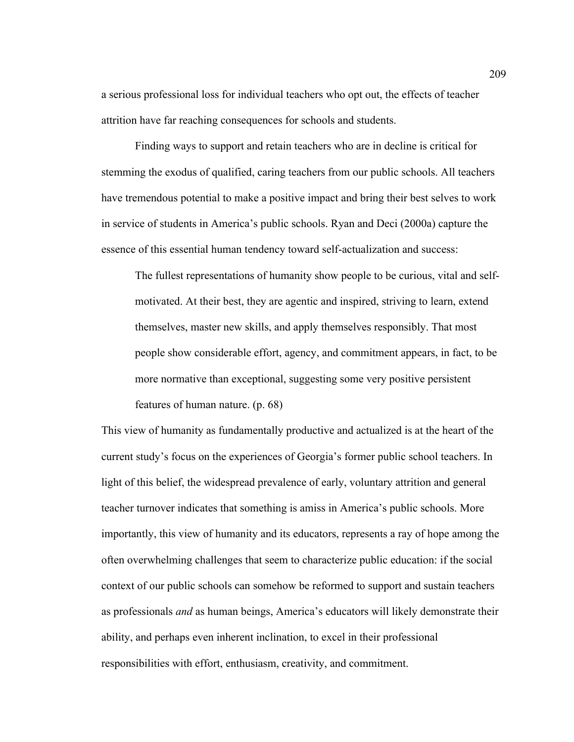a serious professional loss for individual teachers who opt out, the effects of teacher attrition have far reaching consequences for schools and students.

Finding ways to support and retain teachers who are in decline is critical for stemming the exodus of qualified, caring teachers from our public schools. All teachers have tremendous potential to make a positive impact and bring their best selves to work in service of students in America's public schools. Ryan and Deci (2000a) capture the essence of this essential human tendency toward self-actualization and success:

The fullest representations of humanity show people to be curious, vital and selfmotivated. At their best, they are agentic and inspired, striving to learn, extend themselves, master new skills, and apply themselves responsibly. That most people show considerable effort, agency, and commitment appears, in fact, to be more normative than exceptional, suggesting some very positive persistent features of human nature. (p. 68)

This view of humanity as fundamentally productive and actualized is at the heart of the current study's focus on the experiences of Georgia's former public school teachers. In light of this belief, the widespread prevalence of early, voluntary attrition and general teacher turnover indicates that something is amiss in America's public schools. More importantly, this view of humanity and its educators, represents a ray of hope among the often overwhelming challenges that seem to characterize public education: if the social context of our public schools can somehow be reformed to support and sustain teachers as professionals *and* as human beings, America's educators will likely demonstrate their ability, and perhaps even inherent inclination, to excel in their professional responsibilities with effort, enthusiasm, creativity, and commitment.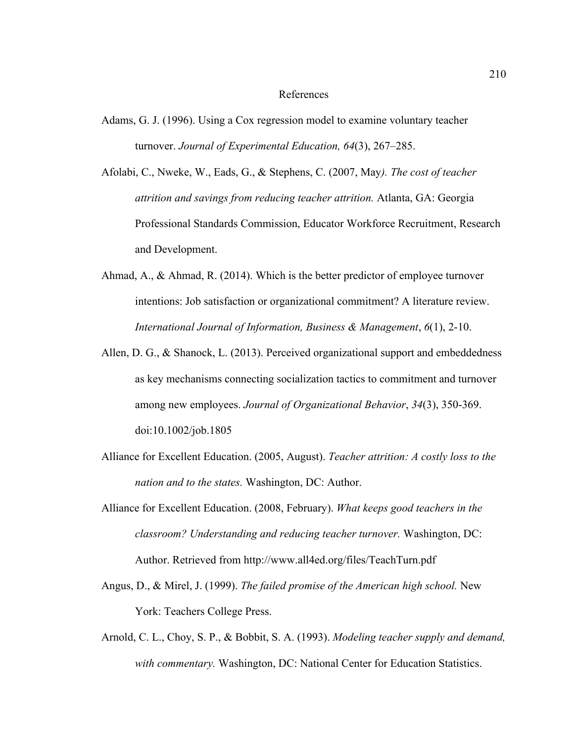#### References

Adams, G. J. (1996). Using a Cox regression model to examine voluntary teacher turnover. *Journal of Experimental Education, 64*(3), 267–285.

Afolabi, C., Nweke, W., Eads, G., & Stephens, C. (2007, May*). The cost of teacher attrition and savings from reducing teacher attrition.* Atlanta, GA: Georgia Professional Standards Commission, Educator Workforce Recruitment, Research and Development.

- Ahmad, A., & Ahmad, R. (2014). Which is the better predictor of employee turnover intentions: Job satisfaction or organizational commitment? A literature review. *International Journal of Information, Business & Management*, *6*(1), 2-10.
- Allen, D. G., & Shanock, L. (2013). Perceived organizational support and embeddedness as key mechanisms connecting socialization tactics to commitment and turnover among new employees. *Journal of Organizational Behavior*, *34*(3), 350-369. doi:10.1002/job.1805
- Alliance for Excellent Education. (2005, August). *Teacher attrition: A costly loss to the nation and to the states.* Washington, DC: Author.
- Alliance for Excellent Education. (2008, February). *What keeps good teachers in the classroom? Understanding and reducing teacher turnover.* Washington, DC: Author. Retrieved from http://www.all4ed.org/files/TeachTurn.pdf
- Angus, D., & Mirel, J. (1999). *The failed promise of the American high school.* New York: Teachers College Press.
- Arnold, C. L., Choy, S. P., & Bobbit, S. A. (1993). *Modeling teacher supply and demand, with commentary.* Washington, DC: National Center for Education Statistics.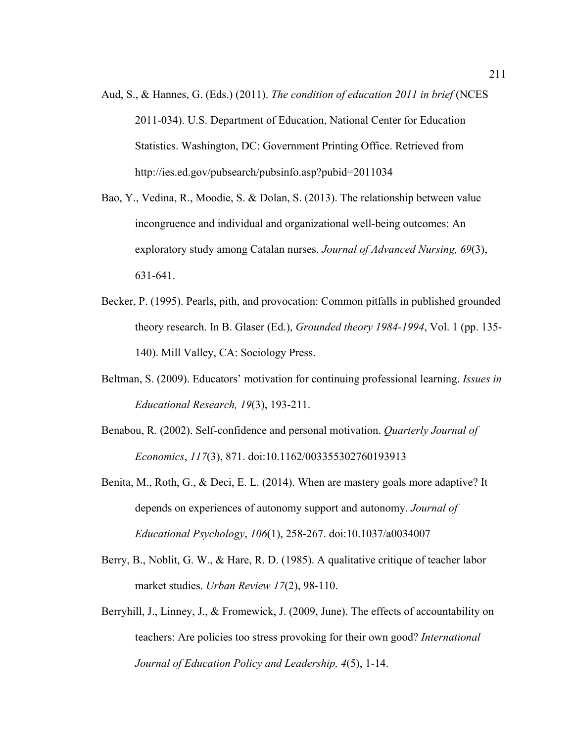- Aud, S., & Hannes, G. (Eds.) (2011). *The condition of education 2011 in brief* (NCES 2011-034). U.S. Department of Education, National Center for Education Statistics. Washington, DC: Government Printing Office. Retrieved from http://ies.ed.gov/pubsearch/pubsinfo.asp?pubid=2011034
- Bao, Y., Vedina, R., Moodie, S. & Dolan, S. (2013). The relationship between value incongruence and individual and organizational well-being outcomes: An exploratory study among Catalan nurses. *Journal of Advanced Nursing, 69*(3), 631-641.
- Becker, P. (1995). Pearls, pith, and provocation: Common pitfalls in published grounded theory research. In B. Glaser (Ed.), *Grounded theory 1984-1994*, Vol. 1 (pp. 135- 140). Mill Valley, CA: Sociology Press.
- Beltman, S. (2009). Educators' motivation for continuing professional learning. *Issues in Educational Research, 19*(3), 193-211.
- Benabou, R. (2002). Self-confidence and personal motivation. *Quarterly Journal of Economics*, *117*(3), 871. doi:10.1162/003355302760193913
- Benita, M., Roth, G., & Deci, E. L. (2014). When are mastery goals more adaptive? It depends on experiences of autonomy support and autonomy. *Journal of Educational Psychology*, *106*(1), 258-267. doi:10.1037/a0034007
- Berry, B., Noblit, G. W., & Hare, R. D. (1985). A qualitative critique of teacher labor market studies. *Urban Review 17*(2), 98-110.
- Berryhill, J., Linney, J., & Fromewick, J. (2009, June). The effects of accountability on teachers: Are policies too stress provoking for their own good? *International Journal of Education Policy and Leadership, 4*(5), 1-14.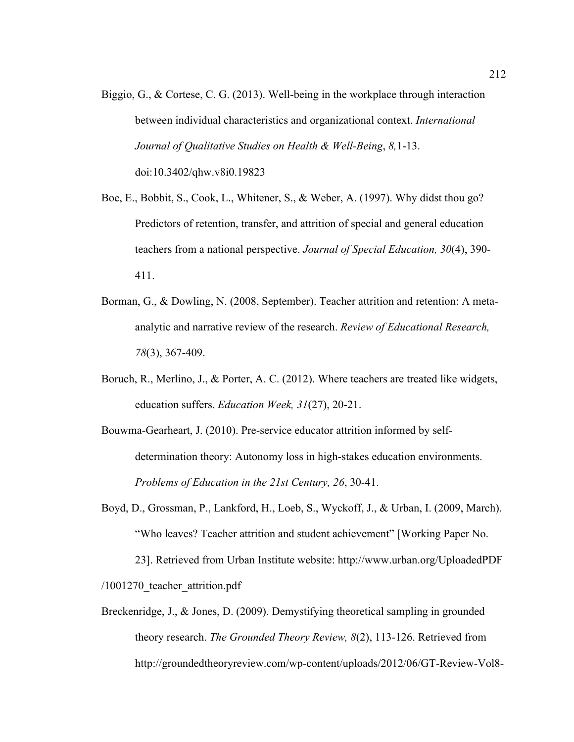- Biggio, G., & Cortese, C. G. (2013). Well-being in the workplace through interaction between individual characteristics and organizational context. *International Journal of Qualitative Studies on Health & Well-Being*, *8,*1-13. doi:10.3402/qhw.v8i0.19823
- Boe, E., Bobbit, S., Cook, L., Whitener, S., & Weber, A. (1997). Why didst thou go? Predictors of retention, transfer, and attrition of special and general education teachers from a national perspective. *Journal of Special Education, 30*(4), 390- 411.
- Borman, G., & Dowling, N. (2008, September). Teacher attrition and retention: A metaanalytic and narrative review of the research. *Review of Educational Research, 78*(3), 367-409.
- Boruch, R., Merlino, J., & Porter, A. C. (2012). Where teachers are treated like widgets, education suffers. *Education Week, 31*(27), 20-21.
- Bouwma-Gearheart, J. (2010). Pre-service educator attrition informed by selfdetermination theory: Autonomy loss in high-stakes education environments. *Problems of Education in the 21st Century, 26*, 30-41.
- Boyd, D., Grossman, P., Lankford, H., Loeb, S., Wyckoff, J., & Urban, I. (2009, March). "Who leaves? Teacher attrition and student achievement" [Working Paper No. 23]. Retrieved from Urban Institute website: http://www.urban.org/UploadedPDF

/1001270\_teacher\_attrition.pdf

Breckenridge, J., & Jones, D. (2009). Demystifying theoretical sampling in grounded theory research. *The Grounded Theory Review, 8*(2), 113-126. Retrieved from http://groundedtheoryreview.com/wp-content/uploads/2012/06/GT-Review-Vol8-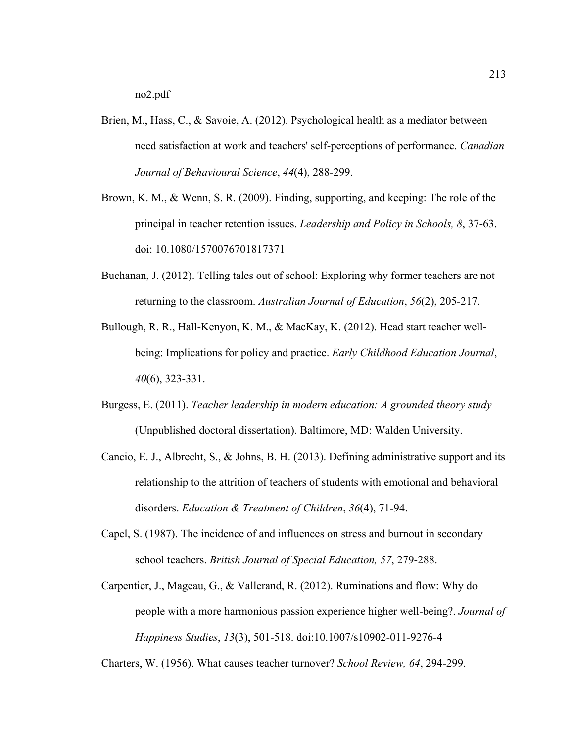- Brien, M., Hass, C., & Savoie, A. (2012). Psychological health as a mediator between need satisfaction at work and teachers' self-perceptions of performance. *Canadian Journal of Behavioural Science*, *44*(4), 288-299.
- Brown, K. M., & Wenn, S. R. (2009). Finding, supporting, and keeping: The role of the principal in teacher retention issues. *Leadership and Policy in Schools, 8*, 37-63. doi: 10.1080/1570076701817371
- Buchanan, J. (2012). Telling tales out of school: Exploring why former teachers are not returning to the classroom. *Australian Journal of Education*, *56*(2), 205-217.
- Bullough, R. R., Hall-Kenyon, K. M., & MacKay, K. (2012). Head start teacher wellbeing: Implications for policy and practice. *Early Childhood Education Journal*, *40*(6), 323-331.
- Burgess, E. (2011). *Teacher leadership in modern education: A grounded theory study*  (Unpublished doctoral dissertation). Baltimore, MD: Walden University.
- Cancio, E. J., Albrecht, S., & Johns, B. H. (2013). Defining administrative support and its relationship to the attrition of teachers of students with emotional and behavioral disorders. *Education & Treatment of Children*, *36*(4), 71-94.
- Capel, S. (1987). The incidence of and influences on stress and burnout in secondary school teachers. *British Journal of Special Education, 57*, 279-288.
- Carpentier, J., Mageau, G., & Vallerand, R. (2012). Ruminations and flow: Why do people with a more harmonious passion experience higher well-being?. *Journal of Happiness Studies*, *13*(3), 501-518. doi:10.1007/s10902-011-9276-4

Charters, W. (1956). What causes teacher turnover? *School Review, 64*, 294-299.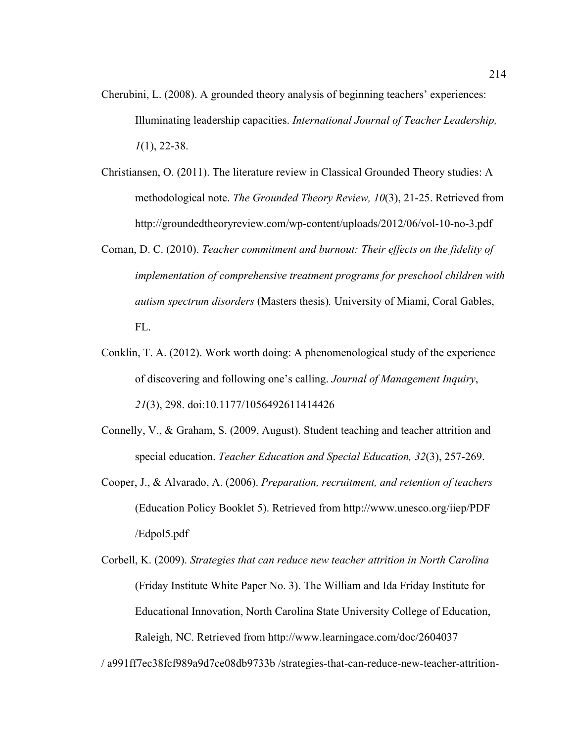- Cherubini, L. (2008). A grounded theory analysis of beginning teachers' experiences: Illuminating leadership capacities. *International Journal of Teacher Leadership, 1*(1), 22-38.
- Christiansen, O. (2011). The literature review in Classical Grounded Theory studies: A methodological note. *The Grounded Theory Review, 10*(3), 21-25. Retrieved from http://groundedtheoryreview.com/wp-content/uploads/2012/06/vol-10-no-3.pdf
- Coman, D. C. (2010). *Teacher commitment and burnout: Their effects on the fidelity of implementation of comprehensive treatment programs for preschool children with autism spectrum disorders* (Masters thesis)*.* University of Miami, Coral Gables, FL.
- Conklin, T. A. (2012). Work worth doing: A phenomenological study of the experience of discovering and following one's calling. *Journal of Management Inquiry*, *21*(3), 298. doi:10.1177/1056492611414426
- Connelly, V., & Graham, S. (2009, August). Student teaching and teacher attrition and special education. *Teacher Education and Special Education, 32*(3), 257-269.
- Cooper, J., & Alvarado, A. (2006). *Preparation, recruitment, and retention of teachers*  (Education Policy Booklet 5). Retrieved from http://www.unesco.org/iiep/PDF /Edpol5.pdf
- Corbell, K. (2009). *Strategies that can reduce new teacher attrition in North Carolina* (Friday Institute White Paper No. 3). The William and Ida Friday Institute for Educational Innovation, North Carolina State University College of Education, Raleigh, NC. Retrieved from http://www.learningace.com/doc/2604037

/ a991ff7ec38fcf989a9d7ce08db9733b /strategies-that-can-reduce-new-teacher-attrition-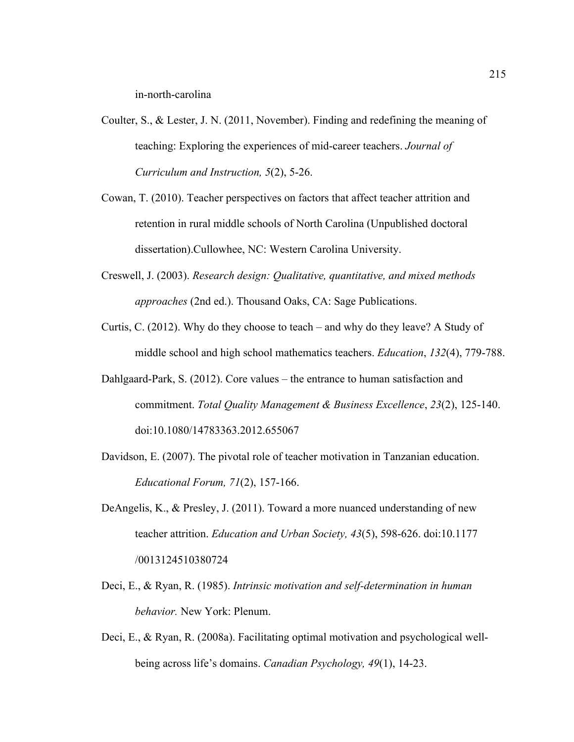in-north-carolina

- Coulter, S., & Lester, J. N. (2011, November). Finding and redefining the meaning of teaching: Exploring the experiences of mid-career teachers. *Journal of Curriculum and Instruction, 5*(2), 5-26.
- Cowan, T. (2010). Teacher perspectives on factors that affect teacher attrition and retention in rural middle schools of North Carolina (Unpublished doctoral dissertation).Cullowhee, NC: Western Carolina University.
- Creswell, J. (2003). *Research design: Qualitative, quantitative, and mixed methods approaches* (2nd ed.). Thousand Oaks, CA: Sage Publications.
- Curtis, C. (2012). Why do they choose to teach and why do they leave? A Study of middle school and high school mathematics teachers. *Education*, *132*(4), 779-788.
- Dahlgaard-Park, S. (2012). Core values the entrance to human satisfaction and commitment. *Total Quality Management & Business Excellence*, *23*(2), 125-140. doi:10.1080/14783363.2012.655067
- Davidson, E. (2007). The pivotal role of teacher motivation in Tanzanian education. *Educational Forum, 71*(2), 157-166.
- DeAngelis, K., & Presley, J. (2011). Toward a more nuanced understanding of new teacher attrition. *Education and Urban Society, 43*(5), 598-626. doi:10.1177 /0013124510380724
- Deci, E., & Ryan, R. (1985). *Intrinsic motivation and self-determination in human behavior.* New York: Plenum.
- Deci, E., & Ryan, R. (2008a). Facilitating optimal motivation and psychological wellbeing across life's domains. *Canadian Psychology, 49*(1), 14-23.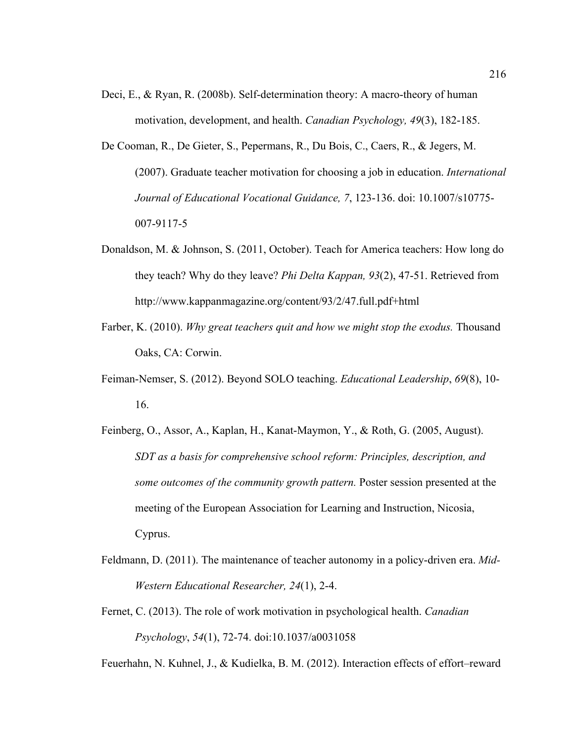- Deci, E., & Ryan, R. (2008b). Self-determination theory: A macro-theory of human motivation, development, and health. *Canadian Psychology, 49*(3), 182-185.
- De Cooman, R., De Gieter, S., Pepermans, R., Du Bois, C., Caers, R., & Jegers, M. (2007). Graduate teacher motivation for choosing a job in education. *International Journal of Educational Vocational Guidance, 7*, 123-136. doi: 10.1007/s10775- 007-9117-5
- Donaldson, M. & Johnson, S. (2011, October). Teach for America teachers: How long do they teach? Why do they leave? *Phi Delta Kappan, 93*(2), 47-51. Retrieved from http://www.kappanmagazine.org/content/93/2/47.full.pdf+html
- Farber, K. (2010). *Why great teachers quit and how we might stop the exodus.* Thousand Oaks, CA: Corwin.
- Feiman-Nemser, S. (2012). Beyond SOLO teaching. *Educational Leadership*, *69*(8), 10- 16.
- Feinberg, O., Assor, A., Kaplan, H., Kanat-Maymon, Y., & Roth, G. (2005, August). *SDT as a basis for comprehensive school reform: Principles, description, and some outcomes of the community growth pattern.* Poster session presented at the meeting of the European Association for Learning and Instruction, Nicosia, Cyprus.
- Feldmann, D. (2011). The maintenance of teacher autonomy in a policy-driven era. *Mid-Western Educational Researcher, 24*(1), 2-4.
- Fernet, C. (2013). The role of work motivation in psychological health. *Canadian Psychology*, *54*(1), 72-74. doi:10.1037/a0031058

Feuerhahn, N. Kuhnel, J., & Kudielka, B. M. (2012). Interaction effects of effort–reward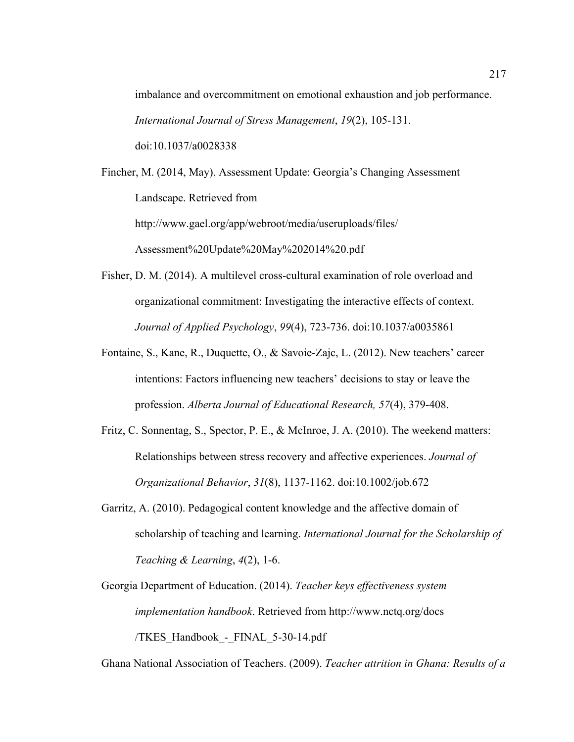imbalance and overcommitment on emotional exhaustion and job performance. *International Journal of Stress Management*, *19*(2), 105-131. doi:10.1037/a0028338

Fincher, M. (2014, May). Assessment Update: Georgia's Changing Assessment Landscape. Retrieved from http://www.gael.org/app/webroot/media/useruploads/files/ Assessment%20Update%20May%202014%20.pdf

- Fisher, D. M. (2014). A multilevel cross-cultural examination of role overload and organizational commitment: Investigating the interactive effects of context. *Journal of Applied Psychology*, *99*(4), 723-736. doi:10.1037/a0035861
- Fontaine, S., Kane, R., Duquette, O., & Savoie-Zajc, L. (2012). New teachers' career intentions: Factors influencing new teachers' decisions to stay or leave the profession. *Alberta Journal of Educational Research, 57*(4), 379-408.
- Fritz, C. Sonnentag, S., Spector, P. E., & McInroe, J. A. (2010). The weekend matters: Relationships between stress recovery and affective experiences. *Journal of Organizational Behavior*, *31*(8), 1137-1162. doi:10.1002/job.672
- Garritz, A. (2010). Pedagogical content knowledge and the affective domain of scholarship of teaching and learning. *International Journal for the Scholarship of Teaching & Learning*, *4*(2), 1-6.
- Georgia Department of Education. (2014). *Teacher keys effectiveness system implementation handbook*. Retrieved from http://www.nctq.org/docs /TKES\_Handbook\_-\_FINAL\_5-30-14.pdf

Ghana National Association of Teachers. (2009). *Teacher attrition in Ghana: Results of a*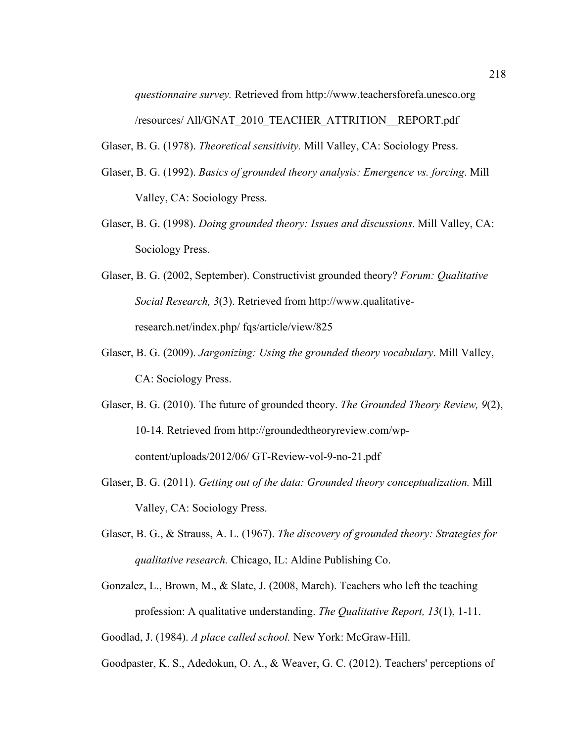*questionnaire survey.* Retrieved from http://www.teachersforefa.unesco.org /resources/ All/GNAT\_2010\_TEACHER\_ATTRITION\_\_REPORT.pdf

Glaser, B. G. (1978). *Theoretical sensitivity.* Mill Valley, CA: Sociology Press.

- Glaser, B. G. (1992). *Basics of grounded theory analysis: Emergence vs. forcing*. Mill Valley, CA: Sociology Press.
- Glaser, B. G. (1998). *Doing grounded theory: Issues and discussions*. Mill Valley, CA: Sociology Press.
- Glaser, B. G. (2002, September). Constructivist grounded theory? *Forum: Qualitative Social Research, 3*(3). Retrieved from http://www.qualitativeresearch.net/index.php/ fqs/article/view/825
- Glaser, B. G. (2009). *Jargonizing: Using the grounded theory vocabulary*. Mill Valley, CA: Sociology Press.
- Glaser, B. G. (2010). The future of grounded theory. *The Grounded Theory Review, 9*(2), 10-14. Retrieved from http://groundedtheoryreview.com/wpcontent/uploads/2012/06/ GT-Review-vol-9-no-21.pdf
- Glaser, B. G. (2011). *Getting out of the data: Grounded theory conceptualization.* Mill Valley, CA: Sociology Press.
- Glaser, B. G., & Strauss, A. L. (1967). *The discovery of grounded theory: Strategies for qualitative research.* Chicago, IL: Aldine Publishing Co.
- Gonzalez, L., Brown, M., & Slate, J. (2008, March). Teachers who left the teaching profession: A qualitative understanding. *The Qualitative Report, 13*(1), 1-11.
- Goodlad, J. (1984). *A place called school.* New York: McGraw-Hill.
- Goodpaster, K. S., Adedokun, O. A., & Weaver, G. C. (2012). Teachers' perceptions of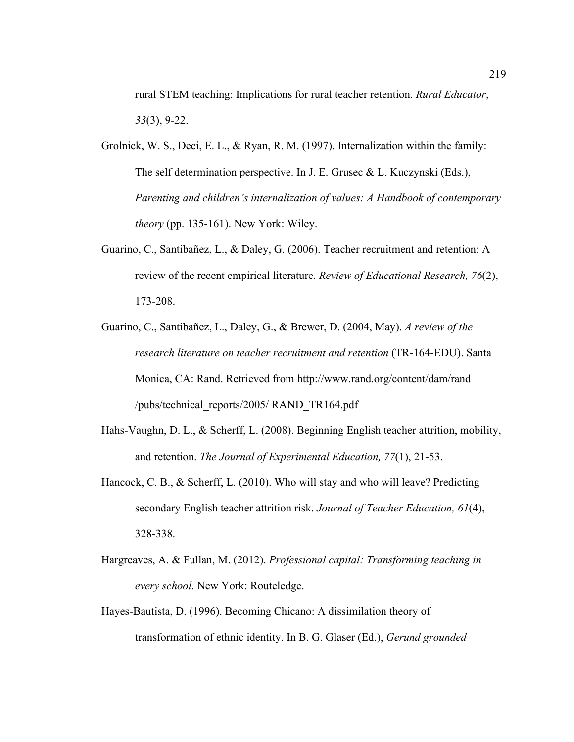rural STEM teaching: Implications for rural teacher retention. *Rural Educator*, *33*(3), 9-22.

- Grolnick, W. S., Deci, E. L., & Ryan, R. M. (1997). Internalization within the family: The self determination perspective. In J. E. Grusec & L. Kuczynski (Eds.), *Parenting and children's internalization of values: A Handbook of contemporary theory* (pp. 135-161). New York: Wiley.
- Guarino, C., Santibañez, L., & Daley, G. (2006). Teacher recruitment and retention: A review of the recent empirical literature. *Review of Educational Research, 76*(2), 173-208.
- Guarino, C., Santibañez, L., Daley, G., & Brewer, D. (2004, May). *A review of the research literature on teacher recruitment and retention* (TR-164-EDU). Santa Monica, CA: Rand. Retrieved from http://www.rand.org/content/dam/rand /pubs/technical\_reports/2005/ RAND\_TR164.pdf
- Hahs-Vaughn, D. L., & Scherff, L. (2008). Beginning English teacher attrition, mobility, and retention. *The Journal of Experimental Education, 77*(1), 21-53.
- Hancock, C. B., & Scherff, L. (2010). Who will stay and who will leave? Predicting secondary English teacher attrition risk. *Journal of Teacher Education, 61*(4), 328-338.
- Hargreaves, A. & Fullan, M. (2012). *Professional capital: Transforming teaching in every school*. New York: Routeledge.
- Hayes-Bautista, D. (1996). Becoming Chicano: A dissimilation theory of transformation of ethnic identity. In B. G. Glaser (Ed.), *Gerund grounded*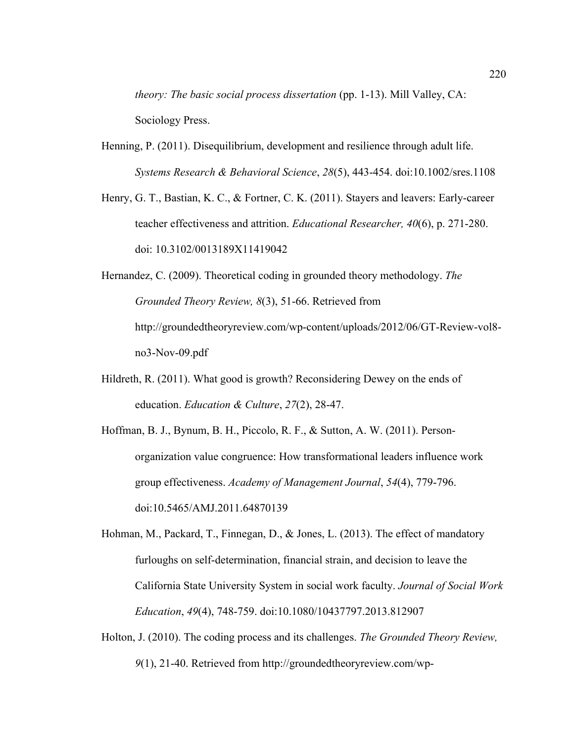*theory: The basic social process dissertation* (pp. 1-13). Mill Valley, CA: Sociology Press.

- Henning, P. (2011). Disequilibrium, development and resilience through adult life. *Systems Research & Behavioral Science*, *28*(5), 443-454. doi:10.1002/sres.1108
- Henry, G. T., Bastian, K. C., & Fortner, C. K. (2011). Stayers and leavers: Early-career teacher effectiveness and attrition. *Educational Researcher, 40*(6), p. 271-280. doi: 10.3102/0013189X11419042
- Hernandez, C. (2009). Theoretical coding in grounded theory methodology. *The Grounded Theory Review, 8*(3), 51-66. Retrieved from http://groundedtheoryreview.com/wp-content/uploads/2012/06/GT-Review-vol8 no3-Nov-09.pdf
- Hildreth, R. (2011). What good is growth? Reconsidering Dewey on the ends of education. *Education & Culture*, *27*(2), 28-47.
- Hoffman, B. J., Bynum, B. H., Piccolo, R. F., & Sutton, A. W. (2011). Personorganization value congruence: How transformational leaders influence work group effectiveness. *Academy of Management Journal*, *54*(4), 779-796. doi:10.5465/AMJ.2011.64870139
- Hohman, M., Packard, T., Finnegan, D., & Jones, L. (2013). The effect of mandatory furloughs on self-determination, financial strain, and decision to leave the California State University System in social work faculty. *Journal of Social Work Education*, *49*(4), 748-759. doi:10.1080/10437797.2013.812907
- Holton, J. (2010). The coding process and its challenges. *The Grounded Theory Review, 9*(1), 21-40. Retrieved from http://groundedtheoryreview.com/wp-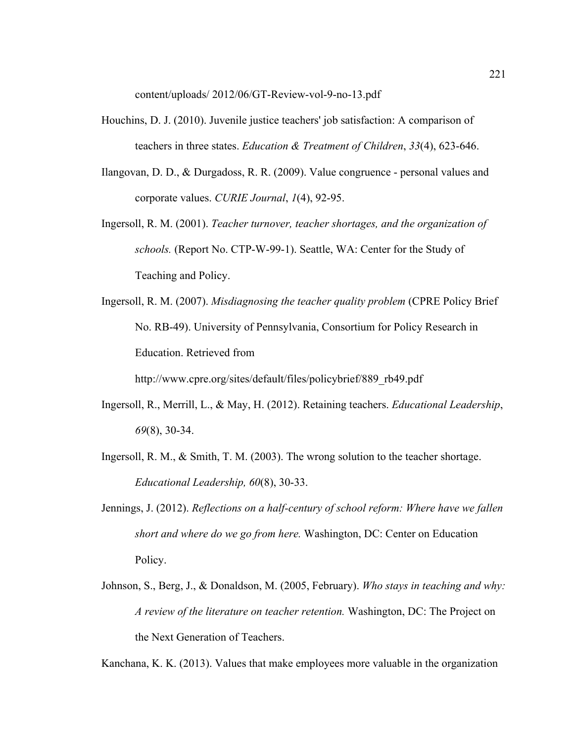content/uploads/ 2012/06/GT-Review-vol-9-no-13.pdf

- Houchins, D. J. (2010). Juvenile justice teachers' job satisfaction: A comparison of teachers in three states. *Education & Treatment of Children*, *33*(4), 623-646.
- Ilangovan, D. D., & Durgadoss, R. R. (2009). Value congruence personal values and corporate values. *CURIE Journal*, *1*(4), 92-95.
- Ingersoll, R. M. (2001). *Teacher turnover, teacher shortages, and the organization of schools.* (Report No. CTP-W-99-1). Seattle, WA: Center for the Study of Teaching and Policy.
- Ingersoll, R. M. (2007). *Misdiagnosing the teacher quality problem* (CPRE Policy Brief No. RB-49). University of Pennsylvania, Consortium for Policy Research in Education. Retrieved from

http://www.cpre.org/sites/default/files/policybrief/889\_rb49.pdf

- Ingersoll, R., Merrill, L., & May, H. (2012). Retaining teachers. *Educational Leadership*, *69*(8), 30-34.
- Ingersoll, R. M., & Smith, T. M. (2003). The wrong solution to the teacher shortage. *Educational Leadership, 60*(8), 30-33.
- Jennings, J. (2012). *Reflections on a half-century of school reform: Where have we fallen short and where do we go from here.* Washington, DC: Center on Education Policy.
- Johnson, S., Berg, J., & Donaldson, M. (2005, February). *Who stays in teaching and why: A review of the literature on teacher retention.* Washington, DC: The Project on the Next Generation of Teachers.

Kanchana, K. K. (2013). Values that make employees more valuable in the organization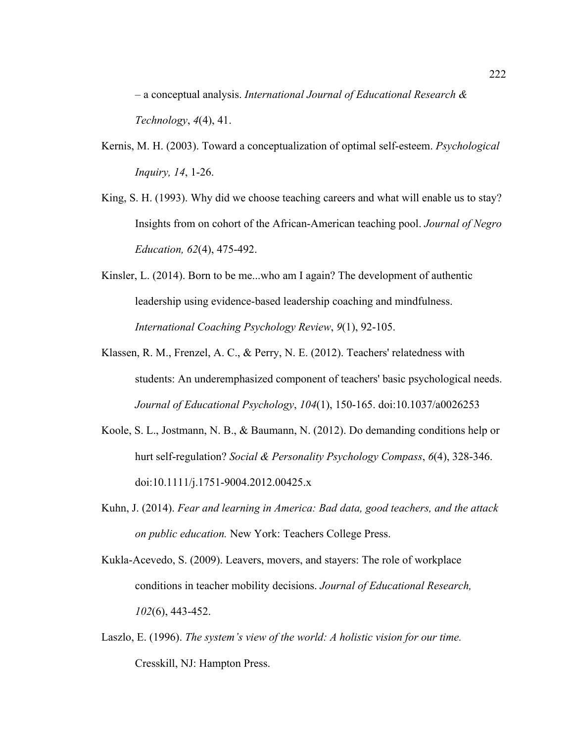– a conceptual analysis. *International Journal of Educational Research & Technology*, *4*(4), 41.

- Kernis, M. H. (2003). Toward a conceptualization of optimal self-esteem. *Psychological Inquiry, 14*, 1-26.
- King, S. H. (1993). Why did we choose teaching careers and what will enable us to stay? Insights from on cohort of the African-American teaching pool. *Journal of Negro Education, 62*(4), 475-492.
- Kinsler, L. (2014). Born to be me...who am I again? The development of authentic leadership using evidence-based leadership coaching and mindfulness. *International Coaching Psychology Review*, *9*(1), 92-105.
- Klassen, R. M., Frenzel, A. C., & Perry, N. E. (2012). Teachers' relatedness with students: An underemphasized component of teachers' basic psychological needs. *Journal of Educational Psychology*, *104*(1), 150-165. doi:10.1037/a0026253
- Koole, S. L., Jostmann, N. B., & Baumann, N. (2012). Do demanding conditions help or hurt self-regulation? *Social & Personality Psychology Compass*, *6*(4), 328-346. doi:10.1111/j.1751-9004.2012.00425.x
- Kuhn, J. (2014). *Fear and learning in America: Bad data, good teachers, and the attack on public education.* New York: Teachers College Press.
- Kukla-Acevedo, S. (2009). Leavers, movers, and stayers: The role of workplace conditions in teacher mobility decisions. *Journal of Educational Research, 102*(6), 443-452.
- Laszlo, E. (1996). *The system's view of the world: A holistic vision for our time.*  Cresskill, NJ: Hampton Press.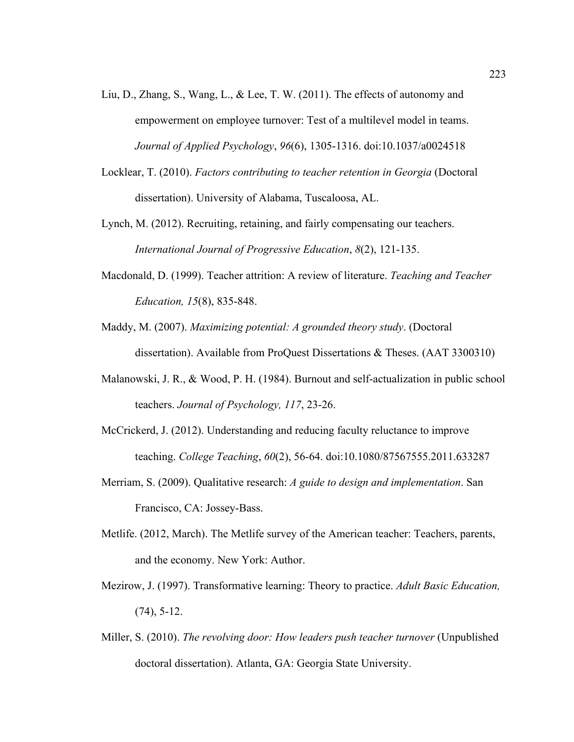- Liu, D., Zhang, S., Wang, L., & Lee, T. W. (2011). The effects of autonomy and empowerment on employee turnover: Test of a multilevel model in teams. *Journal of Applied Psychology*, *96*(6), 1305-1316. doi:10.1037/a0024518
- Locklear, T. (2010). *Factors contributing to teacher retention in Georgia* (Doctoral dissertation). University of Alabama, Tuscaloosa, AL.
- Lynch, M. (2012). Recruiting, retaining, and fairly compensating our teachers. *International Journal of Progressive Education*, *8*(2), 121-135.
- Macdonald, D. (1999). Teacher attrition: A review of literature. *Teaching and Teacher Education, 15*(8), 835-848.
- Maddy, M. (2007). *Maximizing potential: A grounded theory study*. (Doctoral dissertation). Available from ProQuest Dissertations & Theses. (AAT 3300310)
- Malanowski, J. R., & Wood, P. H. (1984). Burnout and self-actualization in public school teachers. *Journal of Psychology, 117*, 23-26.
- McCrickerd, J. (2012). Understanding and reducing faculty reluctance to improve teaching. *College Teaching*, *60*(2), 56-64. doi:10.1080/87567555.2011.633287
- Merriam, S. (2009). Qualitative research: *A guide to design and implementation*. San Francisco, CA: Jossey-Bass.
- Metlife. (2012, March). The Metlife survey of the American teacher: Teachers, parents, and the economy. New York: Author.
- Mezirow, J. (1997). Transformative learning: Theory to practice. *Adult Basic Education,*  (74), 5-12.
- Miller, S. (2010). *The revolving door: How leaders push teacher turnover* (Unpublished doctoral dissertation). Atlanta, GA: Georgia State University.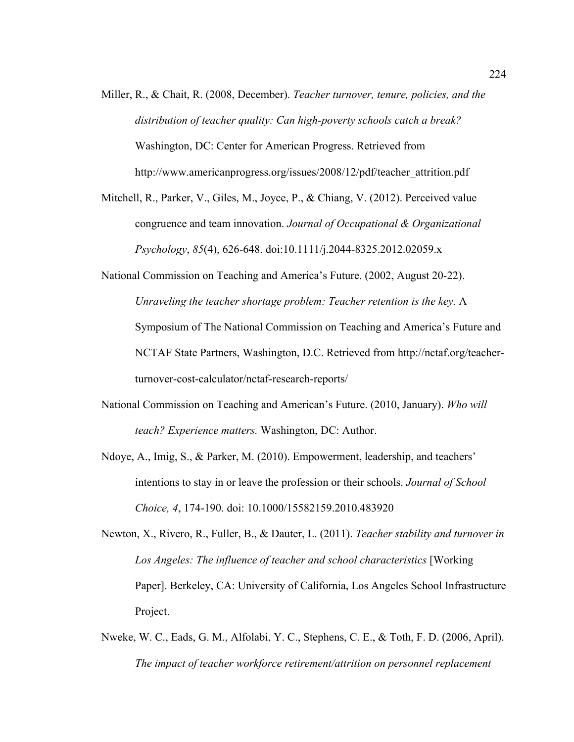- Miller, R., & Chait, R. (2008, December). *Teacher turnover, tenure, policies, and the distribution of teacher quality: Can high-poverty schools catch a break?* Washington, DC: Center for American Progress. Retrieved from http://www.americanprogress.org/issues/2008/12/pdf/teacher\_attrition.pdf
- Mitchell, R., Parker, V., Giles, M., Joyce, P., & Chiang, V. (2012). Perceived value congruence and team innovation. *Journal of Occupational & Organizational Psychology*, *85*(4), 626-648. doi:10.1111/j.2044-8325.2012.02059.x
- National Commission on Teaching and America's Future. (2002, August 20-22). *Unraveling the teacher shortage problem: Teacher retention is the key.* A Symposium of The National Commission on Teaching and America's Future and NCTAF State Partners, Washington, D.C. Retrieved from http://nctaf.org/teacherturnover-cost-calculator/nctaf-research-reports/
- National Commission on Teaching and American's Future. (2010, January). *Who will teach? Experience matters.* Washington, DC: Author.
- Ndoye, A., Imig, S., & Parker, M. (2010). Empowerment, leadership, and teachers' intentions to stay in or leave the profession or their schools. *Journal of School Choice, 4*, 174-190. doi: 10.1000/15582159.2010.483920
- Newton, X., Rivero, R., Fuller, B., & Dauter, L. (2011). *Teacher stability and turnover in Los Angeles: The influence of teacher and school characteristics* [Working Paper]. Berkeley, CA: University of California, Los Angeles School Infrastructure Project.
- Nweke, W. C., Eads, G. M., Alfolabi, Y. C., Stephens, C. E., & Toth, F. D. (2006, April). *The impact of teacher workforce retirement/attrition on personnel replacement*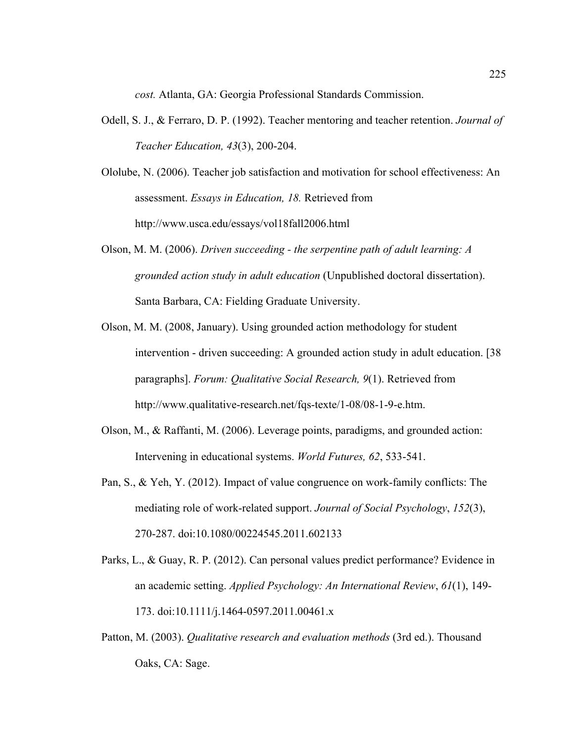*cost.* Atlanta, GA: Georgia Professional Standards Commission.

- Odell, S. J., & Ferraro, D. P. (1992). Teacher mentoring and teacher retention. *Journal of Teacher Education, 43*(3), 200-204.
- Ololube, N. (2006). Teacher job satisfaction and motivation for school effectiveness: An assessment. *Essays in Education, 18.* Retrieved from http://www.usca.edu/essays/vol18fall2006.html
- Olson, M. M. (2006). *Driven succeeding the serpentine path of adult learning: A grounded action study in adult education* (Unpublished doctoral dissertation). Santa Barbara, CA: Fielding Graduate University.
- Olson, M. M. (2008, January). Using grounded action methodology for student intervention - driven succeeding: A grounded action study in adult education. [38 paragraphs]. *Forum: Qualitative Social Research, 9*(1). Retrieved from http://www.qualitative-research.net/fqs-texte/1-08/08-1-9-e.htm.
- Olson, M., & Raffanti, M. (2006). Leverage points, paradigms, and grounded action: Intervening in educational systems. *World Futures, 62*, 533-541.
- Pan, S., & Yeh, Y. (2012). Impact of value congruence on work-family conflicts: The mediating role of work-related support. *Journal of Social Psychology*, *152*(3), 270-287. doi:10.1080/00224545.2011.602133
- Parks, L., & Guay, R. P. (2012). Can personal values predict performance? Evidence in an academic setting. *Applied Psychology: An International Review*, *61*(1), 149- 173. doi:10.1111/j.1464-0597.2011.00461.x
- Patton, M. (2003). *Qualitative research and evaluation methods* (3rd ed.). Thousand Oaks, CA: Sage.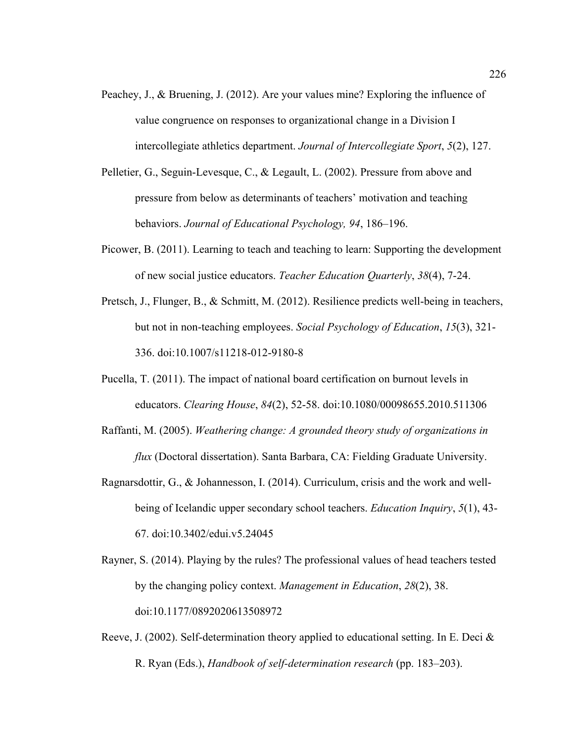- Peachey, J., & Bruening, J. (2012). Are your values mine? Exploring the influence of value congruence on responses to organizational change in a Division I intercollegiate athletics department. *Journal of Intercollegiate Sport*, *5*(2), 127.
- Pelletier, G., Seguin-Levesque, C., & Legault, L. (2002). Pressure from above and pressure from below as determinants of teachers' motivation and teaching behaviors. *Journal of Educational Psychology, 94*, 186–196.
- Picower, B. (2011). Learning to teach and teaching to learn: Supporting the development of new social justice educators. *Teacher Education Quarterly*, *38*(4), 7-24.
- Pretsch, J., Flunger, B., & Schmitt, M. (2012). Resilience predicts well-being in teachers, but not in non-teaching employees. *Social Psychology of Education*, *15*(3), 321- 336. doi:10.1007/s11218-012-9180-8
- Pucella, T. (2011). The impact of national board certification on burnout levels in educators. *Clearing House*, *84*(2), 52-58. doi:10.1080/00098655.2010.511306
- Raffanti, M. (2005). *Weathering change: A grounded theory study of organizations in flux* (Doctoral dissertation). Santa Barbara, CA: Fielding Graduate University.
- Ragnarsdottir, G., & Johannesson, I. (2014). Curriculum, crisis and the work and wellbeing of Icelandic upper secondary school teachers. *Education Inquiry*, *5*(1), 43- 67. doi:10.3402/edui.v5.24045
- Rayner, S. (2014). Playing by the rules? The professional values of head teachers tested by the changing policy context. *Management in Education*, *28*(2), 38. doi:10.1177/0892020613508972
- Reeve, J. (2002). Self-determination theory applied to educational setting. In E. Deci & R. Ryan (Eds.), *Handbook of self-determination research* (pp. 183–203).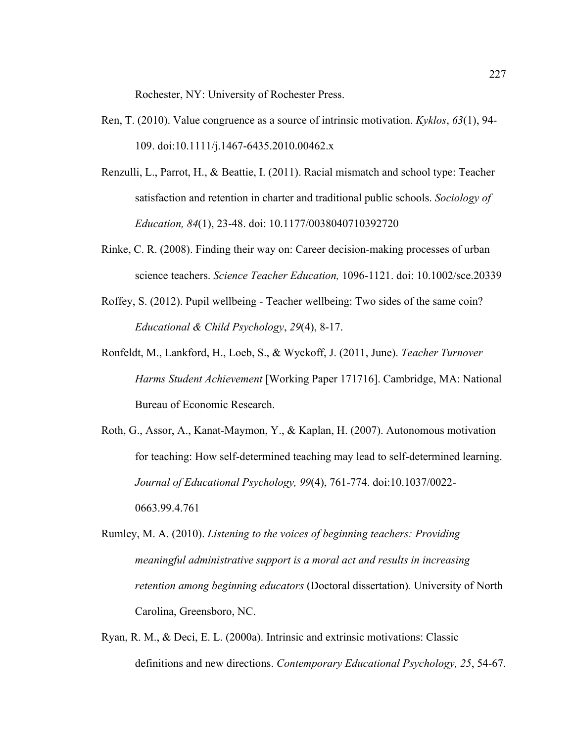Rochester, NY: University of Rochester Press.

- Ren, T. (2010). Value congruence as a source of intrinsic motivation. *Kyklos*, *63*(1), 94- 109. doi:10.1111/j.1467-6435.2010.00462.x
- Renzulli, L., Parrot, H., & Beattie, I. (2011). Racial mismatch and school type: Teacher satisfaction and retention in charter and traditional public schools. *Sociology of Education, 84*(1), 23-48. doi: 10.1177/0038040710392720
- Rinke, C. R. (2008). Finding their way on: Career decision-making processes of urban science teachers. *Science Teacher Education,* 1096-1121. doi: 10.1002/sce.20339
- Roffey, S. (2012). Pupil wellbeing Teacher wellbeing: Two sides of the same coin? *Educational & Child Psychology*, *29*(4), 8-17.
- Ronfeldt, M., Lankford, H., Loeb, S., & Wyckoff, J. (2011, June). *Teacher Turnover Harms Student Achievement* [Working Paper 171716]. Cambridge, MA: National Bureau of Economic Research.
- Roth, G., Assor, A., Kanat-Maymon, Y., & Kaplan, H. (2007). Autonomous motivation for teaching: How self-determined teaching may lead to self-determined learning. *Journal of Educational Psychology, 99*(4), 761-774. doi:10.1037/0022- 0663.99.4.761
- Rumley, M. A. (2010). *Listening to the voices of beginning teachers: Providing meaningful administrative support is a moral act and results in increasing retention among beginning educators* (Doctoral dissertation)*.* University of North Carolina, Greensboro, NC.
- Ryan, R. M., & Deci, E. L. (2000a). Intrinsic and extrinsic motivations: Classic definitions and new directions. *Contemporary Educational Psychology, 25*, 54-67.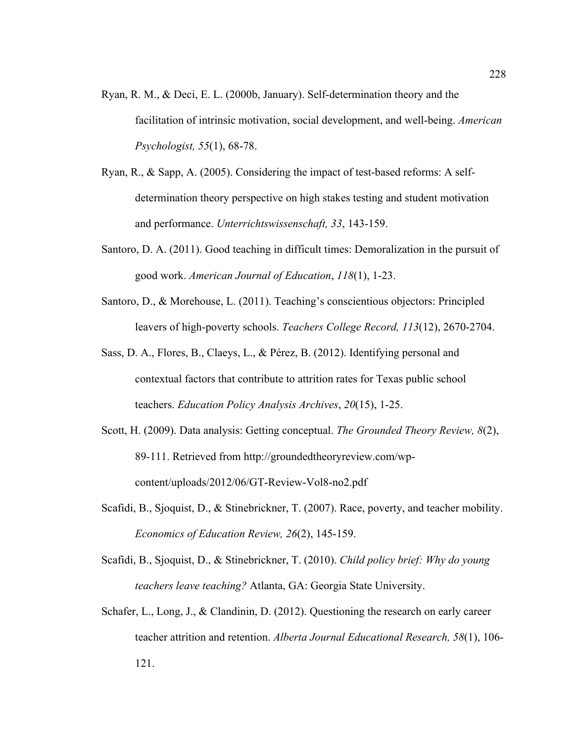- Ryan, R. M., & Deci, E. L. (2000b, January). Self-determination theory and the facilitation of intrinsic motivation, social development, and well-being. *American Psychologist, 55*(1), 68-78.
- Ryan, R., & Sapp, A. (2005). Considering the impact of test-based reforms: A selfdetermination theory perspective on high stakes testing and student motivation and performance. *Unterrichtswissenschaft, 33*, 143-159.
- Santoro, D. A. (2011). Good teaching in difficult times: Demoralization in the pursuit of good work. *American Journal of Education*, *118*(1), 1-23.
- Santoro, D., & Morehouse, L. (2011). Teaching's conscientious objectors: Principled leavers of high-poverty schools. *Teachers College Record, 113*(12), 2670-2704.
- Sass, D. A., Flores, B., Claeys, L., & Pérez, B. (2012). Identifying personal and contextual factors that contribute to attrition rates for Texas public school teachers. *Education Policy Analysis Archives*, *20*(15), 1-25.
- Scott, H. (2009). Data analysis: Getting conceptual. *The Grounded Theory Review, 8*(2), 89-111. Retrieved from http://groundedtheoryreview.com/wpcontent/uploads/2012/06/GT-Review-Vol8-no2.pdf
- Scafidi, B., Sjoquist, D., & Stinebrickner, T. (2007). Race, poverty, and teacher mobility. *Economics of Education Review, 26*(2), 145-159.
- Scafidi, B., Sjoquist, D., & Stinebrickner, T. (2010). *Child policy brief: Why do young teachers leave teaching?* Atlanta, GA: Georgia State University.
- Schafer, L., Long, J., & Clandinin, D. (2012). Questioning the research on early career teacher attrition and retention. *Alberta Journal Educational Research, 58*(1), 106- 121.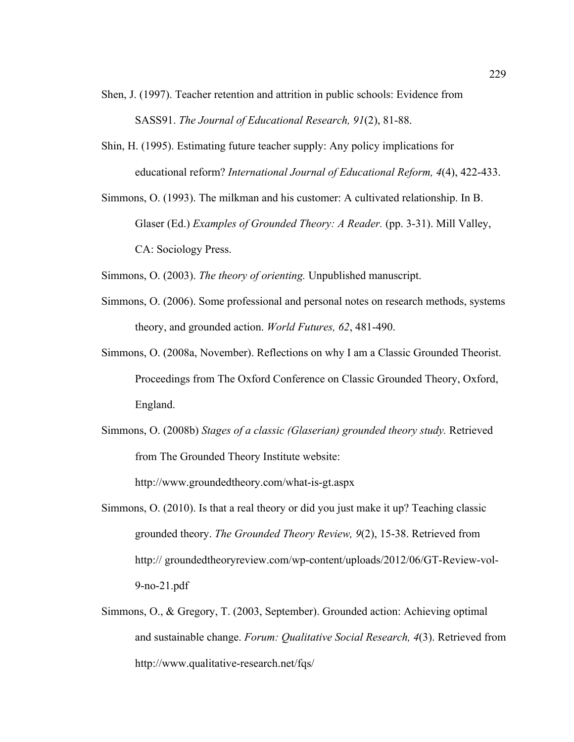- Shen, J. (1997). Teacher retention and attrition in public schools: Evidence from SASS91. *The Journal of Educational Research, 91*(2), 81-88.
- Shin, H. (1995). Estimating future teacher supply: Any policy implications for educational reform? *International Journal of Educational Reform, 4*(4), 422-433.
- Simmons, O. (1993). The milkman and his customer: A cultivated relationship. In B. Glaser (Ed.) *Examples of Grounded Theory: A Reader.* (pp. 3-31). Mill Valley, CA: Sociology Press.

Simmons, O. (2003). *The theory of orienting.* Unpublished manuscript.

- Simmons, O. (2006). Some professional and personal notes on research methods, systems theory, and grounded action. *World Futures, 62*, 481-490.
- Simmons, O. (2008a, November). Reflections on why I am a Classic Grounded Theorist. Proceedings from The Oxford Conference on Classic Grounded Theory, Oxford, England.
- Simmons, O. (2008b) *Stages of a classic (Glaserian) grounded theory study.* Retrieved from The Grounded Theory Institute website:

http://www.groundedtheory.com/what-is-gt.aspx

- Simmons, O. (2010). Is that a real theory or did you just make it up? Teaching classic grounded theory. *The Grounded Theory Review, 9*(2), 15-38. Retrieved from http:// groundedtheoryreview.com/wp-content/uploads/2012/06/GT-Review-vol-9-no-21.pdf
- Simmons, O., & Gregory, T. (2003, September). Grounded action: Achieving optimal and sustainable change. *Forum: Qualitative Social Research, 4*(3). Retrieved from http://www.qualitative-research.net/fqs/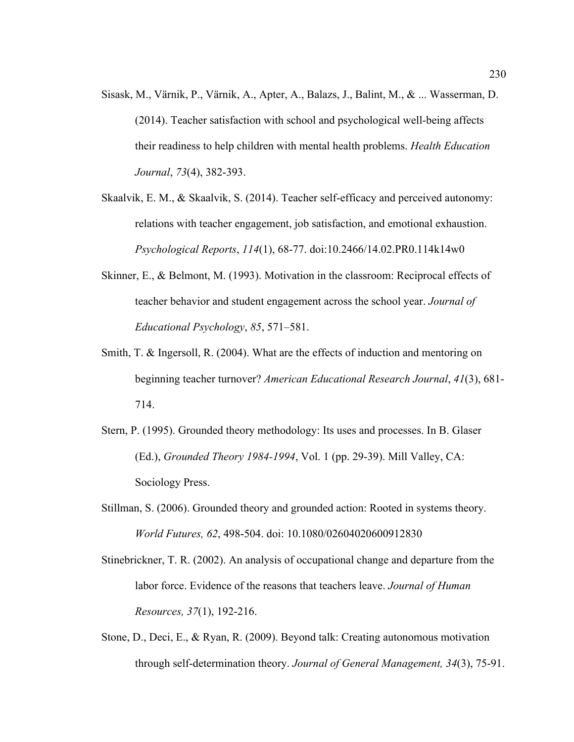- Sisask, M., Värnik, P., Värnik, A., Apter, A., Balazs, J., Balint, M., & ... Wasserman, D. (2014). Teacher satisfaction with school and psychological well-being affects their readiness to help children with mental health problems. *Health Education Journal*, *73*(4), 382-393.
- Skaalvik, E. M., & Skaalvik, S. (2014). Teacher self-efficacy and perceived autonomy: relations with teacher engagement, job satisfaction, and emotional exhaustion. *Psychological Reports*, *114*(1), 68-77. doi:10.2466/14.02.PR0.114k14w0
- Skinner, E., & Belmont, M. (1993). Motivation in the classroom: Reciprocal effects of teacher behavior and student engagement across the school year. *Journal of Educational Psychology*, *85*, 571–581.
- Smith, T. & Ingersoll, R. (2004). What are the effects of induction and mentoring on beginning teacher turnover? *American Educational Research Journal*, *41*(3), 681- 714.
- Stern, P. (1995). Grounded theory methodology: Its uses and processes. In B. Glaser (Ed.), *Grounded Theory 1984-1994*, Vol. 1 (pp. 29-39). Mill Valley, CA: Sociology Press.
- Stillman, S. (2006). Grounded theory and grounded action: Rooted in systems theory. *World Futures, 62*, 498-504. doi: 10.1080/02604020600912830
- Stinebrickner, T. R. (2002). An analysis of occupational change and departure from the labor force. Evidence of the reasons that teachers leave. *Journal of Human Resources, 37*(1), 192-216.
- Stone, D., Deci, E., & Ryan, R. (2009). Beyond talk: Creating autonomous motivation through self-determination theory. *Journal of General Management, 34*(3), 75-91.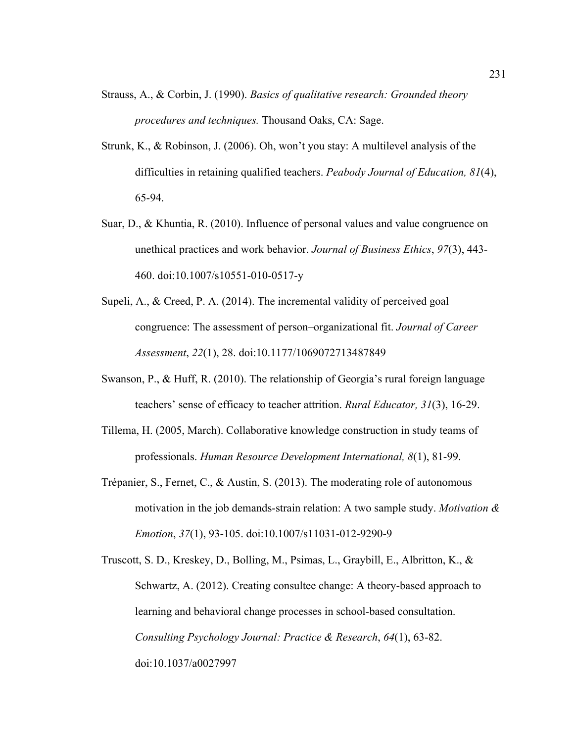- Strauss, A., & Corbin, J. (1990). *Basics of qualitative research: Grounded theory procedures and techniques.* Thousand Oaks, CA: Sage.
- Strunk, K., & Robinson, J. (2006). Oh, won't you stay: A multilevel analysis of the difficulties in retaining qualified teachers. *Peabody Journal of Education, 81*(4), 65-94.
- Suar, D., & Khuntia, R. (2010). Influence of personal values and value congruence on unethical practices and work behavior. *Journal of Business Ethics*, *97*(3), 443- 460. doi:10.1007/s10551-010-0517-y
- Supeli, A., & Creed, P. A. (2014). The incremental validity of perceived goal congruence: The assessment of person–organizational fit. *Journal of Career Assessment*, *22*(1), 28. doi:10.1177/1069072713487849
- Swanson, P., & Huff, R. (2010). The relationship of Georgia's rural foreign language teachers' sense of efficacy to teacher attrition. *Rural Educator, 31*(3), 16-29.
- Tillema, H. (2005, March). Collaborative knowledge construction in study teams of professionals. *Human Resource Development International, 8*(1), 81-99.
- Trépanier, S., Fernet, C., & Austin, S. (2013). The moderating role of autonomous motivation in the job demands-strain relation: A two sample study. *Motivation & Emotion*, *37*(1), 93-105. doi:10.1007/s11031-012-9290-9
- Truscott, S. D., Kreskey, D., Bolling, M., Psimas, L., Graybill, E., Albritton, K., & Schwartz, A. (2012). Creating consultee change: A theory-based approach to learning and behavioral change processes in school-based consultation. *Consulting Psychology Journal: Practice & Research*, *64*(1), 63-82. doi:10.1037/a0027997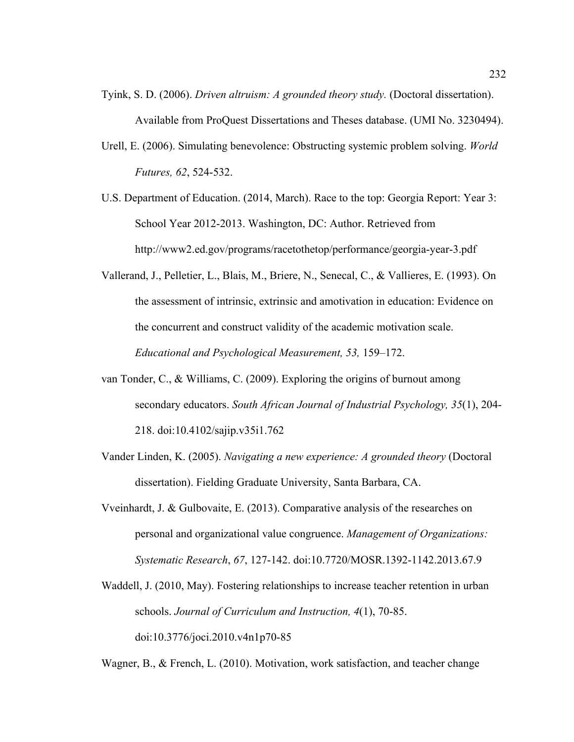- Tyink, S. D. (2006). *Driven altruism: A grounded theory study.* (Doctoral dissertation). Available from ProQuest Dissertations and Theses database. (UMI No. 3230494).
- Urell, E. (2006). Simulating benevolence: Obstructing systemic problem solving. *World Futures, 62*, 524-532.

U.S. Department of Education. (2014, March). Race to the top: Georgia Report: Year 3: School Year 2012-2013. Washington, DC: Author. Retrieved from http://www2.ed.gov/programs/racetothetop/performance/georgia-year-3.pdf

- Vallerand, J., Pelletier, L., Blais, M., Briere, N., Senecal, C., & Vallieres, E. (1993). On the assessment of intrinsic, extrinsic and amotivation in education: Evidence on the concurrent and construct validity of the academic motivation scale. *Educational and Psychological Measurement, 53,* 159–172.
- van Tonder, C., & Williams, C. (2009). Exploring the origins of burnout among secondary educators. *South African Journal of Industrial Psychology, 35*(1), 204- 218. doi:10.4102/sajip.v35i1.762
- Vander Linden, K. (2005). *Navigating a new experience: A grounded theory* (Doctoral dissertation). Fielding Graduate University, Santa Barbara, CA.
- Vveinhardt, J. & Gulbovaite, E. (2013). Comparative analysis of the researches on personal and organizational value congruence. *Management of Organizations: Systematic Research*, *67*, 127-142. doi:10.7720/MOSR.1392-1142.2013.67.9
- Waddell, J. (2010, May). Fostering relationships to increase teacher retention in urban schools. *Journal of Curriculum and Instruction, 4*(1), 70-85. doi:10.3776/joci.2010.v4n1p70-85

Wagner, B., & French, L. (2010). Motivation, work satisfaction, and teacher change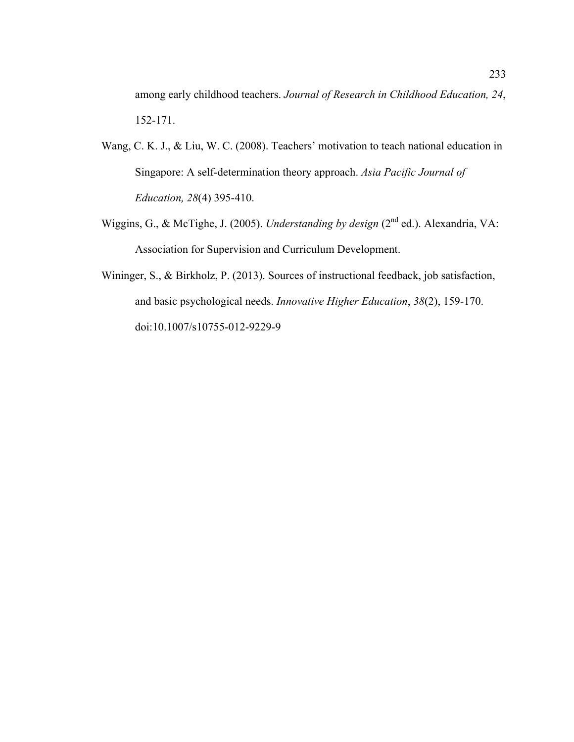among early childhood teachers. *Journal of Research in Childhood Education, 24*, 152-171.

- Wang, C. K. J., & Liu, W. C. (2008). Teachers' motivation to teach national education in Singapore: A self-determination theory approach. *Asia Pacific Journal of Education, 28*(4) 395-410.
- Wiggins, G., & McTighe, J. (2005). *Understanding by design* (2<sup>nd</sup> ed.). Alexandria, VA: Association for Supervision and Curriculum Development.
- Wininger, S., & Birkholz, P. (2013). Sources of instructional feedback, job satisfaction, and basic psychological needs. *Innovative Higher Education*, *38*(2), 159-170. doi:10.1007/s10755-012-9229-9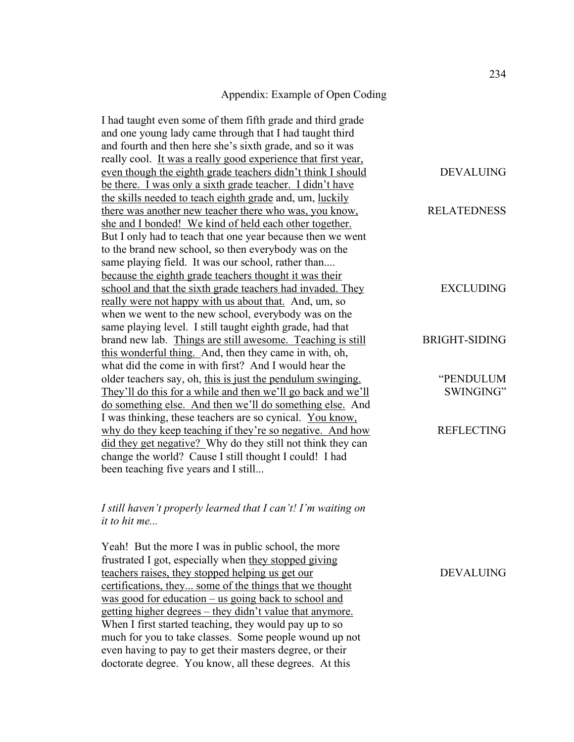#### Appendix: Example of Open Coding

I had taught even some of them fifth grade and third grade and one young lady came through that I had taught third and fourth and then here she's sixth grade, and so it was really cool. It was a really good experience that first year, even though the eighth grade teachers didn't think I should be there. I was only a sixth grade teacher. I didn't have the skills needed to teach eighth grade and, um, luckily there was another new teacher there who was, you know, she and I bonded! We kind of held each other together. But I only had to teach that one year because then we went to the brand new school, so then everybody was on the same playing field. It was our school, rather than.... because the eighth grade teachers thought it was their school and that the sixth grade teachers had invaded. They really were not happy with us about that. And, um, so when we went to the new school, everybody was on the same playing level. I still taught eighth grade, had that brand new lab. Things are still awesome. Teaching is still this wonderful thing. And, then they came in with, oh, what did the come in with first? And I would hear the older teachers say, oh, this is just the pendulum swinging. They'll do this for a while and then we'll go back and we'll do something else. And then we'll do something else. And I was thinking, these teachers are so cynical. You know, why do they keep teaching if they're so negative. And how did they get negative? Why do they still not think they can change the world? Cause I still thought I could! I had been teaching five years and I still... DEVALUING RELATEDNESS EXCLUDING BRIGHT-SIDING "PENDULUM SWINGING" **REFLECTING** 

## *I still haven't properly learned that I can't! I'm waiting on it to hit me...*

Yeah! But the more I was in public school, the more frustrated I got, especially when they stopped giving teachers raises, they stopped helping us get our certifications, they... some of the things that we thought was good for education – us going back to school and getting higher degrees – they didn't value that anymore. When I first started teaching, they would pay up to so much for you to take classes. Some people wound up not even having to pay to get their masters degree, or their doctorate degree. You know, all these degrees. At this

DEVALUING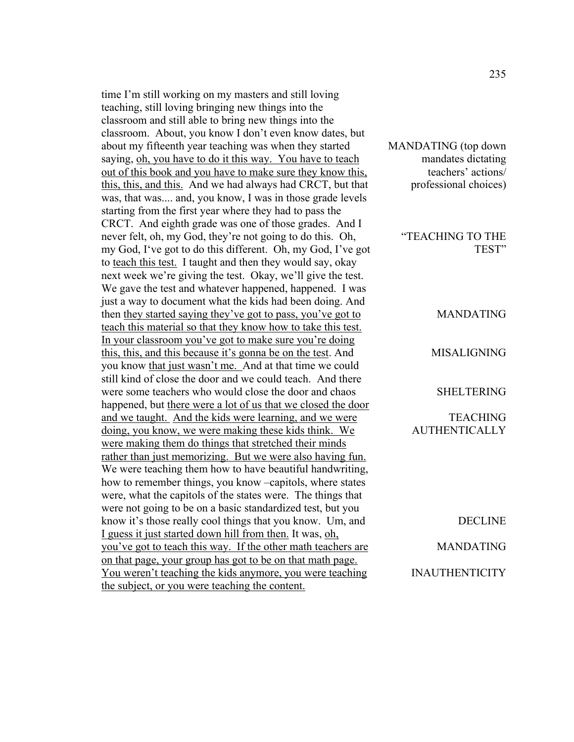time I'm still working on my masters and still loving teaching, still loving bringing new things into the classroom and still able to bring new things into the classroom. About, you know I don't even know dates, but about my fifteenth year teaching was when they started saying, oh, you have to do it this way. You have to teach out of this book and you have to make sure they know this, this, this, and this. And we had always had CRCT, but that was, that was.... and, you know, I was in those grade levels starting from the first year where they had to pass the CRCT. And eighth grade was one of those grades. And I never felt, oh, my God, they're not going to do this. Oh, my God, I've got to do this different. Oh, my God, I've got to teach this test. I taught and then they would say, okay next week we're giving the test. Okay, we'll give the test. We gave the test and whatever happened, happened. I was just a way to document what the kids had been doing. And then they started saying they've got to pass, you've got to teach this material so that they know how to take this test. In your classroom you've got to make sure you're doing this, this, and this because it's gonna be on the test. And you know that just wasn't me. And at that time we could still kind of close the door and we could teach. And there were some teachers who would close the door and chaos happened, but there were a lot of us that we closed the door and we taught. And the kids were learning, and we were doing, you know, we were making these kids think. We were making them do things that stretched their minds rather than just memorizing. But we were also having fun. We were teaching them how to have beautiful handwriting, how to remember things, you know –capitols, where states were, what the capitols of the states were. The things that were not going to be on a basic standardized test, but you know it's those really cool things that you know. Um, and I guess it just started down hill from then. It was, oh, you've got to teach this way. If the other math teachers are on that page, your group has got to be on that math page. You weren't teaching the kids anymore, you were teaching the subject, or you were teaching the content.

MANDATING (top down mandates dictating teachers' actions/ professional choices)

> "TEACHING TO THE TEST"

> > MANDATING

MISALIGNING

SHELTERING

**TEACHING AUTHENTICALLY** 

DECLINE MANDATING INAUTHENTICITY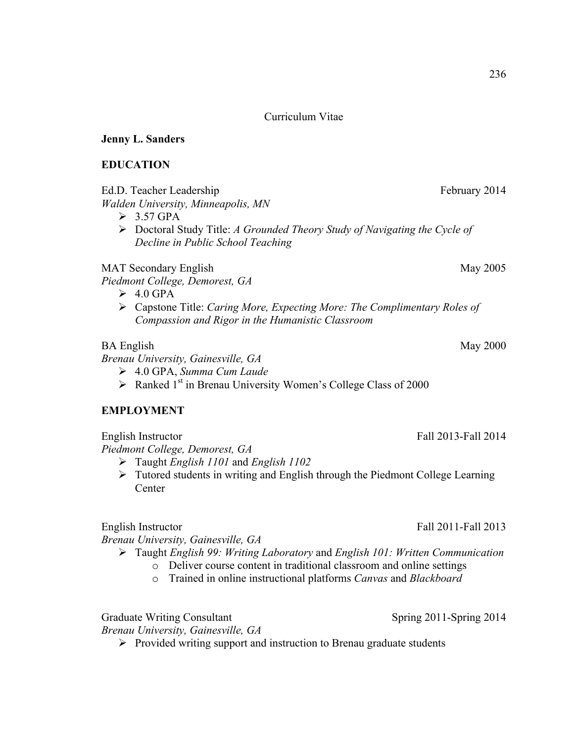Curriculum Vitae

### **Jenny L. Sanders**

### **EDUCATION**

Ed.D. Teacher Leadership February 2014

*Walden University, Minneapolis, MN*

- $\geq 3.57$  GPA
- ! Doctoral Study Title: *A Grounded Theory Study of Navigating the Cycle of Decline in Public School Teaching*

MAT Secondary English May 2005

*Piedmont College, Demorest, GA*

- $\geq 4.0$  GPA
- ! Capstone Title: *Caring More, Expecting More: The Complimentary Roles of Compassion and Rigor in the Humanistic Classroom*

## BA English May 2000

*Brenau University, Gainesville, GA*

- ! 4.0 GPA, *Summa Cum Laude*
- $\triangleright$  Ranked 1<sup>st</sup> in Brenau University Women's College Class of 2000

### **EMPLOYMENT**

*Piedmont College, Demorest, GA*

- ! Taught *English 1101* and *English 1102*
- $\triangleright$  Tutored students in writing and English through the Piedmont College Learning **Center**

English Instructor Fall 2011-Fall 2013

*Brenau University, Gainesville, GA*

- ! Taught *English 99: Writing Laboratory* and *English 101: Written Communication*
	- o Deliver course content in traditional classroom and online settings
	- o Trained in online instructional platforms *Canvas* and *Blackboard*

Graduate Writing Consultant Spring 2011-Spring 2014

*Brenau University, Gainesville, GA*

 $\triangleright$  Provided writing support and instruction to Brenau graduate students

English Instructor **Fall 2013-Fall 2014**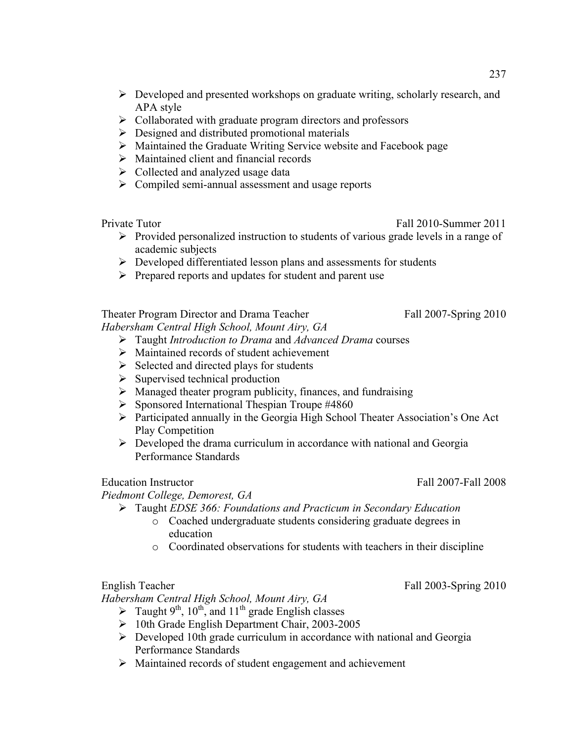- $\triangleright$  Developed and presented workshops on graduate writing, scholarly research, and APA style
- $\triangleright$  Collaborated with graduate program directors and professors
- $\triangleright$  Designed and distributed promotional materials
- $\triangleright$  Maintained the Graduate Writing Service website and Facebook page
- $\triangleright$  Maintained client and financial records
- $\triangleright$  Collected and analyzed usage data
- $\triangleright$  Compiled semi-annual assessment and usage reports

- Private Tutor Fall 2010-Summer 2011
	- $\triangleright$  Provided personalized instruction to students of various grade levels in a range of academic subjects
	- $\triangleright$  Developed differentiated lesson plans and assessments for students
	- $\triangleright$  Prepared reports and updates for student and parent use

Theater Program Director and Drama Teacher Fall 2007-Spring 2010 *Habersham Central High School, Mount Airy, GA*

- ! Taught *Introduction to Drama* and *Advanced Drama* courses
- $\triangleright$  Maintained records of student achievement
- $\triangleright$  Selected and directed plays for students
- $\triangleright$  Supervised technical production
- $\triangleright$  Managed theater program publicity, finances, and fundraising
- $\triangleright$  Sponsored International Thespian Troupe #4860
- $\triangleright$  Participated annually in the Georgia High School Theater Association's One Act Play Competition
- $\triangleright$  Developed the drama curriculum in accordance with national and Georgia Performance Standards

Education Instructor **Fall 2007-Fall 2008** 

*Piedmont College, Demorest, GA*

- ! Taught *EDSE 366: Foundations and Practicum in Secondary Education*
	- o Coached undergraduate students considering graduate degrees in education
	- o Coordinated observations for students with teachers in their discipline

# English Teacher Fall 2003-Spring 2010

*Habersham Central High School, Mount Airy, GA*

- $\triangleright$  Taught 9<sup>th</sup>, 10<sup>th</sup>, and 11<sup>th</sup> grade English classes
- ! 10th Grade English Department Chair, 2003-2005
- $\triangleright$  Developed 10th grade curriculum in accordance with national and Georgia Performance Standards
- ! Maintained records of student engagement and achievement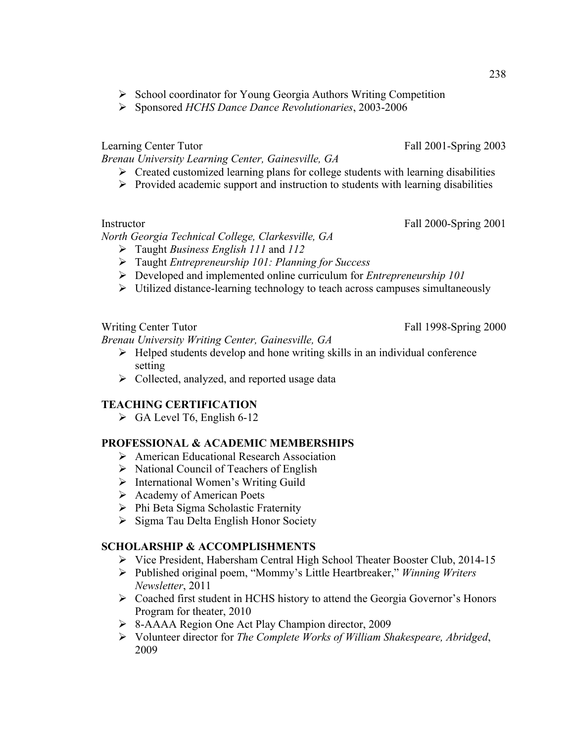- ! School coordinator for Young Georgia Authors Writing Competition
- ! Sponsored *HCHS Dance Dance Revolutionaries*, 2003-2006

Learning Center Tutor Fall 2001-Spring 2003

*Brenau University Learning Center, Gainesville, GA*

- $\triangleright$  Created customized learning plans for college students with learning disabilities
- $\triangleright$  Provided academic support and instruction to students with learning disabilities

*North Georgia Technical College, Clarkesville, GA*

- ! Taught *Business English 111* and *112*
- ! Taught *Entrepreneurship 101: Planning for Success*
- ! Developed and implemented online curriculum for *Entrepreneurship 101*
- $\triangleright$  Utilized distance-learning technology to teach across campuses simultaneously

Writing Center Tutor Fall 1998-Spring 2000

*Brenau University Writing Center, Gainesville, GA*

- $\triangleright$  Helped students develop and hone writing skills in an individual conference setting
- $\triangleright$  Collected, analyzed, and reported usage data

# **TEACHING CERTIFICATION**

 $\triangleright$  GA Level T6, English 6-12

### **PROFESSIONAL & ACADEMIC MEMBERSHIPS**

- $\triangleright$  American Educational Research Association
- $\triangleright$  National Council of Teachers of English
- > International Women's Writing Guild
- $\triangleright$  Academy of American Poets
- > Phi Beta Sigma Scholastic Fraternity
- > Sigma Tau Delta English Honor Society

## **SCHOLARSHIP & ACCOMPLISHMENTS**

- ! Vice President, Habersham Central High School Theater Booster Club, 2014-15
- ! Published original poem, "Mommy's Little Heartbreaker," *Winning Writers Newsletter*, 2011
- ! Coached first student in HCHS history to attend the Georgia Governor's Honors Program for theater, 2010
- ! 8-AAAA Region One Act Play Champion director, 2009
- ! Volunteer director for *The Complete Works of William Shakespeare, Abridged*, 2009

Instructor Fall 2000-Spring 2001